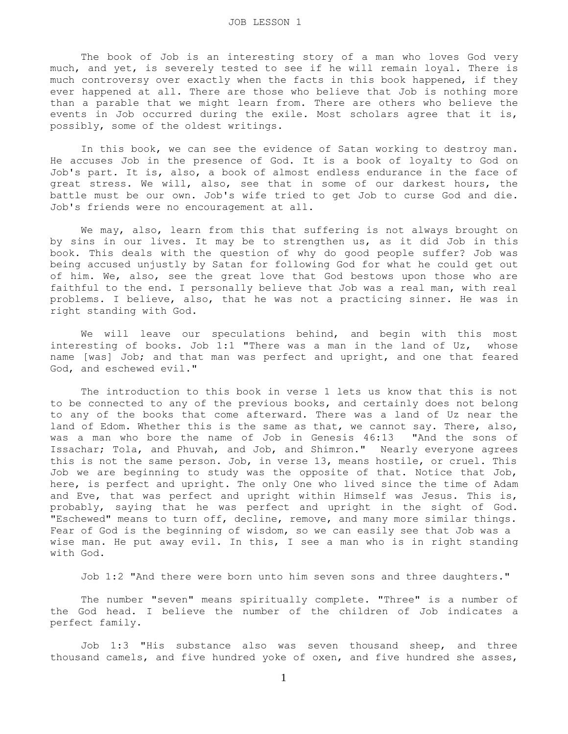The book of Job is an interesting story of a man who loves God very much, and yet, is severely tested to see if he will remain loyal. There is much controversy over exactly when the facts in this book happened, if they ever happened at all. There are those who believe that Job is nothing more than a parable that we might learn from. There are others who believe the events in Job occurred during the exile. Most scholars agree that it is, possibly, some of the oldest writings.

 In this book, we can see the evidence of Satan working to destroy man. He accuses Job in the presence of God. It is a book of loyalty to God on Job's part. It is, also, a book of almost endless endurance in the face of great stress. We will, also, see that in some of our darkest hours, the battle must be our own. Job's wife tried to get Job to curse God and die. Job's friends were no encouragement at all.

We may, also, learn from this that suffering is not always brought on by sins in our lives. It may be to strengthen us, as it did Job in this book. This deals with the question of why do good people suffer? Job was being accused unjustly by Satan for following God for what he could get out of him. We, also, see the great love that God bestows upon those who are faithful to the end. I personally believe that Job was a real man, with real problems. I believe, also, that he was not a practicing sinner. He was in right standing with God.

 We will leave our speculations behind, and begin with this most interesting of books. Job 1:1 "There was a man in the land of Uz, whose name [was] Job; and that man was perfect and upright, and one that feared God, and eschewed evil."

 The introduction to this book in verse 1 lets us know that this is not to be connected to any of the previous books, and certainly does not belong to any of the books that come afterward. There was a land of Uz near the land of Edom. Whether this is the same as that, we cannot say. There, also, was a man who bore the name of Job in Genesis 46:13 "And the sons of Issachar; Tola, and Phuvah, and Job, and Shimron." Nearly everyone agrees this is not the same person. Job, in verse 13, means hostile, or cruel. This Job we are beginning to study was the opposite of that. Notice that Job, here, is perfect and upright. The only One who lived since the time of Adam and Eve, that was perfect and upright within Himself was Jesus. This is, probably, saying that he was perfect and upright in the sight of God. "Eschewed" means to turn off, decline, remove, and many more similar things. Fear of God is the beginning of wisdom, so we can easily see that Job was a wise man. He put away evil. In this, I see a man who is in right standing with God.

Job 1:2 "And there were born unto him seven sons and three daughters."

 The number "seven" means spiritually complete. "Three" is a number of the God head. I believe the number of the children of Job indicates a perfect family.

 Job 1:3 "His substance also was seven thousand sheep, and three thousand camels, and five hundred yoke of oxen, and five hundred she asses,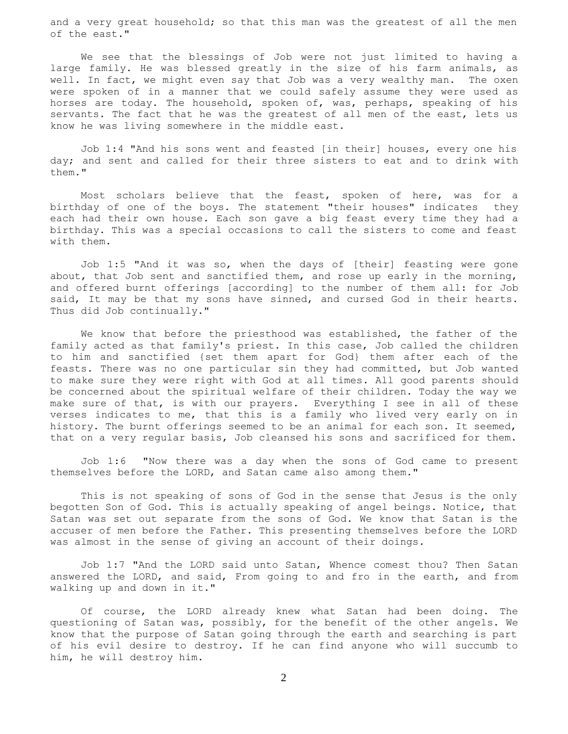and a very great household; so that this man was the greatest of all the men of the east."

 We see that the blessings of Job were not just limited to having a large family. He was blessed greatly in the size of his farm animals, as well. In fact, we might even say that Job was a very wealthy man. The oxen were spoken of in a manner that we could safely assume they were used as horses are today. The household, spoken of, was, perhaps, speaking of his servants. The fact that he was the greatest of all men of the east, lets us know he was living somewhere in the middle east.

 Job 1:4 "And his sons went and feasted [in their] houses, every one his day; and sent and called for their three sisters to eat and to drink with them."

 Most scholars believe that the feast, spoken of here, was for a birthday of one of the boys. The statement "their houses" indicates they each had their own house. Each son gave a big feast every time they had a birthday. This was a special occasions to call the sisters to come and feast with them.

 Job 1:5 "And it was so, when the days of [their] feasting were gone about, that Job sent and sanctified them, and rose up early in the morning, and offered burnt offerings [according] to the number of them all: for Job said, It may be that my sons have sinned, and cursed God in their hearts. Thus did Job continually."

 We know that before the priesthood was established, the father of the family acted as that family's priest. In this case, Job called the children to him and sanctified {set them apart for God} them after each of the feasts. There was no one particular sin they had committed, but Job wanted to make sure they were right with God at all times. All good parents should be concerned about the spiritual welfare of their children. Today the way we make sure of that, is with our prayers. Everything I see in all of these verses indicates to me, that this is a family who lived very early on in history. The burnt offerings seemed to be an animal for each son. It seemed, that on a very regular basis, Job cleansed his sons and sacrificed for them.

 Job 1:6 "Now there was a day when the sons of God came to present themselves before the LORD, and Satan came also among them."

 This is not speaking of sons of God in the sense that Jesus is the only begotten Son of God. This is actually speaking of angel beings. Notice, that Satan was set out separate from the sons of God. We know that Satan is the accuser of men before the Father. This presenting themselves before the LORD was almost in the sense of giving an account of their doings.

 Job 1:7 "And the LORD said unto Satan, Whence comest thou? Then Satan answered the LORD, and said, From going to and fro in the earth, and from walking up and down in it."

 Of course, the LORD already knew what Satan had been doing. The questioning of Satan was, possibly, for the benefit of the other angels. We know that the purpose of Satan going through the earth and searching is part of his evil desire to destroy. If he can find anyone who will succumb to him, he will destroy him.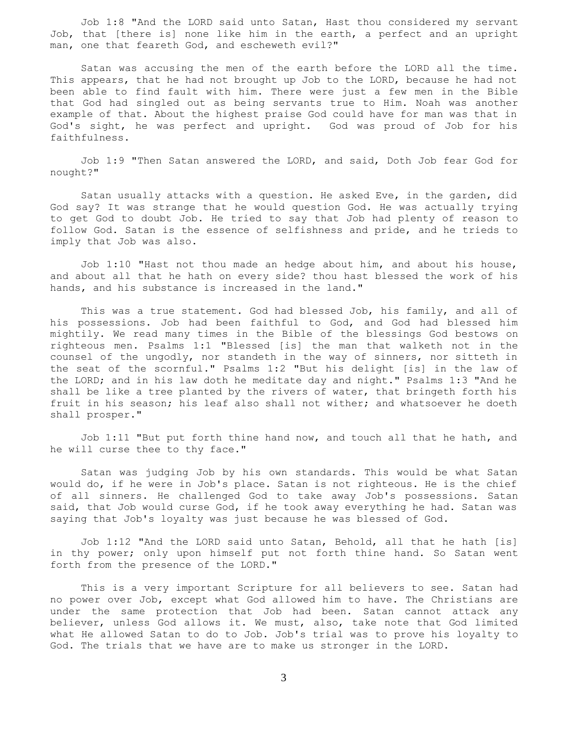Job 1:8 "And the LORD said unto Satan, Hast thou considered my servant Job, that [there is] none like him in the earth, a perfect and an upright man, one that feareth God, and escheweth evil?"

 Satan was accusing the men of the earth before the LORD all the time. This appears, that he had not brought up Job to the LORD, because he had not been able to find fault with him. There were just a few men in the Bible that God had singled out as being servants true to Him. Noah was another example of that. About the highest praise God could have for man was that in God's sight, he was perfect and upright. God was proud of Job for his faithfulness.

 Job 1:9 "Then Satan answered the LORD, and said, Doth Job fear God for nought?"

 Satan usually attacks with a question. He asked Eve, in the garden, did God say? It was strange that he would question God. He was actually trying to get God to doubt Job. He tried to say that Job had plenty of reason to follow God. Satan is the essence of selfishness and pride, and he trieds to imply that Job was also.

 Job 1:10 "Hast not thou made an hedge about him, and about his house, and about all that he hath on every side? thou hast blessed the work of his hands, and his substance is increased in the land."

 This was a true statement. God had blessed Job, his family, and all of his possessions. Job had been faithful to God, and God had blessed him mightily. We read many times in the Bible of the blessings God bestows on righteous men. Psalms 1:1 "Blessed [is] the man that walketh not in the counsel of the ungodly, nor standeth in the way of sinners, nor sitteth in the seat of the scornful." Psalms 1:2 "But his delight [is] in the law of the LORD; and in his law doth he meditate day and night." Psalms 1:3 "And he shall be like a tree planted by the rivers of water, that bringeth forth his fruit in his season; his leaf also shall not wither; and whatsoever he doeth shall prosper."

 Job 1:11 "But put forth thine hand now, and touch all that he hath, and he will curse thee to thy face."

 Satan was judging Job by his own standards. This would be what Satan would do, if he were in Job's place. Satan is not righteous. He is the chief of all sinners. He challenged God to take away Job's possessions. Satan said, that Job would curse God, if he took away everything he had. Satan was saying that Job's loyalty was just because he was blessed of God.

 Job 1:12 "And the LORD said unto Satan, Behold, all that he hath [is] in thy power; only upon himself put not forth thine hand. So Satan went forth from the presence of the LORD."

 This is a very important Scripture for all believers to see. Satan had no power over Job, except what God allowed him to have. The Christians are under the same protection that Job had been. Satan cannot attack any believer, unless God allows it. We must, also, take note that God limited what He allowed Satan to do to Job. Job's trial was to prove his loyalty to God. The trials that we have are to make us stronger in the LORD.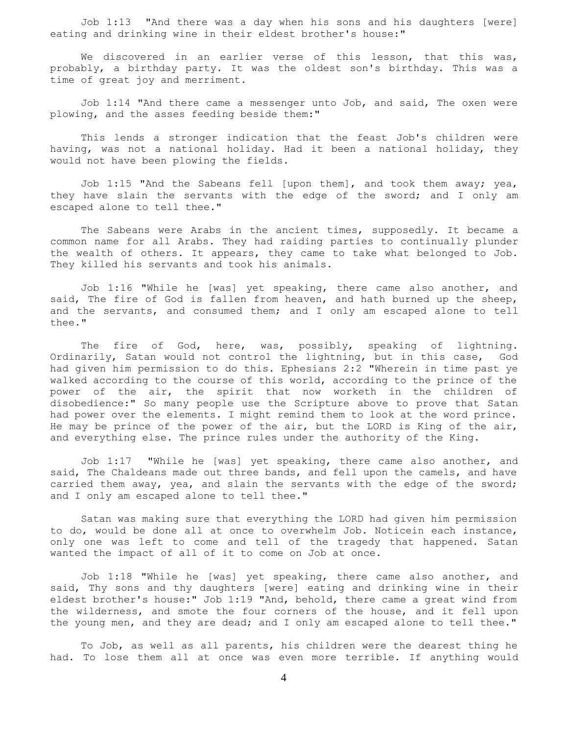Job 1:13 "And there was a day when his sons and his daughters [were] eating and drinking wine in their eldest brother's house:"

We discovered in an earlier verse of this lesson, that this was, probably, a birthday party. It was the oldest son's birthday. This was a time of great joy and merriment.

 Job 1:14 "And there came a messenger unto Job, and said, The oxen were plowing, and the asses feeding beside them:"

 This lends a stronger indication that the feast Job's children were having, was not a national holiday. Had it been a national holiday, they would not have been plowing the fields.

 Job 1:15 "And the Sabeans fell [upon them], and took them away; yea, they have slain the servants with the edge of the sword; and I only am escaped alone to tell thee."

 The Sabeans were Arabs in the ancient times, supposedly. It became a common name for all Arabs. They had raiding parties to continually plunder the wealth of others. It appears, they came to take what belonged to Job. They killed his servants and took his animals.

 Job 1:16 "While he [was] yet speaking, there came also another, and said, The fire of God is fallen from heaven, and hath burned up the sheep, and the servants, and consumed them; and I only am escaped alone to tell thee."

The fire of God, here, was, possibly, speaking of lightning. Ordinarily, Satan would not control the lightning, but in this case, God had given him permission to do this. Ephesians 2:2 "Wherein in time past ye walked according to the course of this world, according to the prince of the power of the air, the spirit that now worketh in the children of disobedience:" So many people use the Scripture above to prove that Satan had power over the elements. I might remind them to look at the word prince. He may be prince of the power of the air, but the LORD is King of the air, and everything else. The prince rules under the authority of the King.

 Job 1:17 "While he [was] yet speaking, there came also another, and said, The Chaldeans made out three bands, and fell upon the camels, and have carried them away, yea, and slain the servants with the edge of the sword; and I only am escaped alone to tell thee."

 Satan was making sure that everything the LORD had given him permission to do, would be done all at once to overwhelm Job. Noticein each instance, only one was left to come and tell of the tragedy that happened. Satan wanted the impact of all of it to come on Job at once.

 Job 1:18 "While he [was] yet speaking, there came also another, and said, Thy sons and thy daughters [were] eating and drinking wine in their eldest brother's house:" Job 1:19 "And, behold, there came a great wind from the wilderness, and smote the four corners of the house, and it fell upon the young men, and they are dead; and I only am escaped alone to tell thee."

 To Job, as well as all parents, his children were the dearest thing he had. To lose them all at once was even more terrible. If anything would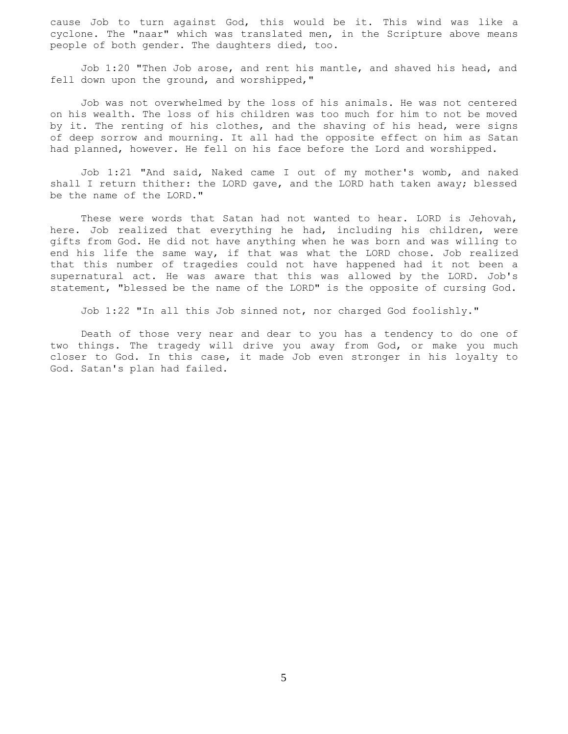cause Job to turn against God, this would be it. This wind was like a cyclone. The "naar" which was translated men, in the Scripture above means people of both gender. The daughters died, too.

 Job 1:20 "Then Job arose, and rent his mantle, and shaved his head, and fell down upon the ground, and worshipped,"

 Job was not overwhelmed by the loss of his animals. He was not centered on his wealth. The loss of his children was too much for him to not be moved by it. The renting of his clothes, and the shaving of his head, were signs of deep sorrow and mourning. It all had the opposite effect on him as Satan had planned, however. He fell on his face before the Lord and worshipped.

 Job 1:21 "And said, Naked came I out of my mother's womb, and naked shall I return thither: the LORD gave, and the LORD hath taken away; blessed be the name of the LORD."

 These were words that Satan had not wanted to hear. LORD is Jehovah, here. Job realized that everything he had, including his children, were gifts from God. He did not have anything when he was born and was willing to end his life the same way, if that was what the LORD chose. Job realized that this number of tragedies could not have happened had it not been a supernatural act. He was aware that this was allowed by the LORD. Job's statement, "blessed be the name of the LORD" is the opposite of cursing God.

Job 1:22 "In all this Job sinned not, nor charged God foolishly."

 Death of those very near and dear to you has a tendency to do one of two things. The tragedy will drive you away from God, or make you much closer to God. In this case, it made Job even stronger in his loyalty to God. Satan's plan had failed.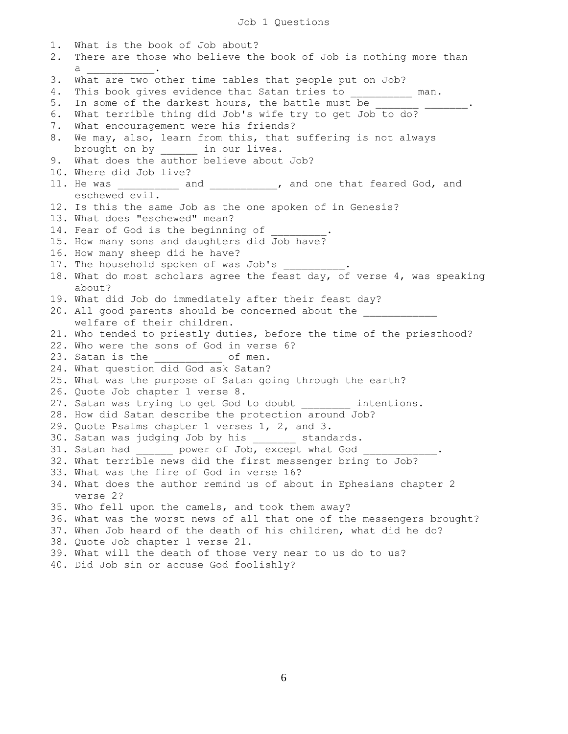1. What is the book of Job about? 2. There are those who believe the book of Job is nothing more than  $a$   $\qquad \qquad$ 3. What are two other time tables that people put on Job? 4. This book gives evidence that Satan tries to \_\_\_\_\_\_\_\_\_ man. 5. In some of the darkest hours, the battle must be 6. What terrible thing did Job's wife try to get Job to do? 7. What encouragement were his friends? 8. We may, also, learn from this, that suffering is not always brought on by \_\_\_\_\_\_ in our lives. 9. What does the author believe about Job? 10. Where did Job live? 11. He was \_\_\_\_\_\_\_\_\_\_\_ and \_\_\_\_\_\_\_\_\_\_\_, and one that feared God, and eschewed evil. 12. Is this the same Job as the one spoken of in Genesis? 13. What does "eschewed" mean? 14. Fear of God is the beginning of 15. How many sons and daughters did Job have? 16. How many sheep did he have? 17. The household spoken of was Job's 18. What do most scholars agree the feast day, of verse 4, was speaking about? 19. What did Job do immediately after their feast day? 20. All good parents should be concerned about the welfare of their children. 21. Who tended to priestly duties, before the time of the priesthood? 22. Who were the sons of God in verse 6? 23. Satan is the \_\_\_\_\_\_\_\_\_\_\_\_ of men. 24. What question did God ask Satan? 25. What was the purpose of Satan going through the earth? 26. Quote Job chapter 1 verse 8. 27. Satan was trying to get God to doubt intentions. 28. How did Satan describe the protection around Job? 29. Quote Psalms chapter 1 verses 1, 2, and 3. 30. Satan was judging Job by his \_\_\_\_\_\_\_ standards. 31. Satan had \_\_\_\_\_\_ power of Job, except what God \_\_\_\_\_\_\_\_\_\_\_\_. 32. What terrible news did the first messenger bring to Job? 33. What was the fire of God in verse 16? 34. What does the author remind us of about in Ephesians chapter 2 verse 2? 35. Who fell upon the camels, and took them away? 36. What was the worst news of all that one of the messengers brought? 37. When Job heard of the death of his children, what did he do? 38. Quote Job chapter 1 verse 21. 39. What will the death of those very near to us do to us? 40. Did Job sin or accuse God foolishly?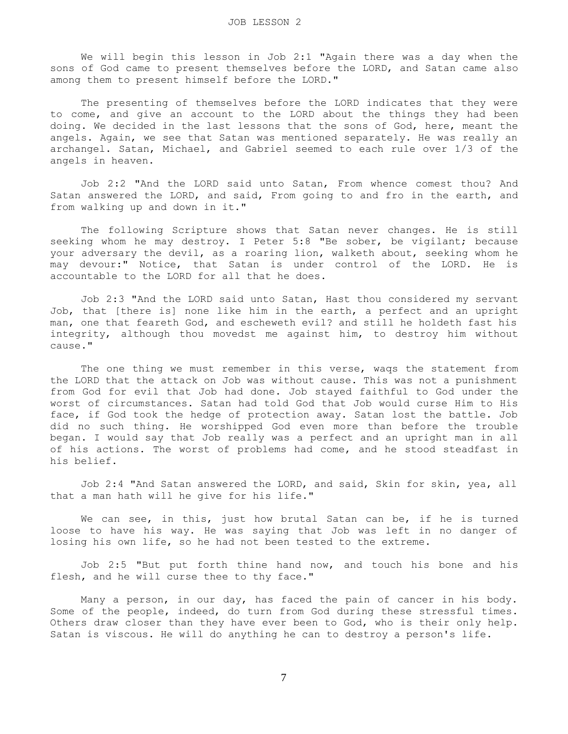We will begin this lesson in Job 2:1 "Again there was a day when the sons of God came to present themselves before the LORD, and Satan came also among them to present himself before the LORD."

 The presenting of themselves before the LORD indicates that they were to come, and give an account to the LORD about the things they had been doing. We decided in the last lessons that the sons of God, here, meant the angels. Again, we see that Satan was mentioned separately. He was really an archangel. Satan, Michael, and Gabriel seemed to each rule over 1/3 of the angels in heaven.

 Job 2:2 "And the LORD said unto Satan, From whence comest thou? And Satan answered the LORD, and said, From going to and fro in the earth, and from walking up and down in it."

 The following Scripture shows that Satan never changes. He is still seeking whom he may destroy. I Peter 5:8 "Be sober, be vigilant; because your adversary the devil, as a roaring lion, walketh about, seeking whom he may devour:" Notice, that Satan is under control of the LORD. He is accountable to the LORD for all that he does.

 Job 2:3 "And the LORD said unto Satan, Hast thou considered my servant Job, that [there is] none like him in the earth, a perfect and an upright man, one that feareth God, and escheweth evil? and still he holdeth fast his integrity, although thou movedst me against him, to destroy him without cause."

The one thing we must remember in this verse, wags the statement from the LORD that the attack on Job was without cause. This was not a punishment from God for evil that Job had done. Job stayed faithful to God under the worst of circumstances. Satan had told God that Job would curse Him to His face, if God took the hedge of protection away. Satan lost the battle. Job did no such thing. He worshipped God even more than before the trouble began. I would say that Job really was a perfect and an upright man in all of his actions. The worst of problems had come, and he stood steadfast in his belief.

 Job 2:4 "And Satan answered the LORD, and said, Skin for skin, yea, all that a man hath will he give for his life."

 We can see, in this, just how brutal Satan can be, if he is turned loose to have his way. He was saying that Job was left in no danger of losing his own life, so he had not been tested to the extreme.

 Job 2:5 "But put forth thine hand now, and touch his bone and his flesh, and he will curse thee to thy face."

 Many a person, in our day, has faced the pain of cancer in his body. Some of the people, indeed, do turn from God during these stressful times. Others draw closer than they have ever been to God, who is their only help. Satan is viscous. He will do anything he can to destroy a person's life.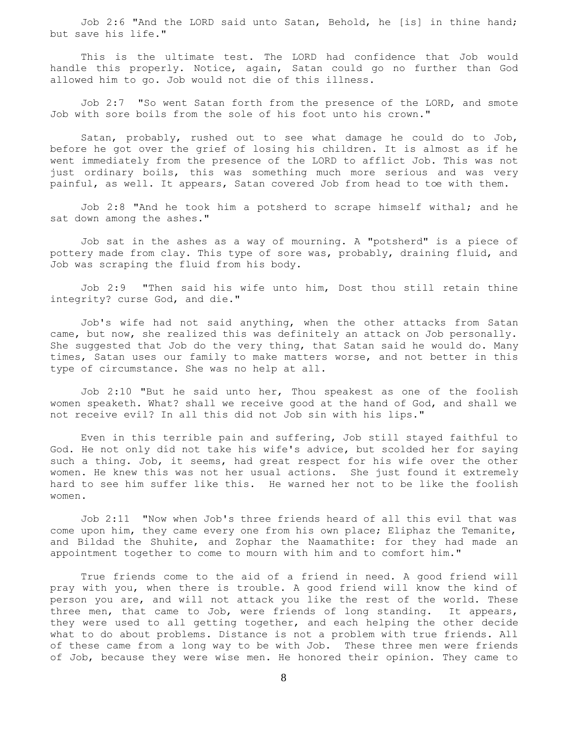Job 2:6 "And the LORD said unto Satan, Behold, he [is] in thine hand; but save his life."

 This is the ultimate test. The LORD had confidence that Job would handle this properly. Notice, again, Satan could go no further than God allowed him to go. Job would not die of this illness.

 Job 2:7 "So went Satan forth from the presence of the LORD, and smote Job with sore boils from the sole of his foot unto his crown."

 Satan, probably, rushed out to see what damage he could do to Job, before he got over the grief of losing his children. It is almost as if he went immediately from the presence of the LORD to afflict Job. This was not just ordinary boils, this was something much more serious and was very painful, as well. It appears, Satan covered Job from head to toe with them.

 Job 2:8 "And he took him a potsherd to scrape himself withal; and he sat down among the ashes."

 Job sat in the ashes as a way of mourning. A "potsherd" is a piece of pottery made from clay. This type of sore was, probably, draining fluid, and Job was scraping the fluid from his body.

 Job 2:9 "Then said his wife unto him, Dost thou still retain thine integrity? curse God, and die."

 Job's wife had not said anything, when the other attacks from Satan came, but now, she realized this was definitely an attack on Job personally. She suggested that Job do the very thing, that Satan said he would do. Many times, Satan uses our family to make matters worse, and not better in this type of circumstance. She was no help at all.

 Job 2:10 "But he said unto her, Thou speakest as one of the foolish women speaketh. What? shall we receive good at the hand of God, and shall we not receive evil? In all this did not Job sin with his lips."

 Even in this terrible pain and suffering, Job still stayed faithful to God. He not only did not take his wife's advice, but scolded her for saying such a thing. Job, it seems, had great respect for his wife over the other women. He knew this was not her usual actions. She just found it extremely hard to see him suffer like this. He warned her not to be like the foolish women.

 Job 2:11 "Now when Job's three friends heard of all this evil that was come upon him, they came every one from his own place; Eliphaz the Temanite, and Bildad the Shuhite, and Zophar the Naamathite: for they had made an appointment together to come to mourn with him and to comfort him."

 True friends come to the aid of a friend in need. A good friend will pray with you, when there is trouble. A good friend will know the kind of person you are, and will not attack you like the rest of the world. These three men, that came to Job, were friends of long standing. It appears, they were used to all getting together, and each helping the other decide what to do about problems. Distance is not a problem with true friends. All of these came from a long way to be with Job. These three men were friends of Job, because they were wise men. He honored their opinion. They came to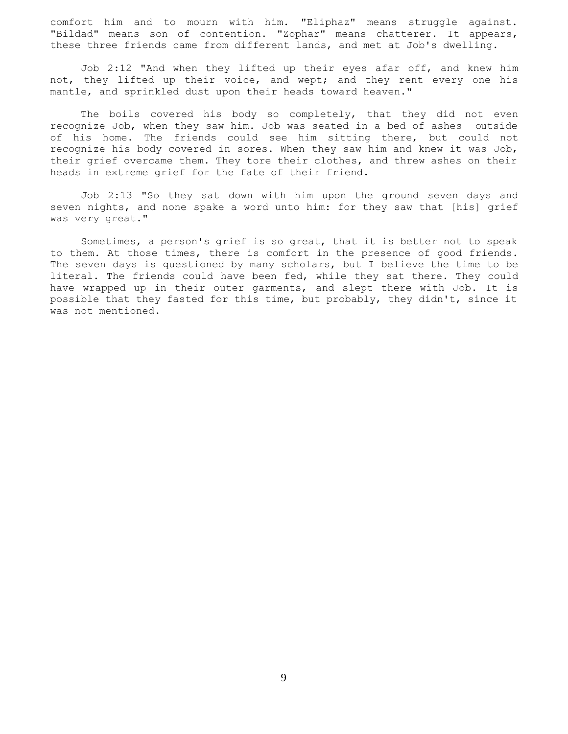comfort him and to mourn with him. "Eliphaz" means struggle against. "Bildad" means son of contention. "Zophar" means chatterer. It appears, these three friends came from different lands, and met at Job's dwelling.

 Job 2:12 "And when they lifted up their eyes afar off, and knew him not, they lifted up their voice, and wept; and they rent every one his mantle, and sprinkled dust upon their heads toward heaven."

 The boils covered his body so completely, that they did not even recognize Job, when they saw him. Job was seated in a bed of ashes outside of his home. The friends could see him sitting there, but could not recognize his body covered in sores. When they saw him and knew it was Job, their grief overcame them. They tore their clothes, and threw ashes on their heads in extreme grief for the fate of their friend.

 Job 2:13 "So they sat down with him upon the ground seven days and seven nights, and none spake a word unto him: for they saw that [his] grief was very great."

 Sometimes, a person's grief is so great, that it is better not to speak to them. At those times, there is comfort in the presence of good friends. The seven days is questioned by many scholars, but I believe the time to be literal. The friends could have been fed, while they sat there. They could have wrapped up in their outer garments, and slept there with Job. It is possible that they fasted for this time, but probably, they didn't, since it was not mentioned.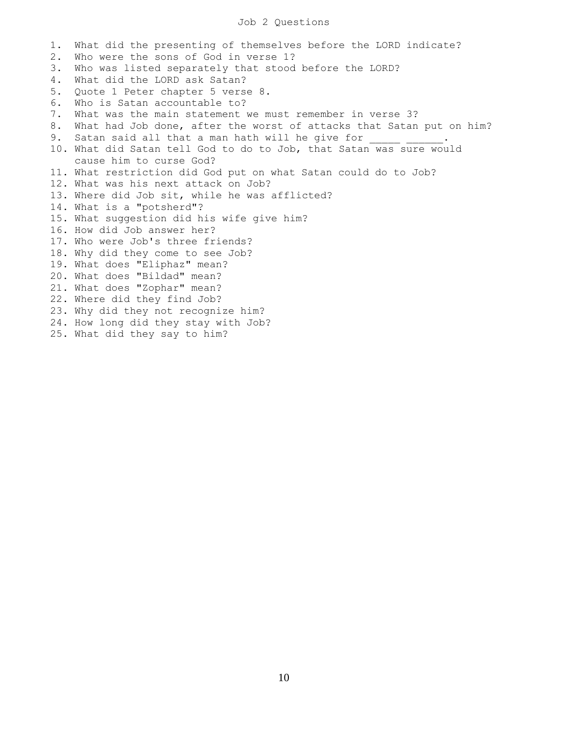## Job 2 Questions

1. What did the presenting of themselves before the LORD indicate? 2. Who were the sons of God in verse 1? 3. Who was listed separately that stood before the LORD? 4. What did the LORD ask Satan? 5. Quote 1 Peter chapter 5 verse 8. 6. Who is Satan accountable to? 7. What was the main statement we must remember in verse 3? 8. What had Job done, after the worst of attacks that Satan put on him? 9. Satan said all that a man hath will he give for 10. What did Satan tell God to do to Job, that Satan was sure would cause him to curse God? 11. What restriction did God put on what Satan could do to Job? 12. What was his next attack on Job? 13. Where did Job sit, while he was afflicted? 14. What is a "potsherd"? 15. What suggestion did his wife give him? 16. How did Job answer her? 17. Who were Job's three friends? 18. Why did they come to see Job? 19. What does "Eliphaz" mean? 20. What does "Bildad" mean? 21. What does "Zophar" mean? 22. Where did they find Job? 23. Why did they not recognize him? 24. How long did they stay with Job? 25. What did they say to him?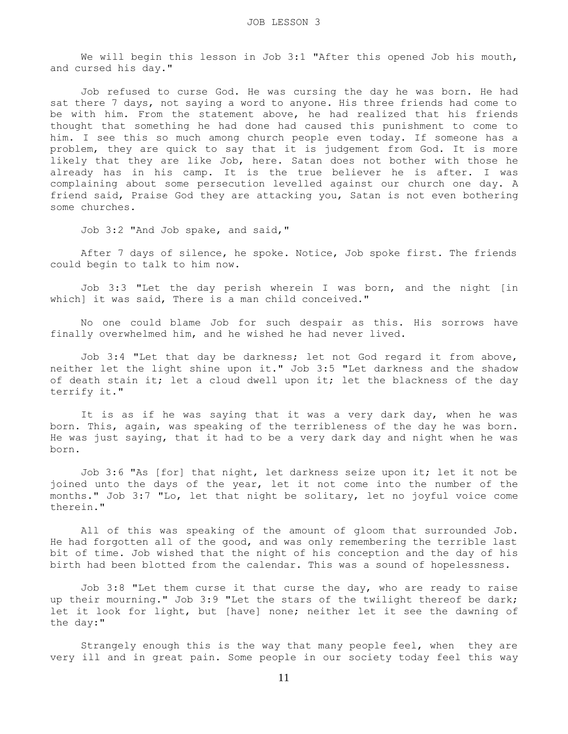We will begin this lesson in Job 3:1 "After this opened Job his mouth, and cursed his day."

 Job refused to curse God. He was cursing the day he was born. He had sat there 7 days, not saying a word to anyone. His three friends had come to be with him. From the statement above, he had realized that his friends thought that something he had done had caused this punishment to come to him. I see this so much among church people even today. If someone has a problem, they are quick to say that it is judgement from God. It is more likely that they are like Job, here. Satan does not bother with those he already has in his camp. It is the true believer he is after. I was complaining about some persecution levelled against our church one day. A friend said, Praise God they are attacking you, Satan is not even bothering some churches.

Job 3:2 "And Job spake, and said,"

 After 7 days of silence, he spoke. Notice, Job spoke first. The friends could begin to talk to him now.

 Job 3:3 "Let the day perish wherein I was born, and the night [in which] it was said, There is a man child conceived."

 No one could blame Job for such despair as this. His sorrows have finally overwhelmed him, and he wished he had never lived.

 Job 3:4 "Let that day be darkness; let not God regard it from above, neither let the light shine upon it." Job 3:5 "Let darkness and the shadow of death stain it; let a cloud dwell upon it; let the blackness of the day terrify it."

 It is as if he was saying that it was a very dark day, when he was born. This, again, was speaking of the terribleness of the day he was born. He was just saying, that it had to be a very dark day and night when he was born.

 Job 3:6 "As [for] that night, let darkness seize upon it; let it not be joined unto the days of the year, let it not come into the number of the months." Job 3:7 "Lo, let that night be solitary, let no joyful voice come therein."

 All of this was speaking of the amount of gloom that surrounded Job. He had forgotten all of the good, and was only remembering the terrible last bit of time. Job wished that the night of his conception and the day of his birth had been blotted from the calendar. This was a sound of hopelessness.

 Job 3:8 "Let them curse it that curse the day, who are ready to raise up their mourning." Job 3:9 "Let the stars of the twilight thereof be dark; let it look for light, but [have] none; neither let it see the dawning of the day:"

 Strangely enough this is the way that many people feel, when they are very ill and in great pain. Some people in our society today feel this way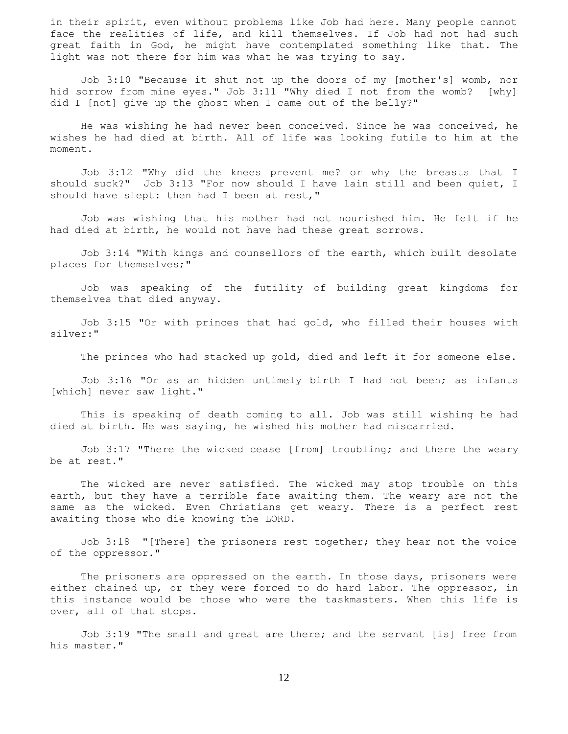in their spirit, even without problems like Job had here. Many people cannot face the realities of life, and kill themselves. If Job had not had such great faith in God, he might have contemplated something like that. The light was not there for him was what he was trying to say.

 Job 3:10 "Because it shut not up the doors of my [mother's] womb, nor hid sorrow from mine eyes." Job 3:11 "Why died I not from the womb? [why] did I [not] give up the ghost when I came out of the belly?"

 He was wishing he had never been conceived. Since he was conceived, he wishes he had died at birth. All of life was looking futile to him at the moment.

 Job 3:12 "Why did the knees prevent me? or why the breasts that I should suck?" Job 3:13 "For now should I have lain still and been quiet, I should have slept: then had I been at rest,"

 Job was wishing that his mother had not nourished him. He felt if he had died at birth, he would not have had these great sorrows.

 Job 3:14 "With kings and counsellors of the earth, which built desolate places for themselves;"

 Job was speaking of the futility of building great kingdoms for themselves that died anyway.

 Job 3:15 "Or with princes that had gold, who filled their houses with silver:"

The princes who had stacked up gold, died and left it for someone else.

 Job 3:16 "Or as an hidden untimely birth I had not been; as infants [which] never saw light."

 This is speaking of death coming to all. Job was still wishing he had died at birth. He was saying, he wished his mother had miscarried.

 Job 3:17 "There the wicked cease [from] troubling; and there the weary be at rest."

 The wicked are never satisfied. The wicked may stop trouble on this earth, but they have a terrible fate awaiting them. The weary are not the same as the wicked. Even Christians get weary. There is a perfect rest awaiting those who die knowing the LORD.

 Job 3:18 "[There] the prisoners rest together; they hear not the voice of the oppressor."

The prisoners are oppressed on the earth. In those days, prisoners were either chained up, or they were forced to do hard labor. The oppressor, in this instance would be those who were the taskmasters. When this life is over, all of that stops.

 Job 3:19 "The small and great are there; and the servant [is] free from his master."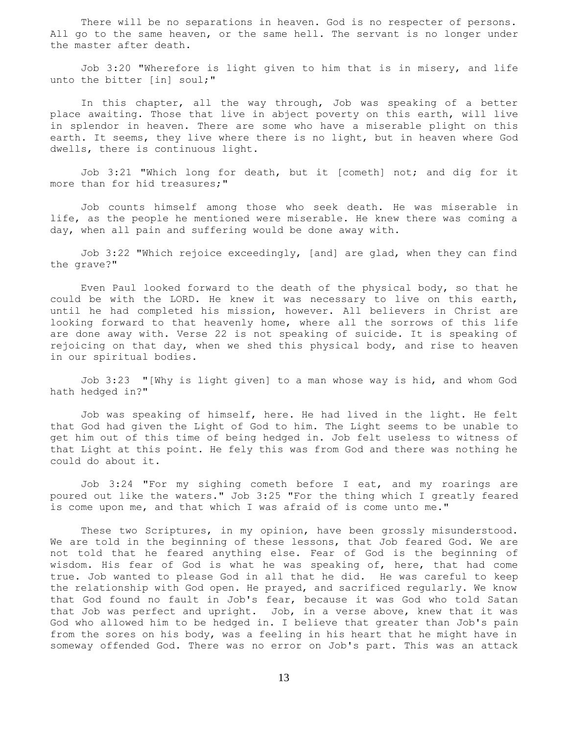There will be no separations in heaven. God is no respecter of persons. All go to the same heaven, or the same hell. The servant is no longer under the master after death.

 Job 3:20 "Wherefore is light given to him that is in misery, and life unto the bitter [in] soul;"

 In this chapter, all the way through, Job was speaking of a better place awaiting. Those that live in abject poverty on this earth, will live in splendor in heaven. There are some who have a miserable plight on this earth. It seems, they live where there is no light, but in heaven where God dwells, there is continuous light.

 Job 3:21 "Which long for death, but it [cometh] not; and dig for it more than for hid treasures;"

 Job counts himself among those who seek death. He was miserable in life, as the people he mentioned were miserable. He knew there was coming a day, when all pain and suffering would be done away with.

 Job 3:22 "Which rejoice exceedingly, [and] are glad, when they can find the grave?"

 Even Paul looked forward to the death of the physical body, so that he could be with the LORD. He knew it was necessary to live on this earth, until he had completed his mission, however. All believers in Christ are looking forward to that heavenly home, where all the sorrows of this life are done away with. Verse 22 is not speaking of suicide. It is speaking of rejoicing on that day, when we shed this physical body, and rise to heaven in our spiritual bodies.

 Job 3:23 "[Why is light given] to a man whose way is hid, and whom God hath hedged in?"

 Job was speaking of himself, here. He had lived in the light. He felt that God had given the Light of God to him. The Light seems to be unable to get him out of this time of being hedged in. Job felt useless to witness of that Light at this point. He fely this was from God and there was nothing he could do about it.

 Job 3:24 "For my sighing cometh before I eat, and my roarings are poured out like the waters." Job 3:25 "For the thing which I greatly feared is come upon me, and that which I was afraid of is come unto me."

 These two Scriptures, in my opinion, have been grossly misunderstood. We are told in the beginning of these lessons, that Job feared God. We are not told that he feared anything else. Fear of God is the beginning of wisdom. His fear of God is what he was speaking of, here, that had come true. Job wanted to please God in all that he did. He was careful to keep the relationship with God open. He prayed, and sacrificed regularly. We know that God found no fault in Job's fear, because it was God who told Satan that Job was perfect and upright. Job, in a verse above, knew that it was God who allowed him to be hedged in. I believe that greater than Job's pain from the sores on his body, was a feeling in his heart that he might have in someway offended God. There was no error on Job's part. This was an attack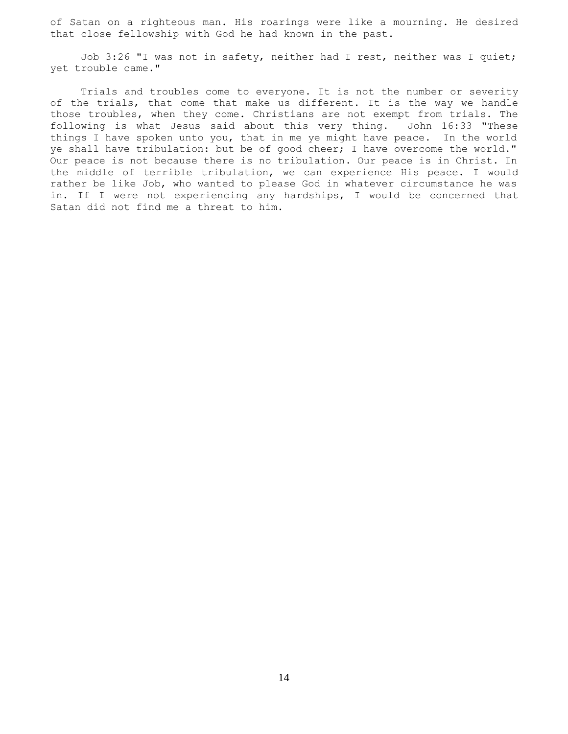of Satan on a righteous man. His roarings were like a mourning. He desired that close fellowship with God he had known in the past.

 Job 3:26 "I was not in safety, neither had I rest, neither was I quiet; yet trouble came."

 Trials and troubles come to everyone. It is not the number or severity of the trials, that come that make us different. It is the way we handle those troubles, when they come. Christians are not exempt from trials. The following is what Jesus said about this very thing. John 16:33 "These things I have spoken unto you, that in me ye might have peace. In the world ye shall have tribulation: but be of good cheer; I have overcome the world." Our peace is not because there is no tribulation. Our peace is in Christ. In the middle of terrible tribulation, we can experience His peace. I would rather be like Job, who wanted to please God in whatever circumstance he was in. If I were not experiencing any hardships, I would be concerned that Satan did not find me a threat to him.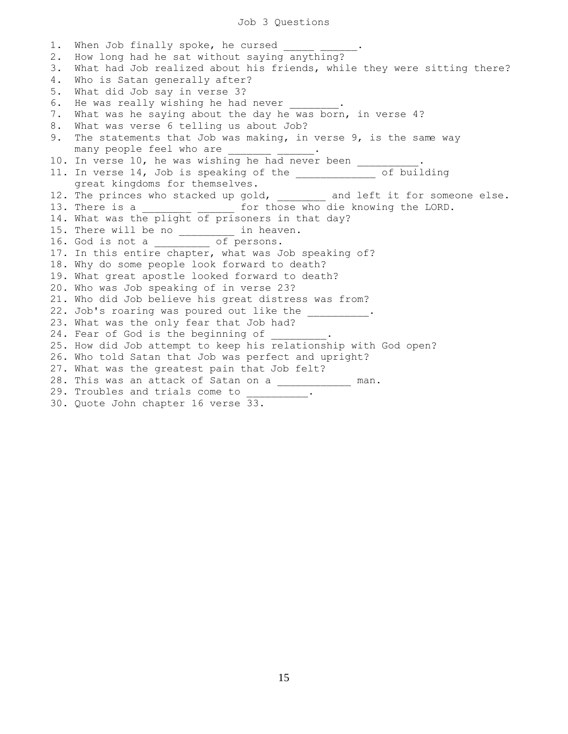1. When Job finally spoke, he cursed 2. How long had he sat without saying anything? 3. What had Job realized about his friends, while they were sitting there? 4. Who is Satan generally after? 5. What did Job say in verse 3? 6. He was really wishing he had never 7. What was he saying about the day he was born, in verse 4? 8. What was verse 6 telling us about Job? 9. The statements that Job was making, in verse 9, is the same way many people feel who are \_\_\_\_\_\_\_ \_\_\_\_\_\_. 10. In verse 10, he was wishing he had never been \_\_\_\_\_\_ 11. In verse 14, Job is speaking of the \_\_\_\_\_\_\_\_\_\_\_\_\_ of building great kingdoms for themselves. 12. The princes who stacked up gold, and left it for someone else. 13. There is a \_\_\_\_\_\_\_\_\_ \_\_\_\_\_\_\_ for those who die knowing the LORD. 14. What was the plight of prisoners in that day? 15. There will be no end in heaven. 16. God is not a \_\_\_\_\_\_\_\_\_ of persons. 17. In this entire chapter, what was Job speaking of? 18. Why do some people look forward to death? 19. What great apostle looked forward to death? 20. Who was Job speaking of in verse 23? 21. Who did Job believe his great distress was from? 22. Job's roaring was poured out like the \_\_\_\_\_\_\_\_\_\_. 23. What was the only fear that Job had? 24. Fear of God is the beginning of 25. How did Job attempt to keep his relationship with God open? 26. Who told Satan that Job was perfect and upright? 27. What was the greatest pain that Job felt? 28. This was an attack of Satan on a \_\_\_\_\_\_\_\_\_\_\_\_ man. 29. Troubles and trials come to  $\frac{1}{\sqrt{2}}$ . 30. Quote John chapter 16 verse 33.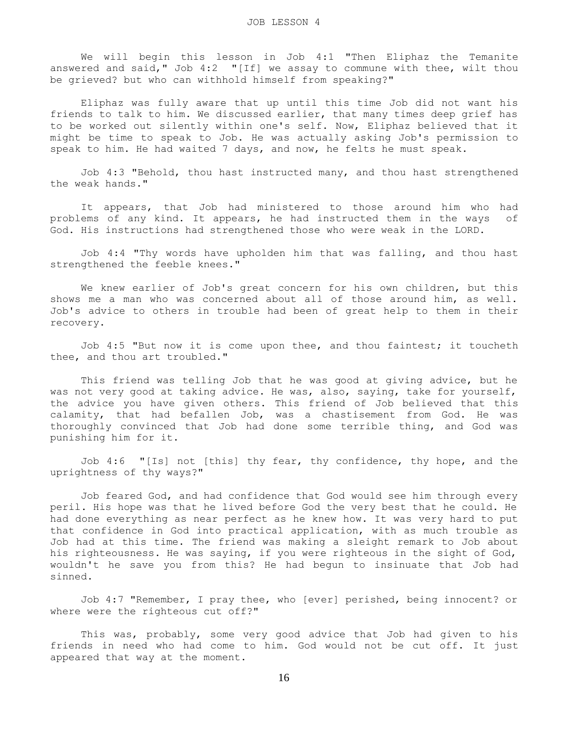We will begin this lesson in Job 4:1 "Then Eliphaz the Temanite answered and said," Job 4:2 "[If] we assay to commune with thee, wilt thou be grieved? but who can withhold himself from speaking?"

 Eliphaz was fully aware that up until this time Job did not want his friends to talk to him. We discussed earlier, that many times deep grief has to be worked out silently within one's self. Now, Eliphaz believed that it might be time to speak to Job. He was actually asking Job's permission to speak to him. He had waited 7 days, and now, he felts he must speak.

 Job 4:3 "Behold, thou hast instructed many, and thou hast strengthened the weak hands."

 It appears, that Job had ministered to those around him who had problems of any kind. It appears, he had instructed them in the ways of God. His instructions had strengthened those who were weak in the LORD.

 Job 4:4 "Thy words have upholden him that was falling, and thou hast strengthened the feeble knees."

 We knew earlier of Job's great concern for his own children, but this shows me a man who was concerned about all of those around him, as well. Job's advice to others in trouble had been of great help to them in their recovery.

 Job 4:5 "But now it is come upon thee, and thou faintest; it toucheth thee, and thou art troubled."

 This friend was telling Job that he was good at giving advice, but he was not very good at taking advice. He was, also, saying, take for yourself, the advice you have given others. This friend of Job believed that this calamity, that had befallen Job, was a chastisement from God. He was thoroughly convinced that Job had done some terrible thing, and God was punishing him for it.

Job 4:6 "[Is] not [this] thy fear, thy confidence, thy hope, and the uprightness of thy ways?"

 Job feared God, and had confidence that God would see him through every peril. His hope was that he lived before God the very best that he could. He had done everything as near perfect as he knew how. It was very hard to put that confidence in God into practical application, with as much trouble as Job had at this time. The friend was making a sleight remark to Job about his righteousness. He was saying, if you were righteous in the sight of God, wouldn't he save you from this? He had begun to insinuate that Job had sinned.

 Job 4:7 "Remember, I pray thee, who [ever] perished, being innocent? or where were the righteous cut off?"

 This was, probably, some very good advice that Job had given to his friends in need who had come to him. God would not be cut off. It just appeared that way at the moment.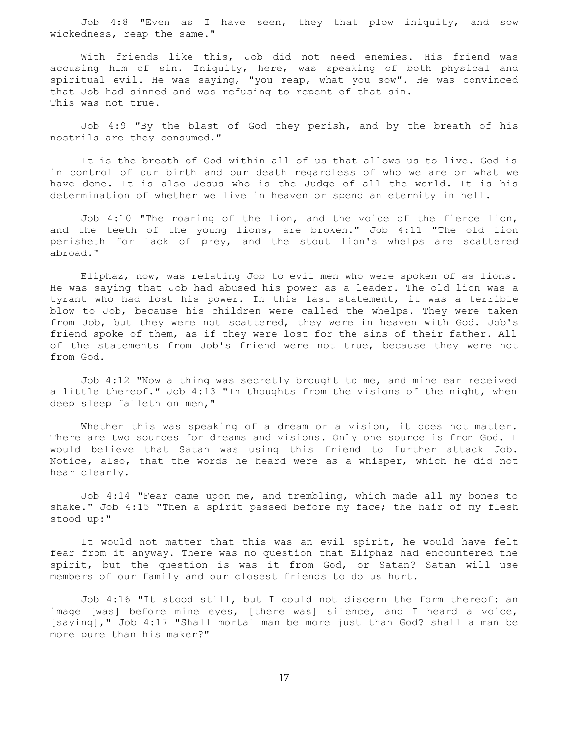Job 4:8 "Even as I have seen, they that plow iniquity, and sow wickedness, reap the same."

 With friends like this, Job did not need enemies. His friend was accusing him of sin. Iniquity, here, was speaking of both physical and spiritual evil. He was saying, "you reap, what you sow". He was convinced that Job had sinned and was refusing to repent of that sin. This was not true.

 Job 4:9 "By the blast of God they perish, and by the breath of his nostrils are they consumed."

 It is the breath of God within all of us that allows us to live. God is in control of our birth and our death regardless of who we are or what we have done. It is also Jesus who is the Judge of all the world. It is his determination of whether we live in heaven or spend an eternity in hell.

 Job 4:10 "The roaring of the lion, and the voice of the fierce lion, and the teeth of the young lions, are broken." Job 4:11 "The old lion perisheth for lack of prey, and the stout lion's whelps are scattered abroad."

 Eliphaz, now, was relating Job to evil men who were spoken of as lions. He was saying that Job had abused his power as a leader. The old lion was a tyrant who had lost his power. In this last statement, it was a terrible blow to Job, because his children were called the whelps. They were taken from Job, but they were not scattered, they were in heaven with God. Job's friend spoke of them, as if they were lost for the sins of their father. All of the statements from Job's friend were not true, because they were not from God.

 Job 4:12 "Now a thing was secretly brought to me, and mine ear received a little thereof." Job 4:13 "In thoughts from the visions of the night, when deep sleep falleth on men,"

Whether this was speaking of a dream or a vision, it does not matter. There are two sources for dreams and visions. Only one source is from God. I would believe that Satan was using this friend to further attack Job. Notice, also, that the words he heard were as a whisper, which he did not hear clearly.

 Job 4:14 "Fear came upon me, and trembling, which made all my bones to shake." Job 4:15 "Then a spirit passed before my face; the hair of my flesh stood up:"

 It would not matter that this was an evil spirit, he would have felt fear from it anyway. There was no question that Eliphaz had encountered the spirit, but the question is was it from God, or Satan? Satan will use members of our family and our closest friends to do us hurt.

 Job 4:16 "It stood still, but I could not discern the form thereof: an image [was] before mine eyes, [there was] silence, and I heard a voice, [saying]," Job 4:17 "Shall mortal man be more just than God? shall a man be more pure than his maker?"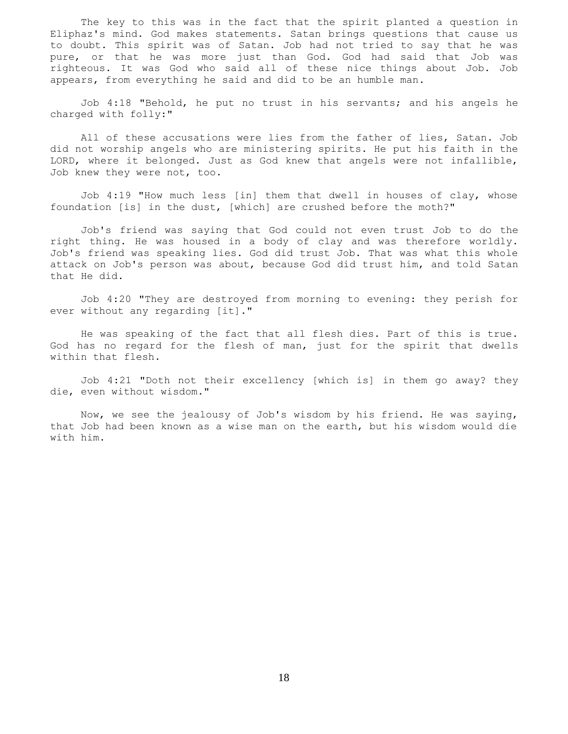The key to this was in the fact that the spirit planted a question in Eliphaz's mind. God makes statements. Satan brings questions that cause us to doubt. This spirit was of Satan. Job had not tried to say that he was pure, or that he was more just than God. God had said that Job was righteous. It was God who said all of these nice things about Job. Job appears, from everything he said and did to be an humble man.

 Job 4:18 "Behold, he put no trust in his servants; and his angels he charged with folly:"

 All of these accusations were lies from the father of lies, Satan. Job did not worship angels who are ministering spirits. He put his faith in the LORD, where it belonged. Just as God knew that angels were not infallible, Job knew they were not, too.

 Job 4:19 "How much less [in] them that dwell in houses of clay, whose foundation [is] in the dust, [which] are crushed before the moth?"

 Job's friend was saying that God could not even trust Job to do the right thing. He was housed in a body of clay and was therefore worldly. Job's friend was speaking lies. God did trust Job. That was what this whole attack on Job's person was about, because God did trust him, and told Satan that He did.

 Job 4:20 "They are destroyed from morning to evening: they perish for ever without any regarding [it]."

 He was speaking of the fact that all flesh dies. Part of this is true. God has no regard for the flesh of man, just for the spirit that dwells within that flesh.

 Job 4:21 "Doth not their excellency [which is] in them go away? they die, even without wisdom."

 Now, we see the jealousy of Job's wisdom by his friend. He was saying, that Job had been known as a wise man on the earth, but his wisdom would die with him.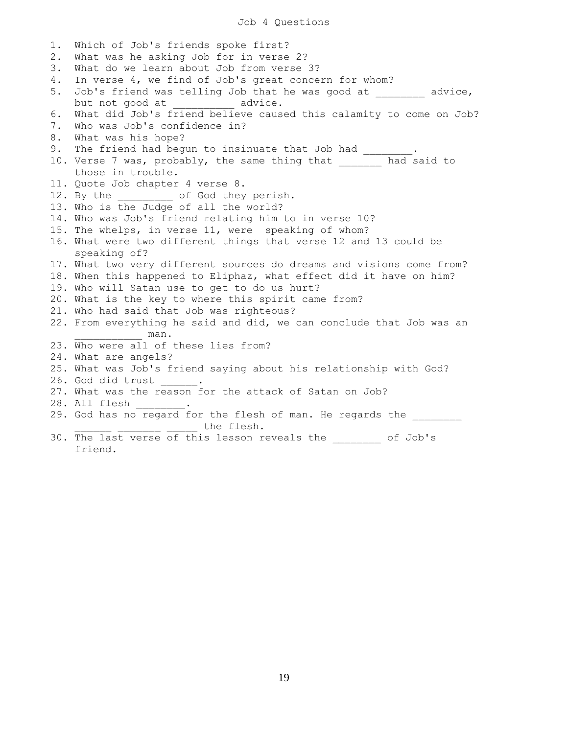1. Which of Job's friends spoke first? 2. What was he asking Job for in verse 2? 3. What do we learn about Job from verse 3? 4. In verse 4, we find of Job's great concern for whom? 5. Job's friend was telling Job that he was good at advice, but not good at \_\_\_\_\_\_\_\_\_\_ advice. 6. What did Job's friend believe caused this calamity to come on Job? 7. Who was Job's confidence in? 8. What was his hope? 9. The friend had begun to insinuate that Job had \_\_\_\_\_ 10. Verse 7 was, probably, the same thing that \_\_\_\_\_\_\_ had said to those in trouble. 11. Quote Job chapter 4 verse 8. 12. By the \_\_\_\_\_\_\_\_ of God they perish. 13. Who is the Judge of all the world? 14. Who was Job's friend relating him to in verse 10? 15. The whelps, in verse 11, were speaking of whom? 16. What were two different things that verse 12 and 13 could be speaking of? 17. What two very different sources do dreams and visions come from? 18. When this happened to Eliphaz, what effect did it have on him? 19. Who will Satan use to get to do us hurt? 20. What is the key to where this spirit came from? 21. Who had said that Job was righteous? 22. From everything he said and did, we can conclude that Job was an \_\_\_\_\_\_\_\_\_\_\_ man. 23. Who were all of these lies from? 24. What are angels? 25. What was Job's friend saying about his relationship with God? 26. God did trust 27. What was the reason for the attack of Satan on Job? 28. All flesh 29. God has no regard for the flesh of man. He regards the the flesh. 30. The last verse of this lesson reveals the of Job's friend.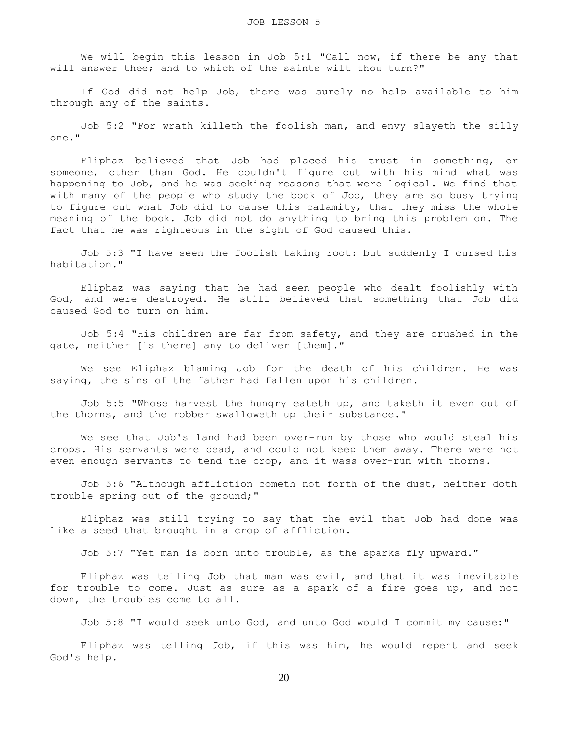We will begin this lesson in Job 5:1 "Call now, if there be any that will answer thee; and to which of the saints wilt thou turn?"

 If God did not help Job, there was surely no help available to him through any of the saints.

 Job 5:2 "For wrath killeth the foolish man, and envy slayeth the silly one."

 Eliphaz believed that Job had placed his trust in something, or someone, other than God. He couldn't figure out with his mind what was happening to Job, and he was seeking reasons that were logical. We find that with many of the people who study the book of Job, they are so busy trying to figure out what Job did to cause this calamity, that they miss the whole meaning of the book. Job did not do anything to bring this problem on. The fact that he was righteous in the sight of God caused this.

 Job 5:3 "I have seen the foolish taking root: but suddenly I cursed his habitation."

 Eliphaz was saying that he had seen people who dealt foolishly with God, and were destroyed. He still believed that something that Job did caused God to turn on him.

 Job 5:4 "His children are far from safety, and they are crushed in the gate, neither [is there] any to deliver [them]."

 We see Eliphaz blaming Job for the death of his children. He was saying, the sins of the father had fallen upon his children.

 Job 5:5 "Whose harvest the hungry eateth up, and taketh it even out of the thorns, and the robber swalloweth up their substance."

 We see that Job's land had been over-run by those who would steal his crops. His servants were dead, and could not keep them away. There were not even enough servants to tend the crop, and it wass over-run with thorns.

 Job 5:6 "Although affliction cometh not forth of the dust, neither doth trouble spring out of the ground;"

 Eliphaz was still trying to say that the evil that Job had done was like a seed that brought in a crop of affliction.

Job 5:7 "Yet man is born unto trouble, as the sparks fly upward."

 Eliphaz was telling Job that man was evil, and that it was inevitable for trouble to come. Just as sure as a spark of a fire goes up, and not down, the troubles come to all.

Job 5:8 "I would seek unto God, and unto God would I commit my cause:"

 Eliphaz was telling Job, if this was him, he would repent and seek God's help.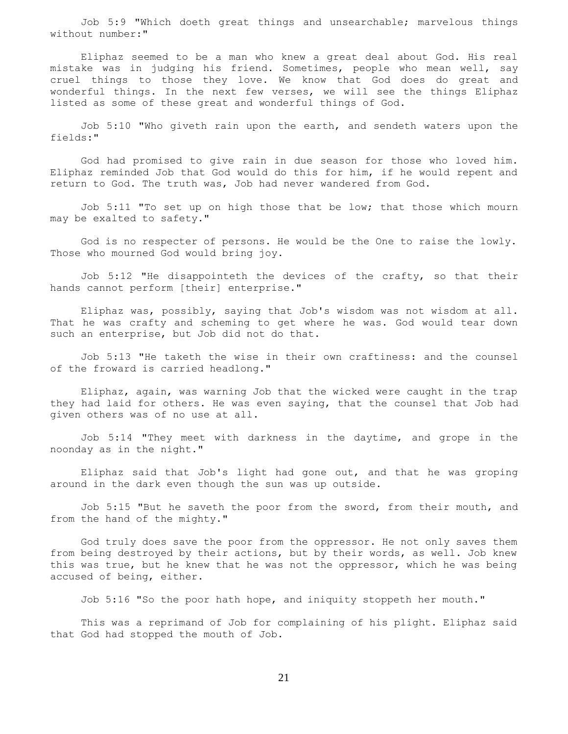Job 5:9 "Which doeth great things and unsearchable; marvelous things without number:"

 Eliphaz seemed to be a man who knew a great deal about God. His real mistake was in judging his friend. Sometimes, people who mean well, say cruel things to those they love. We know that God does do great and wonderful things. In the next few verses, we will see the things Eliphaz listed as some of these great and wonderful things of God.

 Job 5:10 "Who giveth rain upon the earth, and sendeth waters upon the fields:"

 God had promised to give rain in due season for those who loved him. Eliphaz reminded Job that God would do this for him, if he would repent and return to God. The truth was, Job had never wandered from God.

 Job 5:11 "To set up on high those that be low; that those which mourn may be exalted to safety."

 God is no respecter of persons. He would be the One to raise the lowly. Those who mourned God would bring joy.

 Job 5:12 "He disappointeth the devices of the crafty, so that their hands cannot perform [their] enterprise."

 Eliphaz was, possibly, saying that Job's wisdom was not wisdom at all. That he was crafty and scheming to get where he was. God would tear down such an enterprise, but Job did not do that.

 Job 5:13 "He taketh the wise in their own craftiness: and the counsel of the froward is carried headlong."

 Eliphaz, again, was warning Job that the wicked were caught in the trap they had laid for others. He was even saying, that the counsel that Job had given others was of no use at all.

 Job 5:14 "They meet with darkness in the daytime, and grope in the noonday as in the night."

 Eliphaz said that Job's light had gone out, and that he was groping around in the dark even though the sun was up outside.

 Job 5:15 "But he saveth the poor from the sword, from their mouth, and from the hand of the mighty."

 God truly does save the poor from the oppressor. He not only saves them from being destroyed by their actions, but by their words, as well. Job knew this was true, but he knew that he was not the oppressor, which he was being accused of being, either.

Job 5:16 "So the poor hath hope, and iniquity stoppeth her mouth."

 This was a reprimand of Job for complaining of his plight. Eliphaz said that God had stopped the mouth of Job.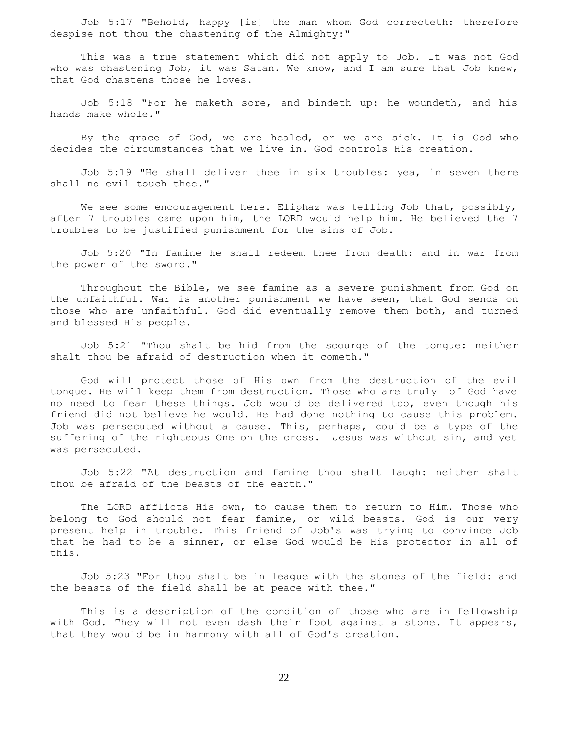Job 5:17 "Behold, happy [is] the man whom God correcteth: therefore despise not thou the chastening of the Almighty:"

 This was a true statement which did not apply to Job. It was not God who was chastening Job, it was Satan. We know, and I am sure that Job knew, that God chastens those he loves.

 Job 5:18 "For he maketh sore, and bindeth up: he woundeth, and his hands make whole."

 By the grace of God, we are healed, or we are sick. It is God who decides the circumstances that we live in. God controls His creation.

 Job 5:19 "He shall deliver thee in six troubles: yea, in seven there shall no evil touch thee."

We see some encouragement here. Eliphaz was telling Job that, possibly, after 7 troubles came upon him, the LORD would help him. He believed the 7 troubles to be justified punishment for the sins of Job.

 Job 5:20 "In famine he shall redeem thee from death: and in war from the power of the sword."

 Throughout the Bible, we see famine as a severe punishment from God on the unfaithful. War is another punishment we have seen, that God sends on those who are unfaithful. God did eventually remove them both, and turned and blessed His people.

 Job 5:21 "Thou shalt be hid from the scourge of the tongue: neither shalt thou be afraid of destruction when it cometh."

 God will protect those of His own from the destruction of the evil tongue. He will keep them from destruction. Those who are truly of God have no need to fear these things. Job would be delivered too, even though his friend did not believe he would. He had done nothing to cause this problem. Job was persecuted without a cause. This, perhaps, could be a type of the suffering of the righteous One on the cross. Jesus was without sin, and yet was persecuted.

 Job 5:22 "At destruction and famine thou shalt laugh: neither shalt thou be afraid of the beasts of the earth."

 The LORD afflicts His own, to cause them to return to Him. Those who belong to God should not fear famine, or wild beasts. God is our very present help in trouble. This friend of Job's was trying to convince Job that he had to be a sinner, or else God would be His protector in all of this.

 Job 5:23 "For thou shalt be in league with the stones of the field: and the beasts of the field shall be at peace with thee."

 This is a description of the condition of those who are in fellowship with God. They will not even dash their foot against a stone. It appears, that they would be in harmony with all of God's creation.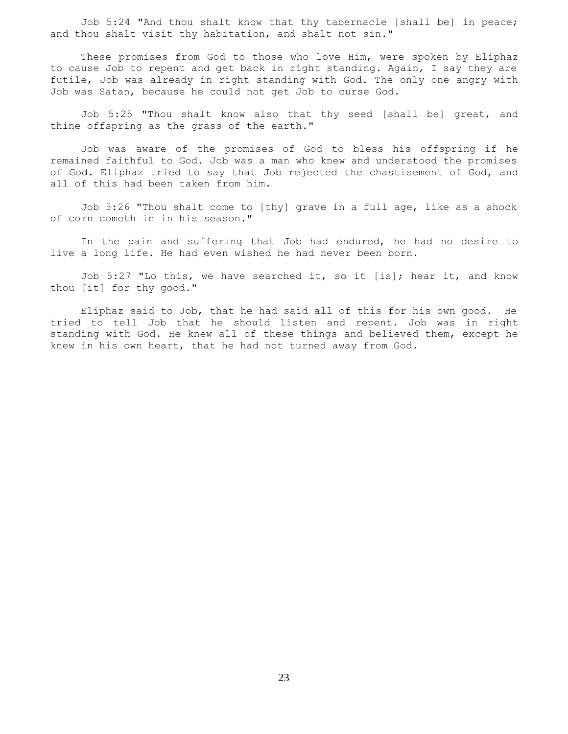Job 5:24 "And thou shalt know that thy tabernacle [shall be] in peace; and thou shalt visit thy habitation, and shalt not sin."

 These promises from God to those who love Him, were spoken by Eliphaz to cause Job to repent and get back in right standing. Again, I say they are futile, Job was already in right standing with God. The only one angry with Job was Satan, because he could not get Job to curse God.

 Job 5:25 "Thou shalt know also that thy seed [shall be] great, and thine offspring as the grass of the earth."

 Job was aware of the promises of God to bless his offspring if he remained faithful to God. Job was a man who knew and understood the promises of God. Eliphaz tried to say that Job rejected the chastisement of God, and all of this had been taken from him.

 Job 5:26 "Thou shalt come to [thy] grave in a full age, like as a shock of corn cometh in in his season."

 In the pain and suffering that Job had endured, he had no desire to live a long life. He had even wished he had never been born.

 Job 5:27 "Lo this, we have searched it, so it [is]; hear it, and know thou [it] for thy good."

 Eliphaz said to Job, that he had said all of this for his own good. He tried to tell Job that he should listen and repent. Job was in right standing with God. He knew all of these things and believed them, except he knew in his own heart, that he had not turned away from God.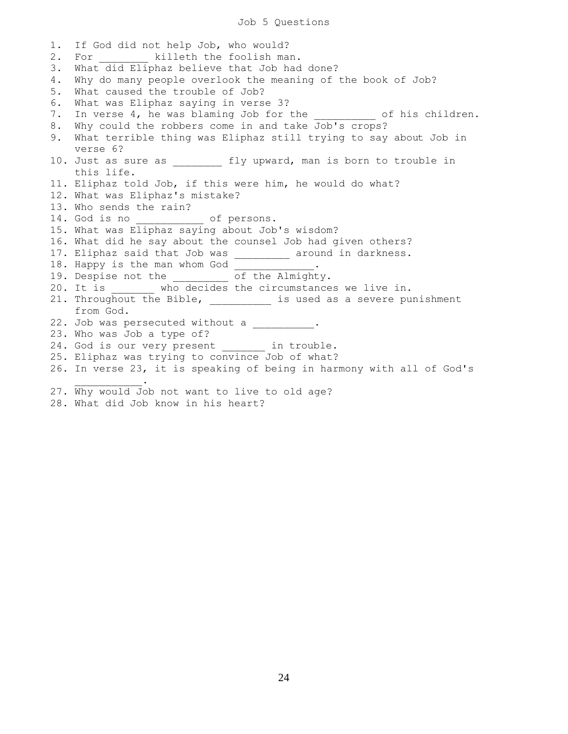1. If God did not help Job, who would? 2. For **killeth** the foolish man. 3. What did Eliphaz believe that Job had done? 4. Why do many people overlook the meaning of the book of Job? 5. What caused the trouble of Job? 6. What was Eliphaz saying in verse 3? 7. In verse 4, he was blaming Job for the  $\qquad$  of his children. 8. Why could the robbers come in and take Job's crops? 9. What terrible thing was Eliphaz still trying to say about Job in verse 6? 10. Just as sure as \_\_\_\_\_\_\_\_ fly upward, man is born to trouble in this life. 11. Eliphaz told Job, if this were him, he would do what? 12. What was Eliphaz's mistake? 13. Who sends the rain? 14. God is no \_\_\_\_\_\_\_\_\_\_\_ of persons. 15. What was Eliphaz saying about Job's wisdom? 16. What did he say about the counsel Job had given others? 17. Eliphaz said that Job was \_\_\_\_\_\_\_\_\_ around in darkness. 18. Happy is the man whom God 19. Despise not the \_\_\_\_\_\_\_\_\_ of the Almighty. 20. It is \_\_\_\_\_\_\_ who decides the circumstances we live in. 21. Throughout the Bible, \_\_\_\_\_\_\_\_\_ is used as a severe punishment from God. 22. Job was persecuted without a \_\_\_\_\_\_\_\_\_\_. 23. Who was Job a type of? 24. God is our very present in trouble. 25. Eliphaz was trying to convince Job of what? 26. In verse 23, it is speaking of being in harmony with all of God's  $\mathcal{L}=\mathcal{L}=\mathcal{L}=\mathcal{L}=\mathcal{L}=\mathcal{L}$ 27. Why would Job not want to live to old age? 28. What did Job know in his heart?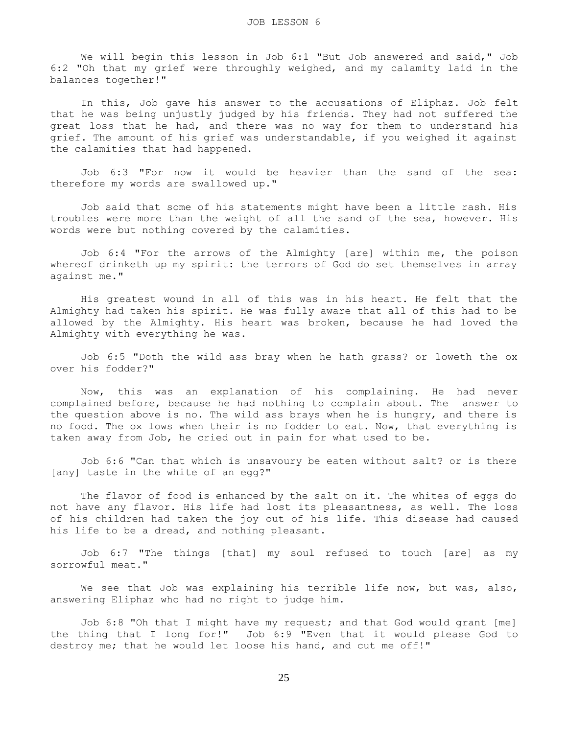We will begin this lesson in Job 6:1 "But Job answered and said," Job 6:2 "Oh that my grief were throughly weighed, and my calamity laid in the balances together!"

 In this, Job gave his answer to the accusations of Eliphaz. Job felt that he was being unjustly judged by his friends. They had not suffered the great loss that he had, and there was no way for them to understand his grief. The amount of his grief was understandable, if you weighed it against the calamities that had happened.

 Job 6:3 "For now it would be heavier than the sand of the sea: therefore my words are swallowed up."

 Job said that some of his statements might have been a little rash. His troubles were more than the weight of all the sand of the sea, however. His words were but nothing covered by the calamities.

 Job 6:4 "For the arrows of the Almighty [are] within me, the poison whereof drinketh up my spirit: the terrors of God do set themselves in array against me."

 His greatest wound in all of this was in his heart. He felt that the Almighty had taken his spirit. He was fully aware that all of this had to be allowed by the Almighty. His heart was broken, because he had loved the Almighty with everything he was.

 Job 6:5 "Doth the wild ass bray when he hath grass? or loweth the ox over his fodder?"

 Now, this was an explanation of his complaining. He had never complained before, because he had nothing to complain about. The answer to the question above is no. The wild ass brays when he is hungry, and there is no food. The ox lows when their is no fodder to eat. Now, that everything is taken away from Job, he cried out in pain for what used to be.

 Job 6:6 "Can that which is unsavoury be eaten without salt? or is there [any] taste in the white of an egg?"

 The flavor of food is enhanced by the salt on it. The whites of eggs do not have any flavor. His life had lost its pleasantness, as well. The loss of his children had taken the joy out of his life. This disease had caused his life to be a dread, and nothing pleasant.

 Job 6:7 "The things [that] my soul refused to touch [are] as my sorrowful meat."

We see that Job was explaining his terrible life now, but was, also, answering Eliphaz who had no right to judge him.

 Job 6:8 "Oh that I might have my request; and that God would grant [me] the thing that I long for!" Job 6:9 "Even that it would please God to destroy me; that he would let loose his hand, and cut me off!"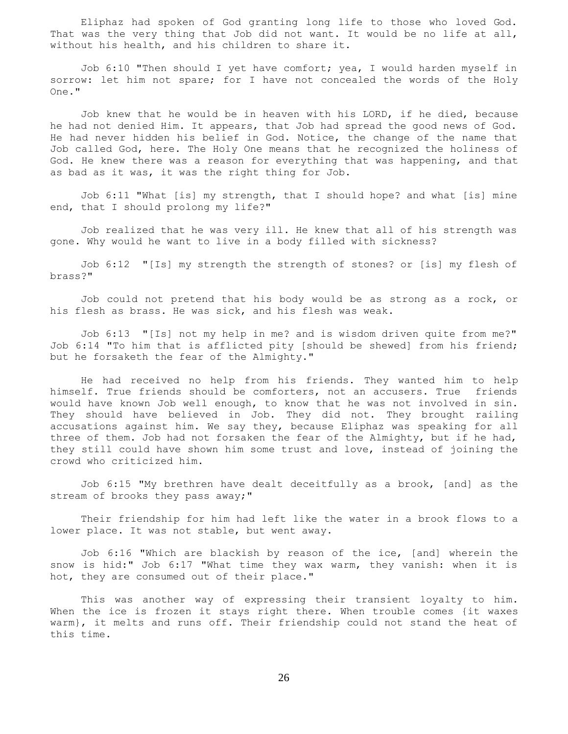Eliphaz had spoken of God granting long life to those who loved God. That was the very thing that Job did not want. It would be no life at all, without his health, and his children to share it.

 Job 6:10 "Then should I yet have comfort; yea, I would harden myself in sorrow: let him not spare; for I have not concealed the words of the Holy One."

 Job knew that he would be in heaven with his LORD, if he died, because he had not denied Him. It appears, that Job had spread the good news of God. He had never hidden his belief in God. Notice, the change of the name that Job called God, here. The Holy One means that he recognized the holiness of God. He knew there was a reason for everything that was happening, and that as bad as it was, it was the right thing for Job.

 Job 6:11 "What [is] my strength, that I should hope? and what [is] mine end, that I should prolong my life?"

 Job realized that he was very ill. He knew that all of his strength was gone. Why would he want to live in a body filled with sickness?

 Job 6:12 "[Is] my strength the strength of stones? or [is] my flesh of brass?"

 Job could not pretend that his body would be as strong as a rock, or his flesh as brass. He was sick, and his flesh was weak.

 Job 6:13 "[Is] not my help in me? and is wisdom driven quite from me?" Job 6:14 "To him that is afflicted pity [should be shewed] from his friend; but he forsaketh the fear of the Almighty."

 He had received no help from his friends. They wanted him to help himself. True friends should be comforters, not an accusers. True friends would have known Job well enough, to know that he was not involved in sin. They should have believed in Job. They did not. They brought railing accusations against him. We say they, because Eliphaz was speaking for all three of them. Job had not forsaken the fear of the Almighty, but if he had, they still could have shown him some trust and love, instead of joining the crowd who criticized him.

 Job 6:15 "My brethren have dealt deceitfully as a brook, [and] as the stream of brooks they pass away;"

 Their friendship for him had left like the water in a brook flows to a lower place. It was not stable, but went away.

 Job 6:16 "Which are blackish by reason of the ice, [and] wherein the snow is hid:" Job 6:17 "What time they wax warm, they vanish: when it is hot, they are consumed out of their place."

 This was another way of expressing their transient loyalty to him. When the ice is frozen it stays right there. When trouble comes {it waxes warm}, it melts and runs off. Their friendship could not stand the heat of this time.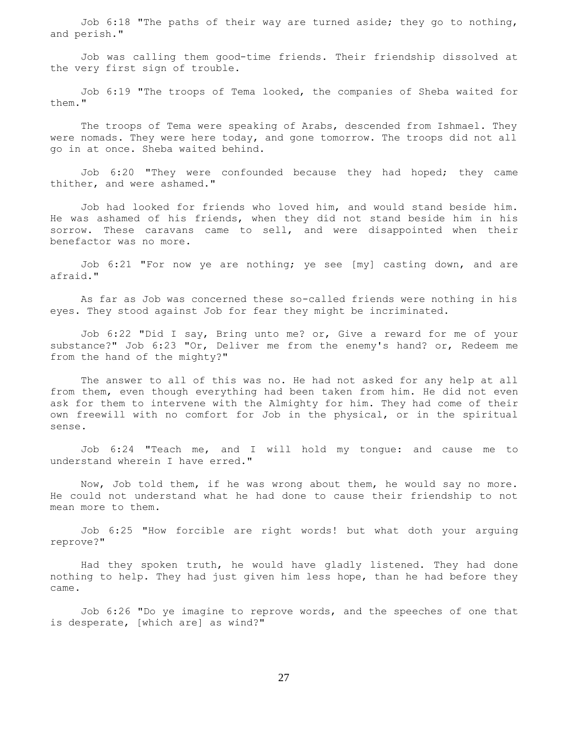Job 6:18 "The paths of their way are turned aside; they go to nothing, and perish."

 Job was calling them good-time friends. Their friendship dissolved at the very first sign of trouble.

 Job 6:19 "The troops of Tema looked, the companies of Sheba waited for them."

 The troops of Tema were speaking of Arabs, descended from Ishmael. They were nomads. They were here today, and gone tomorrow. The troops did not all go in at once. Sheba waited behind.

Job 6:20 "They were confounded because they had hoped; they came thither, and were ashamed."

 Job had looked for friends who loved him, and would stand beside him. He was ashamed of his friends, when they did not stand beside him in his sorrow. These caravans came to sell, and were disappointed when their benefactor was no more.

 Job 6:21 "For now ye are nothing; ye see [my] casting down, and are afraid."

 As far as Job was concerned these so-called friends were nothing in his eyes. They stood against Job for fear they might be incriminated.

 Job 6:22 "Did I say, Bring unto me? or, Give a reward for me of your substance?" Job 6:23 "Or, Deliver me from the enemy's hand? or, Redeem me from the hand of the mighty?"

 The answer to all of this was no. He had not asked for any help at all from them, even though everything had been taken from him. He did not even ask for them to intervene with the Almighty for him. They had come of their own freewill with no comfort for Job in the physical, or in the spiritual sense.

 Job 6:24 "Teach me, and I will hold my tongue: and cause me to understand wherein I have erred."

 Now, Job told them, if he was wrong about them, he would say no more. He could not understand what he had done to cause their friendship to not mean more to them.

 Job 6:25 "How forcible are right words! but what doth your arguing reprove?"

 Had they spoken truth, he would have gladly listened. They had done nothing to help. They had just given him less hope, than he had before they came.

 Job 6:26 "Do ye imagine to reprove words, and the speeches of one that is desperate, [which are] as wind?"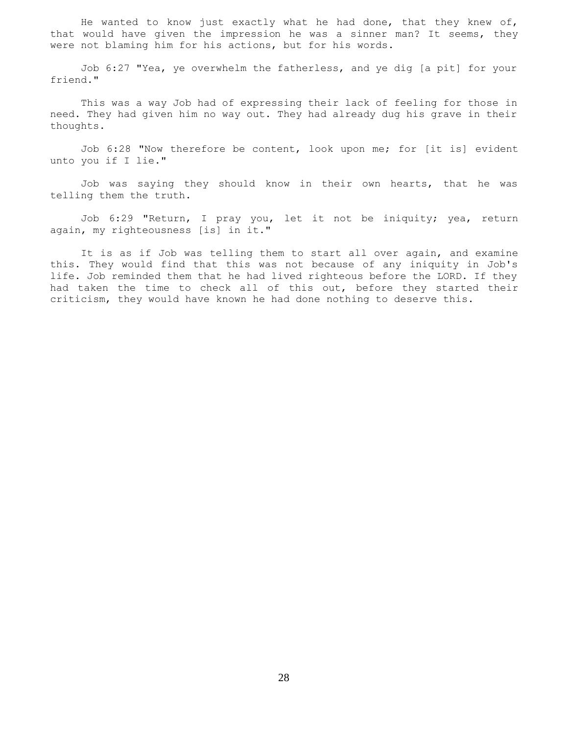He wanted to know just exactly what he had done, that they knew of, that would have given the impression he was a sinner man? It seems, they were not blaming him for his actions, but for his words.

 Job 6:27 "Yea, ye overwhelm the fatherless, and ye dig [a pit] for your friend."

 This was a way Job had of expressing their lack of feeling for those in need. They had given him no way out. They had already dug his grave in their thoughts.

 Job 6:28 "Now therefore be content, look upon me; for [it is] evident unto you if I lie."

 Job was saying they should know in their own hearts, that he was telling them the truth.

 Job 6:29 "Return, I pray you, let it not be iniquity; yea, return again, my righteousness [is] in it."

 It is as if Job was telling them to start all over again, and examine this. They would find that this was not because of any iniquity in Job's life. Job reminded them that he had lived righteous before the LORD. If they had taken the time to check all of this out, before they started their criticism, they would have known he had done nothing to deserve this.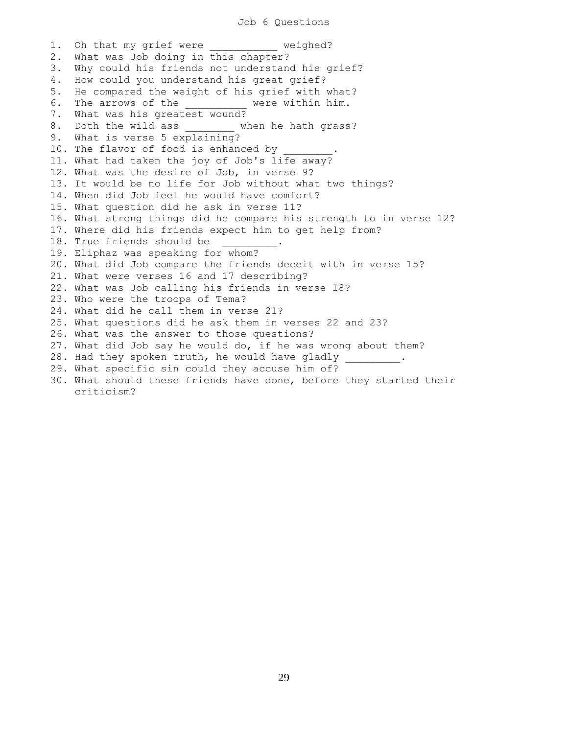## Job 6 Questions

1. Oh that my grief were weighed? 2. What was Job doing in this chapter? 3. Why could his friends not understand his grief? 4. How could you understand his great grief? 5. He compared the weight of his grief with what? 6. The arrows of the **the set of the vere within him.** 7. What was his greatest wound? 8. Doth the wild ass when he hath grass? 9. What is verse 5 explaining? 10. The flavor of food is enhanced by 11. What had taken the joy of Job's life away? 12. What was the desire of Job, in verse 9? 13. It would be no life for Job without what two things? 14. When did Job feel he would have comfort? 15. What question did he ask in verse 11? 16. What strong things did he compare his strength to in verse 12? 17. Where did his friends expect him to get help from? 18. True friends should be 19. Eliphaz was speaking for whom? 20. What did Job compare the friends deceit with in verse 15? 21. What were verses 16 and 17 describing? 22. What was Job calling his friends in verse 18? 23. Who were the troops of Tema? 24. What did he call them in verse 21? 25. What questions did he ask them in verses 22 and 23? 26. What was the answer to those questions? 27. What did Job say he would do, if he was wrong about them? 28. Had they spoken truth, he would have gladly \_\_\_\_\_\_\_\_\_. 29. What specific sin could they accuse him of? 30. What should these friends have done, before they started their criticism?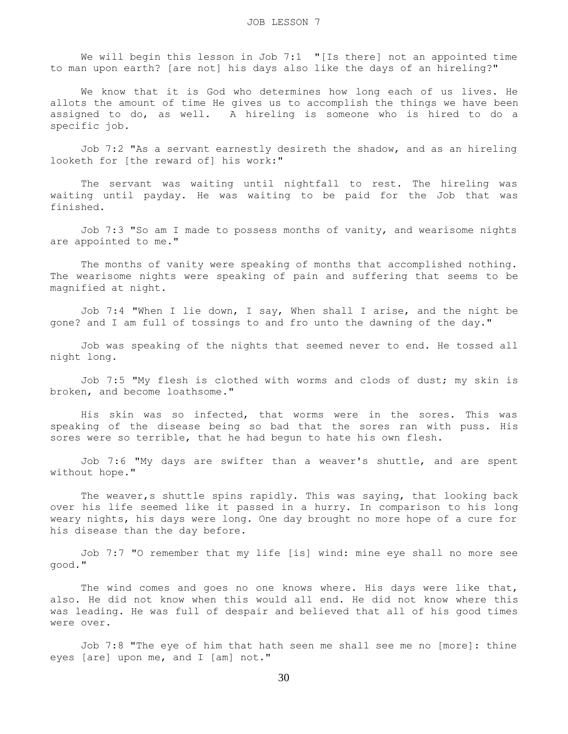We will begin this lesson in Job 7:1 "[Is there] not an appointed time to man upon earth? [are not] his days also like the days of an hireling?"

 We know that it is God who determines how long each of us lives. He allots the amount of time He gives us to accomplish the things we have been assigned to do, as well. A hireling is someone who is hired to do a specific job.

 Job 7:2 "As a servant earnestly desireth the shadow, and as an hireling looketh for [the reward of] his work:"

 The servant was waiting until nightfall to rest. The hireling was waiting until payday. He was waiting to be paid for the Job that was finished.

 Job 7:3 "So am I made to possess months of vanity, and wearisome nights are appointed to me."

 The months of vanity were speaking of months that accomplished nothing. The wearisome nights were speaking of pain and suffering that seems to be magnified at night.

 Job 7:4 "When I lie down, I say, When shall I arise, and the night be gone? and I am full of tossings to and fro unto the dawning of the day."

 Job was speaking of the nights that seemed never to end. He tossed all night long.

 Job 7:5 "My flesh is clothed with worms and clods of dust; my skin is broken, and become loathsome."

 His skin was so infected, that worms were in the sores. This was speaking of the disease being so bad that the sores ran with puss. His sores were so terrible, that he had begun to hate his own flesh.

 Job 7:6 "My days are swifter than a weaver's shuttle, and are spent without hope."

 The weaver,s shuttle spins rapidly. This was saying, that looking back over his life seemed like it passed in a hurry. In comparison to his long weary nights, his days were long. One day brought no more hope of a cure for his disease than the day before.

 Job 7:7 "O remember that my life [is] wind: mine eye shall no more see good."

The wind comes and goes no one knows where. His days were like that, also. He did not know when this would all end. He did not know where this was leading. He was full of despair and believed that all of his good times were over.

 Job 7:8 "The eye of him that hath seen me shall see me no [more]: thine eyes [are] upon me, and I [am] not."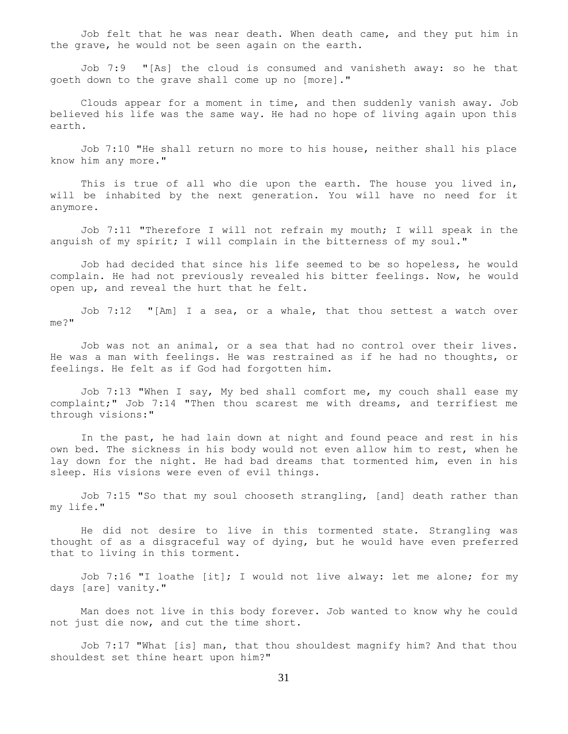Job felt that he was near death. When death came, and they put him in the grave, he would not be seen again on the earth.

 Job 7:9 "[As] the cloud is consumed and vanisheth away: so he that goeth down to the grave shall come up no [more]."

 Clouds appear for a moment in time, and then suddenly vanish away. Job believed his life was the same way. He had no hope of living again upon this earth.

 Job 7:10 "He shall return no more to his house, neither shall his place know him any more."

 This is true of all who die upon the earth. The house you lived in, will be inhabited by the next generation. You will have no need for it anymore.

 Job 7:11 "Therefore I will not refrain my mouth; I will speak in the anguish of my spirit; I will complain in the bitterness of my soul."

 Job had decided that since his life seemed to be so hopeless, he would complain. He had not previously revealed his bitter feelings. Now, he would open up, and reveal the hurt that he felt.

 Job 7:12 "[Am] I a sea, or a whale, that thou settest a watch over me?"

 Job was not an animal, or a sea that had no control over their lives. He was a man with feelings. He was restrained as if he had no thoughts, or feelings. He felt as if God had forgotten him.

 Job 7:13 "When I say, My bed shall comfort me, my couch shall ease my complaint;" Job 7:14 "Then thou scarest me with dreams, and terrifiest me through visions:"

 In the past, he had lain down at night and found peace and rest in his own bed. The sickness in his body would not even allow him to rest, when he lay down for the night. He had bad dreams that tormented him, even in his sleep. His visions were even of evil things.

 Job 7:15 "So that my soul chooseth strangling, [and] death rather than my life."

 He did not desire to live in this tormented state. Strangling was thought of as a disgraceful way of dying, but he would have even preferred that to living in this torment.

 Job 7:16 "I loathe [it]; I would not live alway: let me alone; for my days [are] vanity."

 Man does not live in this body forever. Job wanted to know why he could not just die now, and cut the time short.

 Job 7:17 "What [is] man, that thou shouldest magnify him? And that thou shouldest set thine heart upon him?"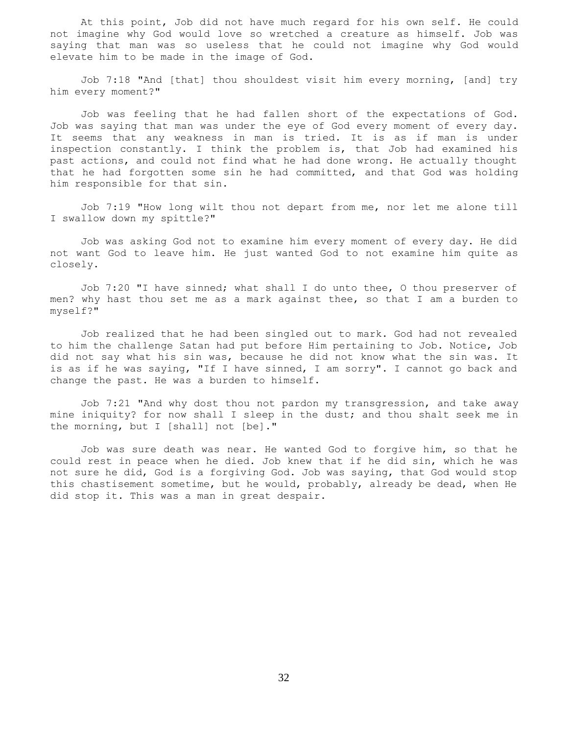At this point, Job did not have much regard for his own self. He could not imagine why God would love so wretched a creature as himself. Job was saying that man was so useless that he could not imagine why God would elevate him to be made in the image of God.

 Job 7:18 "And [that] thou shouldest visit him every morning, [and] try him every moment?"

 Job was feeling that he had fallen short of the expectations of God. Job was saying that man was under the eye of God every moment of every day. It seems that any weakness in man is tried. It is as if man is under inspection constantly. I think the problem is, that Job had examined his past actions, and could not find what he had done wrong. He actually thought that he had forgotten some sin he had committed, and that God was holding him responsible for that sin.

 Job 7:19 "How long wilt thou not depart from me, nor let me alone till I swallow down my spittle?"

 Job was asking God not to examine him every moment of every day. He did not want God to leave him. He just wanted God to not examine him quite as closely.

 Job 7:20 "I have sinned; what shall I do unto thee, O thou preserver of men? why hast thou set me as a mark against thee, so that I am a burden to myself?"

 Job realized that he had been singled out to mark. God had not revealed to him the challenge Satan had put before Him pertaining to Job. Notice, Job did not say what his sin was, because he did not know what the sin was. It is as if he was saying, "If I have sinned, I am sorry". I cannot go back and change the past. He was a burden to himself.

 Job 7:21 "And why dost thou not pardon my transgression, and take away mine iniquity? for now shall I sleep in the dust; and thou shalt seek me in the morning, but I [shall] not [be]."

 Job was sure death was near. He wanted God to forgive him, so that he could rest in peace when he died. Job knew that if he did sin, which he was not sure he did, God is a forgiving God. Job was saying, that God would stop this chastisement sometime, but he would, probably, already be dead, when He did stop it. This was a man in great despair.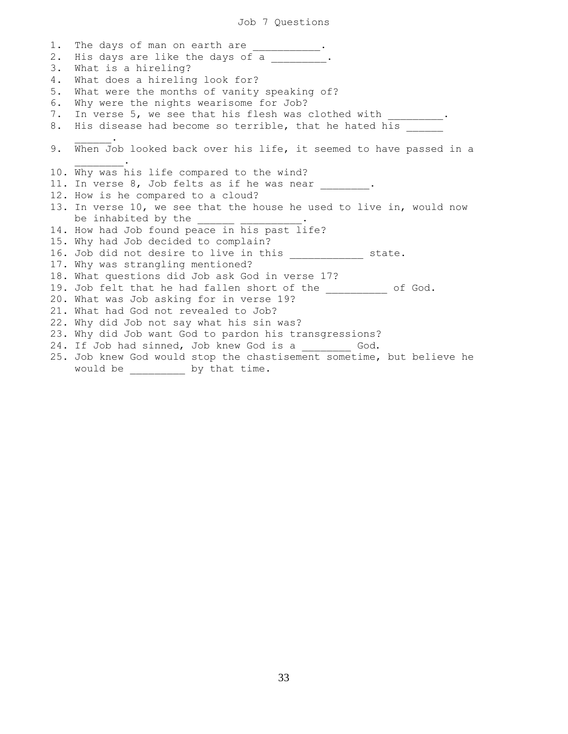1. The days of man on earth are \_\_\_\_\_\_\_\_\_\_. 2. His days are like the days of a . 3. What is a hireling? 4. What does a hireling look for? 5. What were the months of vanity speaking of? 6. Why were the nights wearisome for Job? 7. In verse 5, we see that his flesh was clothed with \_\_\_\_\_\_\_\_\_\_. 8. His disease had become so terrible, that he hated his  $\frac{1}{2}$  and  $\frac{1}{2}$  and  $\frac{1}{2}$  . 9. When Job looked back over his life, it seemed to have passed in a  $\mathcal{L}=\mathcal{L}^{\mathcal{L}}$ 10. Why was his life compared to the wind? 11. In verse 8, Job felts as if he was near . 12. How is he compared to a cloud? 13. In verse 10, we see that the house he used to live in, would now be inhabited by the \_\_\_\_\_\_ \_\_\_\_\_\_\_\_\_\_. 14. How had Job found peace in his past life? 15. Why had Job decided to complain? 16. Job did not desire to live in this \_\_\_\_\_\_\_\_\_\_\_\_ state. 17. Why was strangling mentioned? 18. What questions did Job ask God in verse 17? 19. Job felt that he had fallen short of the \_\_\_\_\_\_\_\_\_\_ of God. 20. What was Job asking for in verse 19? 21. What had God not revealed to Job? 22. Why did Job not say what his sin was? 23. Why did Job want God to pardon his transgressions? 24. If Job had sinned, Job knew God is a \_\_\_\_\_\_\_\_ God. 25. Job knew God would stop the chastisement sometime, but believe he would be \_\_\_\_\_\_\_\_\_ by that time.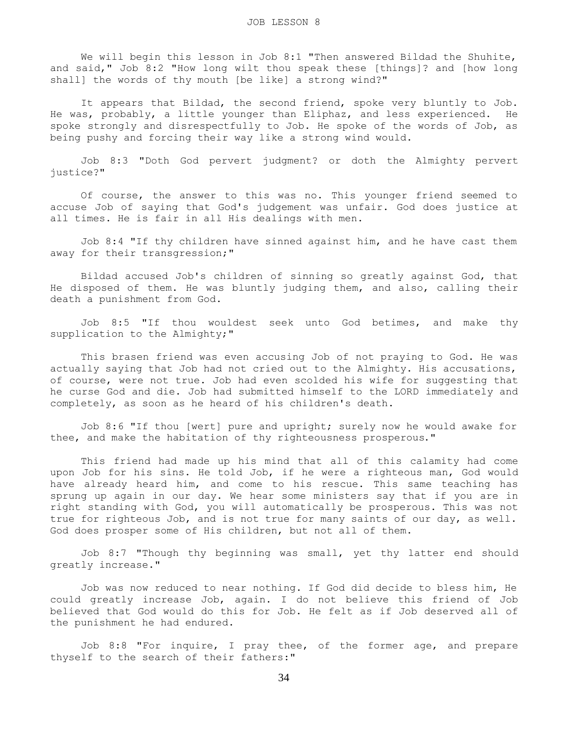We will begin this lesson in Job 8:1 "Then answered Bildad the Shuhite, and said," Job 8:2 "How long wilt thou speak these [things]? and [how long shall] the words of thy mouth [be like] a strong wind?"

It appears that Bildad, the second friend, spoke very bluntly to Job. He was, probably, a little younger than Eliphaz, and less experienced. He spoke strongly and disrespectfully to Job. He spoke of the words of Job, as being pushy and forcing their way like a strong wind would.

 Job 8:3 "Doth God pervert judgment? or doth the Almighty pervert justice?"

 Of course, the answer to this was no. This younger friend seemed to accuse Job of saying that God's judgement was unfair. God does justice at all times. He is fair in all His dealings with men.

 Job 8:4 "If thy children have sinned against him, and he have cast them away for their transgression;"

 Bildad accused Job's children of sinning so greatly against God, that He disposed of them. He was bluntly judging them, and also, calling their death a punishment from God.

 Job 8:5 "If thou wouldest seek unto God betimes, and make thy supplication to the Almighty;"

 This brasen friend was even accusing Job of not praying to God. He was actually saying that Job had not cried out to the Almighty. His accusations, of course, were not true. Job had even scolded his wife for suggesting that he curse God and die. Job had submitted himself to the LORD immediately and completely, as soon as he heard of his children's death.

 Job 8:6 "If thou [wert] pure and upright; surely now he would awake for thee, and make the habitation of thy righteousness prosperous."

 This friend had made up his mind that all of this calamity had come upon Job for his sins. He told Job, if he were a righteous man, God would have already heard him, and come to his rescue. This same teaching has sprung up again in our day. We hear some ministers say that if you are in right standing with God, you will automatically be prosperous. This was not true for righteous Job, and is not true for many saints of our day, as well. God does prosper some of His children, but not all of them.

 Job 8:7 "Though thy beginning was small, yet thy latter end should greatly increase."

 Job was now reduced to near nothing. If God did decide to bless him, He could greatly increase Job, again. I do not believe this friend of Job believed that God would do this for Job. He felt as if Job deserved all of the punishment he had endured.

 Job 8:8 "For inquire, I pray thee, of the former age, and prepare thyself to the search of their fathers:"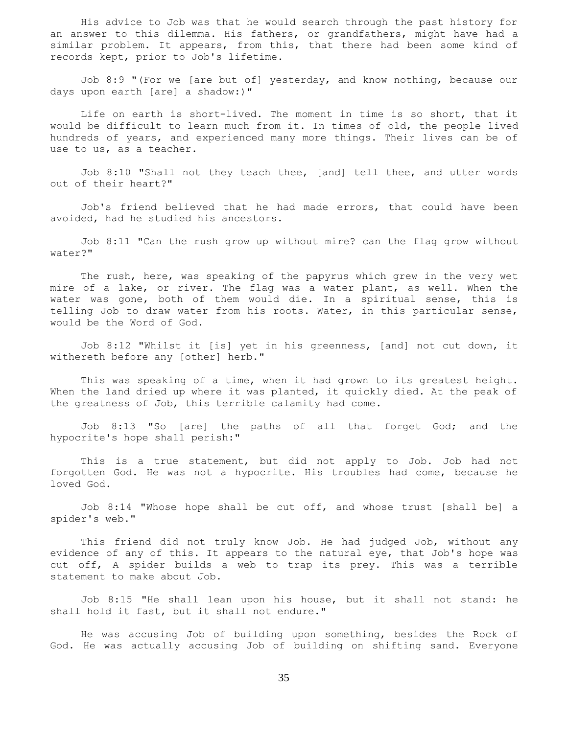His advice to Job was that he would search through the past history for an answer to this dilemma. His fathers, or grandfathers, might have had a similar problem. It appears, from this, that there had been some kind of records kept, prior to Job's lifetime.

 Job 8:9 "(For we [are but of] yesterday, and know nothing, because our days upon earth [are] a shadow:)"

 Life on earth is short-lived. The moment in time is so short, that it would be difficult to learn much from it. In times of old, the people lived hundreds of years, and experienced many more things. Their lives can be of use to us, as a teacher.

 Job 8:10 "Shall not they teach thee, [and] tell thee, and utter words out of their heart?"

 Job's friend believed that he had made errors, that could have been avoided, had he studied his ancestors.

 Job 8:11 "Can the rush grow up without mire? can the flag grow without water?"

 The rush, here, was speaking of the papyrus which grew in the very wet mire of a lake, or river. The flag was a water plant, as well. When the water was gone, both of them would die. In a spiritual sense, this is telling Job to draw water from his roots. Water, in this particular sense, would be the Word of God.

 Job 8:12 "Whilst it [is] yet in his greenness, [and] not cut down, it withereth before any [other] herb."

 This was speaking of a time, when it had grown to its greatest height. When the land dried up where it was planted, it quickly died. At the peak of the greatness of Job, this terrible calamity had come.

 Job 8:13 "So [are] the paths of all that forget God; and the hypocrite's hope shall perish:"

 This is a true statement, but did not apply to Job. Job had not forgotten God. He was not a hypocrite. His troubles had come, because he loved God.

 Job 8:14 "Whose hope shall be cut off, and whose trust [shall be] a spider's web."

 This friend did not truly know Job. He had judged Job, without any evidence of any of this. It appears to the natural eye, that Job's hope was cut off, A spider builds a web to trap its prey. This was a terrible statement to make about Job.

 Job 8:15 "He shall lean upon his house, but it shall not stand: he shall hold it fast, but it shall not endure."

 He was accusing Job of building upon something, besides the Rock of God. He was actually accusing Job of building on shifting sand. Everyone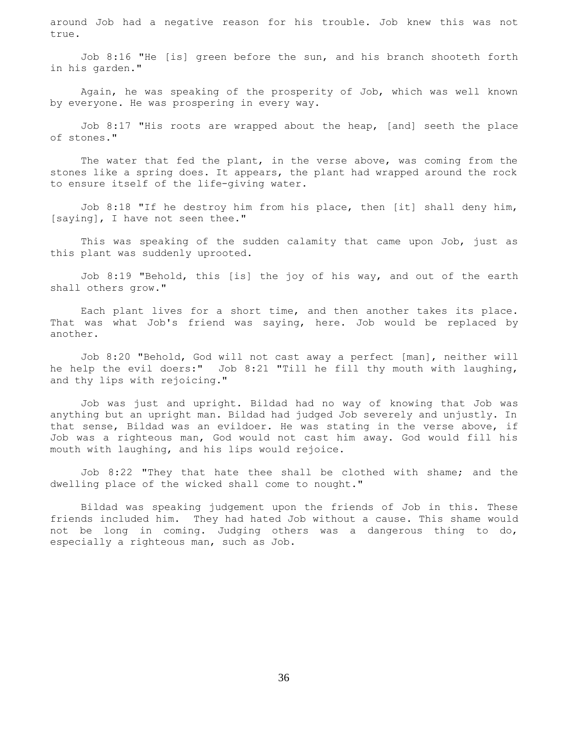around Job had a negative reason for his trouble. Job knew this was not true.

 Job 8:16 "He [is] green before the sun, and his branch shooteth forth in his garden."

 Again, he was speaking of the prosperity of Job, which was well known by everyone. He was prospering in every way.

 Job 8:17 "His roots are wrapped about the heap, [and] seeth the place of stones."

 The water that fed the plant, in the verse above, was coming from the stones like a spring does. It appears, the plant had wrapped around the rock to ensure itself of the life-giving water.

 Job 8:18 "If he destroy him from his place, then [it] shall deny him, [saying], I have not seen thee."

 This was speaking of the sudden calamity that came upon Job, just as this plant was suddenly uprooted.

 Job 8:19 "Behold, this [is] the joy of his way, and out of the earth shall others grow."

 Each plant lives for a short time, and then another takes its place. That was what Job's friend was saying, here. Job would be replaced by another.

 Job 8:20 "Behold, God will not cast away a perfect [man], neither will he help the evil doers:" Job 8:21 "Till he fill thy mouth with laughing, and thy lips with rejoicing."

 Job was just and upright. Bildad had no way of knowing that Job was anything but an upright man. Bildad had judged Job severely and unjustly. In that sense, Bildad was an evildoer. He was stating in the verse above, if Job was a righteous man, God would not cast him away. God would fill his mouth with laughing, and his lips would rejoice.

 Job 8:22 "They that hate thee shall be clothed with shame; and the dwelling place of the wicked shall come to nought."

 Bildad was speaking judgement upon the friends of Job in this. These friends included him. They had hated Job without a cause. This shame would not be long in coming. Judging others was a dangerous thing to do, especially a righteous man, such as Job.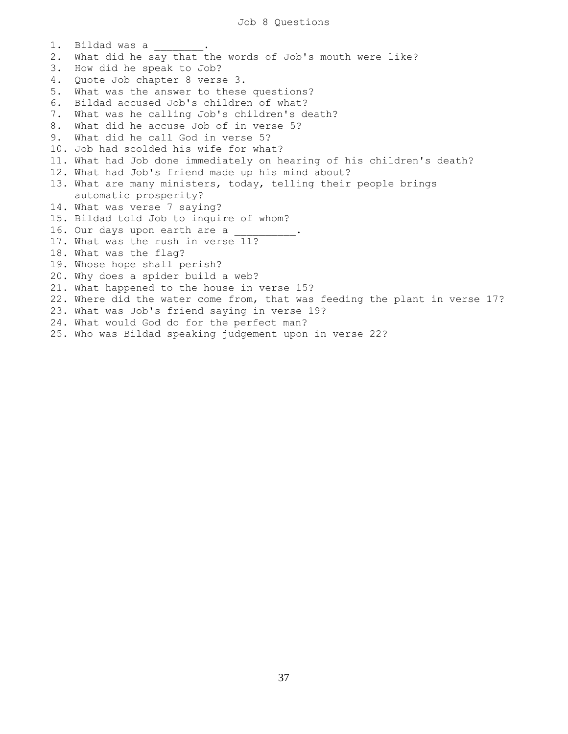1. Bildad was a 2. What did he say that the words of Job's mouth were like? 3. How did he speak to Job? 4. Quote Job chapter 8 verse 3. 5. What was the answer to these questions? 6. Bildad accused Job's children of what? 7. What was he calling Job's children's death? 8. What did he accuse Job of in verse 5? 9. What did he call God in verse 5? 10. Job had scolded his wife for what? 11. What had Job done immediately on hearing of his children's death? 12. What had Job's friend made up his mind about? 13. What are many ministers, today, telling their people brings automatic prosperity? 14. What was verse 7 saying? 15. Bildad told Job to inquire of whom? 16. Our days upon earth are a 17. What was the rush in verse 11? 18. What was the flag? 19. Whose hope shall perish? 20. Why does a spider build a web? 21. What happened to the house in verse 15? 22. Where did the water come from, that was feeding the plant in verse 17? 23. What was Job's friend saying in verse 19? 24. What would God do for the perfect man? 25. Who was Bildad speaking judgement upon in verse 22?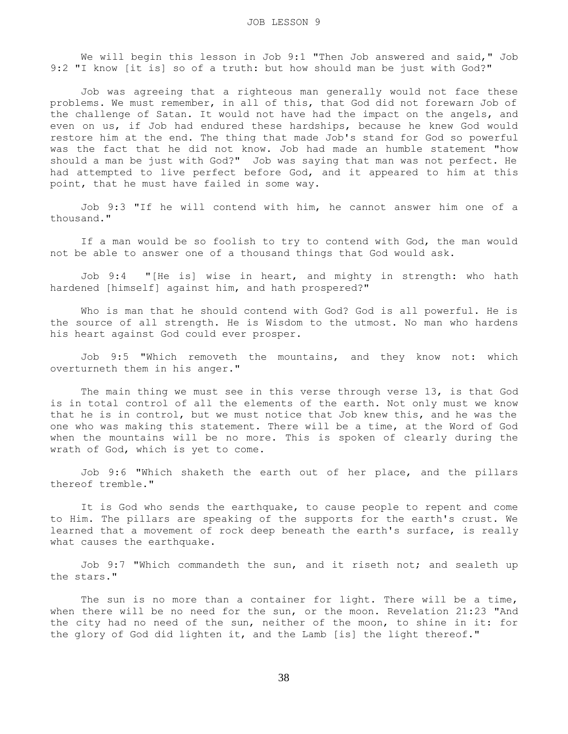We will begin this lesson in Job 9:1 "Then Job answered and said," Job 9:2 "I know [it is] so of a truth: but how should man be just with God?"

 Job was agreeing that a righteous man generally would not face these problems. We must remember, in all of this, that God did not forewarn Job of the challenge of Satan. It would not have had the impact on the angels, and even on us, if Job had endured these hardships, because he knew God would restore him at the end. The thing that made Job's stand for God so powerful was the fact that he did not know. Job had made an humble statement "how should a man be just with God?" Job was saying that man was not perfect. He had attempted to live perfect before God, and it appeared to him at this point, that he must have failed in some way.

 Job 9:3 "If he will contend with him, he cannot answer him one of a thousand."

 If a man would be so foolish to try to contend with God, the man would not be able to answer one of a thousand things that God would ask.

 Job 9:4 "[He is] wise in heart, and mighty in strength: who hath hardened [himself] against him, and hath prospered?"

 Who is man that he should contend with God? God is all powerful. He is the source of all strength. He is Wisdom to the utmost. No man who hardens his heart against God could ever prosper.

 Job 9:5 "Which removeth the mountains, and they know not: which overturneth them in his anger."

The main thing we must see in this verse through verse 13, is that God is in total control of all the elements of the earth. Not only must we know that he is in control, but we must notice that Job knew this, and he was the one who was making this statement. There will be a time, at the Word of God when the mountains will be no more. This is spoken of clearly during the wrath of God, which is yet to come.

 Job 9:6 "Which shaketh the earth out of her place, and the pillars thereof tremble."

 It is God who sends the earthquake, to cause people to repent and come to Him. The pillars are speaking of the supports for the earth's crust. We learned that a movement of rock deep beneath the earth's surface, is really what causes the earthquake.

 Job 9:7 "Which commandeth the sun, and it riseth not; and sealeth up the stars."

The sun is no more than a container for light. There will be a time, when there will be no need for the sun, or the moon. Revelation 21:23 "And the city had no need of the sun, neither of the moon, to shine in it: for the glory of God did lighten it, and the Lamb [is] the light thereof."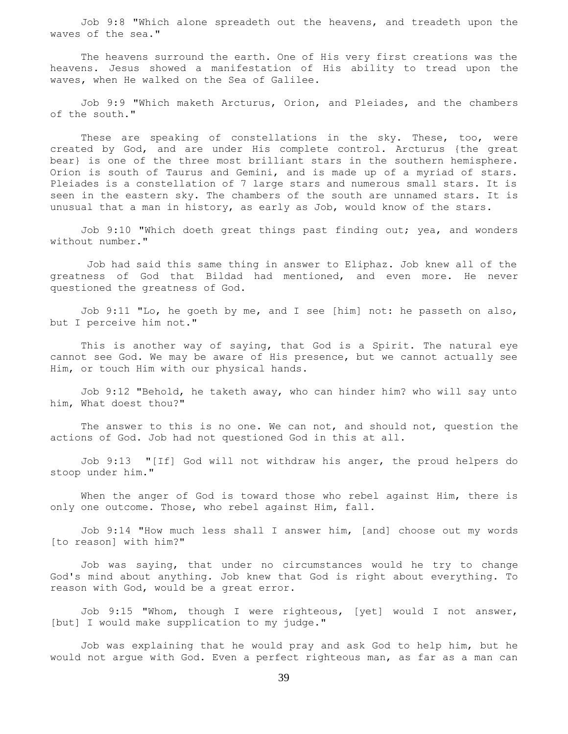Job 9:8 "Which alone spreadeth out the heavens, and treadeth upon the waves of the sea."

 The heavens surround the earth. One of His very first creations was the heavens. Jesus showed a manifestation of His ability to tread upon the waves, when He walked on the Sea of Galilee.

 Job 9:9 "Which maketh Arcturus, Orion, and Pleiades, and the chambers of the south."

These are speaking of constellations in the sky. These, too, were created by God, and are under His complete control. Arcturus {the great bear} is one of the three most brilliant stars in the southern hemisphere. Orion is south of Taurus and Gemini, and is made up of a myriad of stars. Pleiades is a constellation of 7 large stars and numerous small stars. It is seen in the eastern sky. The chambers of the south are unnamed stars. It is unusual that a man in history, as early as Job, would know of the stars.

 Job 9:10 "Which doeth great things past finding out; yea, and wonders without number."

 Job had said this same thing in answer to Eliphaz. Job knew all of the greatness of God that Bildad had mentioned, and even more. He never questioned the greatness of God.

 Job 9:11 "Lo, he goeth by me, and I see [him] not: he passeth on also, but I perceive him not."

 This is another way of saying, that God is a Spirit. The natural eye cannot see God. We may be aware of His presence, but we cannot actually see Him, or touch Him with our physical hands.

 Job 9:12 "Behold, he taketh away, who can hinder him? who will say unto him, What doest thou?"

The answer to this is no one. We can not, and should not, question the actions of God. Job had not questioned God in this at all.

 Job 9:13 "[If] God will not withdraw his anger, the proud helpers do stoop under him."

 When the anger of God is toward those who rebel against Him, there is only one outcome. Those, who rebel against Him, fall.

 Job 9:14 "How much less shall I answer him, [and] choose out my words [to reason] with him?"

 Job was saying, that under no circumstances would he try to change God's mind about anything. Job knew that God is right about everything. To reason with God, would be a great error.

 Job 9:15 "Whom, though I were righteous, [yet] would I not answer, [but] I would make supplication to my judge."

 Job was explaining that he would pray and ask God to help him, but he would not argue with God. Even a perfect righteous man, as far as a man can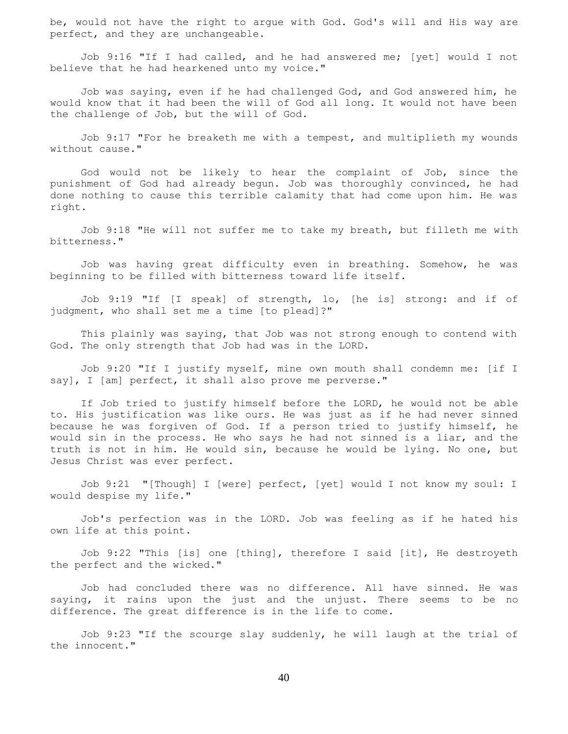be, would not have the right to argue with God. God's will and His way are perfect, and they are unchangeable.

 Job 9:16 "If I had called, and he had answered me; [yet] would I not believe that he had hearkened unto my voice."

 Job was saying, even if he had challenged God, and God answered him, he would know that it had been the will of God all long. It would not have been the challenge of Job, but the will of God.

 Job 9:17 "For he breaketh me with a tempest, and multiplieth my wounds without cause."

 God would not be likely to hear the complaint of Job, since the punishment of God had already begun. Job was thoroughly convinced, he had done nothing to cause this terrible calamity that had come upon him. He was right.

 Job 9:18 "He will not suffer me to take my breath, but filleth me with bitterness."

 Job was having great difficulty even in breathing. Somehow, he was beginning to be filled with bitterness toward life itself.

 Job 9:19 "If [I speak] of strength, lo, [he is] strong: and if of judgment, who shall set me a time [to plead]?"

 This plainly was saying, that Job was not strong enough to contend with God. The only strength that Job had was in the LORD.

 Job 9:20 "If I justify myself, mine own mouth shall condemn me: [if I say], I [am] perfect, it shall also prove me perverse."

 If Job tried to justify himself before the LORD, he would not be able to. His justification was like ours. He was just as if he had never sinned because he was forgiven of God. If a person tried to justify himself, he would sin in the process. He who says he had not sinned is a liar, and the truth is not in him. He would sin, because he would be lying. No one, but Jesus Christ was ever perfect.

 Job 9:21 "[Though] I [were] perfect, [yet] would I not know my soul: I would despise my life."

 Job's perfection was in the LORD. Job was feeling as if he hated his own life at this point.

 Job 9:22 "This [is] one [thing], therefore I said [it], He destroyeth the perfect and the wicked."

 Job had concluded there was no difference. All have sinned. He was saying, it rains upon the just and the unjust. There seems to be no difference. The great difference is in the life to come.

 Job 9:23 "If the scourge slay suddenly, he will laugh at the trial of the innocent."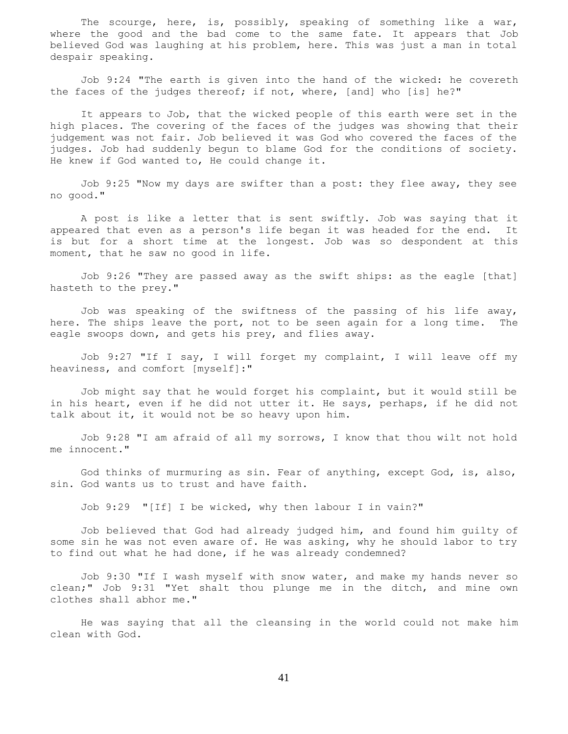The scourge, here, is, possibly, speaking of something like a war, where the good and the bad come to the same fate. It appears that Job believed God was laughing at his problem, here. This was just a man in total despair speaking.

 Job 9:24 "The earth is given into the hand of the wicked: he covereth the faces of the judges thereof; if not, where, [and] who [is] he?"

 It appears to Job, that the wicked people of this earth were set in the high places. The covering of the faces of the judges was showing that their judgement was not fair. Job believed it was God who covered the faces of the judges. Job had suddenly begun to blame God for the conditions of society. He knew if God wanted to, He could change it.

 Job 9:25 "Now my days are swifter than a post: they flee away, they see no good."

 A post is like a letter that is sent swiftly. Job was saying that it appeared that even as a person's life began it was headed for the end. It is but for a short time at the longest. Job was so despondent at this moment, that he saw no good in life.

 Job 9:26 "They are passed away as the swift ships: as the eagle [that] hasteth to the prey."

 Job was speaking of the swiftness of the passing of his life away, here. The ships leave the port, not to be seen again for a long time. The eagle swoops down, and gets his prey, and flies away.

 Job 9:27 "If I say, I will forget my complaint, I will leave off my heaviness, and comfort [myself]:"

 Job might say that he would forget his complaint, but it would still be in his heart, even if he did not utter it. He says, perhaps, if he did not talk about it, it would not be so heavy upon him.

 Job 9:28 "I am afraid of all my sorrows, I know that thou wilt not hold me innocent."

 God thinks of murmuring as sin. Fear of anything, except God, is, also, sin. God wants us to trust and have faith.

Job 9:29 "[If] I be wicked, why then labour I in vain?"

 Job believed that God had already judged him, and found him guilty of some sin he was not even aware of. He was asking, why he should labor to try to find out what he had done, if he was already condemned?

 Job 9:30 "If I wash myself with snow water, and make my hands never so clean;" Job 9:31 "Yet shalt thou plunge me in the ditch, and mine own clothes shall abhor me."

 He was saying that all the cleansing in the world could not make him clean with God.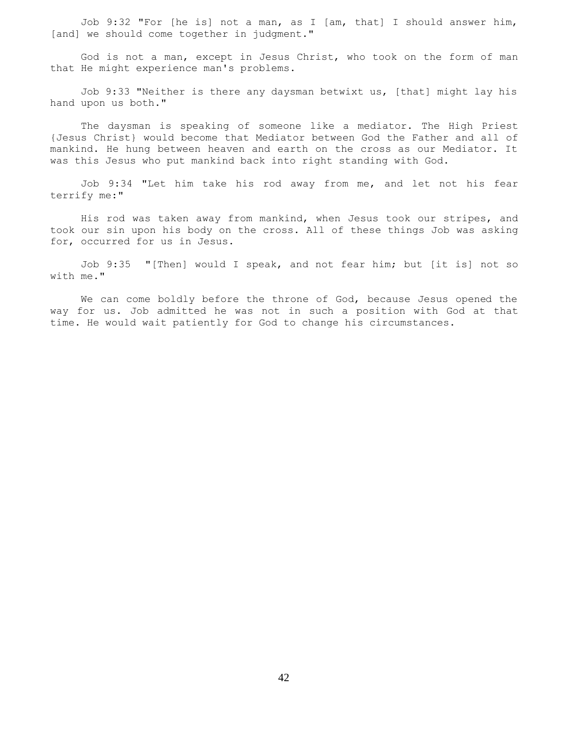Job 9:32 "For [he is] not a man, as I [am, that] I should answer him, [and] we should come together in judgment."

 God is not a man, except in Jesus Christ, who took on the form of man that He might experience man's problems.

 Job 9:33 "Neither is there any daysman betwixt us, [that] might lay his hand upon us both."

 The daysman is speaking of someone like a mediator. The High Priest {Jesus Christ} would become that Mediator between God the Father and all of mankind. He hung between heaven and earth on the cross as our Mediator. It was this Jesus who put mankind back into right standing with God.

 Job 9:34 "Let him take his rod away from me, and let not his fear terrify me:"

 His rod was taken away from mankind, when Jesus took our stripes, and took our sin upon his body on the cross. All of these things Job was asking for, occurred for us in Jesus.

 Job 9:35 "[Then] would I speak, and not fear him; but [it is] not so with me."

 We can come boldly before the throne of God, because Jesus opened the way for us. Job admitted he was not in such a position with God at that time. He would wait patiently for God to change his circumstances.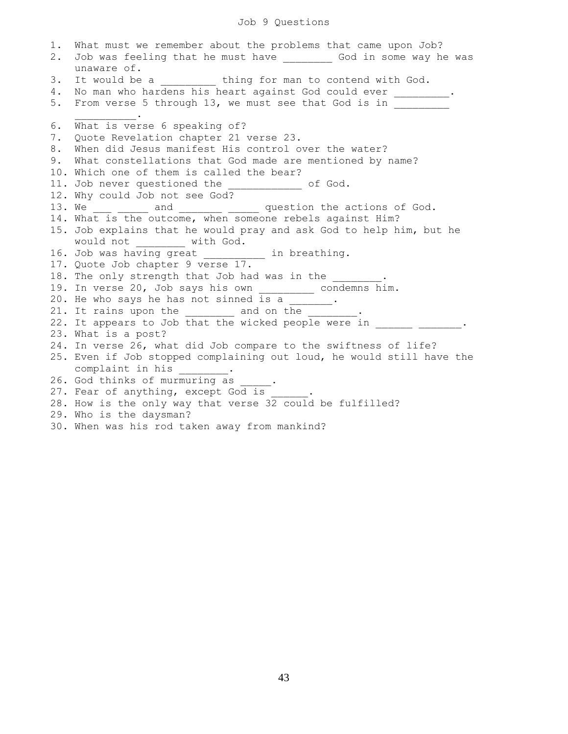# Job 9 Questions

| 1.<br>2. | What must we remember about the problems that came upon Job?<br>Job was feeling that he must have __________ God in some way he was<br>unaware of. |
|----------|----------------------------------------------------------------------------------------------------------------------------------------------------|
| 3.       | It would be a ___________ thing for man to contend with God.                                                                                       |
| 4.       | No man who hardens his heart against God could ever _________.                                                                                     |
| 5.       | From verse 5 through 13, we must see that God is in                                                                                                |
| 6.       | What is verse 6 speaking of?                                                                                                                       |
| 7.       | Quote Revelation chapter 21 verse 23.                                                                                                              |
| 8.       | When did Jesus manifest His control over the water?                                                                                                |
| 9.       | What constellations that God made are mentioned by name?                                                                                           |
|          | 10. Which one of them is called the bear?                                                                                                          |
|          | 11. Job never questioned the ____________ of God.                                                                                                  |
|          | 12. Why could Job not see God?                                                                                                                     |
|          | 13. We ____ _____ and _______ _____ question the actions of God.<br>14. What is the outcome, when someone rebels against Him?                      |
|          |                                                                                                                                                    |
|          | 15. Job explains that he would pray and ask God to help him, but he<br>would not _______ with God.                                                 |
|          | 16. Job was having great __________ in breathing.                                                                                                  |
|          | 17. Quote Job chapter 9 verse 17.                                                                                                                  |
|          | 18. The only strength that Job had was in the .                                                                                                    |
|          | 19. In verse 20, Job says his own ____________ condemns him.                                                                                       |
|          | 20. He who says he has not sinned is a ______.                                                                                                     |
|          | 21. It rains upon the $\frac{1}{\sqrt{1-\frac{1}{2}}}\$ and on the $\frac{1}{\sqrt{1-\frac{1}{2}}}\$ .                                             |
|          | 22. It appears to Job that the wicked people were in                                                                                               |
|          | 23. What is a post?                                                                                                                                |
|          | 24. In verse 26, what did Job compare to the swiftness of life?                                                                                    |
|          | 25. Even if Job stopped complaining out loud, he would still have the                                                                              |
|          | complaint in his ________.                                                                                                                         |
|          | 26. God thinks of murmuring as _____.                                                                                                              |
|          | 27. Fear of anything, except God is _____.                                                                                                         |
|          | 28. How is the only way that verse 32 could be fulfilled?                                                                                          |
|          | 29. Who is the daysman?                                                                                                                            |
|          | 30. When was his rod taken away from mankind?                                                                                                      |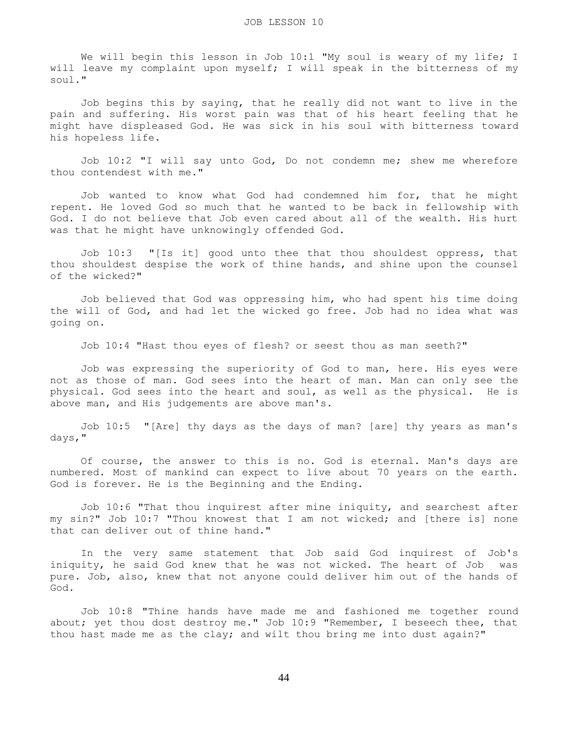We will begin this lesson in Job 10:1 "My soul is weary of my life; I will leave my complaint upon myself; I will speak in the bitterness of my soul."

 Job begins this by saying, that he really did not want to live in the pain and suffering. His worst pain was that of his heart feeling that he might have displeased God. He was sick in his soul with bitterness toward his hopeless life.

 Job 10:2 "I will say unto God, Do not condemn me; shew me wherefore thou contendest with me."

 Job wanted to know what God had condemned him for, that he might repent. He loved God so much that he wanted to be back in fellowship with God. I do not believe that Job even cared about all of the wealth. His hurt was that he might have unknowingly offended God.

 Job 10:3 "[Is it] good unto thee that thou shouldest oppress, that thou shouldest despise the work of thine hands, and shine upon the counsel of the wicked?"

 Job believed that God was oppressing him, who had spent his time doing the will of God, and had let the wicked go free. Job had no idea what was going on.

Job 10:4 "Hast thou eyes of flesh? or seest thou as man seeth?"

 Job was expressing the superiority of God to man, here. His eyes were not as those of man. God sees into the heart of man. Man can only see the physical. God sees into the heart and soul, as well as the physical. He is above man, and His judgements are above man's.

 Job 10:5 "[Are] thy days as the days of man? [are] thy years as man's days,"

 Of course, the answer to this is no. God is eternal. Man's days are numbered. Most of mankind can expect to live about 70 years on the earth. God is forever. He is the Beginning and the Ending.

 Job 10:6 "That thou inquirest after mine iniquity, and searchest after my sin?" Job 10:7 "Thou knowest that I am not wicked; and [there is] none that can deliver out of thine hand."

 In the very same statement that Job said God inquirest of Job's iniquity, he said God knew that he was not wicked. The heart of Job was pure. Job, also, knew that not anyone could deliver him out of the hands of God.

 Job 10:8 "Thine hands have made me and fashioned me together round about; yet thou dost destroy me." Job 10:9 "Remember, I beseech thee, that thou hast made me as the clay; and wilt thou bring me into dust again?"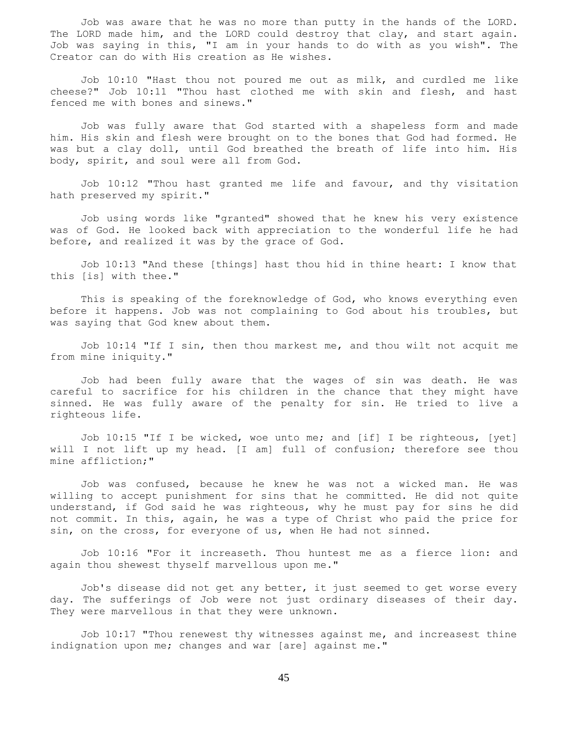Job was aware that he was no more than putty in the hands of the LORD. The LORD made him, and the LORD could destroy that clay, and start again. Job was saying in this, "I am in your hands to do with as you wish". The Creator can do with His creation as He wishes.

 Job 10:10 "Hast thou not poured me out as milk, and curdled me like cheese?" Job 10:11 "Thou hast clothed me with skin and flesh, and hast fenced me with bones and sinews."

 Job was fully aware that God started with a shapeless form and made him. His skin and flesh were brought on to the bones that God had formed. He was but a clay doll, until God breathed the breath of life into him. His body, spirit, and soul were all from God.

 Job 10:12 "Thou hast granted me life and favour, and thy visitation hath preserved my spirit."

 Job using words like "granted" showed that he knew his very existence was of God. He looked back with appreciation to the wonderful life he had before, and realized it was by the grace of God.

 Job 10:13 "And these [things] hast thou hid in thine heart: I know that this [is] with thee."

 This is speaking of the foreknowledge of God, who knows everything even before it happens. Job was not complaining to God about his troubles, but was saying that God knew about them.

 Job 10:14 "If I sin, then thou markest me, and thou wilt not acquit me from mine iniquity."

 Job had been fully aware that the wages of sin was death. He was careful to sacrifice for his children in the chance that they might have sinned. He was fully aware of the penalty for sin. He tried to live a righteous life.

 Job 10:15 "If I be wicked, woe unto me; and [if] I be righteous, [yet] will I not lift up my head. [I am] full of confusion; therefore see thou mine affliction;"

 Job was confused, because he knew he was not a wicked man. He was willing to accept punishment for sins that he committed. He did not quite understand, if God said he was righteous, why he must pay for sins he did not commit. In this, again, he was a type of Christ who paid the price for sin, on the cross, for everyone of us, when He had not sinned.

 Job 10:16 "For it increaseth. Thou huntest me as a fierce lion: and again thou shewest thyself marvellous upon me."

 Job's disease did not get any better, it just seemed to get worse every day. The sufferings of Job were not just ordinary diseases of their day. They were marvellous in that they were unknown.

 Job 10:17 "Thou renewest thy witnesses against me, and increasest thine indignation upon me; changes and war [are] against me."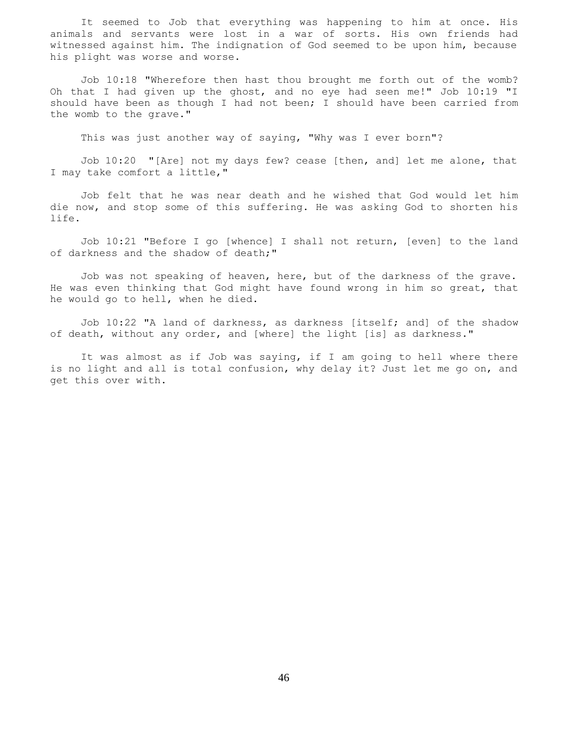It seemed to Job that everything was happening to him at once. His animals and servants were lost in a war of sorts. His own friends had witnessed against him. The indignation of God seemed to be upon him, because his plight was worse and worse.

 Job 10:18 "Wherefore then hast thou brought me forth out of the womb? Oh that I had given up the ghost, and no eye had seen me!" Job 10:19 "I should have been as though I had not been; I should have been carried from the womb to the grave."

This was just another way of saying, "Why was I ever born"?

 Job 10:20 "[Are] not my days few? cease [then, and] let me alone, that I may take comfort a little,"

 Job felt that he was near death and he wished that God would let him die now, and stop some of this suffering. He was asking God to shorten his life.

 Job 10:21 "Before I go [whence] I shall not return, [even] to the land of darkness and the shadow of death;"

 Job was not speaking of heaven, here, but of the darkness of the grave. He was even thinking that God might have found wrong in him so great, that he would go to hell, when he died.

 Job 10:22 "A land of darkness, as darkness [itself; and] of the shadow of death, without any order, and [where] the light [is] as darkness."

 It was almost as if Job was saying, if I am going to hell where there is no light and all is total confusion, why delay it? Just let me go on, and get this over with.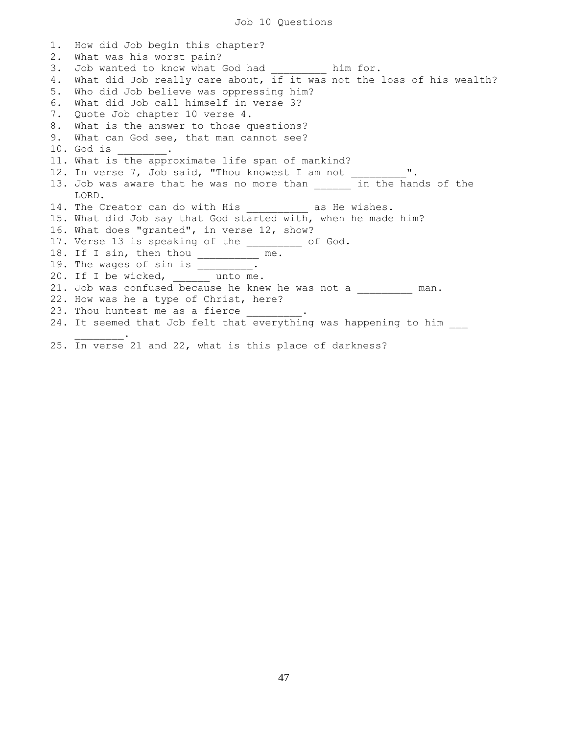1. How did Job begin this chapter? 2. What was his worst pain? 3. Job wanted to know what God had \_\_\_\_\_\_\_\_\_ him for. 4. What did Job really care about, if it was not the loss of his wealth? 5. Who did Job believe was oppressing him? 6. What did Job call himself in verse 3? 7. Quote Job chapter 10 verse 4. 8. What is the answer to those questions? 9. What can God see, that man cannot see? 10. God is \_\_\_\_\_\_\_\_. 11. What is the approximate life span of mankind? 12. In verse 7, Job said, "Thou knowest I am not \_\_\_\_\_\_\_\_\_". 13. Job was aware that he was no more than \_\_\_\_\_\_\_ in the hands of the LORD. 14. The Creator can do with His as He wishes. 15. What did Job say that God started with, when he made him? 16. What does "granted", in verse 12, show? 17. Verse 13 is speaking of the \_\_\_\_\_\_\_\_\_ of God. 18. If I sin, then thou \_\_\_\_\_\_\_\_\_\_ me. 19. The wages of sin is \_\_\_\_\_\_\_\_\_. 20. If I be wicked, unto me. 21. Job was confused because he knew he was not a \_\_\_\_\_\_\_\_ man. 22. How was he a type of Christ, here? 23. Thou huntest me as a fierce 24. It seemed that Job felt that everything was happening to him  $\mathcal{L}=\mathcal{L}^{\mathcal{L}}$ 

25. In verse 21 and 22, what is this place of darkness?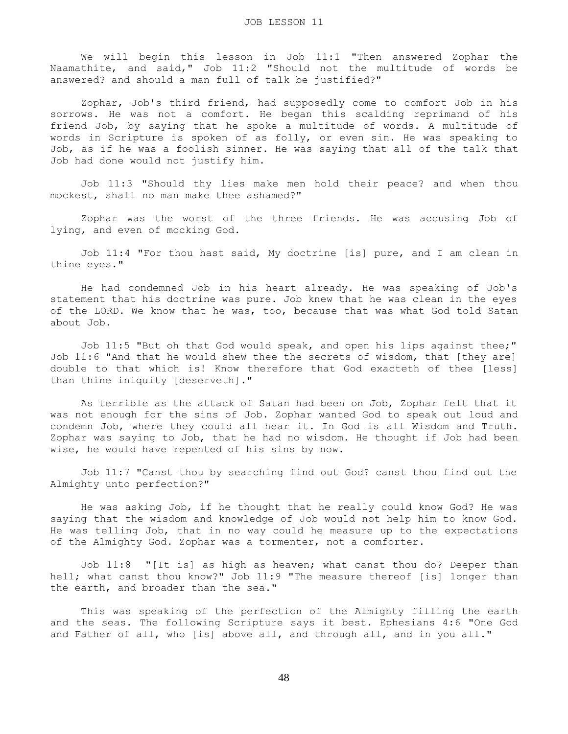We will begin this lesson in Job 11:1 "Then answered Zophar the Naamathite, and said," Job 11:2 "Should not the multitude of words be answered? and should a man full of talk be justified?"

 Zophar, Job's third friend, had supposedly come to comfort Job in his sorrows. He was not a comfort. He began this scalding reprimand of his friend Job, by saying that he spoke a multitude of words. A multitude of words in Scripture is spoken of as folly, or even sin. He was speaking to Job, as if he was a foolish sinner. He was saying that all of the talk that Job had done would not justify him.

 Job 11:3 "Should thy lies make men hold their peace? and when thou mockest, shall no man make thee ashamed?"

 Zophar was the worst of the three friends. He was accusing Job of lying, and even of mocking God.

 Job 11:4 "For thou hast said, My doctrine [is] pure, and I am clean in thine eyes."

 He had condemned Job in his heart already. He was speaking of Job's statement that his doctrine was pure. Job knew that he was clean in the eyes of the LORD. We know that he was, too, because that was what God told Satan about Job.

 Job 11:5 "But oh that God would speak, and open his lips against thee;" Job 11:6 "And that he would shew thee the secrets of wisdom, that [they are] double to that which is! Know therefore that God exacteth of thee [less] than thine iniquity [deserveth]."

 As terrible as the attack of Satan had been on Job, Zophar felt that it was not enough for the sins of Job. Zophar wanted God to speak out loud and condemn Job, where they could all hear it. In God is all Wisdom and Truth. Zophar was saying to Job, that he had no wisdom. He thought if Job had been wise, he would have repented of his sins by now.

 Job 11:7 "Canst thou by searching find out God? canst thou find out the Almighty unto perfection?"

 He was asking Job, if he thought that he really could know God? He was saying that the wisdom and knowledge of Job would not help him to know God. He was telling Job, that in no way could he measure up to the expectations of the Almighty God. Zophar was a tormenter, not a comforter.

 Job 11:8 "[It is] as high as heaven; what canst thou do? Deeper than hell; what canst thou know?" Job 11:9 "The measure thereof [is] longer than the earth, and broader than the sea."

 This was speaking of the perfection of the Almighty filling the earth and the seas. The following Scripture says it best. Ephesians 4:6 "One God and Father of all, who [is] above all, and through all, and in you all."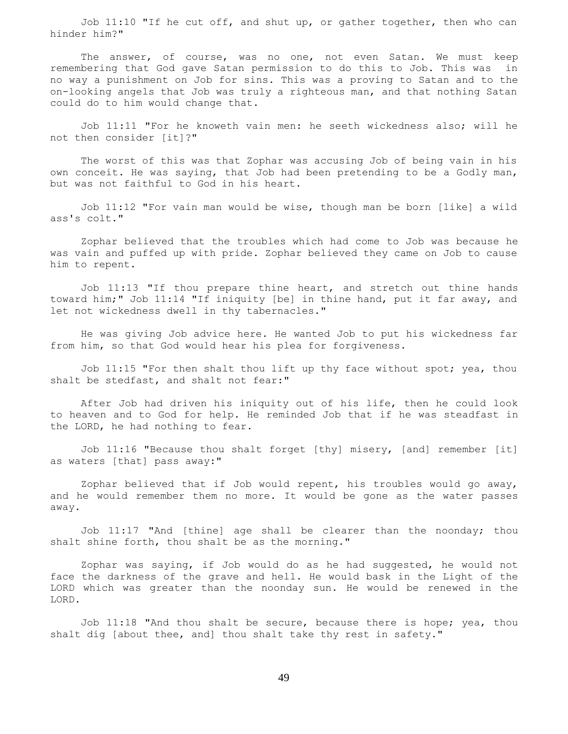Job  $11:10$  "If he cut off, and shut up, or gather together, then who can hinder him?"

The answer, of course, was no one, not even Satan. We must keep remembering that God gave Satan permission to do this to Job. This was in no way a punishment on Job for sins. This was a proving to Satan and to the on-looking angels that Job was truly a righteous man, and that nothing Satan could do to him would change that.

 Job 11:11 "For he knoweth vain men: he seeth wickedness also; will he not then consider [it]?"

 The worst of this was that Zophar was accusing Job of being vain in his own conceit. He was saying, that Job had been pretending to be a Godly man, but was not faithful to God in his heart.

 Job 11:12 "For vain man would be wise, though man be born [like] a wild ass's colt."

 Zophar believed that the troubles which had come to Job was because he was vain and puffed up with pride. Zophar believed they came on Job to cause him to repent.

 Job 11:13 "If thou prepare thine heart, and stretch out thine hands toward him;" Job 11:14 "If iniquity [be] in thine hand, put it far away, and let not wickedness dwell in thy tabernacles."

 He was giving Job advice here. He wanted Job to put his wickedness far from him, so that God would hear his plea for forgiveness.

 Job 11:15 "For then shalt thou lift up thy face without spot; yea, thou shalt be stedfast, and shalt not fear:"

 After Job had driven his iniquity out of his life, then he could look to heaven and to God for help. He reminded Job that if he was steadfast in the LORD, he had nothing to fear.

 Job 11:16 "Because thou shalt forget [thy] misery, [and] remember [it] as waters [that] pass away:"

 Zophar believed that if Job would repent, his troubles would go away, and he would remember them no more. It would be gone as the water passes away.

 Job 11:17 "And [thine] age shall be clearer than the noonday; thou shalt shine forth, thou shalt be as the morning."

 Zophar was saying, if Job would do as he had suggested, he would not face the darkness of the grave and hell. He would bask in the Light of the LORD which was greater than the noonday sun. He would be renewed in the LORD.

 Job 11:18 "And thou shalt be secure, because there is hope; yea, thou shalt dig [about thee, and] thou shalt take thy rest in safety."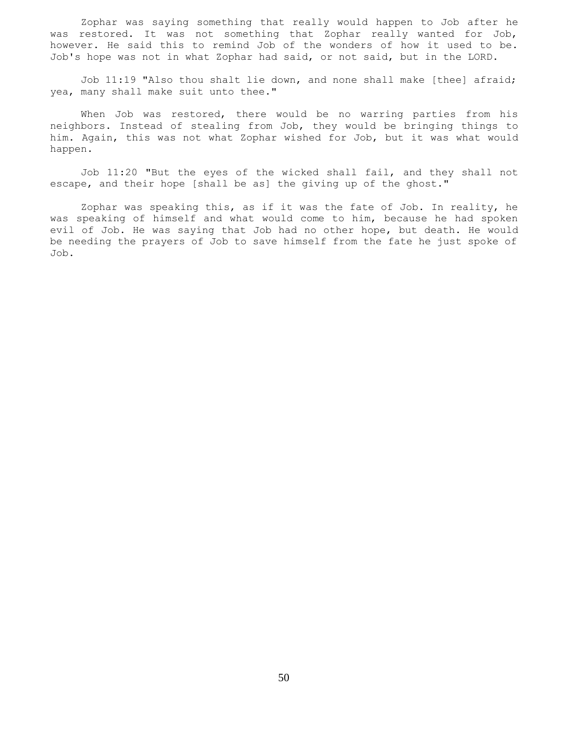Zophar was saying something that really would happen to Job after he was restored. It was not something that Zophar really wanted for Job, however. He said this to remind Job of the wonders of how it used to be. Job's hope was not in what Zophar had said, or not said, but in the LORD.

 Job 11:19 "Also thou shalt lie down, and none shall make [thee] afraid; yea, many shall make suit unto thee."

 When Job was restored, there would be no warring parties from his neighbors. Instead of stealing from Job, they would be bringing things to him. Again, this was not what Zophar wished for Job, but it was what would happen.

 Job 11:20 "But the eyes of the wicked shall fail, and they shall not escape, and their hope [shall be as] the giving up of the ghost."

 Zophar was speaking this, as if it was the fate of Job. In reality, he was speaking of himself and what would come to him, because he had spoken evil of Job. He was saying that Job had no other hope, but death. He would be needing the prayers of Job to save himself from the fate he just spoke of Job.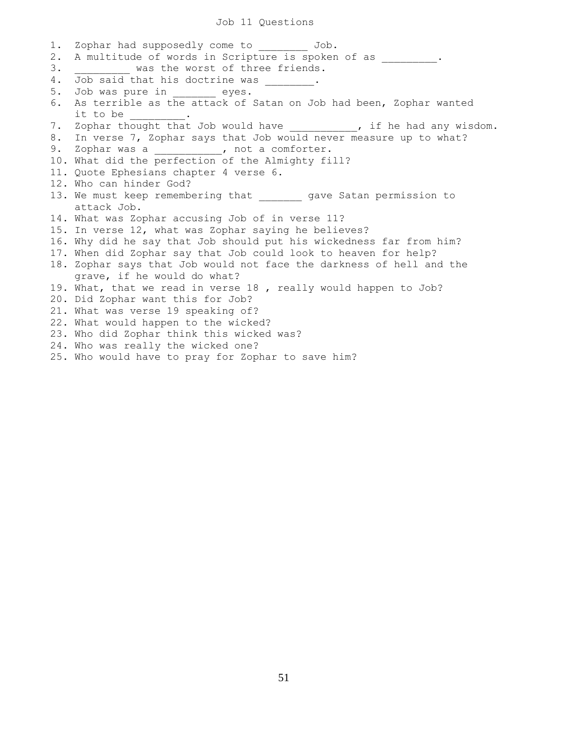### Job 11 Questions

1. Zophar had supposedly come to  $Job$ . 2. A multitude of words in Scripture is spoken of as  $\qquad \qquad$ 3. Was the worst of three friends. 4. Job said that his doctrine was . 5. Job was pure in eyes. 6. As terrible as the attack of Satan on Job had been, Zophar wanted it to be 7. Zophar thought that Job would have \_\_\_\_\_\_\_\_, if he had any wisdom. 8. In verse 7, Zophar says that Job would never measure up to what? 9. Zophar was a \_\_\_\_\_\_\_\_\_\_\_, not a comforter. 10. What did the perfection of the Almighty fill? 11. Quote Ephesians chapter 4 verse 6. 12. Who can hinder God? 13. We must keep remembering that yave Satan permission to attack Job. 14. What was Zophar accusing Job of in verse 11? 15. In verse 12, what was Zophar saying he believes? 16. Why did he say that Job should put his wickedness far from him? 17. When did Zophar say that Job could look to heaven for help? 18. Zophar says that Job would not face the darkness of hell and the grave, if he would do what? 19. What, that we read in verse 18 , really would happen to Job? 20. Did Zophar want this for Job? 21. What was verse 19 speaking of? 22. What would happen to the wicked? 23. Who did Zophar think this wicked was? 24. Who was really the wicked one? 25. Who would have to pray for Zophar to save him?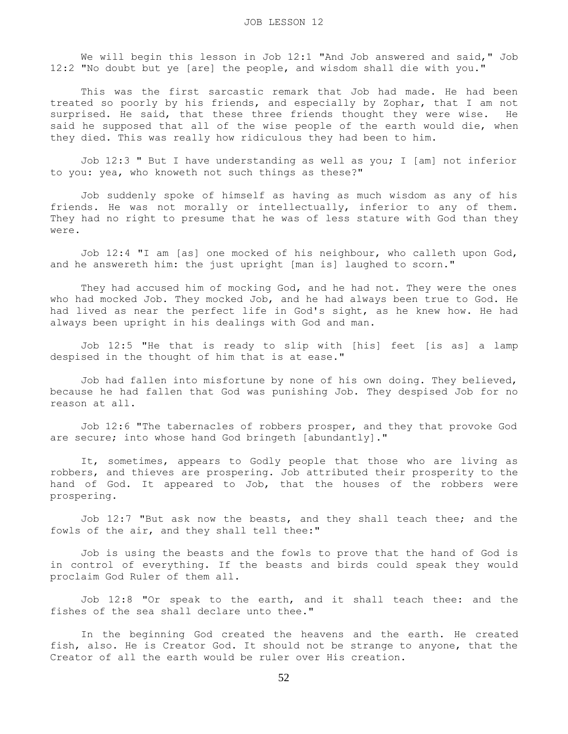We will begin this lesson in Job 12:1 "And Job answered and said," Job 12:2 "No doubt but ye [are] the people, and wisdom shall die with you."

 This was the first sarcastic remark that Job had made. He had been treated so poorly by his friends, and especially by Zophar, that I am not surprised. He said, that these three friends thought they were wise. He said he supposed that all of the wise people of the earth would die, when they died. This was really how ridiculous they had been to him.

 Job 12:3 " But I have understanding as well as you; I [am] not inferior to you: yea, who knoweth not such things as these?"

 Job suddenly spoke of himself as having as much wisdom as any of his friends. He was not morally or intellectually, inferior to any of them. They had no right to presume that he was of less stature with God than they were.

 Job 12:4 "I am [as] one mocked of his neighbour, who calleth upon God, and he answereth him: the just upright [man is] laughed to scorn."

 They had accused him of mocking God, and he had not. They were the ones who had mocked Job. They mocked Job, and he had always been true to God. He had lived as near the perfect life in God's sight, as he knew how. He had always been upright in his dealings with God and man.

 Job 12:5 "He that is ready to slip with [his] feet [is as] a lamp despised in the thought of him that is at ease."

 Job had fallen into misfortune by none of his own doing. They believed, because he had fallen that God was punishing Job. They despised Job for no reason at all.

 Job 12:6 "The tabernacles of robbers prosper, and they that provoke God are secure; into whose hand God bringeth [abundantly]."

 It, sometimes, appears to Godly people that those who are living as robbers, and thieves are prospering. Job attributed their prosperity to the hand of God. It appeared to Job, that the houses of the robbers were prospering.

 Job 12:7 "But ask now the beasts, and they shall teach thee; and the fowls of the air, and they shall tell thee:"

 Job is using the beasts and the fowls to prove that the hand of God is in control of everything. If the beasts and birds could speak they would proclaim God Ruler of them all.

 Job 12:8 "Or speak to the earth, and it shall teach thee: and the fishes of the sea shall declare unto thee."

 In the beginning God created the heavens and the earth. He created fish, also. He is Creator God. It should not be strange to anyone, that the Creator of all the earth would be ruler over His creation.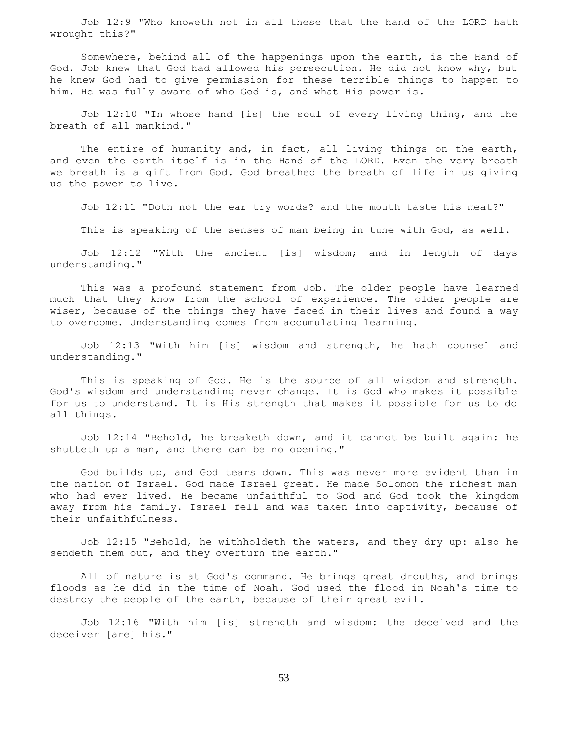Job 12:9 "Who knoweth not in all these that the hand of the LORD hath wrought this?"

 Somewhere, behind all of the happenings upon the earth, is the Hand of God. Job knew that God had allowed his persecution. He did not know why, but he knew God had to give permission for these terrible things to happen to him. He was fully aware of who God is, and what His power is.

 Job 12:10 "In whose hand [is] the soul of every living thing, and the breath of all mankind."

 The entire of humanity and, in fact, all living things on the earth, and even the earth itself is in the Hand of the LORD. Even the very breath we breath is a gift from God. God breathed the breath of life in us giving us the power to live.

Job 12:11 "Doth not the ear try words? and the mouth taste his meat?"

This is speaking of the senses of man being in tune with God, as well.

 Job 12:12 "With the ancient [is] wisdom; and in length of days understanding."

 This was a profound statement from Job. The older people have learned much that they know from the school of experience. The older people are wiser, because of the things they have faced in their lives and found a way to overcome. Understanding comes from accumulating learning.

 Job 12:13 "With him [is] wisdom and strength, he hath counsel and understanding."

 This is speaking of God. He is the source of all wisdom and strength. God's wisdom and understanding never change. It is God who makes it possible for us to understand. It is His strength that makes it possible for us to do all things.

 Job 12:14 "Behold, he breaketh down, and it cannot be built again: he shutteth up a man, and there can be no opening."

 God builds up, and God tears down. This was never more evident than in the nation of Israel. God made Israel great. He made Solomon the richest man who had ever lived. He became unfaithful to God and God took the kingdom away from his family. Israel fell and was taken into captivity, because of their unfaithfulness.

 Job 12:15 "Behold, he withholdeth the waters, and they dry up: also he sendeth them out, and they overturn the earth."

 All of nature is at God's command. He brings great drouths, and brings floods as he did in the time of Noah. God used the flood in Noah's time to destroy the people of the earth, because of their great evil.

 Job 12:16 "With him [is] strength and wisdom: the deceived and the deceiver [are] his."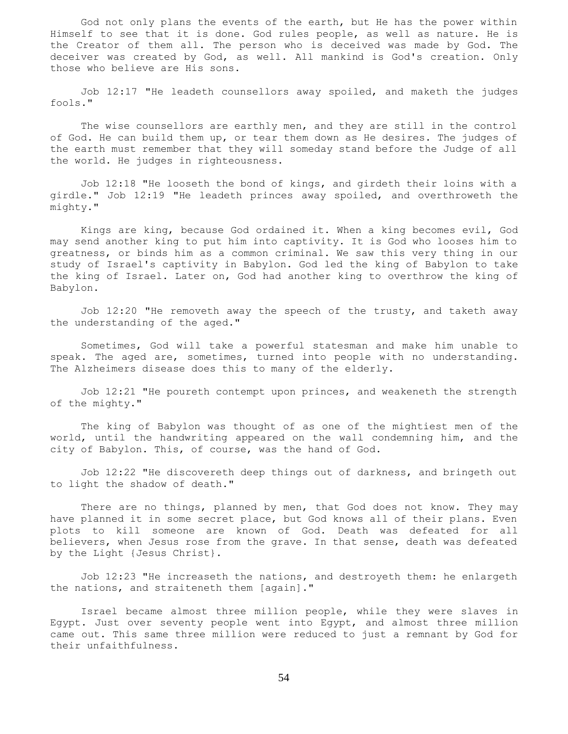God not only plans the events of the earth, but He has the power within Himself to see that it is done. God rules people, as well as nature. He is the Creator of them all. The person who is deceived was made by God. The deceiver was created by God, as well. All mankind is God's creation. Only those who believe are His sons.

 Job 12:17 "He leadeth counsellors away spoiled, and maketh the judges fools."

 The wise counsellors are earthly men, and they are still in the control of God. He can build them up, or tear them down as He desires. The judges of the earth must remember that they will someday stand before the Judge of all the world. He judges in righteousness.

 Job 12:18 "He looseth the bond of kings, and girdeth their loins with a girdle." Job 12:19 "He leadeth princes away spoiled, and overthroweth the mighty."

 Kings are king, because God ordained it. When a king becomes evil, God may send another king to put him into captivity. It is God who looses him to greatness, or binds him as a common criminal. We saw this very thing in our study of Israel's captivity in Babylon. God led the king of Babylon to take the king of Israel. Later on, God had another king to overthrow the king of Babylon.

 Job 12:20 "He removeth away the speech of the trusty, and taketh away the understanding of the aged."

 Sometimes, God will take a powerful statesman and make him unable to speak. The aged are, sometimes, turned into people with no understanding. The Alzheimers disease does this to many of the elderly.

 Job 12:21 "He poureth contempt upon princes, and weakeneth the strength of the mighty."

 The king of Babylon was thought of as one of the mightiest men of the world, until the handwriting appeared on the wall condemning him, and the city of Babylon. This, of course, was the hand of God.

 Job 12:22 "He discovereth deep things out of darkness, and bringeth out to light the shadow of death."

There are no things, planned by men, that God does not know. They may have planned it in some secret place, but God knows all of their plans. Even plots to kill someone are known of God. Death was defeated for all believers, when Jesus rose from the grave. In that sense, death was defeated by the Light {Jesus Christ}.

 Job 12:23 "He increaseth the nations, and destroyeth them: he enlargeth the nations, and straiteneth them [again]."

 Israel became almost three million people, while they were slaves in Egypt. Just over seventy people went into Egypt, and almost three million came out. This same three million were reduced to just a remnant by God for their unfaithfulness.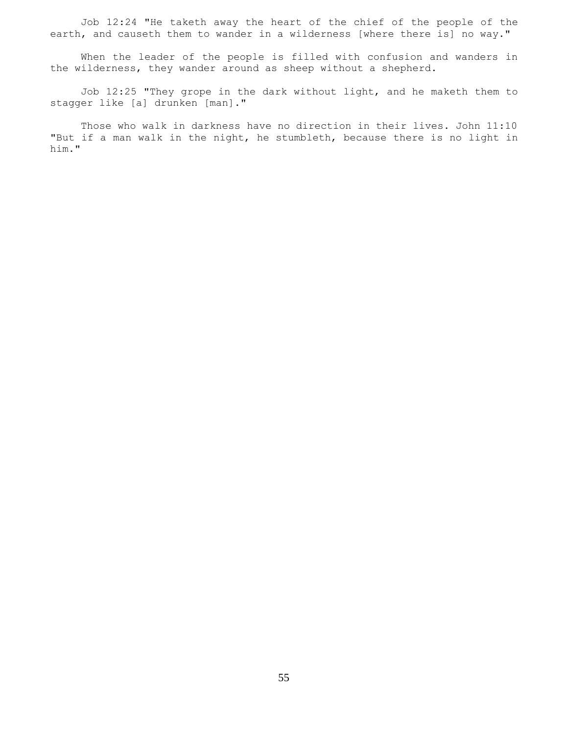Job 12:24 "He taketh away the heart of the chief of the people of the earth, and causeth them to wander in a wilderness [where there is] no way."

 When the leader of the people is filled with confusion and wanders in the wilderness, they wander around as sheep without a shepherd.

 Job 12:25 "They grope in the dark without light, and he maketh them to stagger like [a] drunken [man]."

 Those who walk in darkness have no direction in their lives. John 11:10 "But if a man walk in the night, he stumbleth, because there is no light in him."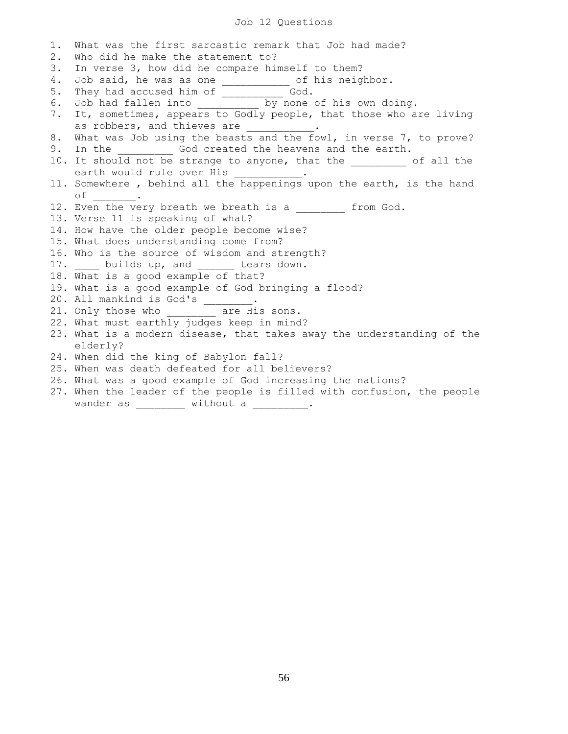# Job 12 Questions

| $1$ . | What was the first sarcastic remark that Job had made?                 |
|-------|------------------------------------------------------------------------|
| 2.    | Who did he make the statement to?                                      |
| 3.    | In verse 3, how did he compare himself to them?                        |
| 4.    | Job said, he was as one ___________ of his neighbor.                   |
| 5.    |                                                                        |
| 6.    |                                                                        |
| 7.    | It, sometimes, appears to Godly people, that those who are living      |
|       | as robbers, and thieves are ___________.                               |
| 8.    | What was Job using the beasts and the fowl, in verse 7, to prove?      |
| 9.    | In the ____________ God created the heavens and the earth.             |
|       | 10. It should not be strange to anyone, that the ________ of all the   |
|       | earth would rule over His __________.                                  |
|       | 11. Somewhere, behind all the happenings upon the earth, is the hand   |
|       | of $\qquad$ .                                                          |
|       | 12. Even the very breath we breath is a from God.                      |
|       | 13. Verse 11 is speaking of what?                                      |
|       | 14. How have the older people become wise?                             |
|       | 15. What does understanding come from?                                 |
|       | 16. Who is the source of wisdom and strength?                          |
|       | 17. ____ builds up, and ______ tears down.                             |
|       | 18. What is a good example of that?                                    |
|       | 19. What is a good example of God bringing a flood?                    |
|       | 20. All mankind is God's ______.                                       |
|       | 21. Only those who are His sons.                                       |
|       | 22. What must earthly judges keep in mind?                             |
|       | 23. What is a modern disease, that takes away the understanding of the |
|       | elderly?                                                               |
|       | 24. When did the king of Babylon fall?                                 |
|       | 25. When was death defeated for all believers?                         |
|       | 26. What was a good example of God increasing the nations?             |
|       | 27. When the leader of the people is filled with confusion, the people |

wander as  $\begin{array}{ccc} \text{without a} \end{array}$ .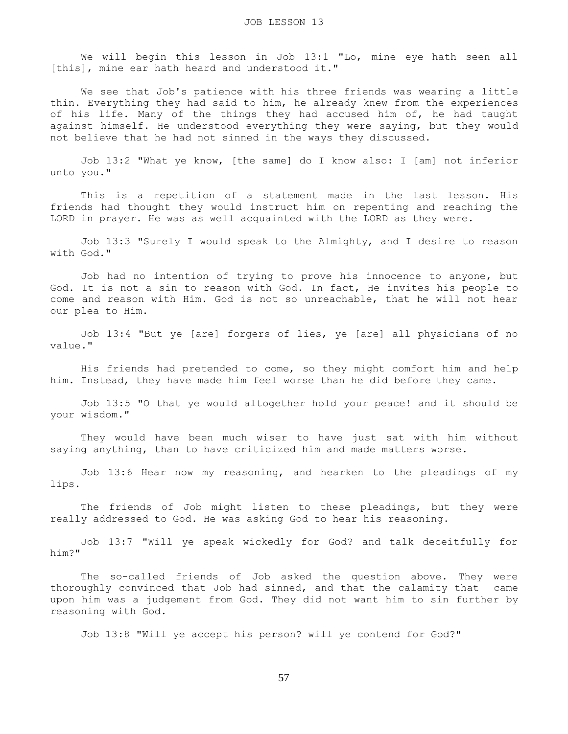We will begin this lesson in Job 13:1 "Lo, mine eye hath seen all [this], mine ear hath heard and understood it."

 We see that Job's patience with his three friends was wearing a little thin. Everything they had said to him, he already knew from the experiences of his life. Many of the things they had accused him of, he had taught against himself. He understood everything they were saying, but they would not believe that he had not sinned in the ways they discussed.

 Job 13:2 "What ye know, [the same] do I know also: I [am] not inferior unto you."

 This is a repetition of a statement made in the last lesson. His friends had thought they would instruct him on repenting and reaching the LORD in prayer. He was as well acquainted with the LORD as they were.

 Job 13:3 "Surely I would speak to the Almighty, and I desire to reason with God."

 Job had no intention of trying to prove his innocence to anyone, but God. It is not a sin to reason with God. In fact, He invites his people to come and reason with Him. God is not so unreachable, that he will not hear our plea to Him.

 Job 13:4 "But ye [are] forgers of lies, ye [are] all physicians of no value."

 His friends had pretended to come, so they might comfort him and help him. Instead, they have made him feel worse than he did before they came.

 Job 13:5 "O that ye would altogether hold your peace! and it should be your wisdom."

 They would have been much wiser to have just sat with him without saying anything, than to have criticized him and made matters worse.

 Job 13:6 Hear now my reasoning, and hearken to the pleadings of my lips.

 The friends of Job might listen to these pleadings, but they were really addressed to God. He was asking God to hear his reasoning.

 Job 13:7 "Will ye speak wickedly for God? and talk deceitfully for him?"

 The so-called friends of Job asked the question above. They were thoroughly convinced that Job had sinned, and that the calamity that came upon him was a judgement from God. They did not want him to sin further by reasoning with God.

Job 13:8 "Will ye accept his person? will ye contend for God?"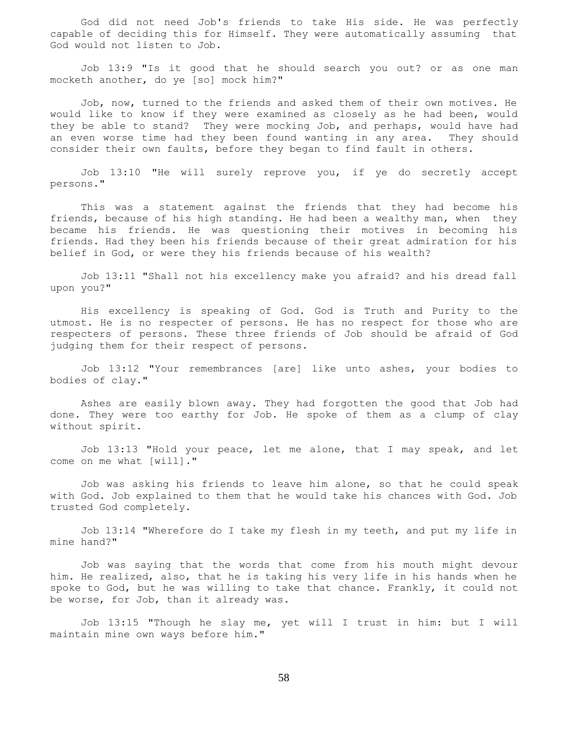God did not need Job's friends to take His side. He was perfectly capable of deciding this for Himself. They were automatically assuming that God would not listen to Job.

 Job 13:9 "Is it good that he should search you out? or as one man mocketh another, do ye [so] mock him?"

 Job, now, turned to the friends and asked them of their own motives. He would like to know if they were examined as closely as he had been, would they be able to stand? They were mocking Job, and perhaps, would have had an even worse time had they been found wanting in any area. They should consider their own faults, before they began to find fault in others.

 Job 13:10 "He will surely reprove you, if ye do secretly accept persons."

 This was a statement against the friends that they had become his friends, because of his high standing. He had been a wealthy man, when they became his friends. He was questioning their motives in becoming his friends. Had they been his friends because of their great admiration for his belief in God, or were they his friends because of his wealth?

 Job 13:11 "Shall not his excellency make you afraid? and his dread fall upon you?"

 His excellency is speaking of God. God is Truth and Purity to the utmost. He is no respecter of persons. He has no respect for those who are respecters of persons. These three friends of Job should be afraid of God judging them for their respect of persons.

 Job 13:12 "Your remembrances [are] like unto ashes, your bodies to bodies of clay."

 Ashes are easily blown away. They had forgotten the good that Job had done. They were too earthy for Job. He spoke of them as a clump of clay without spirit.

 Job 13:13 "Hold your peace, let me alone, that I may speak, and let come on me what [will]."

 Job was asking his friends to leave him alone, so that he could speak with God. Job explained to them that he would take his chances with God. Job trusted God completely.

 Job 13:14 "Wherefore do I take my flesh in my teeth, and put my life in mine hand?"

 Job was saying that the words that come from his mouth might devour him. He realized, also, that he is taking his very life in his hands when he spoke to God, but he was willing to take that chance. Frankly, it could not be worse, for Job, than it already was.

 Job 13:15 "Though he slay me, yet will I trust in him: but I will maintain mine own ways before him."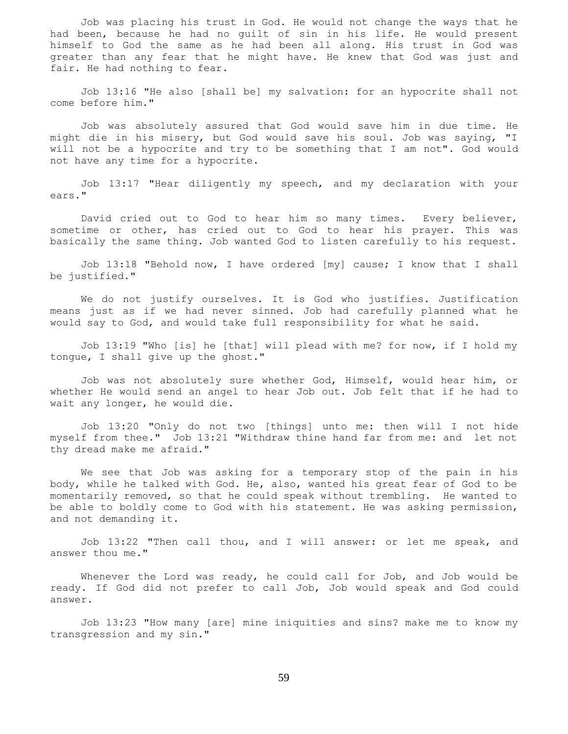Job was placing his trust in God. He would not change the ways that he had been, because he had no guilt of sin in his life. He would present himself to God the same as he had been all along. His trust in God was greater than any fear that he might have. He knew that God was just and fair. He had nothing to fear.

 Job 13:16 "He also [shall be] my salvation: for an hypocrite shall not come before him."

 Job was absolutely assured that God would save him in due time. He might die in his misery, but God would save his soul. Job was saying, "I will not be a hypocrite and try to be something that I am not". God would not have any time for a hypocrite.

 Job 13:17 "Hear diligently my speech, and my declaration with your ears."

 David cried out to God to hear him so many times. Every believer, sometime or other, has cried out to God to hear his prayer. This was basically the same thing. Job wanted God to listen carefully to his request.

 Job 13:18 "Behold now, I have ordered [my] cause; I know that I shall be justified."

 We do not justify ourselves. It is God who justifies. Justification means just as if we had never sinned. Job had carefully planned what he would say to God, and would take full responsibility for what he said.

 Job 13:19 "Who [is] he [that] will plead with me? for now, if I hold my tongue, I shall give up the ghost."

 Job was not absolutely sure whether God, Himself, would hear him, or whether He would send an angel to hear Job out. Job felt that if he had to wait any longer, he would die.

 Job 13:20 "Only do not two [things] unto me: then will I not hide myself from thee." Job 13:21 "Withdraw thine hand far from me: and let not thy dread make me afraid."

 We see that Job was asking for a temporary stop of the pain in his body, while he talked with God. He, also, wanted his great fear of God to be momentarily removed, so that he could speak without trembling. He wanted to be able to boldly come to God with his statement. He was asking permission, and not demanding it.

 Job 13:22 "Then call thou, and I will answer: or let me speak, and answer thou me."

Whenever the Lord was ready, he could call for Job, and Job would be ready. If God did not prefer to call Job, Job would speak and God could answer.

 Job 13:23 "How many [are] mine iniquities and sins? make me to know my transgression and my sin."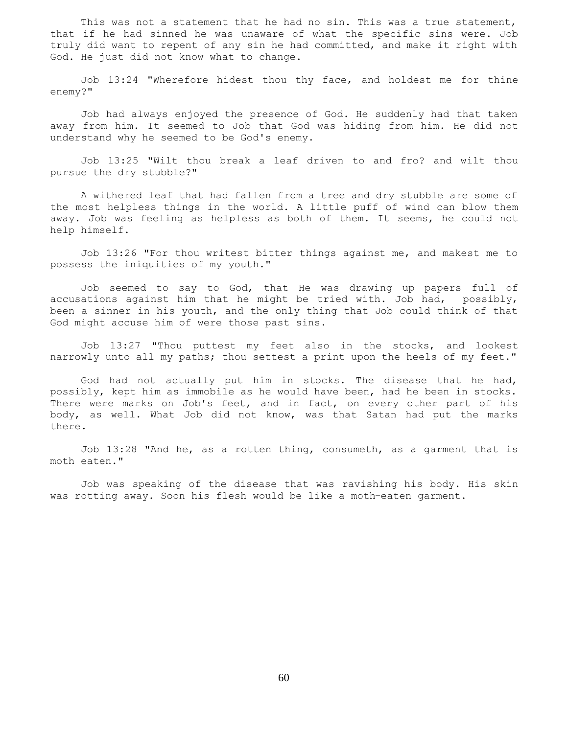This was not a statement that he had no sin. This was a true statement, that if he had sinned he was unaware of what the specific sins were. Job truly did want to repent of any sin he had committed, and make it right with God. He just did not know what to change.

 Job 13:24 "Wherefore hidest thou thy face, and holdest me for thine enemy?"

 Job had always enjoyed the presence of God. He suddenly had that taken away from him. It seemed to Job that God was hiding from him. He did not understand why he seemed to be God's enemy.

 Job 13:25 "Wilt thou break a leaf driven to and fro? and wilt thou pursue the dry stubble?"

 A withered leaf that had fallen from a tree and dry stubble are some of the most helpless things in the world. A little puff of wind can blow them away. Job was feeling as helpless as both of them. It seems, he could not help himself.

 Job 13:26 "For thou writest bitter things against me, and makest me to possess the iniquities of my youth."

 Job seemed to say to God, that He was drawing up papers full of accusations against him that he might be tried with. Job had, possibly, been a sinner in his youth, and the only thing that Job could think of that God might accuse him of were those past sins.

 Job 13:27 "Thou puttest my feet also in the stocks, and lookest narrowly unto all my paths; thou settest a print upon the heels of my feet."

 God had not actually put him in stocks. The disease that he had, possibly, kept him as immobile as he would have been, had he been in stocks. There were marks on Job's feet, and in fact, on every other part of his body, as well. What Job did not know, was that Satan had put the marks there.

 Job 13:28 "And he, as a rotten thing, consumeth, as a garment that is moth eaten."

 Job was speaking of the disease that was ravishing his body. His skin was rotting away. Soon his flesh would be like a moth-eaten garment.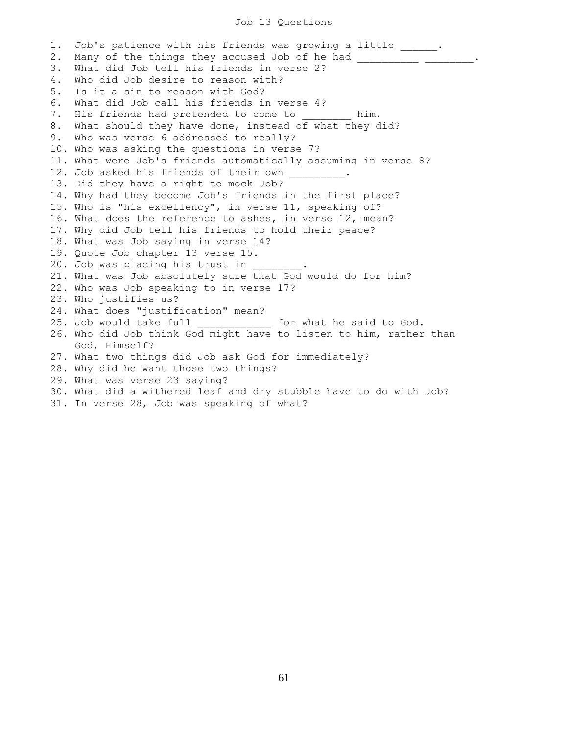## Job 13 Questions

1. Job's patience with his friends was growing a little \_\_\_\_\_\_. 2. Many of the things they accused Job of he had \_\_\_\_\_\_\_\_\_\_\_\_\_\_\_\_\_\_\_\_\_\_\_\_\_\_\_\_\_\_\_\_ 3. What did Job tell his friends in verse 2? 4. Who did Job desire to reason with? 5. Is it a sin to reason with God? 6. What did Job call his friends in verse 4? 7. His friends had pretended to come to him. 8. What should they have done, instead of what they did? 9. Who was verse 6 addressed to really? 10. Who was asking the questions in verse 7? 11. What were Job's friends automatically assuming in verse 8? 12. Job asked his friends of their own 13. Did they have a right to mock Job? 14. Why had they become Job's friends in the first place? 15. Who is "his excellency", in verse 11, speaking of? 16. What does the reference to ashes, in verse 12, mean? 17. Why did Job tell his friends to hold their peace? 18. What was Job saying in verse 14? 19. Quote Job chapter 13 verse 15. 20. Job was placing his trust in 21. What was Job absolutely sure that God would do for him? 22. Who was Job speaking to in verse 17? 23. Who justifies us? 24. What does "justification" mean? 25. Job would take full \_\_\_\_\_\_\_\_\_\_\_\_ for what he said to God. 26. Who did Job think God might have to listen to him, rather than God, Himself? 27. What two things did Job ask God for immediately? 28. Why did he want those two things? 29. What was verse 23 saying? 30. What did a withered leaf and dry stubble have to do with Job? 31. In verse 28, Job was speaking of what?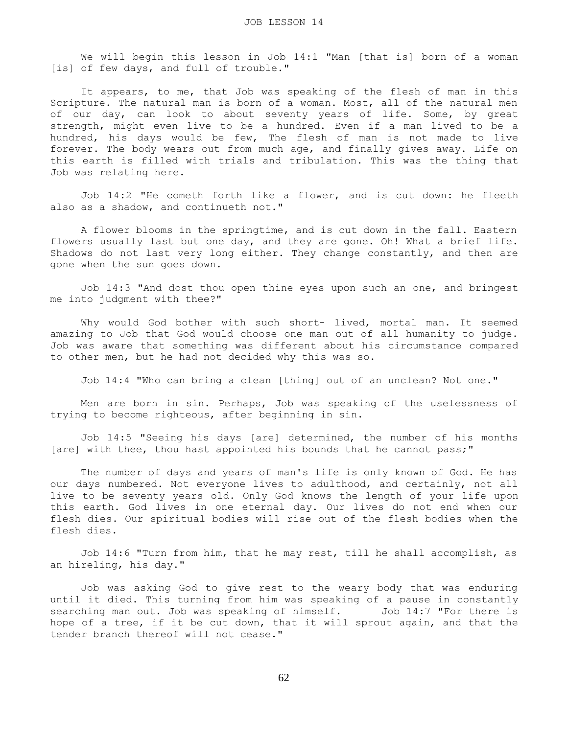We will begin this lesson in Job 14:1 "Man [that is] born of a woman [is] of few days, and full of trouble."

It appears, to me, that Job was speaking of the flesh of man in this Scripture. The natural man is born of a woman. Most, all of the natural men of our day, can look to about seventy years of life. Some, by great strength, might even live to be a hundred. Even if a man lived to be a hundred, his days would be few, The flesh of man is not made to live forever. The body wears out from much age, and finally gives away. Life on this earth is filled with trials and tribulation. This was the thing that Job was relating here.

 Job 14:2 "He cometh forth like a flower, and is cut down: he fleeth also as a shadow, and continueth not."

 A flower blooms in the springtime, and is cut down in the fall. Eastern flowers usually last but one day, and they are gone. Oh! What a brief life. Shadows do not last very long either. They change constantly, and then are gone when the sun goes down.

 Job 14:3 "And dost thou open thine eyes upon such an one, and bringest me into judgment with thee?"

Why would God bother with such short- lived, mortal man. It seemed amazing to Job that God would choose one man out of all humanity to judge. Job was aware that something was different about his circumstance compared to other men, but he had not decided why this was so.

Job 14:4 "Who can bring a clean [thing] out of an unclean? Not one."

 Men are born in sin. Perhaps, Job was speaking of the uselessness of trying to become righteous, after beginning in sin.

 Job 14:5 "Seeing his days [are] determined, the number of his months [are] with thee, thou hast appointed his bounds that he cannot pass;"

 The number of days and years of man's life is only known of God. He has our days numbered. Not everyone lives to adulthood, and certainly, not all live to be seventy years old. Only God knows the length of your life upon this earth. God lives in one eternal day. Our lives do not end when our flesh dies. Our spiritual bodies will rise out of the flesh bodies when the flesh dies.

 Job 14:6 "Turn from him, that he may rest, till he shall accomplish, as an hireling, his day."

 Job was asking God to give rest to the weary body that was enduring until it died. This turning from him was speaking of a pause in constantly searching man out. Job was speaking of himself. Job 14:7 "For there is hope of a tree, if it be cut down, that it will sprout again, and that the tender branch thereof will not cease."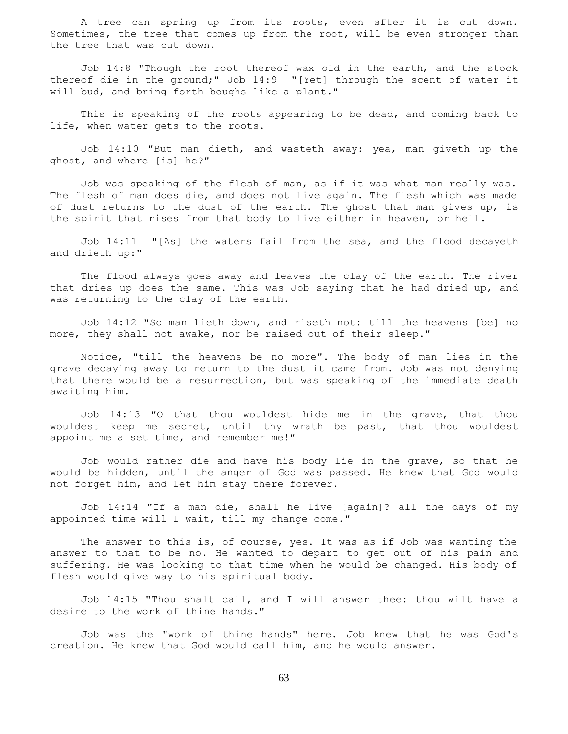A tree can spring up from its roots, even after it is cut down. Sometimes, the tree that comes up from the root, will be even stronger than the tree that was cut down.

 Job 14:8 "Though the root thereof wax old in the earth, and the stock thereof die in the ground;" Job 14:9 "[Yet] through the scent of water it will bud, and bring forth boughs like a plant."

 This is speaking of the roots appearing to be dead, and coming back to life, when water gets to the roots.

 Job 14:10 "But man dieth, and wasteth away: yea, man giveth up the ghost, and where [is] he?"

 Job was speaking of the flesh of man, as if it was what man really was. The flesh of man does die, and does not live again. The flesh which was made of dust returns to the dust of the earth. The ghost that man gives up, is the spirit that rises from that body to live either in heaven, or hell.

 Job 14:11 "[As] the waters fail from the sea, and the flood decayeth and drieth up:"

 The flood always goes away and leaves the clay of the earth. The river that dries up does the same. This was Job saying that he had dried up, and was returning to the clay of the earth.

 Job 14:12 "So man lieth down, and riseth not: till the heavens [be] no more, they shall not awake, nor be raised out of their sleep."

 Notice, "till the heavens be no more". The body of man lies in the grave decaying away to return to the dust it came from. Job was not denying that there would be a resurrection, but was speaking of the immediate death awaiting him.

 Job 14:13 "O that thou wouldest hide me in the grave, that thou wouldest keep me secret, until thy wrath be past, that thou wouldest appoint me a set time, and remember me!"

 Job would rather die and have his body lie in the grave, so that he would be hidden, until the anger of God was passed. He knew that God would not forget him, and let him stay there forever.

 Job 14:14 "If a man die, shall he live [again]? all the days of my appointed time will I wait, till my change come."

 The answer to this is, of course, yes. It was as if Job was wanting the answer to that to be no. He wanted to depart to get out of his pain and suffering. He was looking to that time when he would be changed. His body of flesh would give way to his spiritual body.

 Job 14:15 "Thou shalt call, and I will answer thee: thou wilt have a desire to the work of thine hands."

 Job was the "work of thine hands" here. Job knew that he was God's creation. He knew that God would call him, and he would answer.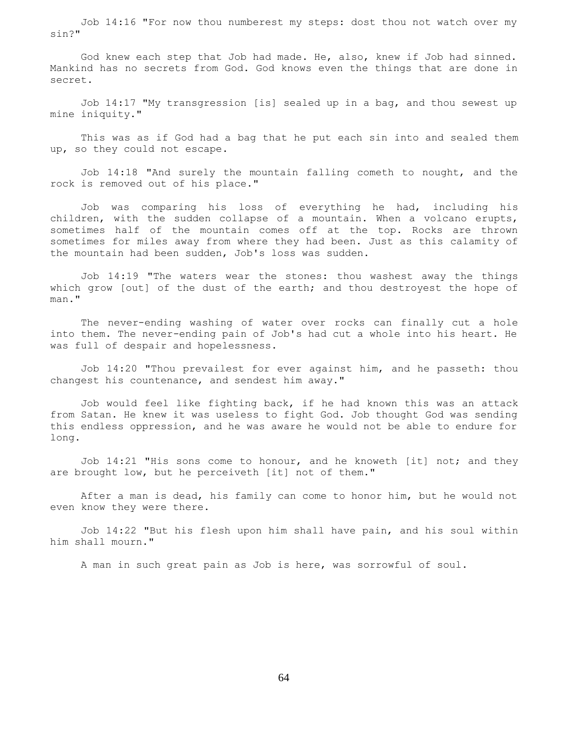Job 14:16 "For now thou numberest my steps: dost thou not watch over my sin?"

 God knew each step that Job had made. He, also, knew if Job had sinned. Mankind has no secrets from God. God knows even the things that are done in secret.

 Job 14:17 "My transgression [is] sealed up in a bag, and thou sewest up mine iniquity."

 This was as if God had a bag that he put each sin into and sealed them up, so they could not escape.

 Job 14:18 "And surely the mountain falling cometh to nought, and the rock is removed out of his place."

 Job was comparing his loss of everything he had, including his children, with the sudden collapse of a mountain. When a volcano erupts, sometimes half of the mountain comes off at the top. Rocks are thrown sometimes for miles away from where they had been. Just as this calamity of the mountain had been sudden, Job's loss was sudden.

 Job 14:19 "The waters wear the stones: thou washest away the things which grow [out] of the dust of the earth; and thou destroyest the hope of man."

 The never-ending washing of water over rocks can finally cut a hole into them. The never-ending pain of Job's had cut a whole into his heart. He was full of despair and hopelessness.

 Job 14:20 "Thou prevailest for ever against him, and he passeth: thou changest his countenance, and sendest him away."

 Job would feel like fighting back, if he had known this was an attack from Satan. He knew it was useless to fight God. Job thought God was sending this endless oppression, and he was aware he would not be able to endure for long.

 Job 14:21 "His sons come to honour, and he knoweth [it] not; and they are brought low, but he perceiveth [it] not of them."

 After a man is dead, his family can come to honor him, but he would not even know they were there.

 Job 14:22 "But his flesh upon him shall have pain, and his soul within him shall mourn."

A man in such great pain as Job is here, was sorrowful of soul.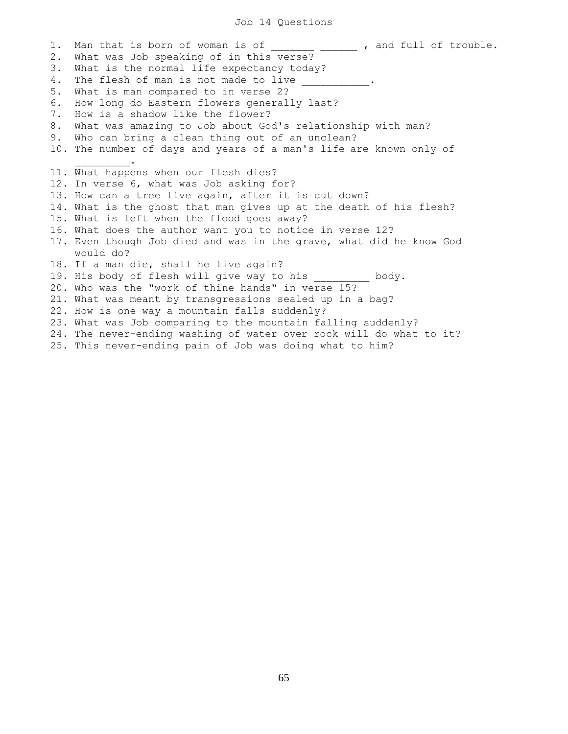### Job 14 Questions

1. Man that is born of woman is of  $\qquad \qquad$ , and full of trouble. 2. What was Job speaking of in this verse? 3. What is the normal life expectancy today? 4. The flesh of man is not made to live 5. What is man compared to in verse 2? 6. How long do Eastern flowers generally last? 7. How is a shadow like the flower? 8. What was amazing to Job about God's relationship with man? 9. Who can bring a clean thing out of an unclean? 10. The number of days and years of a man's life are known only of  $\mathcal{L}=\mathcal{L}^{\mathcal{L}}$ 11. What happens when our flesh dies? 12. In verse 6, what was Job asking for? 13. How can a tree live again, after it is cut down? 14. What is the ghost that man gives up at the death of his flesh? 15. What is left when the flood goes away? 16. What does the author want you to notice in verse 12? 17. Even though Job died and was in the grave, what did he know God would do? 18. If a man die, shall he live again? 19. His body of flesh will give way to his \_\_\_\_\_\_\_\_\_ body. 20. Who was the "work of thine hands" in verse 15? 21. What was meant by transgressions sealed up in a bag? 22. How is one way a mountain falls suddenly? 23. What was Job comparing to the mountain falling suddenly? 24. The never-ending washing of water over rock will do what to it? 25. This never-ending pain of Job was doing what to him?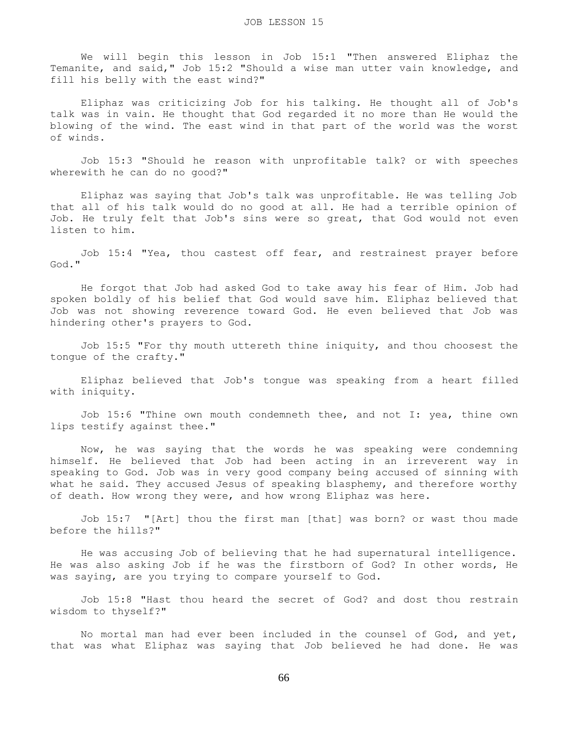We will begin this lesson in Job 15:1 "Then answered Eliphaz the Temanite, and said," Job 15:2 "Should a wise man utter vain knowledge, and fill his belly with the east wind?"

 Eliphaz was criticizing Job for his talking. He thought all of Job's talk was in vain. He thought that God regarded it no more than He would the blowing of the wind. The east wind in that part of the world was the worst of winds.

 Job 15:3 "Should he reason with unprofitable talk? or with speeches wherewith he can do no good?"

 Eliphaz was saying that Job's talk was unprofitable. He was telling Job that all of his talk would do no good at all. He had a terrible opinion of Job. He truly felt that Job's sins were so great, that God would not even listen to him.

 Job 15:4 "Yea, thou castest off fear, and restrainest prayer before God."

 He forgot that Job had asked God to take away his fear of Him. Job had spoken boldly of his belief that God would save him. Eliphaz believed that Job was not showing reverence toward God. He even believed that Job was hindering other's prayers to God.

 Job 15:5 "For thy mouth uttereth thine iniquity, and thou choosest the tongue of the crafty."

 Eliphaz believed that Job's tongue was speaking from a heart filled with iniquity.

 Job 15:6 "Thine own mouth condemneth thee, and not I: yea, thine own lips testify against thee."

 Now, he was saying that the words he was speaking were condemning himself. He believed that Job had been acting in an irreverent way in speaking to God. Job was in very good company being accused of sinning with what he said. They accused Jesus of speaking blasphemy, and therefore worthy of death. How wrong they were, and how wrong Eliphaz was here.

 Job 15:7 "[Art] thou the first man [that] was born? or wast thou made before the hills?"

 He was accusing Job of believing that he had supernatural intelligence. He was also asking Job if he was the firstborn of God? In other words, He was saying, are you trying to compare yourself to God.

 Job 15:8 "Hast thou heard the secret of God? and dost thou restrain wisdom to thyself?"

 No mortal man had ever been included in the counsel of God, and yet, that was what Eliphaz was saying that Job believed he had done. He was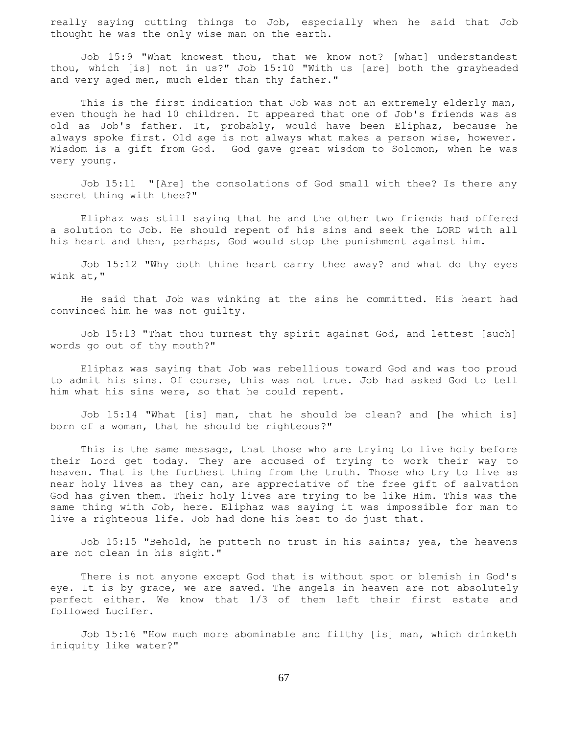really saying cutting things to Job, especially when he said that Job thought he was the only wise man on the earth.

 Job 15:9 "What knowest thou, that we know not? [what] understandest thou, which [is] not in us?" Job 15:10 "With us [are] both the grayheaded and very aged men, much elder than thy father."

This is the first indication that Job was not an extremely elderly man, even though he had 10 children. It appeared that one of Job's friends was as old as Job's father. It, probably, would have been Eliphaz, because he always spoke first. Old age is not always what makes a person wise, however. Wisdom is a gift from God. God gave great wisdom to Solomon, when he was very young.

 Job 15:11 "[Are] the consolations of God small with thee? Is there any secret thing with thee?"

 Eliphaz was still saying that he and the other two friends had offered a solution to Job. He should repent of his sins and seek the LORD with all his heart and then, perhaps, God would stop the punishment against him.

 Job 15:12 "Why doth thine heart carry thee away? and what do thy eyes wink at,"

 He said that Job was winking at the sins he committed. His heart had convinced him he was not guilty.

 Job 15:13 "That thou turnest thy spirit against God, and lettest [such] words go out of thy mouth?"

 Eliphaz was saying that Job was rebellious toward God and was too proud to admit his sins. Of course, this was not true. Job had asked God to tell him what his sins were, so that he could repent.

 Job 15:14 "What [is] man, that he should be clean? and [he which is] born of a woman, that he should be righteous?"

 This is the same message, that those who are trying to live holy before their Lord get today. They are accused of trying to work their way to heaven. That is the furthest thing from the truth. Those who try to live as near holy lives as they can, are appreciative of the free gift of salvation God has given them. Their holy lives are trying to be like Him. This was the same thing with Job, here. Eliphaz was saying it was impossible for man to live a righteous life. Job had done his best to do just that.

 Job 15:15 "Behold, he putteth no trust in his saints; yea, the heavens are not clean in his sight."

 There is not anyone except God that is without spot or blemish in God's eye. It is by grace, we are saved. The angels in heaven are not absolutely perfect either. We know that 1/3 of them left their first estate and followed Lucifer.

 Job 15:16 "How much more abominable and filthy [is] man, which drinketh iniquity like water?"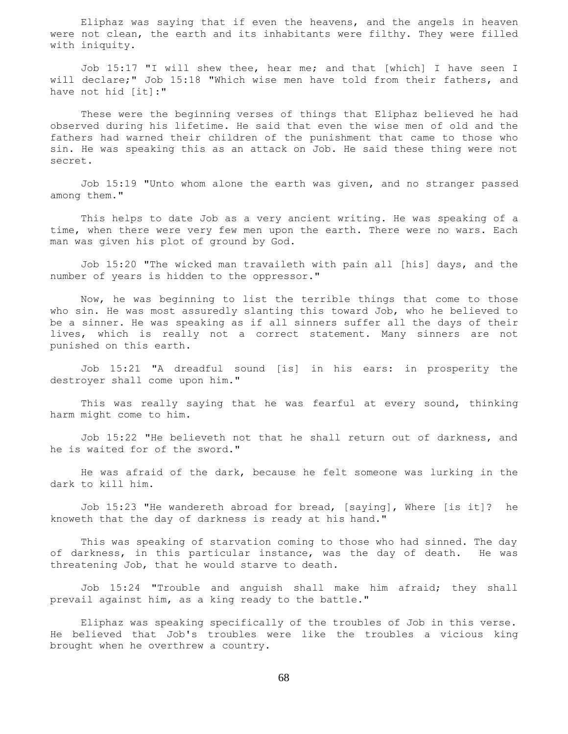Eliphaz was saying that if even the heavens, and the angels in heaven were not clean, the earth and its inhabitants were filthy. They were filled with iniquity.

 Job 15:17 "I will shew thee, hear me; and that [which] I have seen I will declare;" Job 15:18 "Which wise men have told from their fathers, and have not hid [it]:"

 These were the beginning verses of things that Eliphaz believed he had observed during his lifetime. He said that even the wise men of old and the fathers had warned their children of the punishment that came to those who sin. He was speaking this as an attack on Job. He said these thing were not secret.

 Job 15:19 "Unto whom alone the earth was given, and no stranger passed among them."

 This helps to date Job as a very ancient writing. He was speaking of a time, when there were very few men upon the earth. There were no wars. Each man was given his plot of ground by God.

 Job 15:20 "The wicked man travaileth with pain all [his] days, and the number of years is hidden to the oppressor."

 Now, he was beginning to list the terrible things that come to those who sin. He was most assuredly slanting this toward Job, who he believed to be a sinner. He was speaking as if all sinners suffer all the days of their lives, which is really not a correct statement. Many sinners are not punished on this earth.

 Job 15:21 "A dreadful sound [is] in his ears: in prosperity the destroyer shall come upon him."

 This was really saying that he was fearful at every sound, thinking harm might come to him.

 Job 15:22 "He believeth not that he shall return out of darkness, and he is waited for of the sword."

 He was afraid of the dark, because he felt someone was lurking in the dark to kill him.

 Job 15:23 "He wandereth abroad for bread, [saying], Where [is it]? he knoweth that the day of darkness is ready at his hand."

 This was speaking of starvation coming to those who had sinned. The day of darkness, in this particular instance, was the day of death. He was threatening Job, that he would starve to death.

 Job 15:24 "Trouble and anguish shall make him afraid; they shall prevail against him, as a king ready to the battle."

 Eliphaz was speaking specifically of the troubles of Job in this verse. He believed that Job's troubles were like the troubles a vicious king brought when he overthrew a country.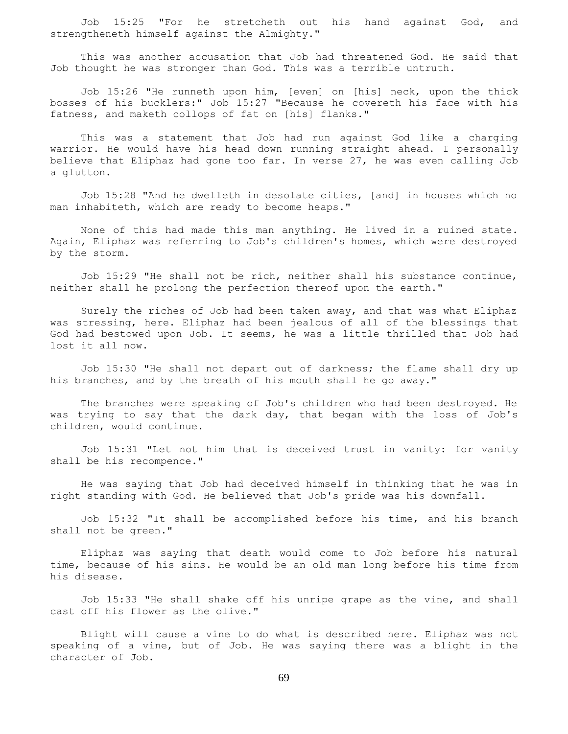Job 15:25 "For he stretcheth out his hand against God, and strengtheneth himself against the Almighty."

 This was another accusation that Job had threatened God. He said that Job thought he was stronger than God. This was a terrible untruth.

 Job 15:26 "He runneth upon him, [even] on [his] neck, upon the thick bosses of his bucklers:" Job 15:27 "Because he covereth his face with his fatness, and maketh collops of fat on [his] flanks."

 This was a statement that Job had run against God like a charging warrior. He would have his head down running straight ahead. I personally believe that Eliphaz had gone too far. In verse 27, he was even calling Job a glutton.

 Job 15:28 "And he dwelleth in desolate cities, [and] in houses which no man inhabiteth, which are ready to become heaps."

 None of this had made this man anything. He lived in a ruined state. Again, Eliphaz was referring to Job's children's homes, which were destroyed by the storm.

 Job 15:29 "He shall not be rich, neither shall his substance continue, neither shall he prolong the perfection thereof upon the earth."

 Surely the riches of Job had been taken away, and that was what Eliphaz was stressing, here. Eliphaz had been jealous of all of the blessings that God had bestowed upon Job. It seems, he was a little thrilled that Job had lost it all now.

 Job 15:30 "He shall not depart out of darkness; the flame shall dry up his branches, and by the breath of his mouth shall he go away."

 The branches were speaking of Job's children who had been destroyed. He was trying to say that the dark day, that began with the loss of Job's children, would continue.

 Job 15:31 "Let not him that is deceived trust in vanity: for vanity shall be his recompence."

 He was saying that Job had deceived himself in thinking that he was in right standing with God. He believed that Job's pride was his downfall.

 Job 15:32 "It shall be accomplished before his time, and his branch shall not be green."

 Eliphaz was saying that death would come to Job before his natural time, because of his sins. He would be an old man long before his time from his disease.

 Job 15:33 "He shall shake off his unripe grape as the vine, and shall cast off his flower as the olive."

 Blight will cause a vine to do what is described here. Eliphaz was not speaking of a vine, but of Job. He was saying there was a blight in the character of Job.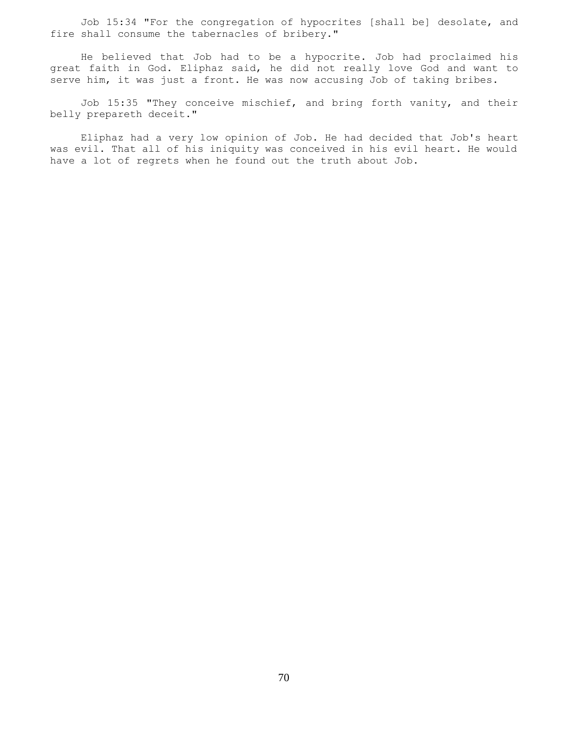Job 15:34 "For the congregation of hypocrites [shall be] desolate, and fire shall consume the tabernacles of bribery."

 He believed that Job had to be a hypocrite. Job had proclaimed his great faith in God. Eliphaz said, he did not really love God and want to serve him, it was just a front. He was now accusing Job of taking bribes.

 Job 15:35 "They conceive mischief, and bring forth vanity, and their belly prepareth deceit."

 Eliphaz had a very low opinion of Job. He had decided that Job's heart was evil. That all of his iniquity was conceived in his evil heart. He would have a lot of regrets when he found out the truth about Job.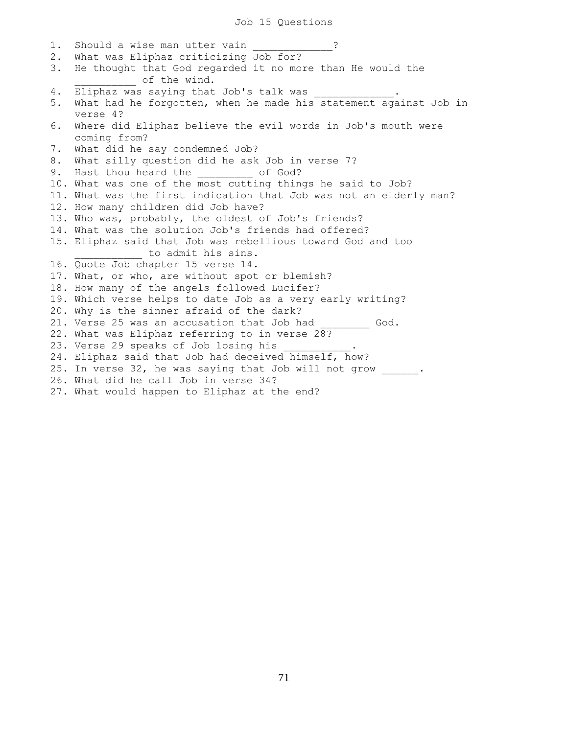### Job 15 Questions

1. Should a wise man utter vain 2 2. What was Eliphaz criticizing Job for? 3. He thought that God regarded it no more than He would the \_\_\_\_\_\_\_\_\_\_ of the wind. 4. Eliphaz was saying that Job's talk was 5. What had he forgotten, when he made his statement against Job in verse 4? 6. Where did Eliphaz believe the evil words in Job's mouth were coming from? 7. What did he say condemned Job? 8. What silly question did he ask Job in verse 7? 9. Hast thou heard the  $\qquad \qquad$  of God? 10. What was one of the most cutting things he said to Job? 11. What was the first indication that Job was not an elderly man? 12. How many children did Job have? 13. Who was, probably, the oldest of Job's friends? 14. What was the solution Job's friends had offered? 15. Eliphaz said that Job was rebellious toward God and too to admit his sins. 16. Quote Job chapter 15 verse 14. 17. What, or who, are without spot or blemish? 18. How many of the angels followed Lucifer? 19. Which verse helps to date Job as a very early writing? 20. Why is the sinner afraid of the dark? 21. Verse 25 was an accusation that Job had  $\qquad \qquad \text{God.}$ 22. What was Eliphaz referring to in verse 28? 23. Verse 29 speaks of Job losing his 24. Eliphaz said that Job had deceived himself, how? 25. In verse 32, he was saying that Job will not grow \_\_\_\_\_\_. 26. What did he call Job in verse 34? 27. What would happen to Eliphaz at the end?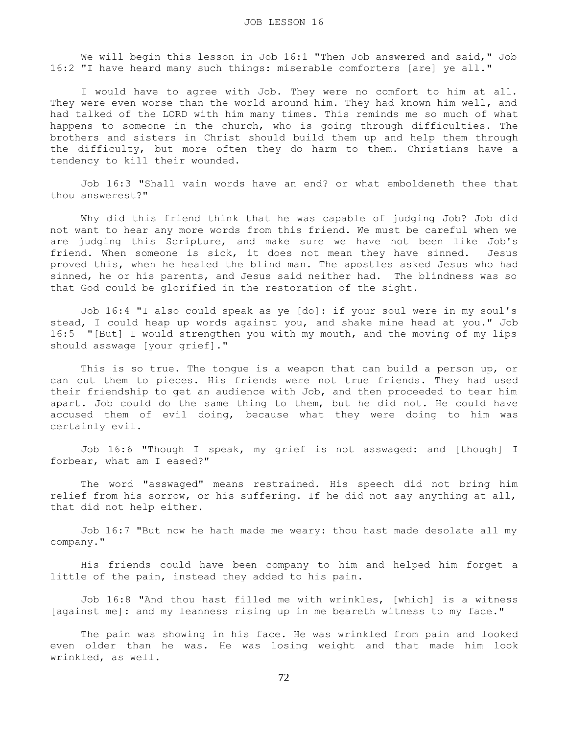We will begin this lesson in Job 16:1 "Then Job answered and said," Job 16:2 "I have heard many such things: miserable comforters [are] ye all."

 I would have to agree with Job. They were no comfort to him at all. They were even worse than the world around him. They had known him well, and had talked of the LORD with him many times. This reminds me so much of what happens to someone in the church, who is going through difficulties. The brothers and sisters in Christ should build them up and help them through the difficulty, but more often they do harm to them. Christians have a tendency to kill their wounded.

 Job 16:3 "Shall vain words have an end? or what emboldeneth thee that thou answerest?"

 Why did this friend think that he was capable of judging Job? Job did not want to hear any more words from this friend. We must be careful when we are judging this Scripture, and make sure we have not been like Job's friend. When someone is sick, it does not mean they have sinned. Jesus proved this, when he healed the blind man. The apostles asked Jesus who had sinned, he or his parents, and Jesus said neither had. The blindness was so that God could be glorified in the restoration of the sight.

 Job 16:4 "I also could speak as ye [do]: if your soul were in my soul's stead, I could heap up words against you, and shake mine head at you." Job 16:5 "[But] I would strengthen you with my mouth, and the moving of my lips should asswage [your grief]."

 This is so true. The tongue is a weapon that can build a person up, or can cut them to pieces. His friends were not true friends. They had used their friendship to get an audience with Job, and then proceeded to tear him apart. Job could do the same thing to them, but he did not. He could have accused them of evil doing, because what they were doing to him was certainly evil.

 Job 16:6 "Though I speak, my grief is not asswaged: and [though] I forbear, what am I eased?"

 The word "asswaged" means restrained. His speech did not bring him relief from his sorrow, or his suffering. If he did not say anything at all, that did not help either.

 Job 16:7 "But now he hath made me weary: thou hast made desolate all my company."

 His friends could have been company to him and helped him forget a little of the pain, instead they added to his pain.

 Job 16:8 "And thou hast filled me with wrinkles, [which] is a witness [against me]: and my leanness rising up in me beareth witness to my face."

 The pain was showing in his face. He was wrinkled from pain and looked even older than he was. He was losing weight and that made him look wrinkled, as well.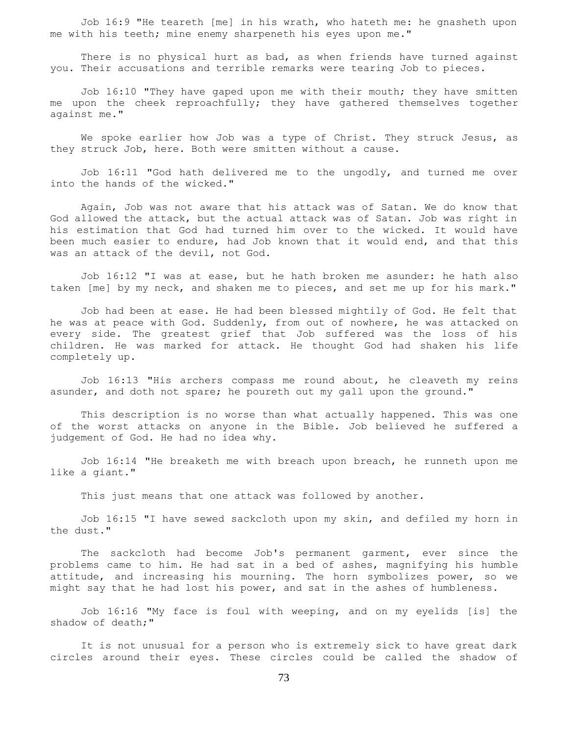Job 16:9 "He teareth [me] in his wrath, who hateth me: he gnasheth upon me with his teeth; mine enemy sharpeneth his eyes upon me."

 There is no physical hurt as bad, as when friends have turned against you. Their accusations and terrible remarks were tearing Job to pieces.

 Job 16:10 "They have gaped upon me with their mouth; they have smitten me upon the cheek reproachfully; they have gathered themselves together against me."

 We spoke earlier how Job was a type of Christ. They struck Jesus, as they struck Job, here. Both were smitten without a cause.

 Job 16:11 "God hath delivered me to the ungodly, and turned me over into the hands of the wicked."

 Again, Job was not aware that his attack was of Satan. We do know that God allowed the attack, but the actual attack was of Satan. Job was right in his estimation that God had turned him over to the wicked. It would have been much easier to endure, had Job known that it would end, and that this was an attack of the devil, not God.

 Job 16:12 "I was at ease, but he hath broken me asunder: he hath also taken [me] by my neck, and shaken me to pieces, and set me up for his mark."

 Job had been at ease. He had been blessed mightily of God. He felt that he was at peace with God. Suddenly, from out of nowhere, he was attacked on every side. The greatest grief that Job suffered was the loss of his children. He was marked for attack. He thought God had shaken his life completely up.

 Job 16:13 "His archers compass me round about, he cleaveth my reins asunder, and doth not spare; he poureth out my gall upon the ground."

 This description is no worse than what actually happened. This was one of the worst attacks on anyone in the Bible. Job believed he suffered a judgement of God. He had no idea why.

 Job 16:14 "He breaketh me with breach upon breach, he runneth upon me like a giant."

This just means that one attack was followed by another.

 Job 16:15 "I have sewed sackcloth upon my skin, and defiled my horn in the dust."

 The sackcloth had become Job's permanent garment, ever since the problems came to him. He had sat in a bed of ashes, magnifying his humble attitude, and increasing his mourning. The horn symbolizes power, so we might say that he had lost his power, and sat in the ashes of humbleness.

 Job 16:16 "My face is foul with weeping, and on my eyelids [is] the shadow of death;"

 It is not unusual for a person who is extremely sick to have great dark circles around their eyes. These circles could be called the shadow of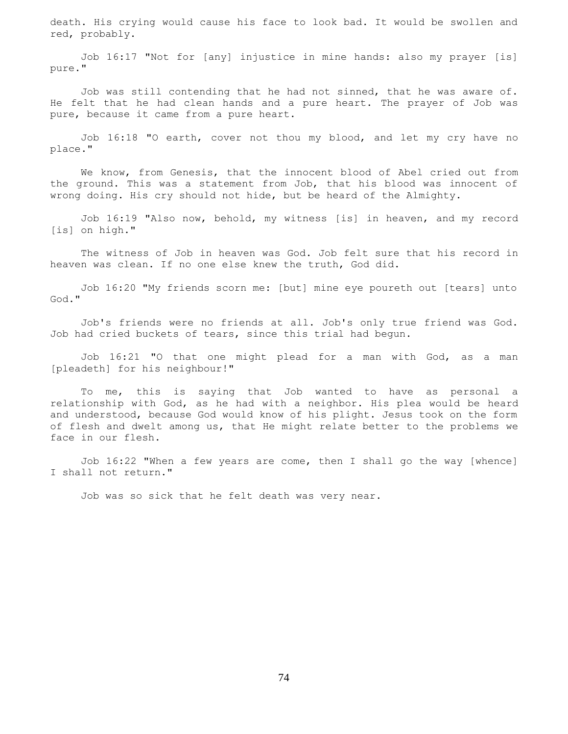death. His crying would cause his face to look bad. It would be swollen and red, probably.

 Job 16:17 "Not for [any] injustice in mine hands: also my prayer [is] pure."

 Job was still contending that he had not sinned, that he was aware of. He felt that he had clean hands and a pure heart. The prayer of Job was pure, because it came from a pure heart.

 Job 16:18 "O earth, cover not thou my blood, and let my cry have no place."

 We know, from Genesis, that the innocent blood of Abel cried out from the ground. This was a statement from Job, that his blood was innocent of wrong doing. His cry should not hide, but be heard of the Almighty.

 Job 16:19 "Also now, behold, my witness [is] in heaven, and my record [is] on high."

 The witness of Job in heaven was God. Job felt sure that his record in heaven was clean. If no one else knew the truth, God did.

 Job 16:20 "My friends scorn me: [but] mine eye poureth out [tears] unto God."

 Job's friends were no friends at all. Job's only true friend was God. Job had cried buckets of tears, since this trial had begun.

 Job 16:21 "O that one might plead for a man with God, as a man [pleadeth] for his neighbour!"

 To me, this is saying that Job wanted to have as personal a relationship with God, as he had with a neighbor. His plea would be heard and understood, because God would know of his plight. Jesus took on the form of flesh and dwelt among us, that He might relate better to the problems we face in our flesh.

 Job 16:22 "When a few years are come, then I shall go the way [whence] I shall not return."

Job was so sick that he felt death was very near.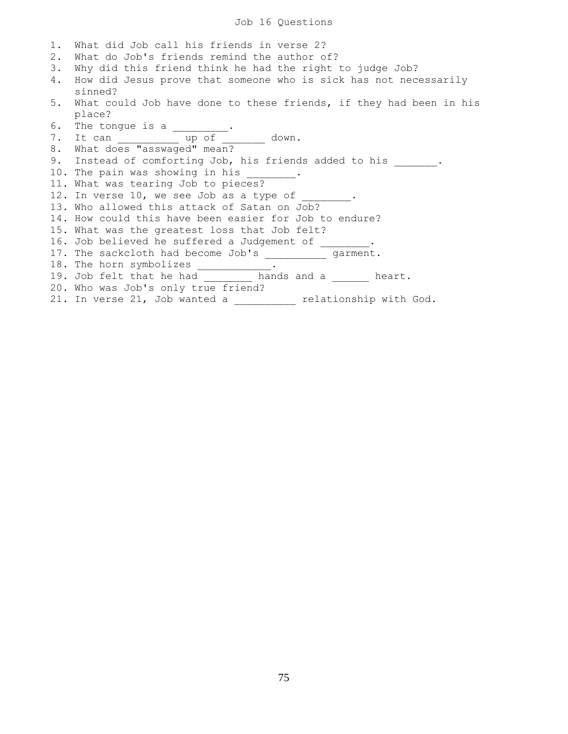Job 16 Questions

1. What did Job call his friends in verse 2? 2. What do Job's friends remind the author of? 3. Why did this friend think he had the right to judge Job? 4. How did Jesus prove that someone who is sick has not necessarily sinned? 5. What could Job have done to these friends, if they had been in his place? 6. The tongue is a  $\frac{1}{2}$ . 7. It can \_\_\_\_\_\_\_\_\_\_\_\_\_ up of \_\_\_\_\_\_\_\_ down. 8. What does "asswaged" mean? 9. Instead of comforting Job, his friends added to his \_\_\_\_\_\_\_. 10. The pain was showing in his \_\_\_\_\_\_\_ 11. What was tearing Job to pieces? 12. In verse 10, we see Job as a type of 13. Who allowed this attack of Satan on Job? 14. How could this have been easier for Job to endure? 15. What was the greatest loss that Job felt? 16. Job believed he suffered a Judgement of \_\_\_\_\_ 17. The sackcloth had become Job's \_\_\_\_\_\_\_\_\_\_ garment. 18. The horn symbolizes . 19. Job felt that he had \_\_\_\_\_\_\_\_ hands and a \_\_\_\_\_\_ heart. 20. Who was Job's only true friend? 21. In verse 21, Job wanted a \_\_\_\_\_\_\_\_\_\_ relationship with God.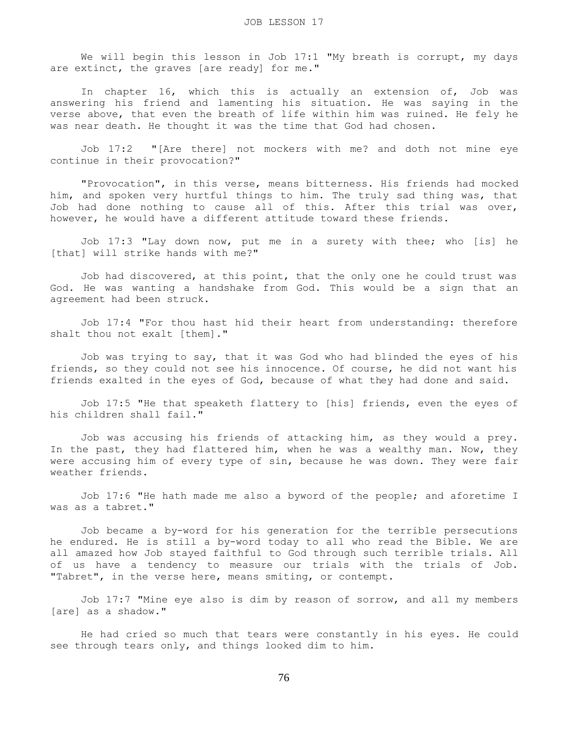We will begin this lesson in Job 17:1 "My breath is corrupt, my days are extinct, the graves [are ready] for me."

 In chapter 16, which this is actually an extension of, Job was answering his friend and lamenting his situation. He was saying in the verse above, that even the breath of life within him was ruined. He fely he was near death. He thought it was the time that God had chosen.

 Job 17:2 "[Are there] not mockers with me? and doth not mine eye continue in their provocation?"

 "Provocation", in this verse, means bitterness. His friends had mocked him, and spoken very hurtful things to him. The truly sad thing was, that Job had done nothing to cause all of this. After this trial was over, however, he would have a different attitude toward these friends.

 Job 17:3 "Lay down now, put me in a surety with thee; who [is] he [that] will strike hands with me?"

 Job had discovered, at this point, that the only one he could trust was God. He was wanting a handshake from God. This would be a sign that an agreement had been struck.

 Job 17:4 "For thou hast hid their heart from understanding: therefore shalt thou not exalt [them]."

 Job was trying to say, that it was God who had blinded the eyes of his friends, so they could not see his innocence. Of course, he did not want his friends exalted in the eyes of God, because of what they had done and said.

 Job 17:5 "He that speaketh flattery to [his] friends, even the eyes of his children shall fail."

 Job was accusing his friends of attacking him, as they would a prey. In the past, they had flattered him, when he was a wealthy man. Now, they were accusing him of every type of sin, because he was down. They were fair weather friends.

 Job 17:6 "He hath made me also a byword of the people; and aforetime I was as a tabret."

 Job became a by-word for his generation for the terrible persecutions he endured. He is still a by-word today to all who read the Bible. We are all amazed how Job stayed faithful to God through such terrible trials. All of us have a tendency to measure our trials with the trials of Job. "Tabret", in the verse here, means smiting, or contempt.

 Job 17:7 "Mine eye also is dim by reason of sorrow, and all my members [are] as a shadow."

 He had cried so much that tears were constantly in his eyes. He could see through tears only, and things looked dim to him.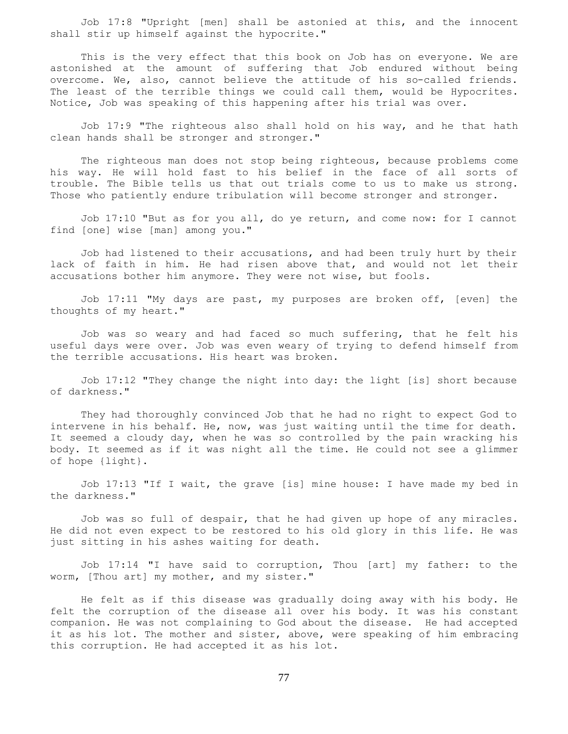Job 17:8 "Upright [men] shall be astonied at this, and the innocent shall stir up himself against the hypocrite."

 This is the very effect that this book on Job has on everyone. We are astonished at the amount of suffering that Job endured without being overcome. We, also, cannot believe the attitude of his so-called friends. The least of the terrible things we could call them, would be Hypocrites. Notice, Job was speaking of this happening after his trial was over.

 Job 17:9 "The righteous also shall hold on his way, and he that hath clean hands shall be stronger and stronger."

 The righteous man does not stop being righteous, because problems come his way. He will hold fast to his belief in the face of all sorts of trouble. The Bible tells us that out trials come to us to make us strong. Those who patiently endure tribulation will become stronger and stronger.

 Job 17:10 "But as for you all, do ye return, and come now: for I cannot find [one] wise [man] among you."

 Job had listened to their accusations, and had been truly hurt by their lack of faith in him. He had risen above that, and would not let their accusations bother him anymore. They were not wise, but fools.

 Job 17:11 "My days are past, my purposes are broken off, [even] the thoughts of my heart."

 Job was so weary and had faced so much suffering, that he felt his useful days were over. Job was even weary of trying to defend himself from the terrible accusations. His heart was broken.

 Job 17:12 "They change the night into day: the light [is] short because of darkness."

 They had thoroughly convinced Job that he had no right to expect God to intervene in his behalf. He, now, was just waiting until the time for death. It seemed a cloudy day, when he was so controlled by the pain wracking his body. It seemed as if it was night all the time. He could not see a glimmer of hope {light}.

 Job 17:13 "If I wait, the grave [is] mine house: I have made my bed in the darkness."

 Job was so full of despair, that he had given up hope of any miracles. He did not even expect to be restored to his old glory in this life. He was just sitting in his ashes waiting for death.

 Job 17:14 "I have said to corruption, Thou [art] my father: to the worm, [Thou art] my mother, and my sister."

 He felt as if this disease was gradually doing away with his body. He felt the corruption of the disease all over his body. It was his constant companion. He was not complaining to God about the disease. He had accepted it as his lot. The mother and sister, above, were speaking of him embracing this corruption. He had accepted it as his lot.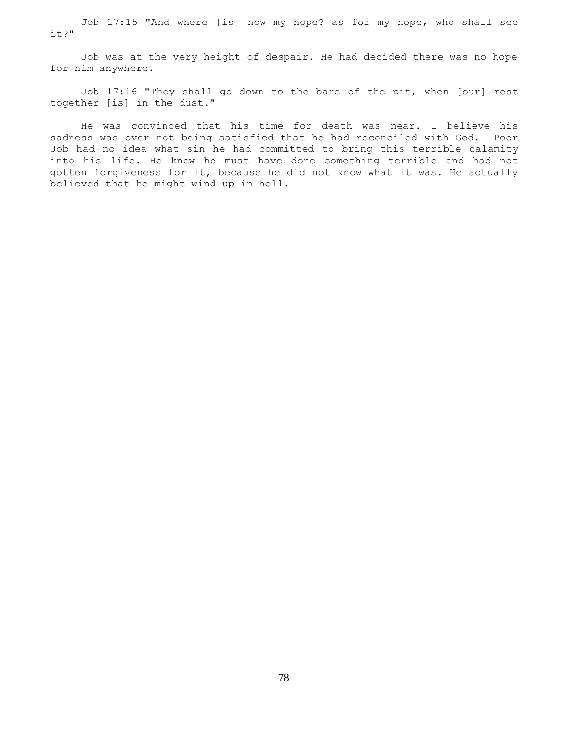Job 17:15 "And where [is] now my hope? as for my hope, who shall see it?"

 Job was at the very height of despair. He had decided there was no hope for him anywhere.

 Job 17:16 "They shall go down to the bars of the pit, when [our] rest together [is] in the dust."

 He was convinced that his time for death was near. I believe his sadness was over not being satisfied that he had reconciled with God. Poor Job had no idea what sin he had committed to bring this terrible calamity into his life. He knew he must have done something terrible and had not gotten forgiveness for it, because he did not know what it was. He actually believed that he might wind up in hell.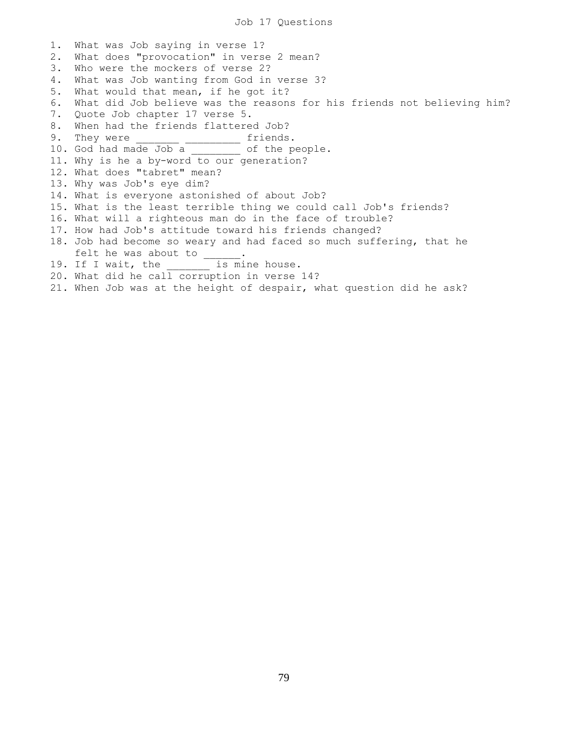1. What was Job saying in verse 1? 2. What does "provocation" in verse 2 mean? 3. Who were the mockers of verse 2? 4. What was Job wanting from God in verse 3? 5. What would that mean, if he got it? 6. What did Job believe was the reasons for his friends not believing him? 7. Quote Job chapter 17 verse 5. 8. When had the friends flattered Job? 9. They were \_\_\_\_\_\_\_\_ \_\_\_\_\_\_\_\_\_ friends. 10. God had made Job a contract of the people. 11. Why is he a by-word to our generation? 12. What does "tabret" mean? 13. Why was Job's eye dim? 14. What is everyone astonished of about Job? 15. What is the least terrible thing we could call Job's friends? 16. What will a righteous man do in the face of trouble? 17. How had Job's attitude toward his friends changed? 18. Job had become so weary and had faced so much suffering, that he felt he was about to  $\frac{1}{\cdot}$ . 19. If I wait, the is mine house. 20. What did he call corruption in verse 14? 21. When Job was at the height of despair, what question did he ask?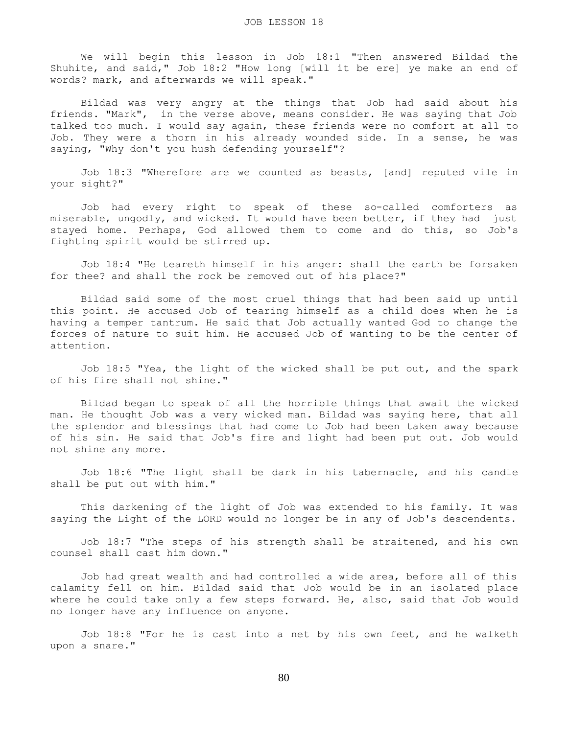We will begin this lesson in Job 18:1 "Then answered Bildad the Shuhite, and said," Job 18:2 "How long [will it be ere] ye make an end of words? mark, and afterwards we will speak."

 Bildad was very angry at the things that Job had said about his friends. "Mark", in the verse above, means consider. He was saying that Job talked too much. I would say again, these friends were no comfort at all to Job. They were a thorn in his already wounded side. In a sense, he was saying, "Why don't you hush defending yourself"?

 Job 18:3 "Wherefore are we counted as beasts, [and] reputed vile in your sight?"

 Job had every right to speak of these so-called comforters as miserable, ungodly, and wicked. It would have been better, if they had just stayed home. Perhaps, God allowed them to come and do this, so Job's fighting spirit would be stirred up.

 Job 18:4 "He teareth himself in his anger: shall the earth be forsaken for thee? and shall the rock be removed out of his place?"

 Bildad said some of the most cruel things that had been said up until this point. He accused Job of tearing himself as a child does when he is having a temper tantrum. He said that Job actually wanted God to change the forces of nature to suit him. He accused Job of wanting to be the center of attention.

 Job 18:5 "Yea, the light of the wicked shall be put out, and the spark of his fire shall not shine."

 Bildad began to speak of all the horrible things that await the wicked man. He thought Job was a very wicked man. Bildad was saying here, that all the splendor and blessings that had come to Job had been taken away because of his sin. He said that Job's fire and light had been put out. Job would not shine any more.

 Job 18:6 "The light shall be dark in his tabernacle, and his candle shall be put out with him."

 This darkening of the light of Job was extended to his family. It was saying the Light of the LORD would no longer be in any of Job's descendents.

 Job 18:7 "The steps of his strength shall be straitened, and his own counsel shall cast him down."

 Job had great wealth and had controlled a wide area, before all of this calamity fell on him. Bildad said that Job would be in an isolated place where he could take only a few steps forward. He, also, said that Job would no longer have any influence on anyone.

 Job 18:8 "For he is cast into a net by his own feet, and he walketh upon a snare."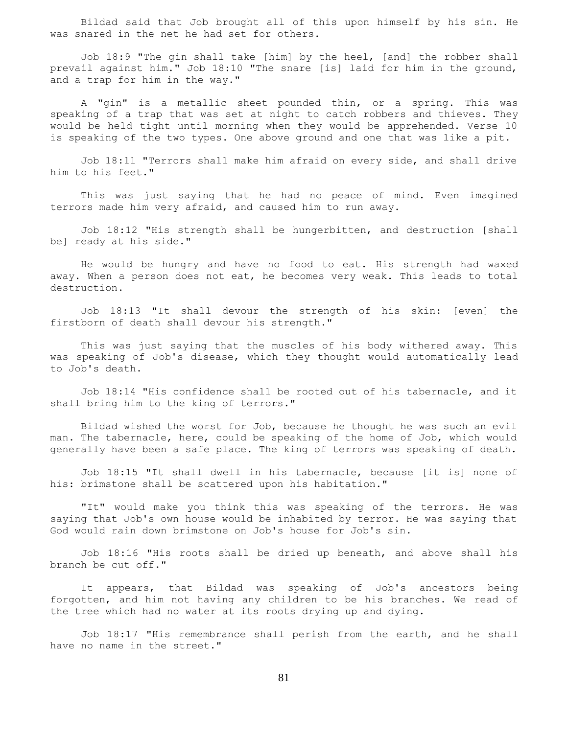Bildad said that Job brought all of this upon himself by his sin. He was snared in the net he had set for others.

 Job 18:9 "The gin shall take [him] by the heel, [and] the robber shall prevail against him." Job 18:10 "The snare [is] laid for him in the ground, and a trap for him in the way."

 A "gin" is a metallic sheet pounded thin, or a spring. This was speaking of a trap that was set at night to catch robbers and thieves. They would be held tight until morning when they would be apprehended. Verse 10 is speaking of the two types. One above ground and one that was like a pit.

 Job 18:11 "Terrors shall make him afraid on every side, and shall drive him to his feet."

 This was just saying that he had no peace of mind. Even imagined terrors made him very afraid, and caused him to run away.

 Job 18:12 "His strength shall be hungerbitten, and destruction [shall be] ready at his side."

 He would be hungry and have no food to eat. His strength had waxed away. When a person does not eat, he becomes very weak. This leads to total destruction.

 Job 18:13 "It shall devour the strength of his skin: [even] the firstborn of death shall devour his strength."

 This was just saying that the muscles of his body withered away. This was speaking of Job's disease, which they thought would automatically lead to Job's death.

 Job 18:14 "His confidence shall be rooted out of his tabernacle, and it shall bring him to the king of terrors."

 Bildad wished the worst for Job, because he thought he was such an evil man. The tabernacle, here, could be speaking of the home of Job, which would generally have been a safe place. The king of terrors was speaking of death.

 Job 18:15 "It shall dwell in his tabernacle, because [it is] none of his: brimstone shall be scattered upon his habitation."

 "It" would make you think this was speaking of the terrors. He was saying that Job's own house would be inhabited by terror. He was saying that God would rain down brimstone on Job's house for Job's sin.

 Job 18:16 "His roots shall be dried up beneath, and above shall his branch be cut off."

 It appears, that Bildad was speaking of Job's ancestors being forgotten, and him not having any children to be his branches. We read of the tree which had no water at its roots drying up and dying.

 Job 18:17 "His remembrance shall perish from the earth, and he shall have no name in the street."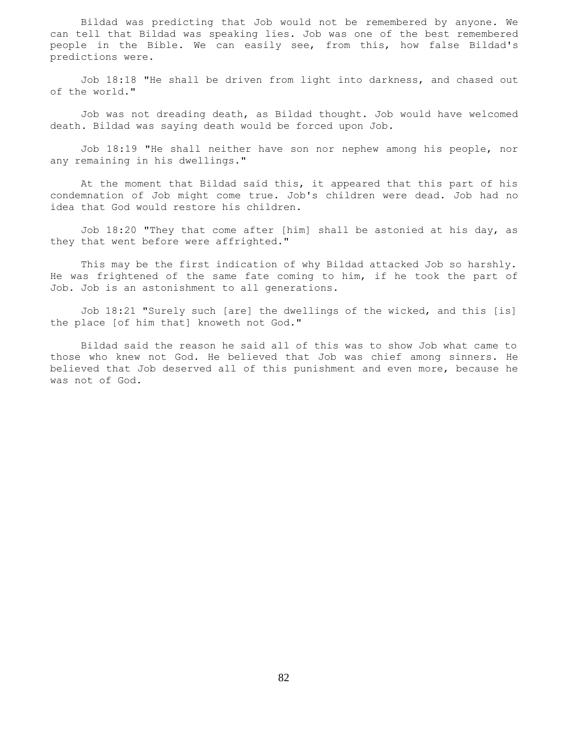Bildad was predicting that Job would not be remembered by anyone. We can tell that Bildad was speaking lies. Job was one of the best remembered people in the Bible. We can easily see, from this, how false Bildad's predictions were.

 Job 18:18 "He shall be driven from light into darkness, and chased out of the world."

 Job was not dreading death, as Bildad thought. Job would have welcomed death. Bildad was saying death would be forced upon Job.

 Job 18:19 "He shall neither have son nor nephew among his people, nor any remaining in his dwellings."

 At the moment that Bildad said this, it appeared that this part of his condemnation of Job might come true. Job's children were dead. Job had no idea that God would restore his children.

 Job 18:20 "They that come after [him] shall be astonied at his day, as they that went before were affrighted."

 This may be the first indication of why Bildad attacked Job so harshly. He was frightened of the same fate coming to him, if he took the part of Job. Job is an astonishment to all generations.

 Job 18:21 "Surely such [are] the dwellings of the wicked, and this [is] the place [of him that] knoweth not God."

 Bildad said the reason he said all of this was to show Job what came to those who knew not God. He believed that Job was chief among sinners. He believed that Job deserved all of this punishment and even more, because he was not of God.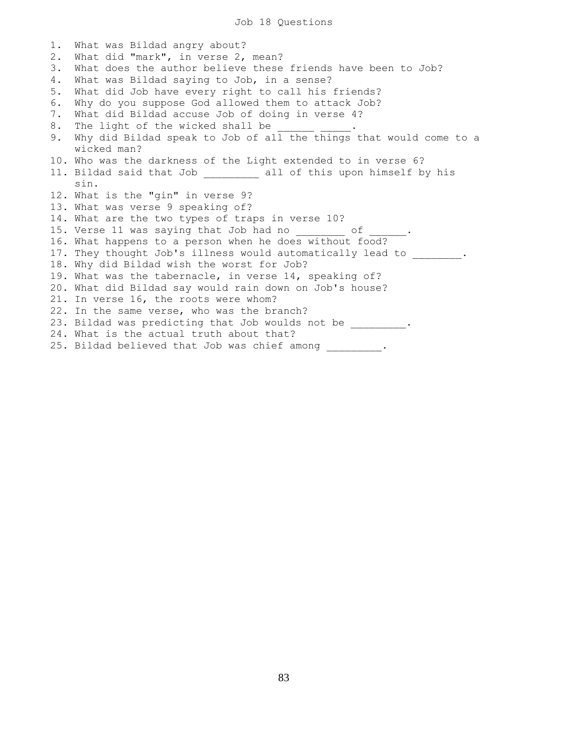1. What was Bildad angry about? 2. What did "mark", in verse 2, mean? 3. What does the author believe these friends have been to Job? 4. What was Bildad saying to Job, in a sense? 5. What did Job have every right to call his friends? 6. Why do you suppose God allowed them to attack Job? 7. What did Bildad accuse Job of doing in verse 4? 8. The light of the wicked shall be 9. Why did Bildad speak to Job of all the things that would come to a wicked man? 10. Who was the darkness of the Light extended to in verse 6? 11. Bildad said that Job \_\_\_\_\_\_\_\_\_ all of this upon himself by his sin. 12. What is the "gin" in verse 9? 13. What was verse 9 speaking of? 14. What are the two types of traps in verse 10? 15. Verse 11 was saying that Job had no contact the U.S. 16. What happens to a person when he does without food? 17. They thought Job's illness would automatically lead to  $\qquad \qquad$ 18. Why did Bildad wish the worst for Job? 19. What was the tabernacle, in verse 14, speaking of? 20. What did Bildad say would rain down on Job's house? 21. In verse 16, the roots were whom? 22. In the same verse, who was the branch? 23. Bildad was predicting that Job woulds not be  $\qquad \qquad$ 24. What is the actual truth about that? 25. Bildad believed that Job was chief among \_\_\_\_\_\_\_\_.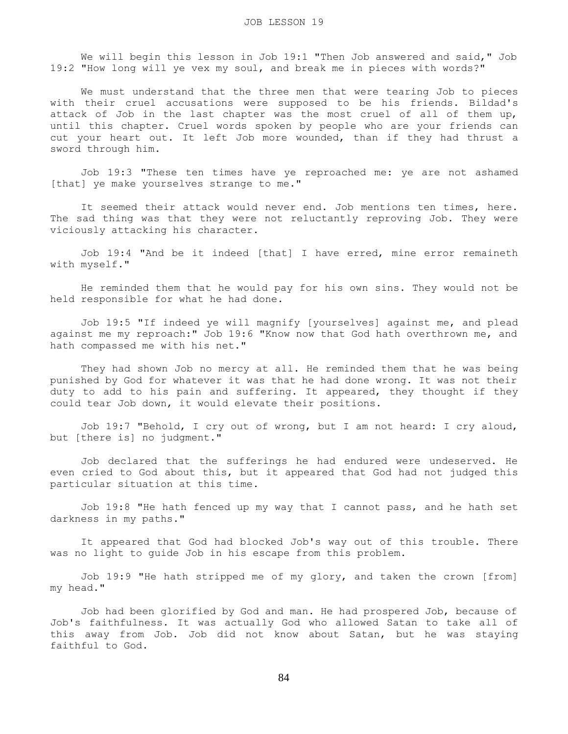We will begin this lesson in Job 19:1 "Then Job answered and said," Job 19:2 "How long will ye vex my soul, and break me in pieces with words?"

 We must understand that the three men that were tearing Job to pieces with their cruel accusations were supposed to be his friends. Bildad's attack of Job in the last chapter was the most cruel of all of them up, until this chapter. Cruel words spoken by people who are your friends can cut your heart out. It left Job more wounded, than if they had thrust a sword through him.

 Job 19:3 "These ten times have ye reproached me: ye are not ashamed [that] ye make yourselves strange to me."

 It seemed their attack would never end. Job mentions ten times, here. The sad thing was that they were not reluctantly reproving Job. They were viciously attacking his character.

 Job 19:4 "And be it indeed [that] I have erred, mine error remaineth with myself."

 He reminded them that he would pay for his own sins. They would not be held responsible for what he had done.

 Job 19:5 "If indeed ye will magnify [yourselves] against me, and plead against me my reproach:" Job 19:6 "Know now that God hath overthrown me, and hath compassed me with his net."

 They had shown Job no mercy at all. He reminded them that he was being punished by God for whatever it was that he had done wrong. It was not their duty to add to his pain and suffering. It appeared, they thought if they could tear Job down, it would elevate their positions.

 Job 19:7 "Behold, I cry out of wrong, but I am not heard: I cry aloud, but [there is] no judgment."

 Job declared that the sufferings he had endured were undeserved. He even cried to God about this, but it appeared that God had not judged this particular situation at this time.

 Job 19:8 "He hath fenced up my way that I cannot pass, and he hath set darkness in my paths."

 It appeared that God had blocked Job's way out of this trouble. There was no light to guide Job in his escape from this problem.

 Job 19:9 "He hath stripped me of my glory, and taken the crown [from] my head."

 Job had been glorified by God and man. He had prospered Job, because of Job's faithfulness. It was actually God who allowed Satan to take all of this away from Job. Job did not know about Satan, but he was staying faithful to God.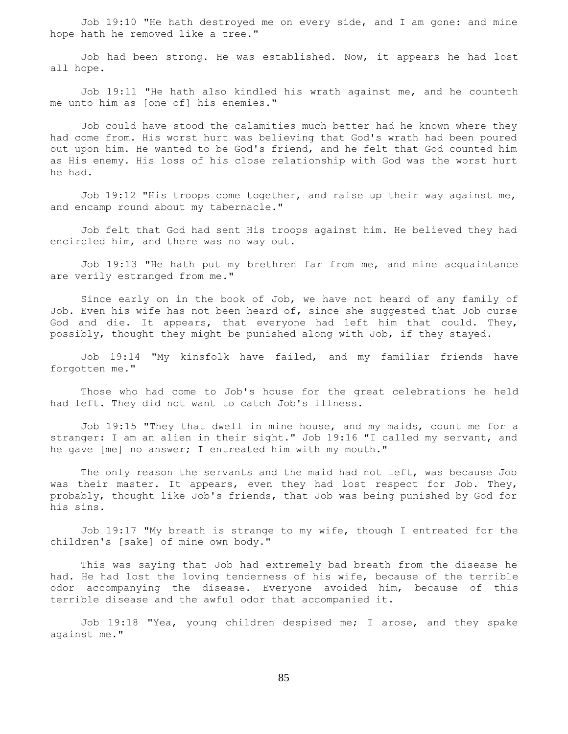Job 19:10 "He hath destroyed me on every side, and I am gone: and mine hope hath he removed like a tree."

 Job had been strong. He was established. Now, it appears he had lost all hope.

 Job 19:11 "He hath also kindled his wrath against me, and he counteth me unto him as [one of] his enemies."

 Job could have stood the calamities much better had he known where they had come from. His worst hurt was believing that God's wrath had been poured out upon him. He wanted to be God's friend, and he felt that God counted him as His enemy. His loss of his close relationship with God was the worst hurt he had.

 Job 19:12 "His troops come together, and raise up their way against me, and encamp round about my tabernacle."

 Job felt that God had sent His troops against him. He believed they had encircled him, and there was no way out.

 Job 19:13 "He hath put my brethren far from me, and mine acquaintance are verily estranged from me."

 Since early on in the book of Job, we have not heard of any family of Job. Even his wife has not been heard of, since she suggested that Job curse God and die. It appears, that everyone had left him that could. They, possibly, thought they might be punished along with Job, if they stayed.

 Job 19:14 "My kinsfolk have failed, and my familiar friends have forgotten me."

 Those who had come to Job's house for the great celebrations he held had left. They did not want to catch Job's illness.

 Job 19:15 "They that dwell in mine house, and my maids, count me for a stranger: I am an alien in their sight." Job 19:16 "I called my servant, and he gave [me] no answer; I entreated him with my mouth."

 The only reason the servants and the maid had not left, was because Job was their master. It appears, even they had lost respect for Job. They, probably, thought like Job's friends, that Job was being punished by God for his sins.

 Job 19:17 "My breath is strange to my wife, though I entreated for the children's [sake] of mine own body."

 This was saying that Job had extremely bad breath from the disease he had. He had lost the loving tenderness of his wife, because of the terrible odor accompanying the disease. Everyone avoided him, because of this terrible disease and the awful odor that accompanied it.

 Job 19:18 "Yea, young children despised me; I arose, and they spake against me."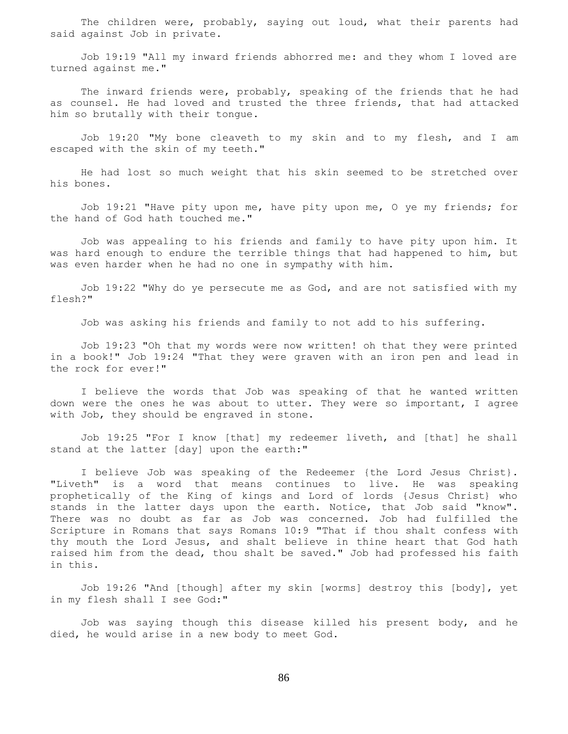The children were, probably, saying out loud, what their parents had said against Job in private.

 Job 19:19 "All my inward friends abhorred me: and they whom I loved are turned against me."

The inward friends were, probably, speaking of the friends that he had as counsel. He had loved and trusted the three friends, that had attacked him so brutally with their tongue.

 Job 19:20 "My bone cleaveth to my skin and to my flesh, and I am escaped with the skin of my teeth."

 He had lost so much weight that his skin seemed to be stretched over his bones.

 Job 19:21 "Have pity upon me, have pity upon me, O ye my friends; for the hand of God hath touched me."

 Job was appealing to his friends and family to have pity upon him. It was hard enough to endure the terrible things that had happened to him, but was even harder when he had no one in sympathy with him.

 Job 19:22 "Why do ye persecute me as God, and are not satisfied with my flesh?"

Job was asking his friends and family to not add to his suffering.

 Job 19:23 "Oh that my words were now written! oh that they were printed in a book!" Job 19:24 "That they were graven with an iron pen and lead in the rock for ever!"

 I believe the words that Job was speaking of that he wanted written down were the ones he was about to utter. They were so important, I agree with Job, they should be engraved in stone.

 Job 19:25 "For I know [that] my redeemer liveth, and [that] he shall stand at the latter [day] upon the earth:"

 I believe Job was speaking of the Redeemer {the Lord Jesus Christ}. "Liveth" is a word that means continues to live. He was speaking prophetically of the King of kings and Lord of lords {Jesus Christ} who stands in the latter days upon the earth. Notice, that Job said "know". There was no doubt as far as Job was concerned. Job had fulfilled the Scripture in Romans that says Romans 10:9 "That if thou shalt confess with thy mouth the Lord Jesus, and shalt believe in thine heart that God hath raised him from the dead, thou shalt be saved." Job had professed his faith in this.

 Job 19:26 "And [though] after my skin [worms] destroy this [body], yet in my flesh shall I see God:"

 Job was saying though this disease killed his present body, and he died, he would arise in a new body to meet God.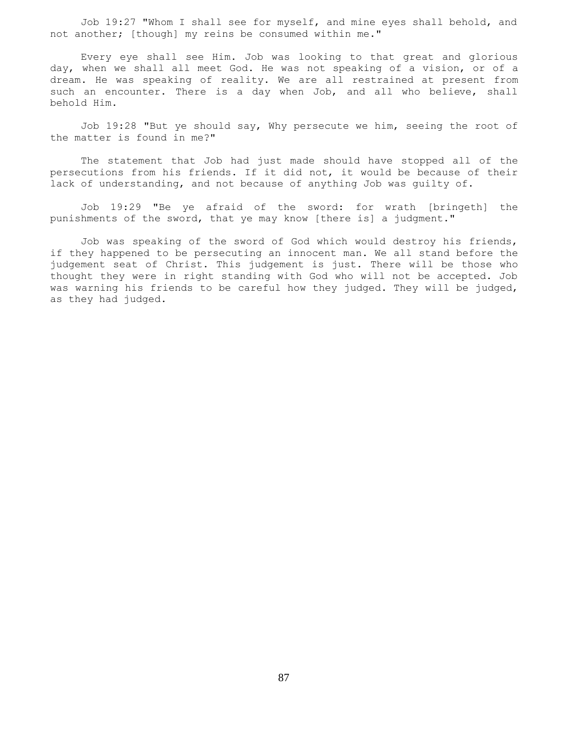Job 19:27 "Whom I shall see for myself, and mine eyes shall behold, and not another; [though] my reins be consumed within me."

 Every eye shall see Him. Job was looking to that great and glorious day, when we shall all meet God. He was not speaking of a vision, or of a dream. He was speaking of reality. We are all restrained at present from such an encounter. There is a day when Job, and all who believe, shall behold Him.

 Job 19:28 "But ye should say, Why persecute we him, seeing the root of the matter is found in me?"

 The statement that Job had just made should have stopped all of the persecutions from his friends. If it did not, it would be because of their lack of understanding, and not because of anything Job was guilty of.

 Job 19:29 "Be ye afraid of the sword: for wrath [bringeth] the punishments of the sword, that ye may know [there is] a judgment."

 Job was speaking of the sword of God which would destroy his friends, if they happened to be persecuting an innocent man. We all stand before the judgement seat of Christ. This judgement is just. There will be those who thought they were in right standing with God who will not be accepted. Job was warning his friends to be careful how they judged. They will be judged, as they had judged.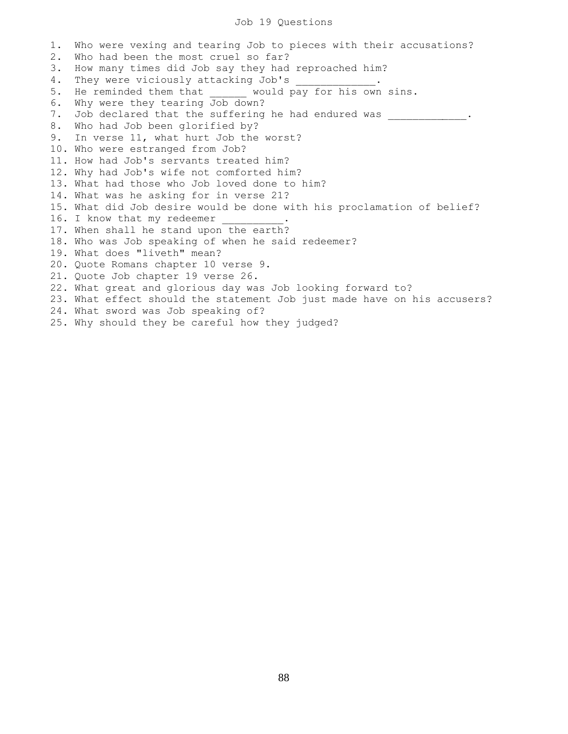## Job 19 Questions

1. Who were vexing and tearing Job to pieces with their accusations? 2. Who had been the most cruel so far? 3. How many times did Job say they had reproached him? 4. They were viciously attacking Job's 5. He reminded them that \_\_\_\_\_\_ would pay for his own sins. 6. Why were they tearing Job down? 7. Job declared that the suffering he had endured was  $\qquad \qquad$ 8. Who had Job been glorified by? 9. In verse 11, what hurt Job the worst? 10. Who were estranged from Job? 11. How had Job's servants treated him? 12. Why had Job's wife not comforted him? 13. What had those who Job loved done to him? 14. What was he asking for in verse 21? 15. What did Job desire would be done with his proclamation of belief? 16. I know that my redeemer 17. When shall he stand upon the earth? 18. Who was Job speaking of when he said redeemer? 19. What does "liveth" mean? 20. Quote Romans chapter 10 verse 9. 21. Quote Job chapter 19 verse 26. 22. What great and glorious day was Job looking forward to? 23. What effect should the statement Job just made have on his accusers? 24. What sword was Job speaking of? 25. Why should they be careful how they judged?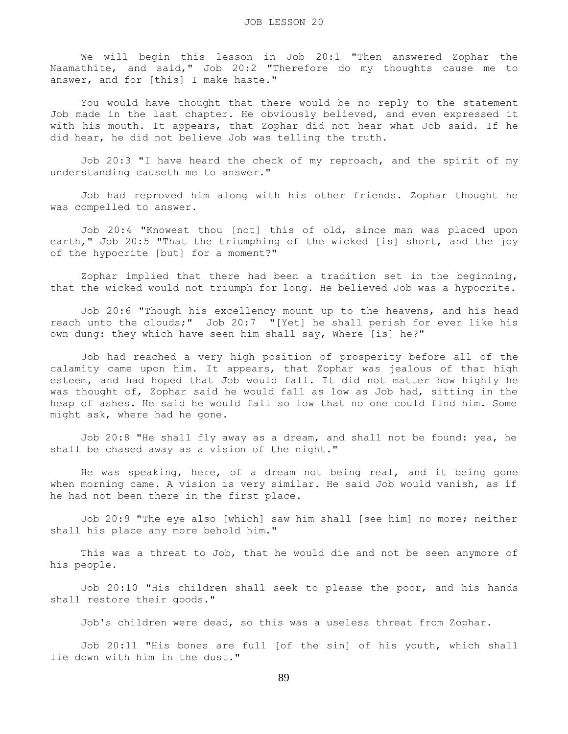We will begin this lesson in Job 20:1 "Then answered Zophar the Naamathite, and said," Job 20:2 "Therefore do my thoughts cause me to answer, and for [this] I make haste."

 You would have thought that there would be no reply to the statement Job made in the last chapter. He obviously believed, and even expressed it with his mouth. It appears, that Zophar did not hear what Job said. If he did hear, he did not believe Job was telling the truth.

 Job 20:3 "I have heard the check of my reproach, and the spirit of my understanding causeth me to answer."

 Job had reproved him along with his other friends. Zophar thought he was compelled to answer.

 Job 20:4 "Knowest thou [not] this of old, since man was placed upon earth," Job 20:5 "That the triumphing of the wicked [is] short, and the joy of the hypocrite [but] for a moment?"

 Zophar implied that there had been a tradition set in the beginning, that the wicked would not triumph for long. He believed Job was a hypocrite.

 Job 20:6 "Though his excellency mount up to the heavens, and his head reach unto the clouds;" Job 20:7 "[Yet] he shall perish for ever like his own dung: they which have seen him shall say, Where [is] he?"

 Job had reached a very high position of prosperity before all of the calamity came upon him. It appears, that Zophar was jealous of that high esteem, and had hoped that Job would fall. It did not matter how highly he was thought of, Zophar said he would fall as low as Job had, sitting in the heap of ashes. He said he would fall so low that no one could find him. Some might ask, where had he gone.

 Job 20:8 "He shall fly away as a dream, and shall not be found: yea, he shall be chased away as a vision of the night."

 He was speaking, here, of a dream not being real, and it being gone when morning came. A vision is very similar. He said Job would vanish, as if he had not been there in the first place.

 Job 20:9 "The eye also [which] saw him shall [see him] no more; neither shall his place any more behold him."

 This was a threat to Job, that he would die and not be seen anymore of his people.

 Job 20:10 "His children shall seek to please the poor, and his hands shall restore their goods."

Job's children were dead, so this was a useless threat from Zophar.

 Job 20:11 "His bones are full [of the sin] of his youth, which shall lie down with him in the dust."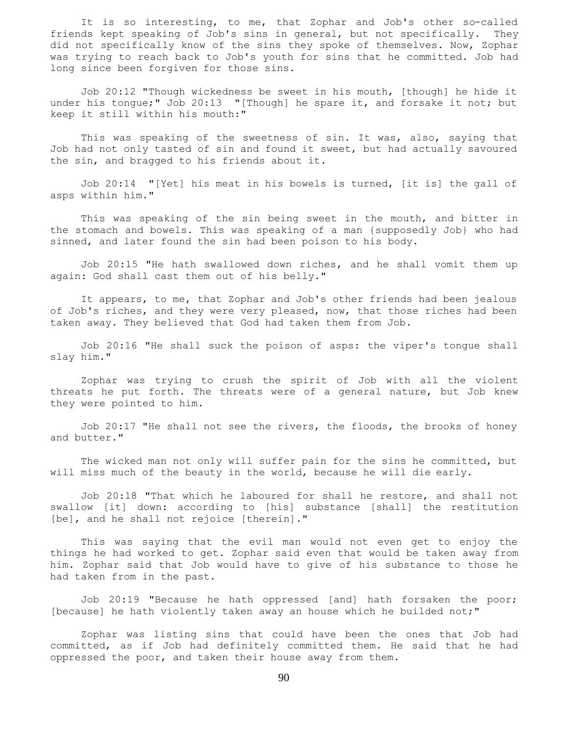It is so interesting, to me, that Zophar and Job's other so-called friends kept speaking of Job's sins in general, but not specifically. They did not specifically know of the sins they spoke of themselves. Now, Zophar was trying to reach back to Job's youth for sins that he committed. Job had long since been forgiven for those sins.

 Job 20:12 "Though wickedness be sweet in his mouth, [though] he hide it under his tongue;" Job 20:13 "[Though] he spare it, and forsake it not; but keep it still within his mouth:"

This was speaking of the sweetness of sin. It was, also, saying that Job had not only tasted of sin and found it sweet, but had actually savoured the sin, and bragged to his friends about it.

 Job 20:14 "[Yet] his meat in his bowels is turned, [it is] the gall of asps within him."

 This was speaking of the sin being sweet in the mouth, and bitter in the stomach and bowels. This was speaking of a man {supposedly Job} who had sinned, and later found the sin had been poison to his body.

 Job 20:15 "He hath swallowed down riches, and he shall vomit them up again: God shall cast them out of his belly."

 It appears, to me, that Zophar and Job's other friends had been jealous of Job's riches, and they were very pleased, now, that those riches had been taken away. They believed that God had taken them from Job.

 Job 20:16 "He shall suck the poison of asps: the viper's tongue shall slay him."

 Zophar was trying to crush the spirit of Job with all the violent threats he put forth. The threats were of a general nature, but Job knew they were pointed to him.

 Job 20:17 "He shall not see the rivers, the floods, the brooks of honey and butter."

 The wicked man not only will suffer pain for the sins he committed, but will miss much of the beauty in the world, because he will die early.

 Job 20:18 "That which he laboured for shall he restore, and shall not swallow [it] down: according to [his] substance [shall] the restitution [be], and he shall not rejoice [therein]."

 This was saying that the evil man would not even get to enjoy the things he had worked to get. Zophar said even that would be taken away from him. Zophar said that Job would have to give of his substance to those he had taken from in the past.

 Job 20:19 "Because he hath oppressed [and] hath forsaken the poor; [because] he hath violently taken away an house which he builded not;"

 Zophar was listing sins that could have been the ones that Job had committed, as if Job had definitely committed them. He said that he had oppressed the poor, and taken their house away from them.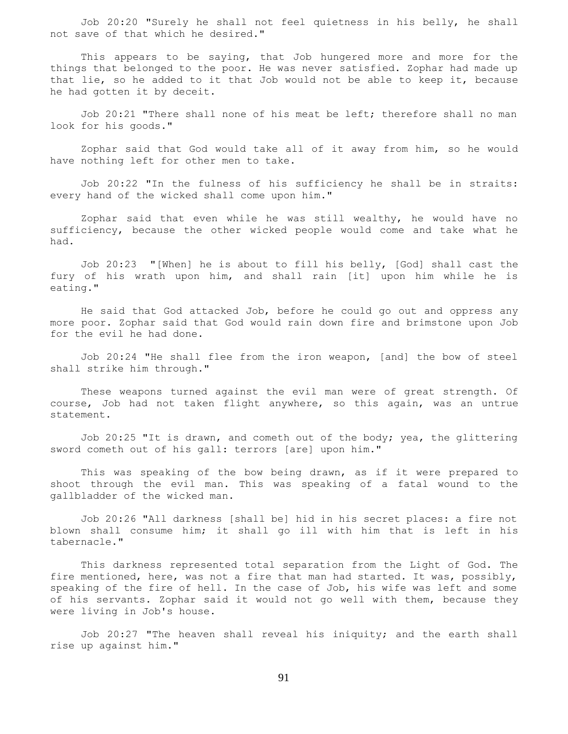Job 20:20 "Surely he shall not feel quietness in his belly, he shall not save of that which he desired."

 This appears to be saying, that Job hungered more and more for the things that belonged to the poor. He was never satisfied. Zophar had made up that lie, so he added to it that Job would not be able to keep it, because he had gotten it by deceit.

 Job 20:21 "There shall none of his meat be left; therefore shall no man look for his goods."

 Zophar said that God would take all of it away from him, so he would have nothing left for other men to take.

 Job 20:22 "In the fulness of his sufficiency he shall be in straits: every hand of the wicked shall come upon him."

 Zophar said that even while he was still wealthy, he would have no sufficiency, because the other wicked people would come and take what he had.

 Job 20:23 "[When] he is about to fill his belly, [God] shall cast the fury of his wrath upon him, and shall rain [it] upon him while he is eating."

 He said that God attacked Job, before he could go out and oppress any more poor. Zophar said that God would rain down fire and brimstone upon Job for the evil he had done.

 Job 20:24 "He shall flee from the iron weapon, [and] the bow of steel shall strike him through."

 These weapons turned against the evil man were of great strength. Of course, Job had not taken flight anywhere, so this again, was an untrue statement.

 Job 20:25 "It is drawn, and cometh out of the body; yea, the glittering sword cometh out of his gall: terrors [are] upon him."

 This was speaking of the bow being drawn, as if it were prepared to shoot through the evil man. This was speaking of a fatal wound to the gallbladder of the wicked man.

 Job 20:26 "All darkness [shall be] hid in his secret places: a fire not blown shall consume him; it shall go ill with him that is left in his tabernacle."

 This darkness represented total separation from the Light of God. The fire mentioned, here, was not a fire that man had started. It was, possibly, speaking of the fire of hell. In the case of Job, his wife was left and some of his servants. Zophar said it would not go well with them, because they were living in Job's house.

 Job 20:27 "The heaven shall reveal his iniquity; and the earth shall rise up against him."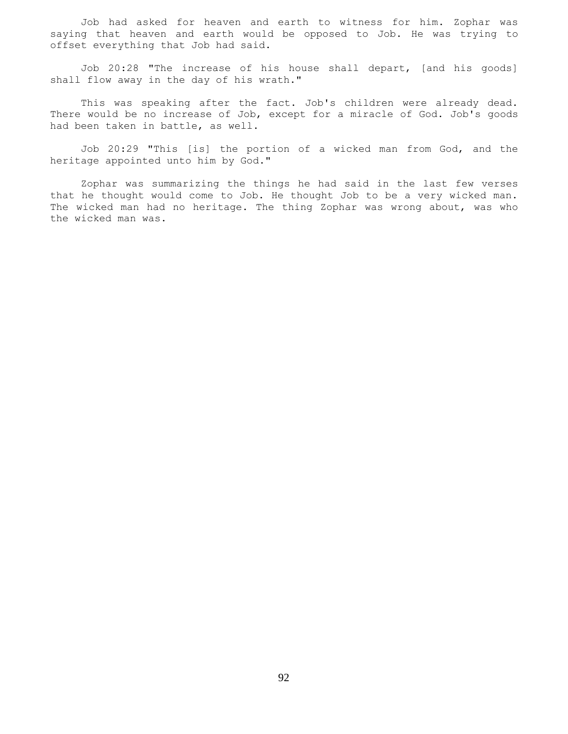Job had asked for heaven and earth to witness for him. Zophar was saying that heaven and earth would be opposed to Job. He was trying to offset everything that Job had said.

 Job 20:28 "The increase of his house shall depart, [and his goods] shall flow away in the day of his wrath."

 This was speaking after the fact. Job's children were already dead. There would be no increase of Job, except for a miracle of God. Job's goods had been taken in battle, as well.

 Job 20:29 "This [is] the portion of a wicked man from God, and the heritage appointed unto him by God."

 Zophar was summarizing the things he had said in the last few verses that he thought would come to Job. He thought Job to be a very wicked man. The wicked man had no heritage. The thing Zophar was wrong about, was who the wicked man was.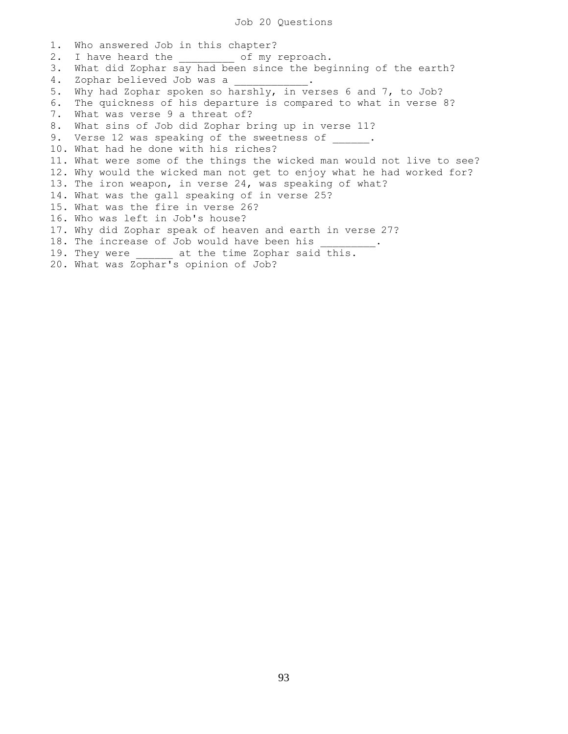1. Who answered Job in this chapter? 2. I have heard the  $\qquad \qquad$  of my reproach. 3. What did Zophar say had been since the beginning of the earth? 4. Zophar believed Job was a \_\_\_\_\_\_\_\_\_\_\_\_. 5. Why had Zophar spoken so harshly, in verses 6 and 7, to Job? 6. The quickness of his departure is compared to what in verse 8? 7. What was verse 9 a threat of? 8. What sins of Job did Zophar bring up in verse 11? 9. Verse 12 was speaking of the sweetness of . 10. What had he done with his riches? 11. What were some of the things the wicked man would not live to see? 12. Why would the wicked man not get to enjoy what he had worked for? 13. The iron weapon, in verse 24, was speaking of what? 14. What was the gall speaking of in verse 25? 15. What was the fire in verse 26? 16. Who was left in Job's house? 17. Why did Zophar speak of heaven and earth in verse 27? 18. The increase of Job would have been his 19. They were **at the time Zophar said this.** 20. What was Zophar's opinion of Job?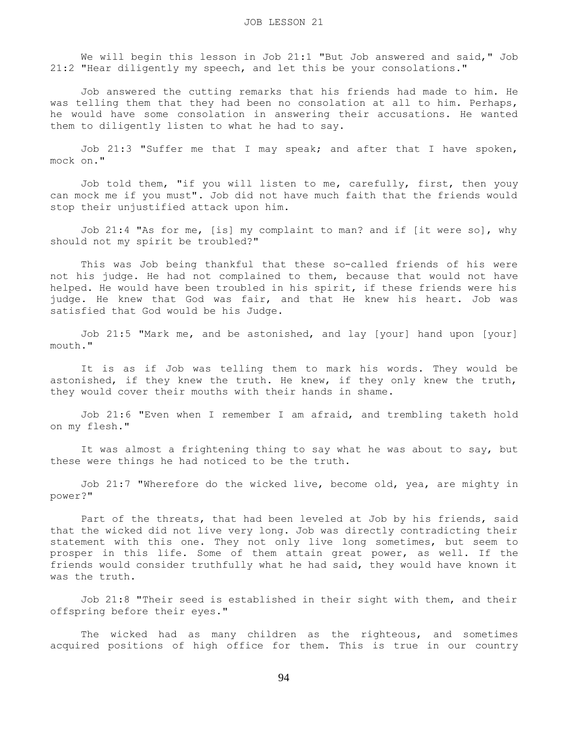We will begin this lesson in Job 21:1 "But Job answered and said," Job 21:2 "Hear diligently my speech, and let this be your consolations."

 Job answered the cutting remarks that his friends had made to him. He was telling them that they had been no consolation at all to him. Perhaps, he would have some consolation in answering their accusations. He wanted them to diligently listen to what he had to say.

 Job 21:3 "Suffer me that I may speak; and after that I have spoken, mock on."

 Job told them, "if you will listen to me, carefully, first, then youy can mock me if you must". Job did not have much faith that the friends would stop their unjustified attack upon him.

 Job 21:4 "As for me, [is] my complaint to man? and if [it were so], why should not my spirit be troubled?"

 This was Job being thankful that these so-called friends of his were not his judge. He had not complained to them, because that would not have helped. He would have been troubled in his spirit, if these friends were his judge. He knew that God was fair, and that He knew his heart. Job was satisfied that God would be his Judge.

 Job 21:5 "Mark me, and be astonished, and lay [your] hand upon [your] mouth."

 It is as if Job was telling them to mark his words. They would be astonished, if they knew the truth. He knew, if they only knew the truth, they would cover their mouths with their hands in shame.

 Job 21:6 "Even when I remember I am afraid, and trembling taketh hold on my flesh."

 It was almost a frightening thing to say what he was about to say, but these were things he had noticed to be the truth.

 Job 21:7 "Wherefore do the wicked live, become old, yea, are mighty in power?"

 Part of the threats, that had been leveled at Job by his friends, said that the wicked did not live very long. Job was directly contradicting their statement with this one. They not only live long sometimes, but seem to prosper in this life. Some of them attain great power, as well. If the friends would consider truthfully what he had said, they would have known it was the truth.

 Job 21:8 "Their seed is established in their sight with them, and their offspring before their eyes."

 The wicked had as many children as the righteous, and sometimes acquired positions of high office for them. This is true in our country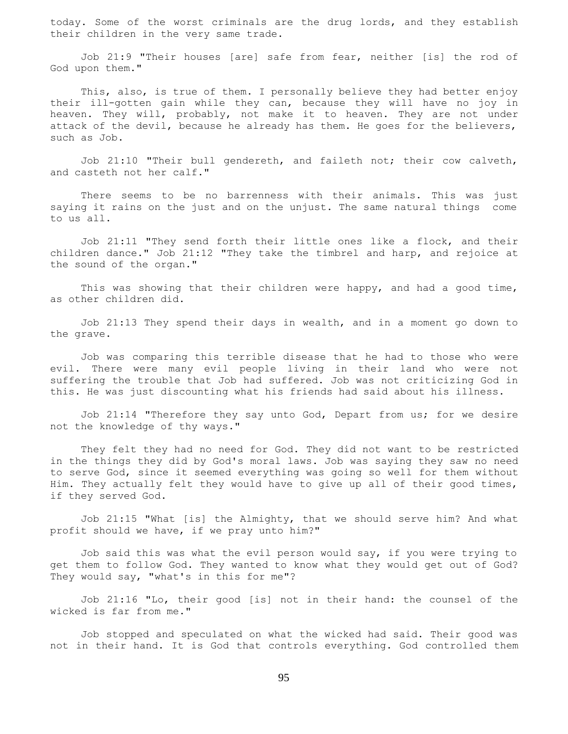today. Some of the worst criminals are the drug lords, and they establish their children in the very same trade.

 Job 21:9 "Their houses [are] safe from fear, neither [is] the rod of God upon them."

This, also, is true of them. I personally believe they had better enjoy their ill-gotten gain while they can, because they will have no joy in heaven. They will, probably, not make it to heaven. They are not under attack of the devil, because he already has them. He goes for the believers, such as Job.

 Job 21:10 "Their bull gendereth, and faileth not; their cow calveth, and casteth not her calf."

 There seems to be no barrenness with their animals. This was just saying it rains on the just and on the unjust. The same natural things come to us all.

 Job 21:11 "They send forth their little ones like a flock, and their children dance." Job 21:12 "They take the timbrel and harp, and rejoice at the sound of the organ."

This was showing that their children were happy, and had a good time, as other children did.

 Job 21:13 They spend their days in wealth, and in a moment go down to the grave.

 Job was comparing this terrible disease that he had to those who were evil. There were many evil people living in their land who were not suffering the trouble that Job had suffered. Job was not criticizing God in this. He was just discounting what his friends had said about his illness.

 Job 21:14 "Therefore they say unto God, Depart from us; for we desire not the knowledge of thy ways."

 They felt they had no need for God. They did not want to be restricted in the things they did by God's moral laws. Job was saying they saw no need to serve God, since it seemed everything was going so well for them without Him. They actually felt they would have to give up all of their good times, if they served God.

 Job 21:15 "What [is] the Almighty, that we should serve him? And what profit should we have, if we pray unto him?"

 Job said this was what the evil person would say, if you were trying to get them to follow God. They wanted to know what they would get out of God? They would say, "what's in this for me"?

 Job 21:16 "Lo, their good [is] not in their hand: the counsel of the wicked is far from me."

 Job stopped and speculated on what the wicked had said. Their good was not in their hand. It is God that controls everything. God controlled them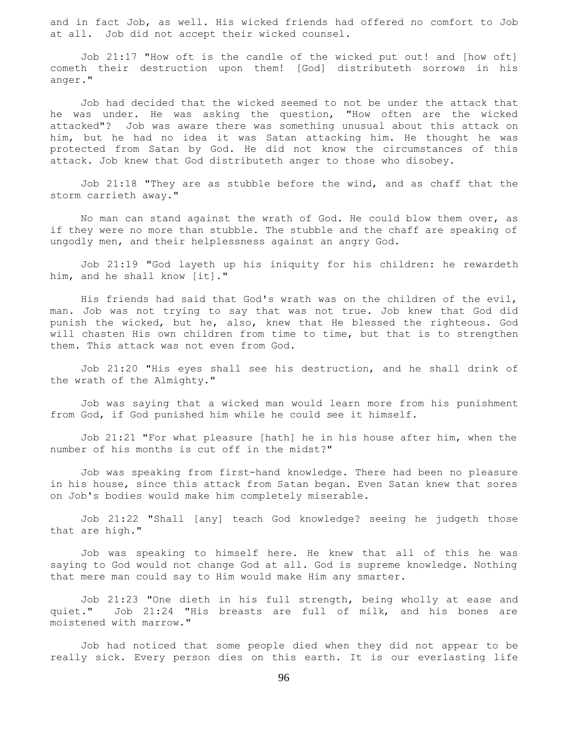and in fact Job, as well. His wicked friends had offered no comfort to Job at all. Job did not accept their wicked counsel.

 Job 21:17 "How oft is the candle of the wicked put out! and [how oft] cometh their destruction upon them! [God] distributeth sorrows in his anger."

 Job had decided that the wicked seemed to not be under the attack that he was under. He was asking the question, "How often are the wicked attacked"? Job was aware there was something unusual about this attack on him, but he had no idea it was Satan attacking him. He thought he was protected from Satan by God. He did not know the circumstances of this attack. Job knew that God distributeth anger to those who disobey.

 Job 21:18 "They are as stubble before the wind, and as chaff that the storm carrieth away."

 No man can stand against the wrath of God. He could blow them over, as if they were no more than stubble. The stubble and the chaff are speaking of ungodly men, and their helplessness against an angry God.

 Job 21:19 "God layeth up his iniquity for his children: he rewardeth him, and he shall know [it]."

 His friends had said that God's wrath was on the children of the evil, man. Job was not trying to say that was not true. Job knew that God did punish the wicked, but he, also, knew that He blessed the righteous. God will chasten His own children from time to time, but that is to strengthen them. This attack was not even from God.

 Job 21:20 "His eyes shall see his destruction, and he shall drink of the wrath of the Almighty."

 Job was saying that a wicked man would learn more from his punishment from God, if God punished him while he could see it himself.

 Job 21:21 "For what pleasure [hath] he in his house after him, when the number of his months is cut off in the midst?"

 Job was speaking from first-hand knowledge. There had been no pleasure in his house, since this attack from Satan began. Even Satan knew that sores on Job's bodies would make him completely miserable.

 Job 21:22 "Shall [any] teach God knowledge? seeing he judgeth those that are high."

 Job was speaking to himself here. He knew that all of this he was saying to God would not change God at all. God is supreme knowledge. Nothing that mere man could say to Him would make Him any smarter.

 Job 21:23 "One dieth in his full strength, being wholly at ease and quiet." Job 21:24 "His breasts are full of milk, and his bones are moistened with marrow."

 Job had noticed that some people died when they did not appear to be really sick. Every person dies on this earth. It is our everlasting life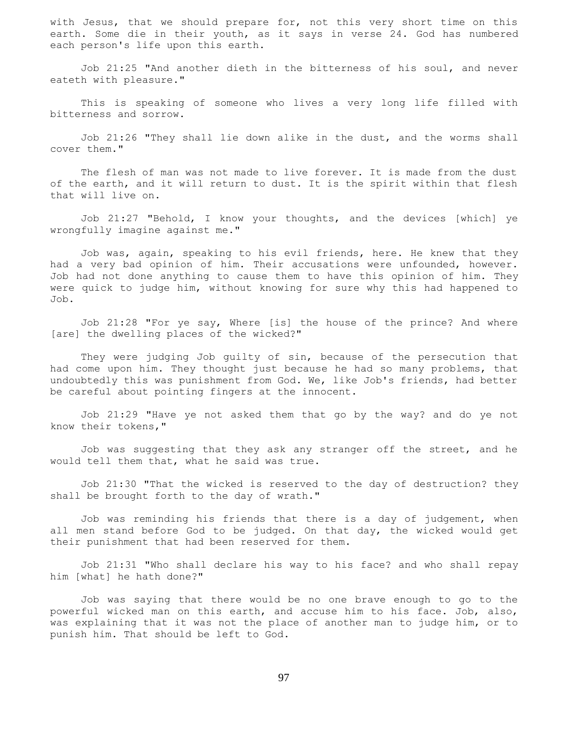with Jesus, that we should prepare for, not this very short time on this earth. Some die in their youth, as it says in verse 24. God has numbered each person's life upon this earth.

 Job 21:25 "And another dieth in the bitterness of his soul, and never eateth with pleasure."

 This is speaking of someone who lives a very long life filled with bitterness and sorrow.

 Job 21:26 "They shall lie down alike in the dust, and the worms shall cover them."

 The flesh of man was not made to live forever. It is made from the dust of the earth, and it will return to dust. It is the spirit within that flesh that will live on.

 Job 21:27 "Behold, I know your thoughts, and the devices [which] ye wrongfully imagine against me."

 Job was, again, speaking to his evil friends, here. He knew that they had a very bad opinion of him. Their accusations were unfounded, however. Job had not done anything to cause them to have this opinion of him. They were quick to judge him, without knowing for sure why this had happened to Job.

 Job 21:28 "For ye say, Where [is] the house of the prince? And where [are] the dwelling places of the wicked?"

 They were judging Job guilty of sin, because of the persecution that had come upon him. They thought just because he had so many problems, that undoubtedly this was punishment from God. We, like Job's friends, had better be careful about pointing fingers at the innocent.

 Job 21:29 "Have ye not asked them that go by the way? and do ye not know their tokens,"

 Job was suggesting that they ask any stranger off the street, and he would tell them that, what he said was true.

 Job 21:30 "That the wicked is reserved to the day of destruction? they shall be brought forth to the day of wrath."

 Job was reminding his friends that there is a day of judgement, when all men stand before God to be judged. On that day, the wicked would get their punishment that had been reserved for them.

 Job 21:31 "Who shall declare his way to his face? and who shall repay him [what] he hath done?"

 Job was saying that there would be no one brave enough to go to the powerful wicked man on this earth, and accuse him to his face. Job, also, was explaining that it was not the place of another man to judge him, or to punish him. That should be left to God.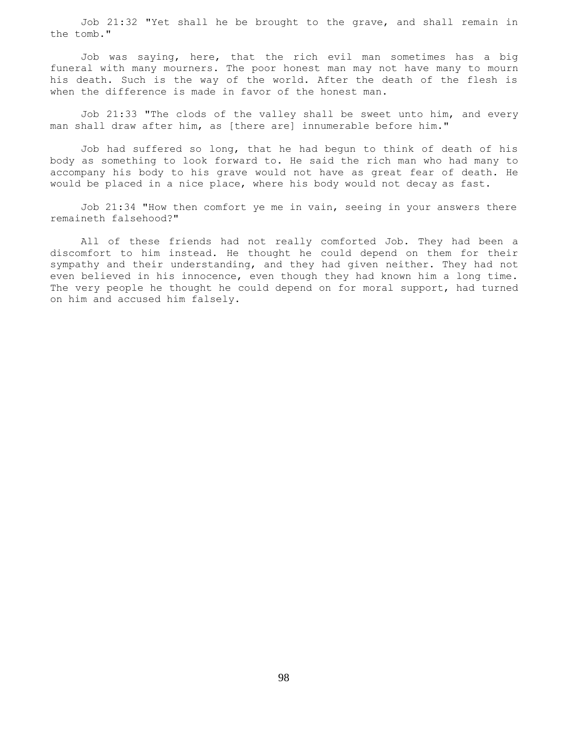Job 21:32 "Yet shall he be brought to the grave, and shall remain in the tomb."

 Job was saying, here, that the rich evil man sometimes has a big funeral with many mourners. The poor honest man may not have many to mourn his death. Such is the way of the world. After the death of the flesh is when the difference is made in favor of the honest man.

 Job 21:33 "The clods of the valley shall be sweet unto him, and every man shall draw after him, as [there are] innumerable before him."

 Job had suffered so long, that he had begun to think of death of his body as something to look forward to. He said the rich man who had many to accompany his body to his grave would not have as great fear of death. He would be placed in a nice place, where his body would not decay as fast.

 Job 21:34 "How then comfort ye me in vain, seeing in your answers there remaineth falsehood?"

 All of these friends had not really comforted Job. They had been a discomfort to him instead. He thought he could depend on them for their sympathy and their understanding, and they had given neither. They had not even believed in his innocence, even though they had known him a long time. The very people he thought he could depend on for moral support, had turned on him and accused him falsely.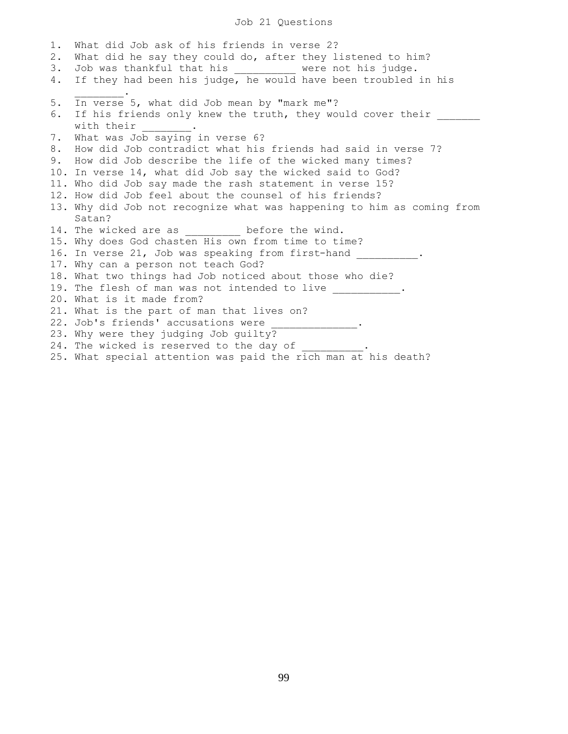Job 21 Questions

1. What did Job ask of his friends in verse 2? 2. What did he say they could do, after they listened to him? 3. Job was thankful that his \_\_\_\_\_\_\_\_\_\_ were not his judge. 4. If they had been his judge, he would have been troubled in his  $\mathcal{L}=\mathcal{L}^{\mathcal{L}}$ 5. In verse 5, what did Job mean by "mark me"? 6. If his friends only knew the truth, they would cover their with their 7. What was Job saying in verse 6? 8. How did Job contradict what his friends had said in verse 7? 9. How did Job describe the life of the wicked many times? 10. In verse 14, what did Job say the wicked said to God? 11. Who did Job say made the rash statement in verse 15? 12. How did Job feel about the counsel of his friends? 13. Why did Job not recognize what was happening to him as coming from Satan? 14. The wicked are as \_\_\_\_\_\_\_\_\_\_ before the wind. 15. Why does God chasten His own from time to time? 16. In verse 21, Job was speaking from first-hand 17. Why can a person not teach God? 18. What two things had Job noticed about those who die? 19. The flesh of man was not intended to live \_\_\_\_\_\_\_\_\_\_. 20. What is it made from? 21. What is the part of man that lives on? 22. Job's friends' accusations were 23. Why were they judging Job guilty? 24. The wicked is reserved to the day of

25. What special attention was paid the rich man at his death?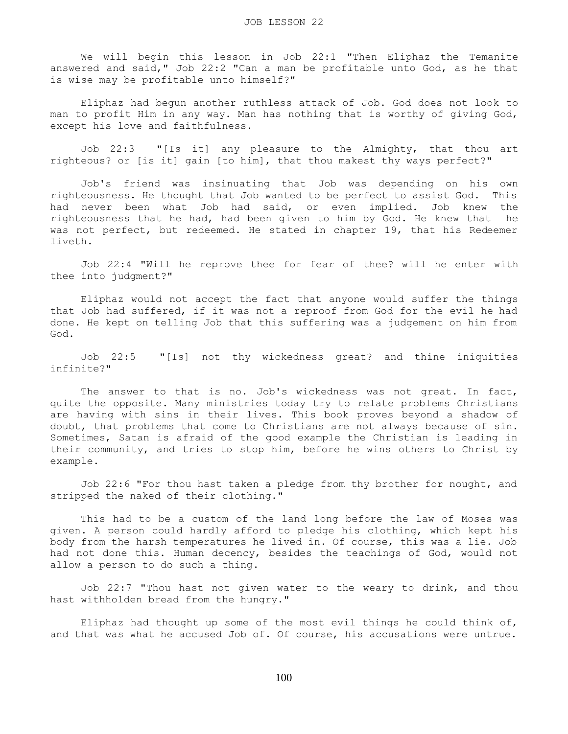We will begin this lesson in Job 22:1 "Then Eliphaz the Temanite answered and said," Job 22:2 "Can a man be profitable unto God, as he that is wise may be profitable unto himself?"

 Eliphaz had begun another ruthless attack of Job. God does not look to man to profit Him in any way. Man has nothing that is worthy of giving God, except his love and faithfulness.

 Job 22:3 "[Is it] any pleasure to the Almighty, that thou art righteous? or [is it] gain [to him], that thou makest thy ways perfect?"

 Job's friend was insinuating that Job was depending on his own righteousness. He thought that Job wanted to be perfect to assist God. This had never been what Job had said, or even implied. Job knew the righteousness that he had, had been given to him by God. He knew that he was not perfect, but redeemed. He stated in chapter 19, that his Redeemer liveth.

 Job 22:4 "Will he reprove thee for fear of thee? will he enter with thee into judgment?"

 Eliphaz would not accept the fact that anyone would suffer the things that Job had suffered, if it was not a reproof from God for the evil he had done. He kept on telling Job that this suffering was a judgement on him from God.

 Job 22:5 "[Is] not thy wickedness great? and thine iniquities infinite?"

 The answer to that is no. Job's wickedness was not great. In fact, quite the opposite. Many ministries today try to relate problems Christians are having with sins in their lives. This book proves beyond a shadow of doubt, that problems that come to Christians are not always because of sin. Sometimes, Satan is afraid of the good example the Christian is leading in their community, and tries to stop him, before he wins others to Christ by example.

 Job 22:6 "For thou hast taken a pledge from thy brother for nought, and stripped the naked of their clothing."

 This had to be a custom of the land long before the law of Moses was given. A person could hardly afford to pledge his clothing, which kept his body from the harsh temperatures he lived in. Of course, this was a lie. Job had not done this. Human decency, besides the teachings of God, would not allow a person to do such a thing.

 Job 22:7 "Thou hast not given water to the weary to drink, and thou hast withholden bread from the hungry."

Eliphaz had thought up some of the most evil things he could think of, and that was what he accused Job of. Of course, his accusations were untrue.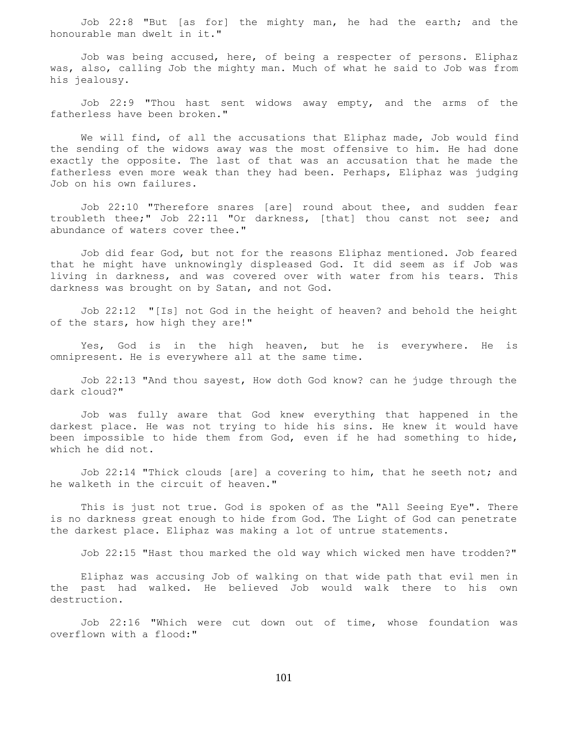Job 22:8 "But [as for] the mighty man, he had the earth; and the honourable man dwelt in it."

 Job was being accused, here, of being a respecter of persons. Eliphaz was, also, calling Job the mighty man. Much of what he said to Job was from his jealousy.

 Job 22:9 "Thou hast sent widows away empty, and the arms of the fatherless have been broken."

 We will find, of all the accusations that Eliphaz made, Job would find the sending of the widows away was the most offensive to him. He had done exactly the opposite. The last of that was an accusation that he made the fatherless even more weak than they had been. Perhaps, Eliphaz was judging Job on his own failures.

 Job 22:10 "Therefore snares [are] round about thee, and sudden fear troubleth thee;" Job 22:11 "Or darkness, [that] thou canst not see; and abundance of waters cover thee."

 Job did fear God, but not for the reasons Eliphaz mentioned. Job feared that he might have unknowingly displeased God. It did seem as if Job was living in darkness, and was covered over with water from his tears. This darkness was brought on by Satan, and not God.

 Job 22:12 "[Is] not God in the height of heaven? and behold the height of the stars, how high they are!"

 Yes, God is in the high heaven, but he is everywhere. He is omnipresent. He is everywhere all at the same time.

 Job 22:13 "And thou sayest, How doth God know? can he judge through the dark cloud?"

 Job was fully aware that God knew everything that happened in the darkest place. He was not trying to hide his sins. He knew it would have been impossible to hide them from God, even if he had something to hide, which he did not.

 Job 22:14 "Thick clouds [are] a covering to him, that he seeth not; and he walketh in the circuit of heaven."

 This is just not true. God is spoken of as the "All Seeing Eye". There is no darkness great enough to hide from God. The Light of God can penetrate the darkest place. Eliphaz was making a lot of untrue statements.

Job 22:15 "Hast thou marked the old way which wicked men have trodden?"

 Eliphaz was accusing Job of walking on that wide path that evil men in the past had walked. He believed Job would walk there to his own destruction.

 Job 22:16 "Which were cut down out of time, whose foundation was overflown with a flood:"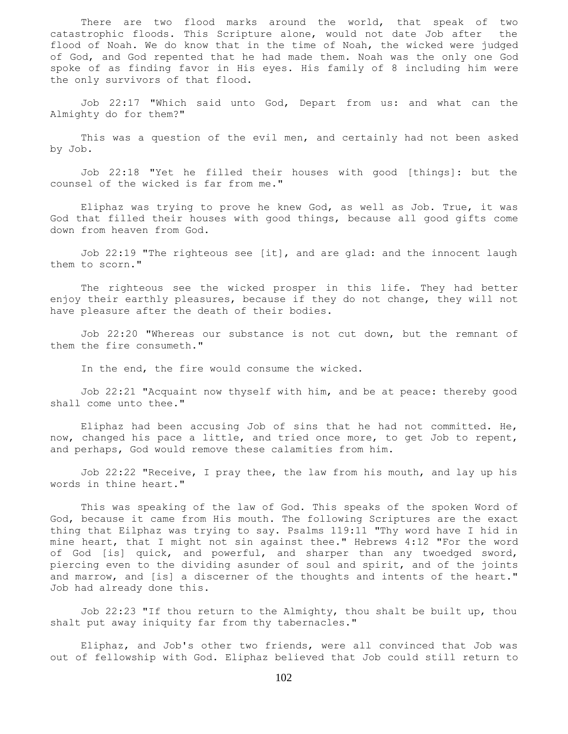There are two flood marks around the world, that speak of two catastrophic floods. This Scripture alone, would not date Job after the flood of Noah. We do know that in the time of Noah, the wicked were judged of God, and God repented that he had made them. Noah was the only one God spoke of as finding favor in His eyes. His family of 8 including him were the only survivors of that flood.

 Job 22:17 "Which said unto God, Depart from us: and what can the Almighty do for them?"

 This was a question of the evil men, and certainly had not been asked by Job.

 Job 22:18 "Yet he filled their houses with good [things]: but the counsel of the wicked is far from me."

 Eliphaz was trying to prove he knew God, as well as Job. True, it was God that filled their houses with good things, because all good gifts come down from heaven from God.

 Job 22:19 "The righteous see [it], and are glad: and the innocent laugh them to scorn."

 The righteous see the wicked prosper in this life. They had better enjoy their earthly pleasures, because if they do not change, they will not have pleasure after the death of their bodies.

 Job 22:20 "Whereas our substance is not cut down, but the remnant of them the fire consumeth."

In the end, the fire would consume the wicked.

 Job 22:21 "Acquaint now thyself with him, and be at peace: thereby good shall come unto thee."

 Eliphaz had been accusing Job of sins that he had not committed. He, now, changed his pace a little, and tried once more, to get Job to repent, and perhaps, God would remove these calamities from him.

 Job 22:22 "Receive, I pray thee, the law from his mouth, and lay up his words in thine heart."

 This was speaking of the law of God. This speaks of the spoken Word of God, because it came from His mouth. The following Scriptures are the exact thing that Eilphaz was trying to say. Psalms 119:11 "Thy word have I hid in mine heart, that I might not sin against thee." Hebrews 4:12 "For the word of God [is] quick, and powerful, and sharper than any twoedged sword, piercing even to the dividing asunder of soul and spirit, and of the joints and marrow, and [is] a discerner of the thoughts and intents of the heart." Job had already done this.

 Job 22:23 "If thou return to the Almighty, thou shalt be built up, thou shalt put away iniquity far from thy tabernacles."

 Eliphaz, and Job's other two friends, were all convinced that Job was out of fellowship with God. Eliphaz believed that Job could still return to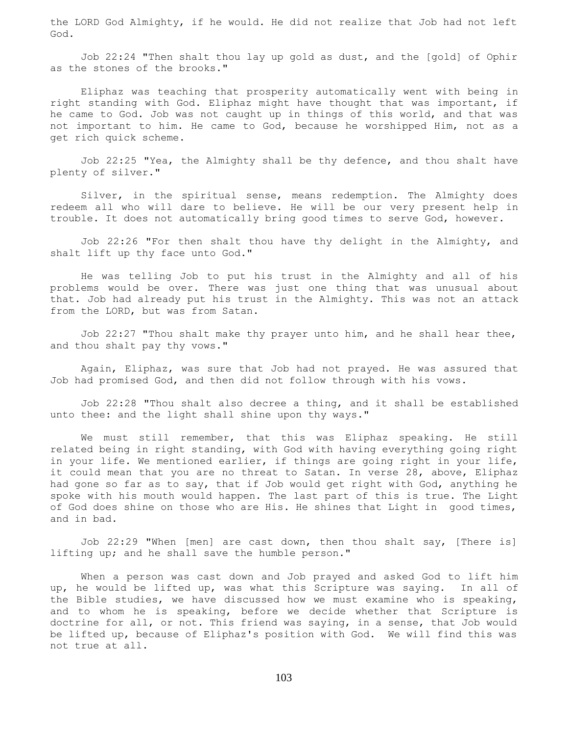the LORD God Almighty, if he would. He did not realize that Job had not left God.

 Job 22:24 "Then shalt thou lay up gold as dust, and the [gold] of Ophir as the stones of the brooks."

 Eliphaz was teaching that prosperity automatically went with being in right standing with God. Eliphaz might have thought that was important, if he came to God. Job was not caught up in things of this world, and that was not important to him. He came to God, because he worshipped Him, not as a get rich quick scheme.

 Job 22:25 "Yea, the Almighty shall be thy defence, and thou shalt have plenty of silver."

 Silver, in the spiritual sense, means redemption. The Almighty does redeem all who will dare to believe. He will be our very present help in trouble. It does not automatically bring good times to serve God, however.

 Job 22:26 "For then shalt thou have thy delight in the Almighty, and shalt lift up thy face unto God."

 He was telling Job to put his trust in the Almighty and all of his problems would be over. There was just one thing that was unusual about that. Job had already put his trust in the Almighty. This was not an attack from the LORD, but was from Satan.

 Job 22:27 "Thou shalt make thy prayer unto him, and he shall hear thee, and thou shalt pay thy vows."

 Again, Eliphaz, was sure that Job had not prayed. He was assured that Job had promised God, and then did not follow through with his vows.

 Job 22:28 "Thou shalt also decree a thing, and it shall be established unto thee: and the light shall shine upon thy ways."

 We must still remember, that this was Eliphaz speaking. He still related being in right standing, with God with having everything going right in your life. We mentioned earlier, if things are going right in your life, it could mean that you are no threat to Satan. In verse 28, above, Eliphaz had gone so far as to say, that if Job would get right with God, anything he spoke with his mouth would happen. The last part of this is true. The Light of God does shine on those who are His. He shines that Light in good times, and in bad.

 Job 22:29 "When [men] are cast down, then thou shalt say, [There is] lifting up; and he shall save the humble person."

 When a person was cast down and Job prayed and asked God to lift him up, he would be lifted up, was what this Scripture was saying. In all of the Bible studies, we have discussed how we must examine who is speaking, and to whom he is speaking, before we decide whether that Scripture is doctrine for all, or not. This friend was saying, in a sense, that Job would be lifted up, because of Eliphaz's position with God. We will find this was not true at all.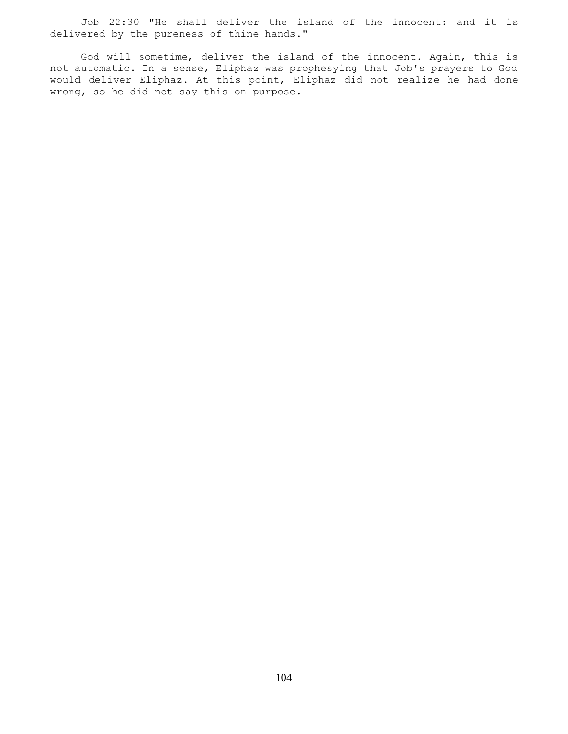Job 22:30 "He shall deliver the island of the innocent: and it is delivered by the pureness of thine hands."

 God will sometime, deliver the island of the innocent. Again, this is not automatic. In a sense, Eliphaz was prophesying that Job's prayers to God would deliver Eliphaz. At this point, Eliphaz did not realize he had done wrong, so he did not say this on purpose.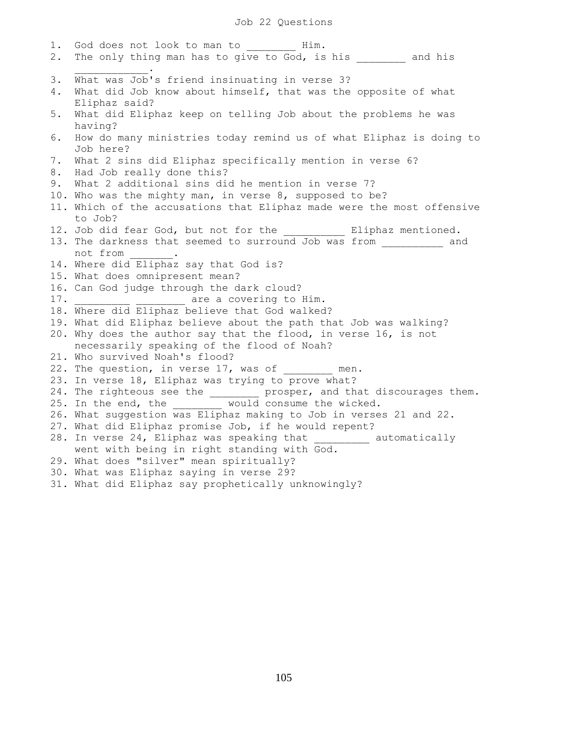## Job 22 Questions

1. God does not look to man to \_\_\_\_\_\_\_ Him. 2. The only thing man has to give to God, is his and his  $\overline{\phantom{a}}$  ,  $\overline{\phantom{a}}$  ,  $\overline{\phantom{a}}$  ,  $\overline{\phantom{a}}$  ,  $\overline{\phantom{a}}$  ,  $\overline{\phantom{a}}$  ,  $\overline{\phantom{a}}$  ,  $\overline{\phantom{a}}$  ,  $\overline{\phantom{a}}$  ,  $\overline{\phantom{a}}$  ,  $\overline{\phantom{a}}$  ,  $\overline{\phantom{a}}$  ,  $\overline{\phantom{a}}$  ,  $\overline{\phantom{a}}$  ,  $\overline{\phantom{a}}$  ,  $\overline{\phantom{a}}$ 3. What was Job's friend insinuating in verse 3? 4. What did Job know about himself, that was the opposite of what Eliphaz said? 5. What did Eliphaz keep on telling Job about the problems he was having? 6. How do many ministries today remind us of what Eliphaz is doing to Job here? 7. What 2 sins did Eliphaz specifically mention in verse 6? 8. Had Job really done this? 9. What 2 additional sins did he mention in verse 7? 10. Who was the mighty man, in verse 8, supposed to be? 11. Which of the accusations that Eliphaz made were the most offensive to Job? 12. Job did fear God, but not for the end all Eliphaz mentioned. 13. The darkness that seemed to surround Job was from \_\_\_\_\_\_\_\_\_ and not from . 14. Where did Eliphaz say that God is? 15. What does omnipresent mean? 16. Can God judge through the dark cloud? 17. **Example 2** are a covering to Him. 18. Where did Eliphaz believe that God walked? 19. What did Eliphaz believe about the path that Job was walking? 20. Why does the author say that the flood, in verse 16, is not necessarily speaking of the flood of Noah? 21. Who survived Noah's flood? 22. The question, in verse 17, was of men. 23. In verse 18, Eliphaz was trying to prove what? 24. The righteous see the \_\_\_\_\_\_\_\_ prosper, and that discourages them. 25. In the end, the \_\_\_\_\_\_\_\_ would consume the wicked. 26. What suggestion was Eliphaz making to Job in verses 21 and 22. 27. What did Eliphaz promise Job, if he would repent? 28. In verse 24, Eliphaz was speaking that \_\_\_\_\_\_\_\_\_ automatically went with being in right standing with God. 29. What does "silver" mean spiritually? 30. What was Eliphaz saying in verse 29? 31. What did Eliphaz say prophetically unknowingly?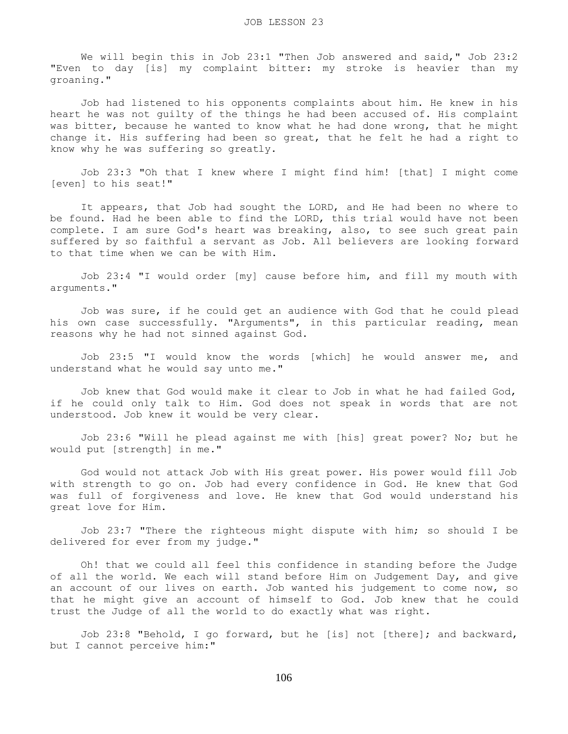We will begin this in Job 23:1 "Then Job answered and said," Job 23:2 "Even to day [is] my complaint bitter: my stroke is heavier than my groaning."

 Job had listened to his opponents complaints about him. He knew in his heart he was not guilty of the things he had been accused of. His complaint was bitter, because he wanted to know what he had done wrong, that he might change it. His suffering had been so great, that he felt he had a right to know why he was suffering so greatly.

 Job 23:3 "Oh that I knew where I might find him! [that] I might come [even] to his seat!"

 It appears, that Job had sought the LORD, and He had been no where to be found. Had he been able to find the LORD, this trial would have not been complete. I am sure God's heart was breaking, also, to see such great pain suffered by so faithful a servant as Job. All believers are looking forward to that time when we can be with Him.

 Job 23:4 "I would order [my] cause before him, and fill my mouth with arguments."

 Job was sure, if he could get an audience with God that he could plead his own case successfully. "Arguments", in this particular reading, mean reasons why he had not sinned against God.

 Job 23:5 "I would know the words [which] he would answer me, and understand what he would say unto me."

 Job knew that God would make it clear to Job in what he had failed God, if he could only talk to Him. God does not speak in words that are not understood. Job knew it would be very clear.

 Job 23:6 "Will he plead against me with [his] great power? No; but he would put [strength] in me."

 God would not attack Job with His great power. His power would fill Job with strength to go on. Job had every confidence in God. He knew that God was full of forgiveness and love. He knew that God would understand his great love for Him.

 Job 23:7 "There the righteous might dispute with him; so should I be delivered for ever from my judge."

 Oh! that we could all feel this confidence in standing before the Judge of all the world. We each will stand before Him on Judgement Day, and give an account of our lives on earth. Job wanted his judgement to come now, so that he might give an account of himself to God. Job knew that he could trust the Judge of all the world to do exactly what was right.

 Job 23:8 "Behold, I go forward, but he [is] not [there]; and backward, but I cannot perceive him:"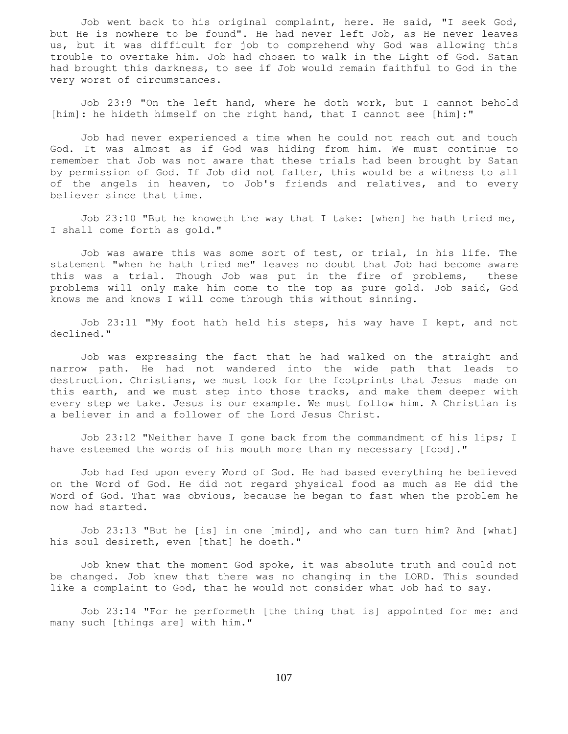Job went back to his original complaint, here. He said, "I seek God, but He is nowhere to be found". He had never left Job, as He never leaves us, but it was difficult for job to comprehend why God was allowing this trouble to overtake him. Job had chosen to walk in the Light of God. Satan had brought this darkness, to see if Job would remain faithful to God in the very worst of circumstances.

 Job 23:9 "On the left hand, where he doth work, but I cannot behold [him]: he hideth himself on the right hand, that I cannot see [him]:"

 Job had never experienced a time when he could not reach out and touch God. It was almost as if God was hiding from him. We must continue to remember that Job was not aware that these trials had been brought by Satan by permission of God. If Job did not falter, this would be a witness to all of the angels in heaven, to Job's friends and relatives, and to every believer since that time.

Job 23:10 "But he knoweth the way that I take: [when] he hath tried me, I shall come forth as gold."

 Job was aware this was some sort of test, or trial, in his life. The statement "when he hath tried me" leaves no doubt that Job had become aware this was a trial. Though Job was put in the fire of problems, these problems will only make him come to the top as pure gold. Job said, God knows me and knows I will come through this without sinning.

 Job 23:11 "My foot hath held his steps, his way have I kept, and not declined."

 Job was expressing the fact that he had walked on the straight and narrow path. He had not wandered into the wide path that leads to destruction. Christians, we must look for the footprints that Jesus made on this earth, and we must step into those tracks, and make them deeper with every step we take. Jesus is our example. We must follow him. A Christian is a believer in and a follower of the Lord Jesus Christ.

 Job 23:12 "Neither have I gone back from the commandment of his lips; I have esteemed the words of his mouth more than my necessary [food]."

 Job had fed upon every Word of God. He had based everything he believed on the Word of God. He did not regard physical food as much as He did the Word of God. That was obvious, because he began to fast when the problem he now had started.

 Job 23:13 "But he [is] in one [mind], and who can turn him? And [what] his soul desireth, even [that] he doeth."

 Job knew that the moment God spoke, it was absolute truth and could not be changed. Job knew that there was no changing in the LORD. This sounded like a complaint to God, that he would not consider what Job had to say.

 Job 23:14 "For he performeth [the thing that is] appointed for me: and many such [things are] with him."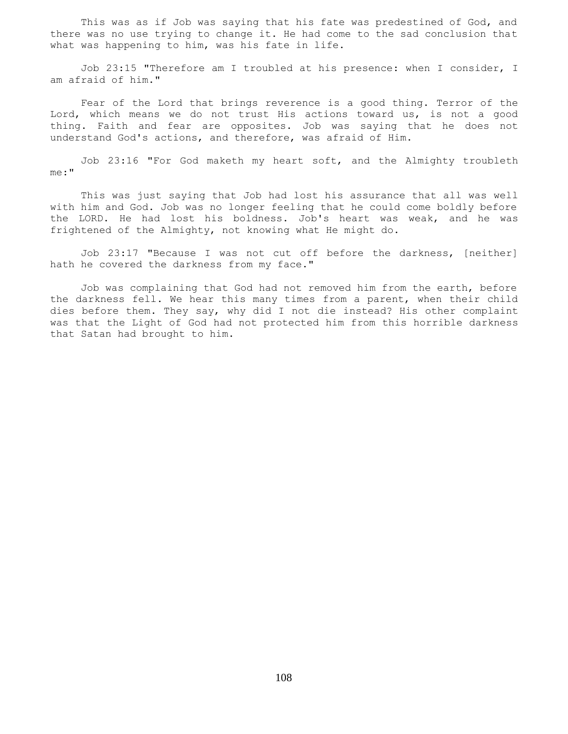This was as if Job was saying that his fate was predestined of God, and there was no use trying to change it. He had come to the sad conclusion that what was happening to him, was his fate in life.

 Job 23:15 "Therefore am I troubled at his presence: when I consider, I am afraid of him."

 Fear of the Lord that brings reverence is a good thing. Terror of the Lord, which means we do not trust His actions toward us, is not a good thing. Faith and fear are opposites. Job was saying that he does not understand God's actions, and therefore, was afraid of Him.

 Job 23:16 "For God maketh my heart soft, and the Almighty troubleth me:"

 This was just saying that Job had lost his assurance that all was well with him and God. Job was no longer feeling that he could come boldly before the LORD. He had lost his boldness. Job's heart was weak, and he was frightened of the Almighty, not knowing what He might do.

 Job 23:17 "Because I was not cut off before the darkness, [neither] hath he covered the darkness from my face."

 Job was complaining that God had not removed him from the earth, before the darkness fell. We hear this many times from a parent, when their child dies before them. They say, why did I not die instead? His other complaint was that the Light of God had not protected him from this horrible darkness that Satan had brought to him.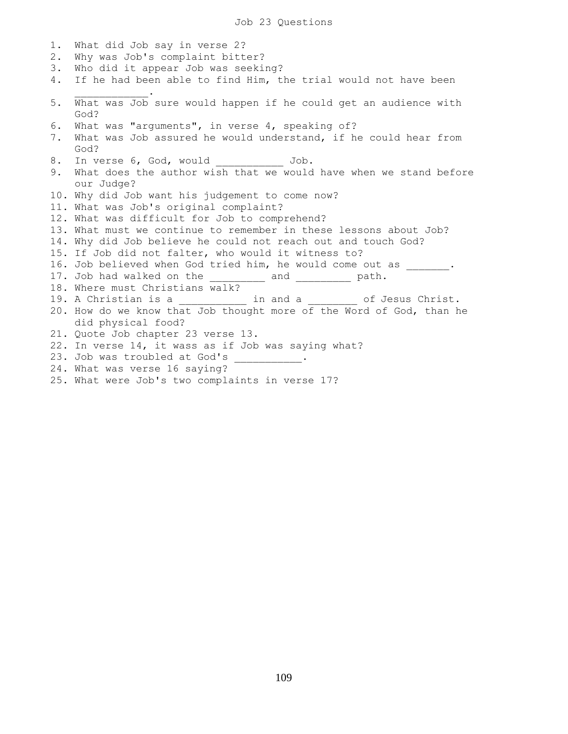1. What did Job say in verse 2? 2. Why was Job's complaint bitter? 3. Who did it appear Job was seeking? 4. If he had been able to find Him, the trial would not have been  $\mathcal{L}=\mathcal{L}=\mathcal{L}=\mathcal{L}=\mathcal{L}=\mathcal{L}=\mathcal{L}$ 5. What was Job sure would happen if he could get an audience with God? 6. What was "arguments", in verse 4, speaking of? 7. What was Job assured he would understand, if he could hear from God? 8. In verse 6, God, would \_\_\_\_\_\_\_\_\_\_\_\_ Job. 9. What does the author wish that we would have when we stand before our Judge? 10. Why did Job want his judgement to come now? 11. What was Job's original complaint? 12. What was difficult for Job to comprehend? 13. What must we continue to remember in these lessons about Job? 14. Why did Job believe he could not reach out and touch God? 15. If Job did not falter, who would it witness to? 16. Job believed when God tried him, he would come out as . 17. Job had walked on the \_\_\_\_\_\_\_\_\_ and \_\_\_\_\_\_\_\_\_ path. 18. Where must Christians walk? 19. A Christian is a \_\_\_\_\_\_\_\_\_\_\_\_ in and a deg of Jesus Christ. 20. How do we know that Job thought more of the Word of God, than he did physical food? 21. Quote Job chapter 23 verse 13. 22. In verse 14, it wass as if Job was saying what? 23. Job was troubled at God's \_\_\_\_\_\_\_\_\_\_. 24. What was verse 16 saying?

25. What were Job's two complaints in verse 17?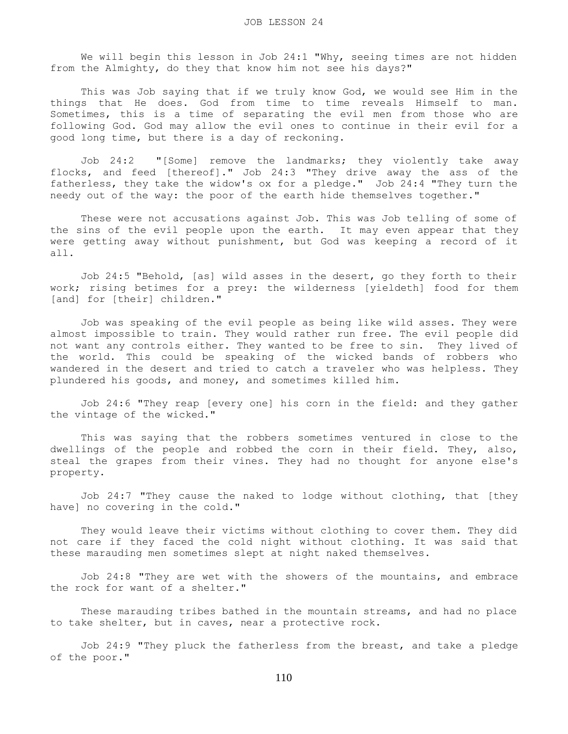We will begin this lesson in Job 24:1 "Why, seeing times are not hidden from the Almighty, do they that know him not see his days?"

 This was Job saying that if we truly know God, we would see Him in the things that He does. God from time to time reveals Himself to man. Sometimes, this is a time of separating the evil men from those who are following God. God may allow the evil ones to continue in their evil for a good long time, but there is a day of reckoning.

 Job 24:2 "[Some] remove the landmarks; they violently take away flocks, and feed [thereof]." Job 24:3 "They drive away the ass of the fatherless, they take the widow's ox for a pledge." Job 24:4 "They turn the needy out of the way: the poor of the earth hide themselves together."

 These were not accusations against Job. This was Job telling of some of the sins of the evil people upon the earth. It may even appear that they were getting away without punishment, but God was keeping a record of it all.

 Job 24:5 "Behold, [as] wild asses in the desert, go they forth to their work; rising betimes for a prey: the wilderness [yieldeth] food for them [and] for [their] children."

 Job was speaking of the evil people as being like wild asses. They were almost impossible to train. They would rather run free. The evil people did not want any controls either. They wanted to be free to sin. They lived of the world. This could be speaking of the wicked bands of robbers who wandered in the desert and tried to catch a traveler who was helpless. They plundered his goods, and money, and sometimes killed him.

 Job 24:6 "They reap [every one] his corn in the field: and they gather the vintage of the wicked."

 This was saying that the robbers sometimes ventured in close to the dwellings of the people and robbed the corn in their field. They, also, steal the grapes from their vines. They had no thought for anyone else's property.

 Job 24:7 "They cause the naked to lodge without clothing, that [they have] no covering in the cold."

 They would leave their victims without clothing to cover them. They did not care if they faced the cold night without clothing. It was said that these marauding men sometimes slept at night naked themselves.

 Job 24:8 "They are wet with the showers of the mountains, and embrace the rock for want of a shelter."

 These marauding tribes bathed in the mountain streams, and had no place to take shelter, but in caves, near a protective rock.

 Job 24:9 "They pluck the fatherless from the breast, and take a pledge of the poor."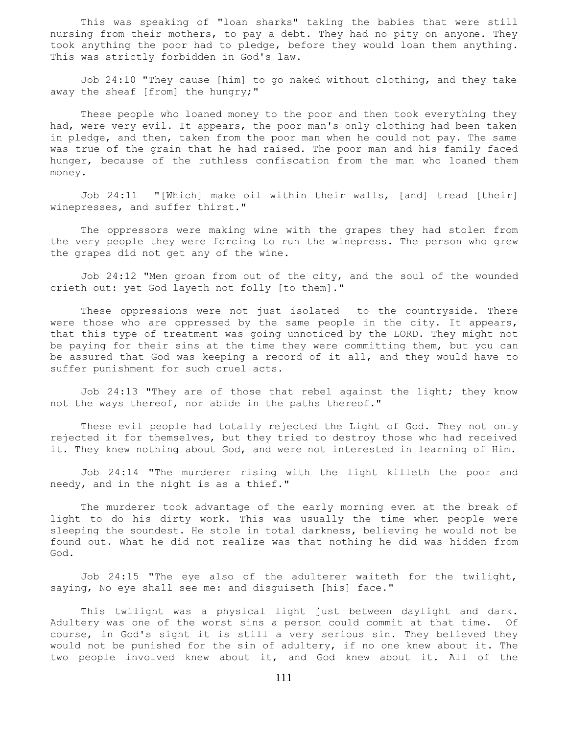This was speaking of "loan sharks" taking the babies that were still nursing from their mothers, to pay a debt. They had no pity on anyone. They took anything the poor had to pledge, before they would loan them anything. This was strictly forbidden in God's law.

 Job 24:10 "They cause [him] to go naked without clothing, and they take away the sheaf [from] the hungry;"

 These people who loaned money to the poor and then took everything they had, were very evil. It appears, the poor man's only clothing had been taken in pledge, and then, taken from the poor man when he could not pay. The same was true of the grain that he had raised. The poor man and his family faced hunger, because of the ruthless confiscation from the man who loaned them money.

 Job 24:11 "[Which] make oil within their walls, [and] tread [their] winepresses, and suffer thirst."

 The oppressors were making wine with the grapes they had stolen from the very people they were forcing to run the winepress. The person who grew the grapes did not get any of the wine.

 Job 24:12 "Men groan from out of the city, and the soul of the wounded crieth out: yet God layeth not folly [to them]."

 These oppressions were not just isolated to the countryside. There were those who are oppressed by the same people in the city. It appears, that this type of treatment was going unnoticed by the LORD. They might not be paying for their sins at the time they were committing them, but you can be assured that God was keeping a record of it all, and they would have to suffer punishment for such cruel acts.

 Job 24:13 "They are of those that rebel against the light; they know not the ways thereof, nor abide in the paths thereof."

 These evil people had totally rejected the Light of God. They not only rejected it for themselves, but they tried to destroy those who had received it. They knew nothing about God, and were not interested in learning of Him.

 Job 24:14 "The murderer rising with the light killeth the poor and needy, and in the night is as a thief."

 The murderer took advantage of the early morning even at the break of light to do his dirty work. This was usually the time when people were sleeping the soundest. He stole in total darkness, believing he would not be found out. What he did not realize was that nothing he did was hidden from God.

 Job 24:15 "The eye also of the adulterer waiteth for the twilight, saying, No eye shall see me: and disguiseth [his] face."

 This twilight was a physical light just between daylight and dark. Adultery was one of the worst sins a person could commit at that time. Of course, in God's sight it is still a very serious sin. They believed they would not be punished for the sin of adultery, if no one knew about it. The two people involved knew about it, and God knew about it. All of the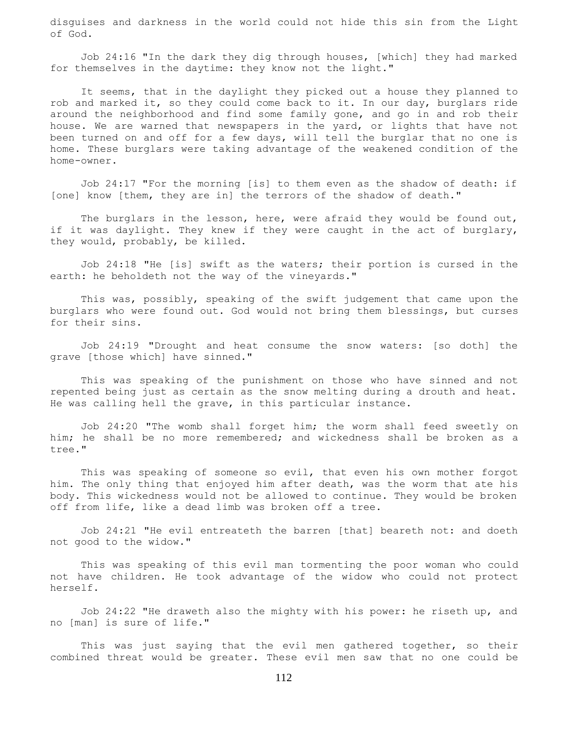disguises and darkness in the world could not hide this sin from the Light of God.

 Job 24:16 "In the dark they dig through houses, [which] they had marked for themselves in the daytime: they know not the light."

 It seems, that in the daylight they picked out a house they planned to rob and marked it, so they could come back to it. In our day, burglars ride around the neighborhood and find some family gone, and go in and rob their house. We are warned that newspapers in the yard, or lights that have not been turned on and off for a few days, will tell the burglar that no one is home. These burglars were taking advantage of the weakened condition of the home-owner.

 Job 24:17 "For the morning [is] to them even as the shadow of death: if [one] know [them, they are in] the terrors of the shadow of death."

The burglars in the lesson, here, were afraid they would be found out, if it was daylight. They knew if they were caught in the act of burglary, they would, probably, be killed.

 Job 24:18 "He [is] swift as the waters; their portion is cursed in the earth: he beholdeth not the way of the vineyards."

 This was, possibly, speaking of the swift judgement that came upon the burglars who were found out. God would not bring them blessings, but curses for their sins.

 Job 24:19 "Drought and heat consume the snow waters: [so doth] the grave [those which] have sinned."

 This was speaking of the punishment on those who have sinned and not repented being just as certain as the snow melting during a drouth and heat. He was calling hell the grave, in this particular instance.

 Job 24:20 "The womb shall forget him; the worm shall feed sweetly on him; he shall be no more remembered; and wickedness shall be broken as a tree."

 This was speaking of someone so evil, that even his own mother forgot him. The only thing that enjoyed him after death, was the worm that ate his body. This wickedness would not be allowed to continue. They would be broken off from life, like a dead limb was broken off a tree.

 Job 24:21 "He evil entreateth the barren [that] beareth not: and doeth not good to the widow."

 This was speaking of this evil man tormenting the poor woman who could not have children. He took advantage of the widow who could not protect herself.

 Job 24:22 "He draweth also the mighty with his power: he riseth up, and no [man] is sure of life."

This was just saying that the evil men gathered together, so their combined threat would be greater. These evil men saw that no one could be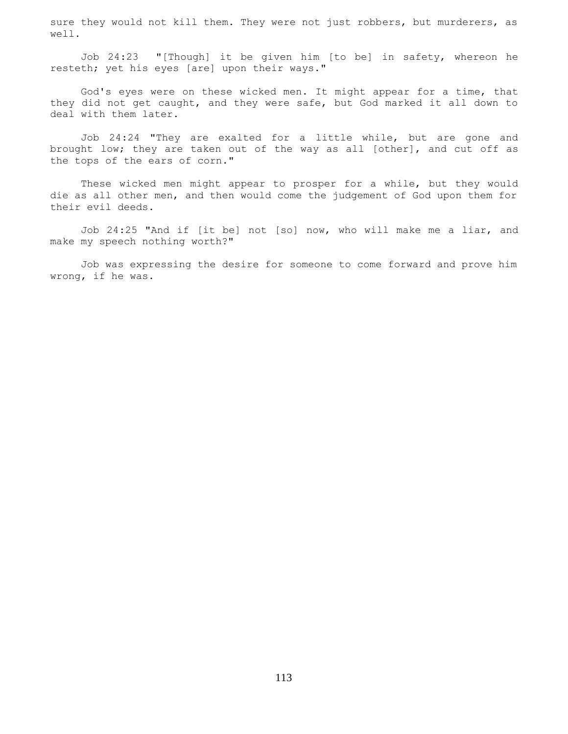sure they would not kill them. They were not just robbers, but murderers, as well.

 Job 24:23 "[Though] it be given him [to be] in safety, whereon he resteth; yet his eyes [are] upon their ways."

 God's eyes were on these wicked men. It might appear for a time, that they did not get caught, and they were safe, but God marked it all down to deal with them later.

 Job 24:24 "They are exalted for a little while, but are gone and brought low; they are taken out of the way as all [other], and cut off as the tops of the ears of corn."

 These wicked men might appear to prosper for a while, but they would die as all other men, and then would come the judgement of God upon them for their evil deeds.

 Job 24:25 "And if [it be] not [so] now, who will make me a liar, and make my speech nothing worth?"

 Job was expressing the desire for someone to come forward and prove him wrong, if he was.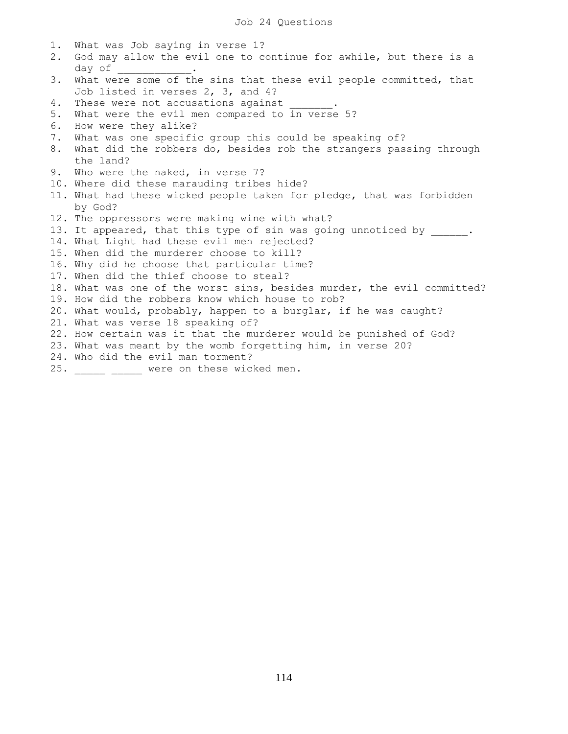1. What was Job saying in verse 1? 2. God may allow the evil one to continue for awhile, but there is a day of \_\_\_\_\_\_\_\_\_\_\_\_. 3. What were some of the sins that these evil people committed, that Job listed in verses 2, 3, and 4? 4. These were not accusations against 5. What were the evil men compared to in verse 5? 6. How were they alike? 7. What was one specific group this could be speaking of? 8. What did the robbers do, besides rob the strangers passing through the land? 9. Who were the naked, in verse 7? 10. Where did these marauding tribes hide? 11. What had these wicked people taken for pledge, that was forbidden by God? 12. The oppressors were making wine with what? 13. It appeared, that this type of sin was going unnoticed by . 14. What Light had these evil men rejected? 15. When did the murderer choose to kill? 16. Why did he choose that particular time? 17. When did the thief choose to steal? 18. What was one of the worst sins, besides murder, the evil committed? 19. How did the robbers know which house to rob? 20. What would, probably, happen to a burglar, if he was caught? 21. What was verse 18 speaking of? 22. How certain was it that the murderer would be punished of God? 23. What was meant by the womb forgetting him, in verse 20? 24. Who did the evil man torment? 25. \_\_\_\_\_ \_\_\_\_ were on these wicked men.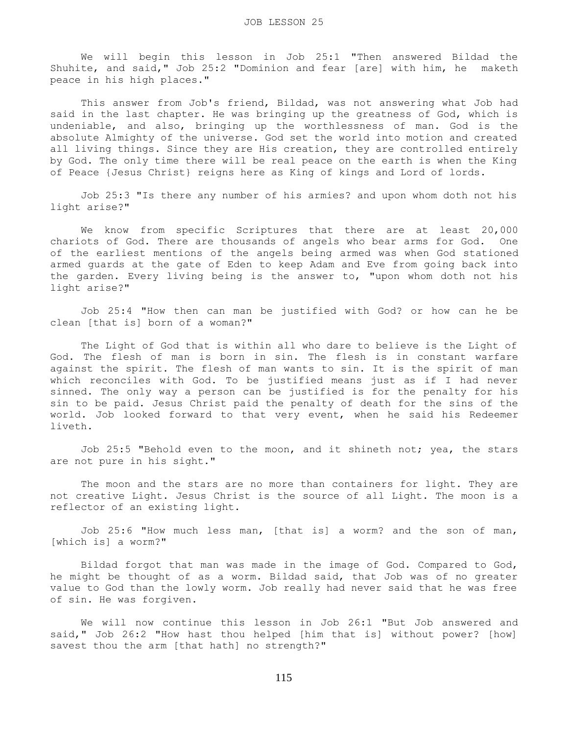We will begin this lesson in Job 25:1 "Then answered Bildad the Shuhite, and said," Job 25:2 "Dominion and fear [are] with him, he maketh peace in his high places."

 This answer from Job's friend, Bildad, was not answering what Job had said in the last chapter. He was bringing up the greatness of God, which is undeniable, and also, bringing up the worthlessness of man. God is the absolute Almighty of the universe. God set the world into motion and created all living things. Since they are His creation, they are controlled entirely by God. The only time there will be real peace on the earth is when the King of Peace {Jesus Christ} reigns here as King of kings and Lord of lords.

 Job 25:3 "Is there any number of his armies? and upon whom doth not his light arise?"

We know from specific Scriptures that there are at least 20,000 chariots of God. There are thousands of angels who bear arms for God. One of the earliest mentions of the angels being armed was when God stationed armed guards at the gate of Eden to keep Adam and Eve from going back into the garden. Every living being is the answer to, "upon whom doth not his light arise?"

 Job 25:4 "How then can man be justified with God? or how can he be clean [that is] born of a woman?"

 The Light of God that is within all who dare to believe is the Light of God. The flesh of man is born in sin. The flesh is in constant warfare against the spirit. The flesh of man wants to sin. It is the spirit of man which reconciles with God. To be justified means just as if I had never sinned. The only way a person can be justified is for the penalty for his sin to be paid. Jesus Christ paid the penalty of death for the sins of the world. Job looked forward to that very event, when he said his Redeemer liveth.

 Job 25:5 "Behold even to the moon, and it shineth not; yea, the stars are not pure in his sight."

The moon and the stars are no more than containers for light. They are not creative Light. Jesus Christ is the source of all Light. The moon is a reflector of an existing light.

 Job 25:6 "How much less man, [that is] a worm? and the son of man, [which is] a worm?"

 Bildad forgot that man was made in the image of God. Compared to God, he might be thought of as a worm. Bildad said, that Job was of no greater value to God than the lowly worm. Job really had never said that he was free of sin. He was forgiven.

 We will now continue this lesson in Job 26:1 "But Job answered and said," Job 26:2 "How hast thou helped [him that is] without power? [how] savest thou the arm [that hath] no strength?"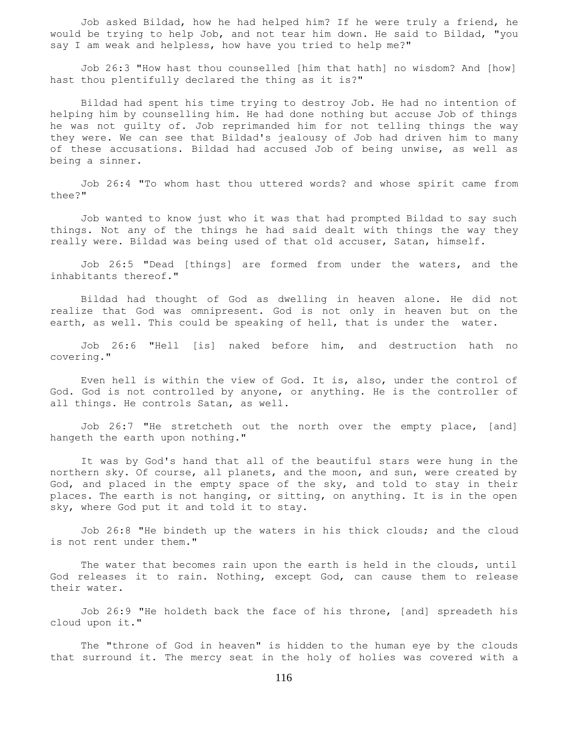Job asked Bildad, how he had helped him? If he were truly a friend, he would be trying to help Job, and not tear him down. He said to Bildad, "you say I am weak and helpless, how have you tried to help me?"

 Job 26:3 "How hast thou counselled [him that hath] no wisdom? And [how] hast thou plentifully declared the thing as it is?"

 Bildad had spent his time trying to destroy Job. He had no intention of helping him by counselling him. He had done nothing but accuse Job of things he was not guilty of. Job reprimanded him for not telling things the way they were. We can see that Bildad's jealousy of Job had driven him to many of these accusations. Bildad had accused Job of being unwise, as well as being a sinner.

 Job 26:4 "To whom hast thou uttered words? and whose spirit came from thee?"

 Job wanted to know just who it was that had prompted Bildad to say such things. Not any of the things he had said dealt with things the way they really were. Bildad was being used of that old accuser, Satan, himself.

 Job 26:5 "Dead [things] are formed from under the waters, and the inhabitants thereof."

 Bildad had thought of God as dwelling in heaven alone. He did not realize that God was omnipresent. God is not only in heaven but on the earth, as well. This could be speaking of hell, that is under the water.

 Job 26:6 "Hell [is] naked before him, and destruction hath no covering."

 Even hell is within the view of God. It is, also, under the control of God. God is not controlled by anyone, or anything. He is the controller of all things. He controls Satan, as well.

 Job 26:7 "He stretcheth out the north over the empty place, [and] hangeth the earth upon nothing."

 It was by God's hand that all of the beautiful stars were hung in the northern sky. Of course, all planets, and the moon, and sun, were created by God, and placed in the empty space of the sky, and told to stay in their places. The earth is not hanging, or sitting, on anything. It is in the open sky, where God put it and told it to stay.

 Job 26:8 "He bindeth up the waters in his thick clouds; and the cloud is not rent under them."

 The water that becomes rain upon the earth is held in the clouds, until God releases it to rain. Nothing, except God, can cause them to release their water.

 Job 26:9 "He holdeth back the face of his throne, [and] spreadeth his cloud upon it."

 The "throne of God in heaven" is hidden to the human eye by the clouds that surround it. The mercy seat in the holy of holies was covered with a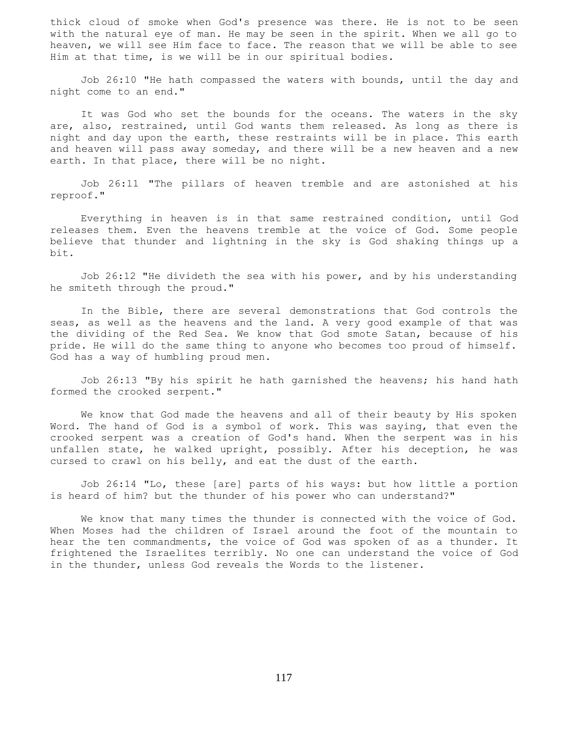thick cloud of smoke when God's presence was there. He is not to be seen with the natural eye of man. He may be seen in the spirit. When we all go to heaven, we will see Him face to face. The reason that we will be able to see Him at that time, is we will be in our spiritual bodies.

 Job 26:10 "He hath compassed the waters with bounds, until the day and night come to an end."

 It was God who set the bounds for the oceans. The waters in the sky are, also, restrained, until God wants them released. As long as there is night and day upon the earth, these restraints will be in place. This earth and heaven will pass away someday, and there will be a new heaven and a new earth. In that place, there will be no night.

 Job 26:11 "The pillars of heaven tremble and are astonished at his reproof."

 Everything in heaven is in that same restrained condition, until God releases them. Even the heavens tremble at the voice of God. Some people believe that thunder and lightning in the sky is God shaking things up a bit.

 Job 26:12 "He divideth the sea with his power, and by his understanding he smiteth through the proud."

 In the Bible, there are several demonstrations that God controls the seas, as well as the heavens and the land. A very good example of that was the dividing of the Red Sea. We know that God smote Satan, because of his pride. He will do the same thing to anyone who becomes too proud of himself. God has a way of humbling proud men.

 Job 26:13 "By his spirit he hath garnished the heavens; his hand hath formed the crooked serpent."

 We know that God made the heavens and all of their beauty by His spoken Word. The hand of God is a symbol of work. This was saying, that even the crooked serpent was a creation of God's hand. When the serpent was in his unfallen state, he walked upright, possibly. After his deception, he was cursed to crawl on his belly, and eat the dust of the earth.

 Job 26:14 "Lo, these [are] parts of his ways: but how little a portion is heard of him? but the thunder of his power who can understand?"

 We know that many times the thunder is connected with the voice of God. When Moses had the children of Israel around the foot of the mountain to hear the ten commandments, the voice of God was spoken of as a thunder. It frightened the Israelites terribly. No one can understand the voice of God in the thunder, unless God reveals the Words to the listener.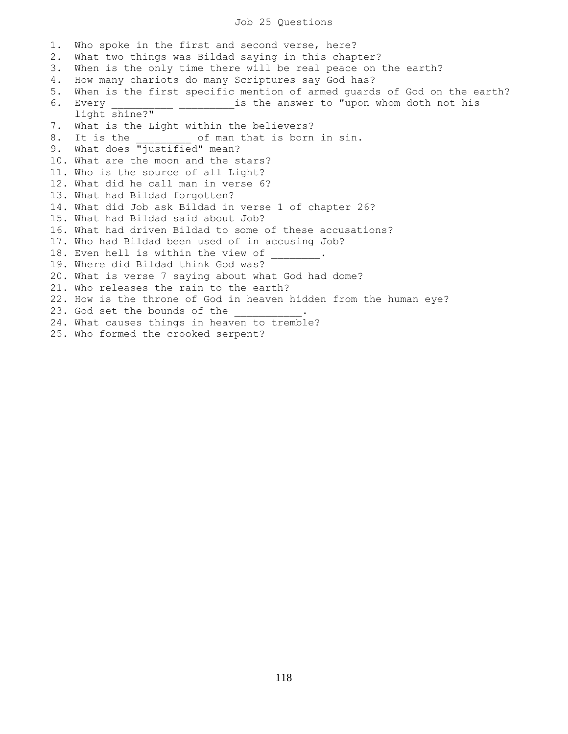## Job 25 Questions

1. Who spoke in the first and second verse, here? 2. What two things was Bildad saying in this chapter? 3. When is the only time there will be real peace on the earth? 4. How many chariots do many Scriptures say God has? 5. When is the first specific mention of armed guards of God on the earth? 6. Every **EXELL CONTENSE IS the answer to "upon whom doth not his**  light shine?" 7. What is the Light within the believers? 8. It is the  $\qquad$  of man that is born in sin. 9. What does "justified" mean? 10. What are the moon and the stars? 11. Who is the source of all Light? 12. What did he call man in verse 6? 13. What had Bildad forgotten? 14. What did Job ask Bildad in verse 1 of chapter 26? 15. What had Bildad said about Job? 16. What had driven Bildad to some of these accusations? 17. Who had Bildad been used of in accusing Job? 18. Even hell is within the view of 19. Where did Bildad think God was? 20. What is verse 7 saying about what God had dome? 21. Who releases the rain to the earth? 22. How is the throne of God in heaven hidden from the human eye? 23. God set the bounds of the 24. What causes things in heaven to tremble? 25. Who formed the crooked serpent?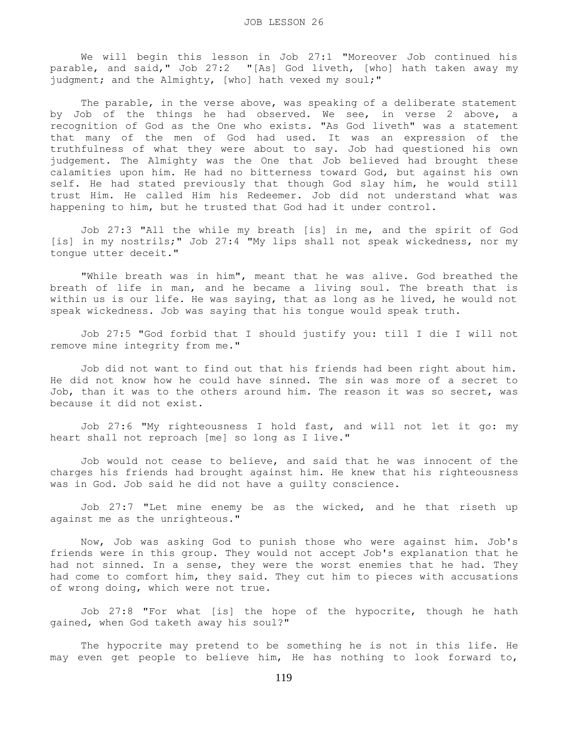We will begin this lesson in Job 27:1 "Moreover Job continued his parable, and said," Job 27:2 "[As] God liveth, [who] hath taken away my judgment; and the Almighty, [who] hath vexed my soul;"

The parable, in the verse above, was speaking of a deliberate statement by Job of the things he had observed. We see, in verse 2 above, a recognition of God as the One who exists. "As God liveth" was a statement that many of the men of God had used. It was an expression of the truthfulness of what they were about to say. Job had questioned his own judgement. The Almighty was the One that Job believed had brought these calamities upon him. He had no bitterness toward God, but against his own self. He had stated previously that though God slay him, he would still trust Him. He called Him his Redeemer. Job did not understand what was happening to him, but he trusted that God had it under control.

 Job 27:3 "All the while my breath [is] in me, and the spirit of God [is] in my nostrils;" Job 27:4 "My lips shall not speak wickedness, nor my tongue utter deceit."

 "While breath was in him", meant that he was alive. God breathed the breath of life in man, and he became a living soul. The breath that is within us is our life. He was saying, that as long as he lived, he would not speak wickedness. Job was saying that his tongue would speak truth.

 Job 27:5 "God forbid that I should justify you: till I die I will not remove mine integrity from me."

 Job did not want to find out that his friends had been right about him. He did not know how he could have sinned. The sin was more of a secret to Job, than it was to the others around him. The reason it was so secret, was because it did not exist.

 Job 27:6 "My righteousness I hold fast, and will not let it go: my heart shall not reproach [me] so long as I live."

 Job would not cease to believe, and said that he was innocent of the charges his friends had brought against him. He knew that his righteousness was in God. Job said he did not have a guilty conscience.

 Job 27:7 "Let mine enemy be as the wicked, and he that riseth up against me as the unrighteous."

 Now, Job was asking God to punish those who were against him. Job's friends were in this group. They would not accept Job's explanation that he had not sinned. In a sense, they were the worst enemies that he had. They had come to comfort him, they said. They cut him to pieces with accusations of wrong doing, which were not true.

 Job 27:8 "For what [is] the hope of the hypocrite, though he hath gained, when God taketh away his soul?"

 The hypocrite may pretend to be something he is not in this life. He may even get people to believe him, He has nothing to look forward to,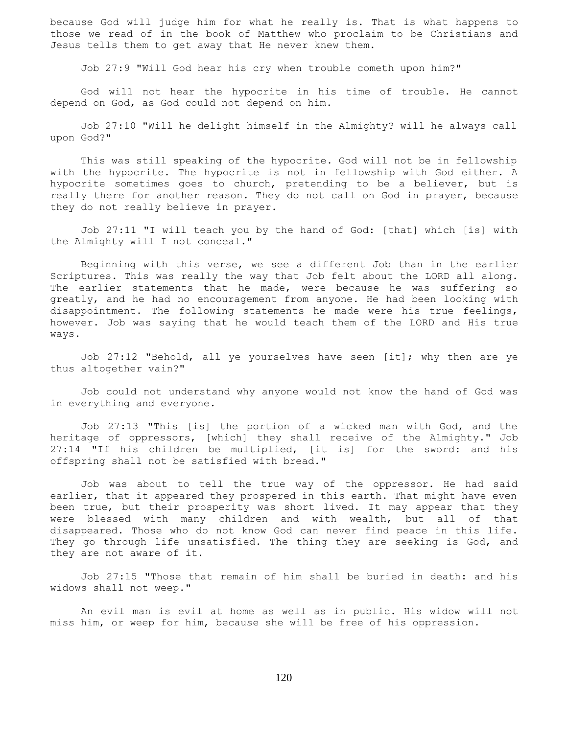because God will judge him for what he really is. That is what happens to those we read of in the book of Matthew who proclaim to be Christians and Jesus tells them to get away that He never knew them.

Job 27:9 "Will God hear his cry when trouble cometh upon him?"

 God will not hear the hypocrite in his time of trouble. He cannot depend on God, as God could not depend on him.

 Job 27:10 "Will he delight himself in the Almighty? will he always call upon God?"

 This was still speaking of the hypocrite. God will not be in fellowship with the hypocrite. The hypocrite is not in fellowship with God either. A hypocrite sometimes goes to church, pretending to be a believer, but is really there for another reason. They do not call on God in prayer, because they do not really believe in prayer.

 Job 27:11 "I will teach you by the hand of God: [that] which [is] with the Almighty will I not conceal."

 Beginning with this verse, we see a different Job than in the earlier Scriptures. This was really the way that Job felt about the LORD all along. The earlier statements that he made, were because he was suffering so greatly, and he had no encouragement from anyone. He had been looking with disappointment. The following statements he made were his true feelings, however. Job was saying that he would teach them of the LORD and His true ways.

 Job 27:12 "Behold, all ye yourselves have seen [it]; why then are ye thus altogether vain?"

 Job could not understand why anyone would not know the hand of God was in everything and everyone.

 Job 27:13 "This [is] the portion of a wicked man with God, and the heritage of oppressors, [which] they shall receive of the Almighty." Job 27:14 "If his children be multiplied, [it is] for the sword: and his offspring shall not be satisfied with bread."

 Job was about to tell the true way of the oppressor. He had said earlier, that it appeared they prospered in this earth. That might have even been true, but their prosperity was short lived. It may appear that they were blessed with many children and with wealth, but all of that disappeared. Those who do not know God can never find peace in this life. They go through life unsatisfied. The thing they are seeking is God, and they are not aware of it.

 Job 27:15 "Those that remain of him shall be buried in death: and his widows shall not weep."

 An evil man is evil at home as well as in public. His widow will not miss him, or weep for him, because she will be free of his oppression.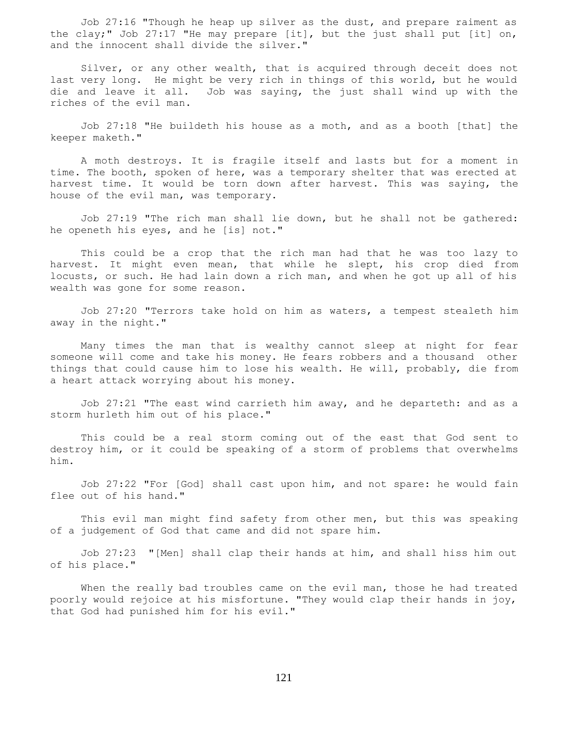Job 27:16 "Though he heap up silver as the dust, and prepare raiment as the clay;" Job 27:17 "He may prepare [it], but the just shall put [it] on, and the innocent shall divide the silver."

 Silver, or any other wealth, that is acquired through deceit does not last very long. He might be very rich in things of this world, but he would<br>die and leave it all. Job was saying, the just shall wind up with the Job was saying, the just shall wind up with the riches of the evil man.

 Job 27:18 "He buildeth his house as a moth, and as a booth [that] the keeper maketh."

 A moth destroys. It is fragile itself and lasts but for a moment in time. The booth, spoken of here, was a temporary shelter that was erected at harvest time. It would be torn down after harvest. This was saying, the house of the evil man, was temporary.

 Job 27:19 "The rich man shall lie down, but he shall not be gathered: he openeth his eyes, and he [is] not."

 This could be a crop that the rich man had that he was too lazy to harvest. It might even mean, that while he slept, his crop died from locusts, or such. He had lain down a rich man, and when he got up all of his wealth was gone for some reason.

 Job 27:20 "Terrors take hold on him as waters, a tempest stealeth him away in the night."

 Many times the man that is wealthy cannot sleep at night for fear someone will come and take his money. He fears robbers and a thousand other things that could cause him to lose his wealth. He will, probably, die from a heart attack worrying about his money.

 Job 27:21 "The east wind carrieth him away, and he departeth: and as a storm hurleth him out of his place."

 This could be a real storm coming out of the east that God sent to destroy him, or it could be speaking of a storm of problems that overwhelms him.

 Job 27:22 "For [God] shall cast upon him, and not spare: he would fain flee out of his hand."

 This evil man might find safety from other men, but this was speaking of a judgement of God that came and did not spare him.

 Job 27:23 "[Men] shall clap their hands at him, and shall hiss him out of his place."

When the really bad troubles came on the evil man, those he had treated poorly would rejoice at his misfortune. "They would clap their hands in joy, that God had punished him for his evil."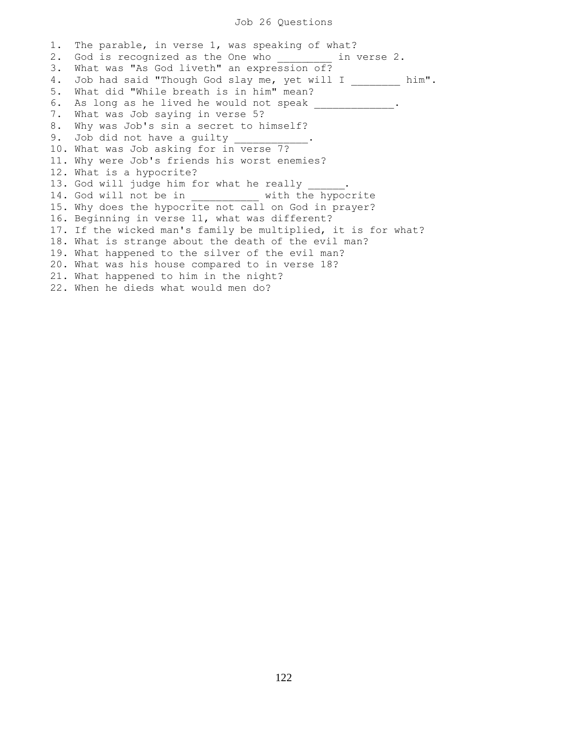## Job 26 Questions

1. The parable, in verse 1, was speaking of what? 2. God is recognized as the One who in verse 2. 3. What was "As God liveth" an expression of? 4. Job had said "Though God slay me, yet will I \_\_\_\_\_\_\_\_ him". 5. What did "While breath is in him" mean? 6. As long as he lived he would not speak \_\_\_\_\_\_\_\_\_\_\_. 7. What was Job saying in verse 5? 8. Why was Job's sin a secret to himself? 9. Job did not have a guilty \_\_\_\_\_ 10. What was Job asking for in verse 7? 11. Why were Job's friends his worst enemies? 12. What is a hypocrite? 13. God will judge him for what he really 14. God will not be in \_\_\_\_\_\_\_\_\_\_ with the hypocrite 15. Why does the hypocrite not call on God in prayer? 16. Beginning in verse 11, what was different? 17. If the wicked man's family be multiplied, it is for what? 18. What is strange about the death of the evil man? 19. What happened to the silver of the evil man? 20. What was his house compared to in verse 18? 21. What happened to him in the night? 22. When he dieds what would men do?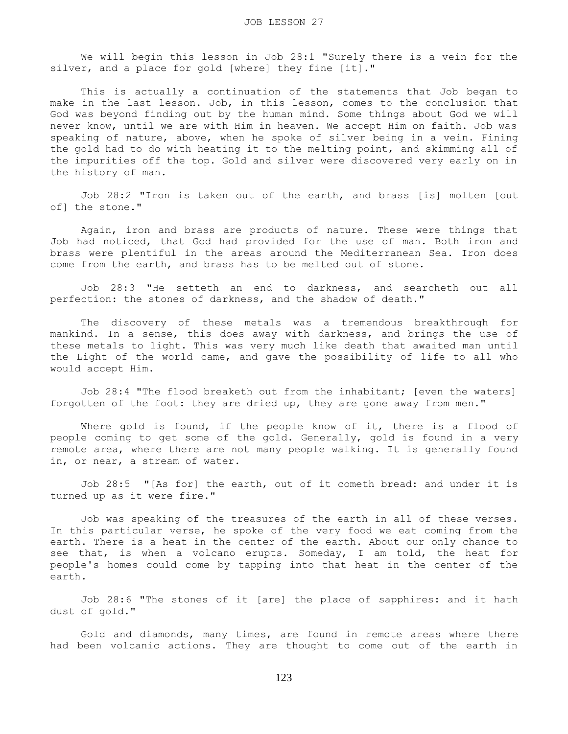We will begin this lesson in Job 28:1 "Surely there is a vein for the silver, and a place for gold [where] they fine [it]."

 This is actually a continuation of the statements that Job began to make in the last lesson. Job, in this lesson, comes to the conclusion that God was beyond finding out by the human mind. Some things about God we will never know, until we are with Him in heaven. We accept Him on faith. Job was speaking of nature, above, when he spoke of silver being in a vein. Fining the gold had to do with heating it to the melting point, and skimming all of the impurities off the top. Gold and silver were discovered very early on in the history of man.

 Job 28:2 "Iron is taken out of the earth, and brass [is] molten [out of] the stone."

 Again, iron and brass are products of nature. These were things that Job had noticed, that God had provided for the use of man. Both iron and brass were plentiful in the areas around the Mediterranean Sea. Iron does come from the earth, and brass has to be melted out of stone.

 Job 28:3 "He setteth an end to darkness, and searcheth out all perfection: the stones of darkness, and the shadow of death."

 The discovery of these metals was a tremendous breakthrough for mankind. In a sense, this does away with darkness, and brings the use of these metals to light. This was very much like death that awaited man until the Light of the world came, and gave the possibility of life to all who would accept Him.

 Job 28:4 "The flood breaketh out from the inhabitant; [even the waters] forgotten of the foot: they are dried up, they are gone away from men."

 Where gold is found, if the people know of it, there is a flood of people coming to get some of the gold. Generally, gold is found in a very remote area, where there are not many people walking. It is generally found in, or near, a stream of water.

 Job 28:5 "[As for] the earth, out of it cometh bread: and under it is turned up as it were fire."

 Job was speaking of the treasures of the earth in all of these verses. In this particular verse, he spoke of the very food we eat coming from the earth. There is a heat in the center of the earth. About our only chance to see that, is when a volcano erupts. Someday, I am told, the heat for people's homes could come by tapping into that heat in the center of the earth.

 Job 28:6 "The stones of it [are] the place of sapphires: and it hath dust of gold."

 Gold and diamonds, many times, are found in remote areas where there had been volcanic actions. They are thought to come out of the earth in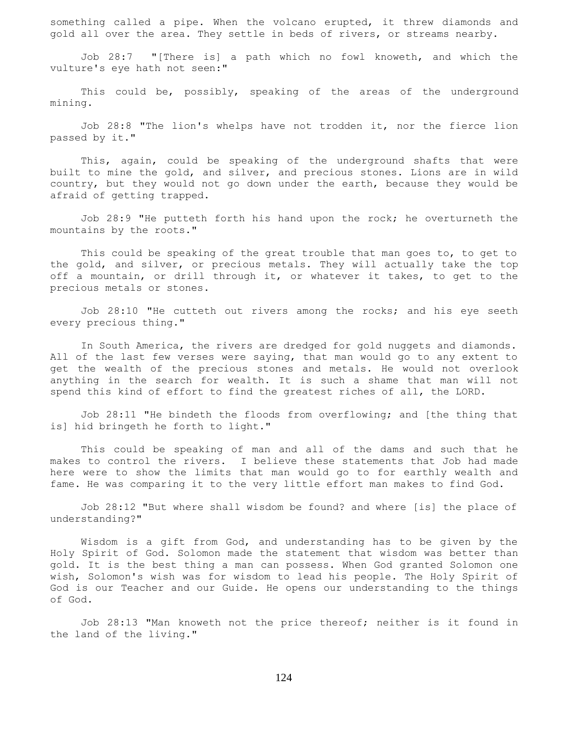something called a pipe. When the volcano erupted, it threw diamonds and gold all over the area. They settle in beds of rivers, or streams nearby.

 Job 28:7 "[There is] a path which no fowl knoweth, and which the vulture's eye hath not seen:"

 This could be, possibly, speaking of the areas of the underground mining.

 Job 28:8 "The lion's whelps have not trodden it, nor the fierce lion passed by it."

 This, again, could be speaking of the underground shafts that were built to mine the gold, and silver, and precious stones. Lions are in wild country, but they would not go down under the earth, because they would be afraid of getting trapped.

 Job 28:9 "He putteth forth his hand upon the rock; he overturneth the mountains by the roots."

 This could be speaking of the great trouble that man goes to, to get to the gold, and silver, or precious metals. They will actually take the top off a mountain, or drill through it, or whatever it takes, to get to the precious metals or stones.

 Job 28:10 "He cutteth out rivers among the rocks; and his eye seeth every precious thing."

 In South America, the rivers are dredged for gold nuggets and diamonds. All of the last few verses were saying, that man would go to any extent to get the wealth of the precious stones and metals. He would not overlook anything in the search for wealth. It is such a shame that man will not spend this kind of effort to find the greatest riches of all, the LORD.

 Job 28:11 "He bindeth the floods from overflowing; and [the thing that is] hid bringeth he forth to light."

 This could be speaking of man and all of the dams and such that he makes to control the rivers. I believe these statements that Job had made here were to show the limits that man would go to for earthly wealth and fame. He was comparing it to the very little effort man makes to find God.

 Job 28:12 "But where shall wisdom be found? and where [is] the place of understanding?"

 Wisdom is a gift from God, and understanding has to be given by the Holy Spirit of God. Solomon made the statement that wisdom was better than gold. It is the best thing a man can possess. When God granted Solomon one wish, Solomon's wish was for wisdom to lead his people. The Holy Spirit of God is our Teacher and our Guide. He opens our understanding to the things of God.

 Job 28:13 "Man knoweth not the price thereof; neither is it found in the land of the living."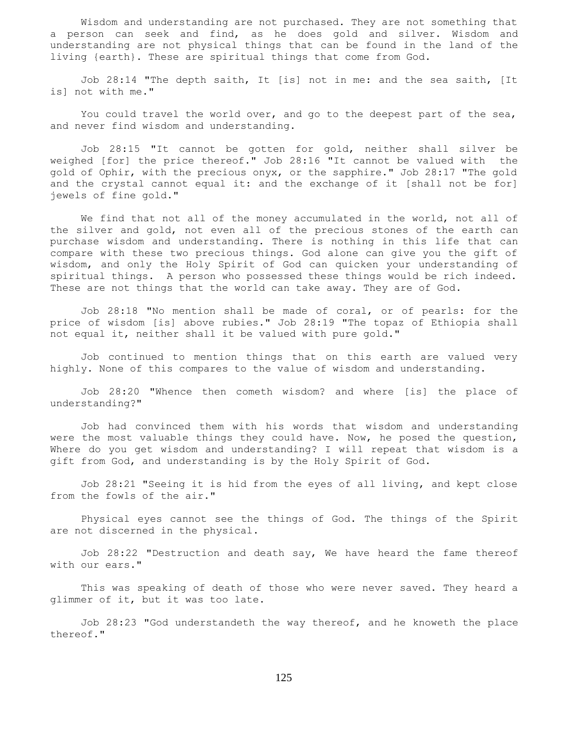Wisdom and understanding are not purchased. They are not something that a person can seek and find, as he does gold and silver. Wisdom and understanding are not physical things that can be found in the land of the living {earth}. These are spiritual things that come from God.

 Job 28:14 "The depth saith, It [is] not in me: and the sea saith, [It is] not with me."

 You could travel the world over, and go to the deepest part of the sea, and never find wisdom and understanding.

 Job 28:15 "It cannot be gotten for gold, neither shall silver be weighed [for] the price thereof." Job 28:16 "It cannot be valued with the gold of Ophir, with the precious onyx, or the sapphire." Job 28:17 "The gold and the crystal cannot equal it: and the exchange of it [shall not be for] jewels of fine gold."

 We find that not all of the money accumulated in the world, not all of the silver and gold, not even all of the precious stones of the earth can purchase wisdom and understanding. There is nothing in this life that can compare with these two precious things. God alone can give you the gift of wisdom, and only the Holy Spirit of God can quicken your understanding of spiritual things. A person who possessed these things would be rich indeed. These are not things that the world can take away. They are of God.

 Job 28:18 "No mention shall be made of coral, or of pearls: for the price of wisdom [is] above rubies." Job 28:19 "The topaz of Ethiopia shall not equal it, neither shall it be valued with pure gold."

 Job continued to mention things that on this earth are valued very highly. None of this compares to the value of wisdom and understanding.

 Job 28:20 "Whence then cometh wisdom? and where [is] the place of understanding?"

 Job had convinced them with his words that wisdom and understanding were the most valuable things they could have. Now, he posed the question, Where do you get wisdom and understanding? I will repeat that wisdom is a gift from God, and understanding is by the Holy Spirit of God.

 Job 28:21 "Seeing it is hid from the eyes of all living, and kept close from the fowls of the air."

 Physical eyes cannot see the things of God. The things of the Spirit are not discerned in the physical.

 Job 28:22 "Destruction and death say, We have heard the fame thereof with our ears."

 This was speaking of death of those who were never saved. They heard a glimmer of it, but it was too late.

 Job 28:23 "God understandeth the way thereof, and he knoweth the place thereof."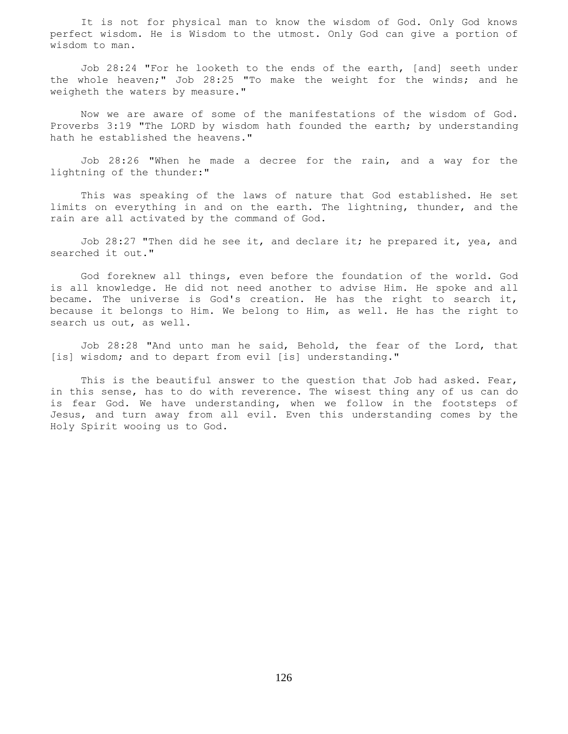It is not for physical man to know the wisdom of God. Only God knows perfect wisdom. He is Wisdom to the utmost. Only God can give a portion of wisdom to man.

 Job 28:24 "For he looketh to the ends of the earth, [and] seeth under the whole heaven;" Job 28:25 "To make the weight for the winds; and he weigheth the waters by measure."

 Now we are aware of some of the manifestations of the wisdom of God. Proverbs 3:19 "The LORD by wisdom hath founded the earth; by understanding hath he established the heavens."

 Job 28:26 "When he made a decree for the rain, and a way for the lightning of the thunder:"

 This was speaking of the laws of nature that God established. He set limits on everything in and on the earth. The lightning, thunder, and the rain are all activated by the command of God.

 Job 28:27 "Then did he see it, and declare it; he prepared it, yea, and searched it out."

 God foreknew all things, even before the foundation of the world. God is all knowledge. He did not need another to advise Him. He spoke and all became. The universe is God's creation. He has the right to search it, because it belongs to Him. We belong to Him, as well. He has the right to search us out, as well.

 Job 28:28 "And unto man he said, Behold, the fear of the Lord, that [is] wisdom; and to depart from evil [is] understanding."

 This is the beautiful answer to the question that Job had asked. Fear, in this sense, has to do with reverence. The wisest thing any of us can do is fear God. We have understanding, when we follow in the footsteps of Jesus, and turn away from all evil. Even this understanding comes by the Holy Spirit wooing us to God.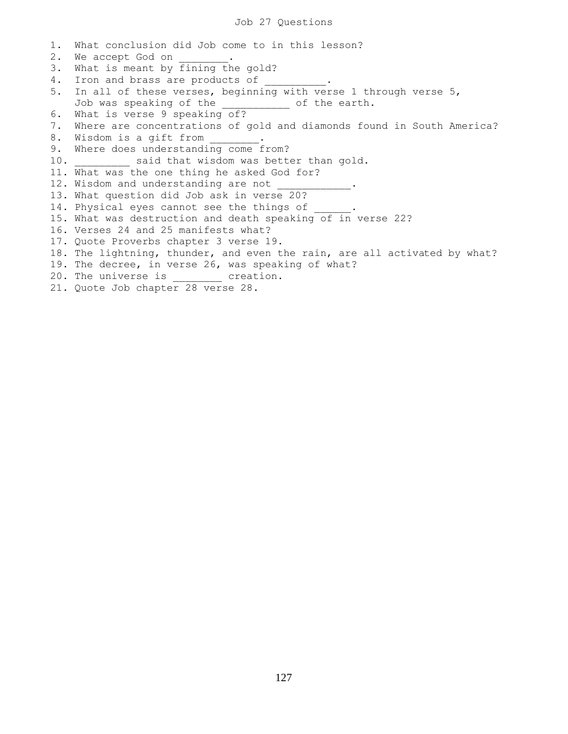1. What conclusion did Job come to in this lesson? 2. We accept God on  $\qquad \qquad$ 3. What is meant by fining the gold? 4. Iron and brass are products of 5. In all of these verses, beginning with verse 1 through verse 5, Job was speaking of the \_\_\_\_\_\_\_\_\_\_\_ of the earth. 6. What is verse 9 speaking of? 7. Where are concentrations of gold and diamonds found in South America? 8. Wisdom is a gift from 9. Where does understanding come from? 10. \_\_\_\_\_\_\_\_\_ said that wisdom was better than gold. 11. What was the one thing he asked God for? 12. Wisdom and understanding are not 13. What question did Job ask in verse 20? 14. Physical eyes cannot see the things of 15. What was destruction and death speaking of in verse 22? 16. Verses 24 and 25 manifests what? 17. Quote Proverbs chapter 3 verse 19. 18. The lightning, thunder, and even the rain, are all activated by what? 19. The decree, in verse 26, was speaking of what? 20. The universe is ereation. 21. Quote Job chapter 28 verse 28.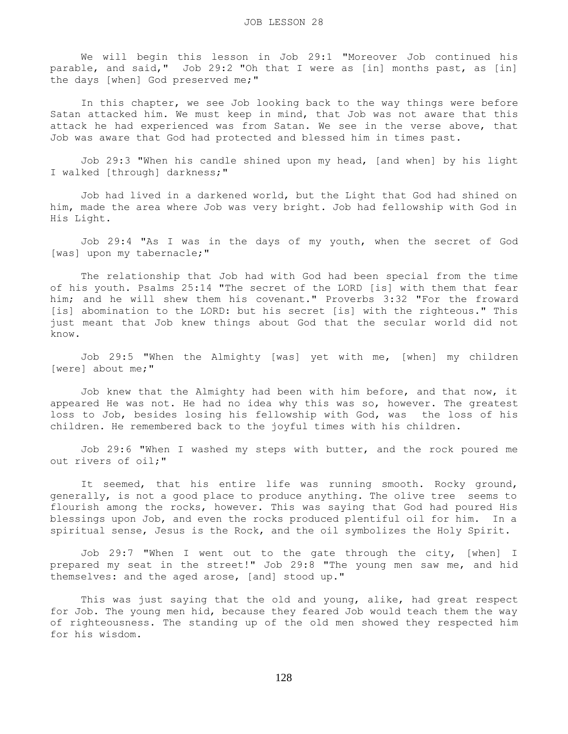We will begin this lesson in Job 29:1 "Moreover Job continued his parable, and said," Job 29:2 "Oh that I were as [in] months past, as [in] the days [when] God preserved me;"

 In this chapter, we see Job looking back to the way things were before Satan attacked him. We must keep in mind, that Job was not aware that this attack he had experienced was from Satan. We see in the verse above, that Job was aware that God had protected and blessed him in times past.

 Job 29:3 "When his candle shined upon my head, [and when] by his light I walked [through] darkness;"

 Job had lived in a darkened world, but the Light that God had shined on him, made the area where Job was very bright. Job had fellowship with God in His Light.

 Job 29:4 "As I was in the days of my youth, when the secret of God [was] upon my tabernacle;"

 The relationship that Job had with God had been special from the time of his youth. Psalms 25:14 "The secret of the LORD [is] with them that fear him; and he will shew them his covenant." Proverbs 3:32 "For the froward [is] abomination to the LORD: but his secret [is] with the righteous." This just meant that Job knew things about God that the secular world did not know.

 Job 29:5 "When the Almighty [was] yet with me, [when] my children [were] about me;"

 Job knew that the Almighty had been with him before, and that now, it appeared He was not. He had no idea why this was so, however. The greatest loss to Job, besides losing his fellowship with God, was the loss of his children. He remembered back to the joyful times with his children.

 Job 29:6 "When I washed my steps with butter, and the rock poured me out rivers of oil;"

It seemed, that his entire life was running smooth. Rocky ground, generally, is not a good place to produce anything. The olive tree seems to flourish among the rocks, however. This was saying that God had poured His blessings upon Job, and even the rocks produced plentiful oil for him. In a spiritual sense, Jesus is the Rock, and the oil symbolizes the Holy Spirit.

 Job 29:7 "When I went out to the gate through the city, [when] I prepared my seat in the street!" Job 29:8 "The young men saw me, and hid themselves: and the aged arose, [and] stood up."

 This was just saying that the old and young, alike, had great respect for Job. The young men hid, because they feared Job would teach them the way of righteousness. The standing up of the old men showed they respected him for his wisdom.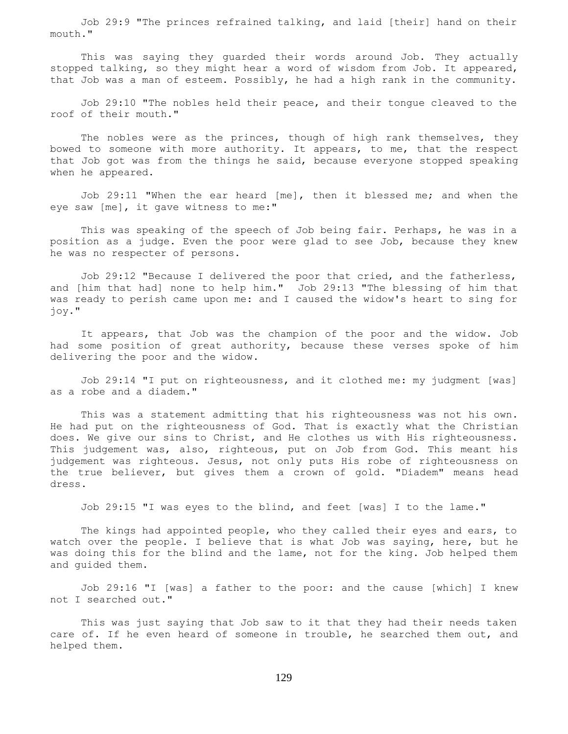Job 29:9 "The princes refrained talking, and laid [their] hand on their mouth."

 This was saying they guarded their words around Job. They actually stopped talking, so they might hear a word of wisdom from Job. It appeared, that Job was a man of esteem. Possibly, he had a high rank in the community.

 Job 29:10 "The nobles held their peace, and their tongue cleaved to the roof of their mouth."

The nobles were as the princes, though of high rank themselves, they bowed to someone with more authority. It appears, to me, that the respect that Job got was from the things he said, because everyone stopped speaking when he appeared.

 Job 29:11 "When the ear heard [me], then it blessed me; and when the eye saw [me], it gave witness to me:"

 This was speaking of the speech of Job being fair. Perhaps, he was in a position as a judge. Even the poor were glad to see Job, because they knew he was no respecter of persons.

 Job 29:12 "Because I delivered the poor that cried, and the fatherless, and [him that had] none to help him." Job 29:13 "The blessing of him that was ready to perish came upon me: and I caused the widow's heart to sing for joy."

 It appears, that Job was the champion of the poor and the widow. Job had some position of great authority, because these verses spoke of him delivering the poor and the widow.

 Job 29:14 "I put on righteousness, and it clothed me: my judgment [was] as a robe and a diadem."

 This was a statement admitting that his righteousness was not his own. He had put on the righteousness of God. That is exactly what the Christian does. We give our sins to Christ, and He clothes us with His righteousness. This judgement was, also, righteous, put on Job from God. This meant his judgement was righteous. Jesus, not only puts His robe of righteousness on the true believer, but gives them a crown of gold. "Diadem" means head dress.

Job 29:15 "I was eyes to the blind, and feet [was] I to the lame."

 The kings had appointed people, who they called their eyes and ears, to watch over the people. I believe that is what Job was saying, here, but he was doing this for the blind and the lame, not for the king. Job helped them and guided them.

 Job 29:16 "I [was] a father to the poor: and the cause [which] I knew not I searched out."

 This was just saying that Job saw to it that they had their needs taken care of. If he even heard of someone in trouble, he searched them out, and helped them.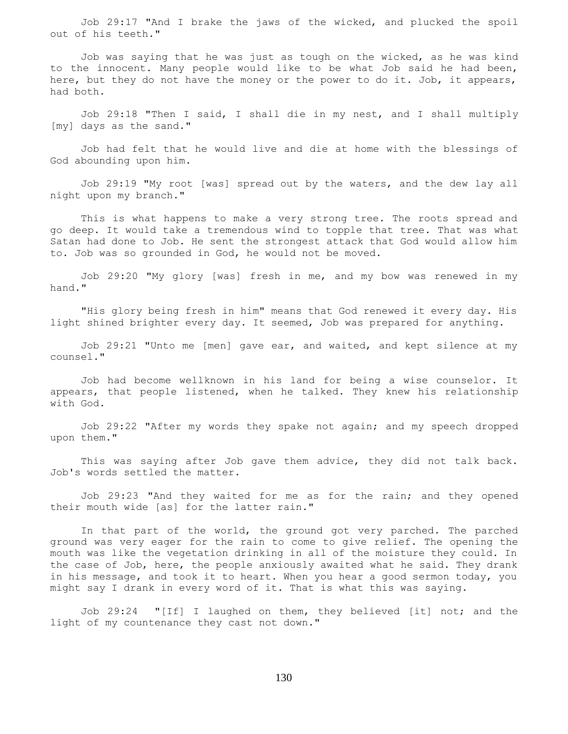Job 29:17 "And I brake the jaws of the wicked, and plucked the spoil out of his teeth."

 Job was saying that he was just as tough on the wicked, as he was kind to the innocent. Many people would like to be what Job said he had been, here, but they do not have the money or the power to do it. Job, it appears, had both.

 Job 29:18 "Then I said, I shall die in my nest, and I shall multiply [my] days as the sand."

 Job had felt that he would live and die at home with the blessings of God abounding upon him.

 Job 29:19 "My root [was] spread out by the waters, and the dew lay all night upon my branch."

 This is what happens to make a very strong tree. The roots spread and go deep. It would take a tremendous wind to topple that tree. That was what Satan had done to Job. He sent the strongest attack that God would allow him to. Job was so grounded in God, he would not be moved.

 Job 29:20 "My glory [was] fresh in me, and my bow was renewed in my hand."

 "His glory being fresh in him" means that God renewed it every day. His light shined brighter every day. It seemed, Job was prepared for anything.

 Job 29:21 "Unto me [men] gave ear, and waited, and kept silence at my counsel."

 Job had become wellknown in his land for being a wise counselor. It appears, that people listened, when he talked. They knew his relationship with God.

 Job 29:22 "After my words they spake not again; and my speech dropped upon them."

 This was saying after Job gave them advice, they did not talk back. Job's words settled the matter.

 Job 29:23 "And they waited for me as for the rain; and they opened their mouth wide [as] for the latter rain."

 In that part of the world, the ground got very parched. The parched ground was very eager for the rain to come to give relief. The opening the mouth was like the vegetation drinking in all of the moisture they could. In the case of Job, here, the people anxiously awaited what he said. They drank in his message, and took it to heart. When you hear a good sermon today, you might say I drank in every word of it. That is what this was saying.

 Job 29:24 "[If] I laughed on them, they believed [it] not; and the light of my countenance they cast not down."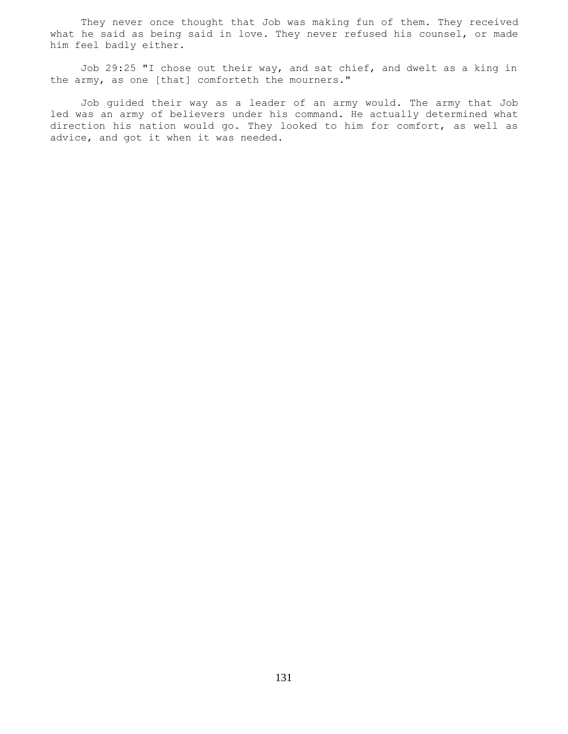They never once thought that Job was making fun of them. They received what he said as being said in love. They never refused his counsel, or made him feel badly either.

 Job 29:25 "I chose out their way, and sat chief, and dwelt as a king in the army, as one [that] comforteth the mourners."

 Job guided their way as a leader of an army would. The army that Job led was an army of believers under his command. He actually determined what direction his nation would go. They looked to him for comfort, as well as advice, and got it when it was needed.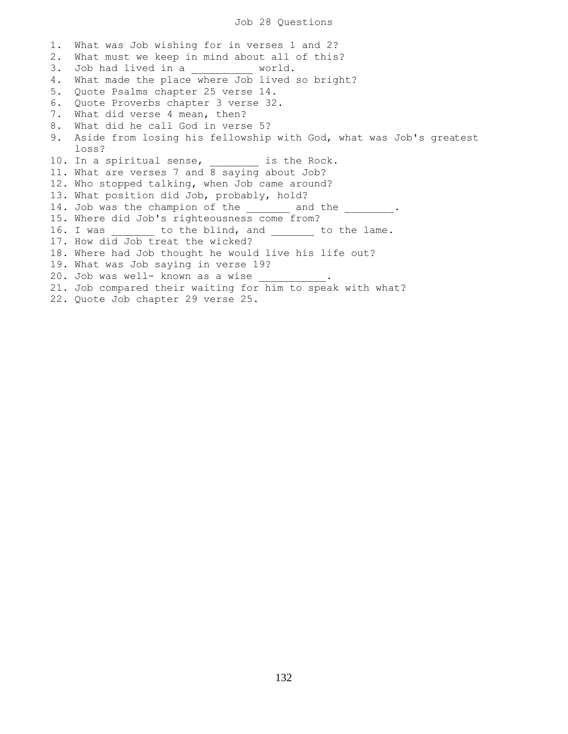1. What was Job wishing for in verses 1 and 2? 2. What must we keep in mind about all of this? 3. Job had lived in a world. 4. What made the place where Job lived so bright? 5. Quote Psalms chapter 25 verse 14. 6. Quote Proverbs chapter 3 verse 32. 7. What did verse 4 mean, then? 8. What did he call God in verse 5? 9. Aside from losing his fellowship with God, what was Job's greatest loss? 10. In a spiritual sense, \_\_\_\_\_\_\_\_ is the Rock. 11. What are verses 7 and 8 saying about Job? 12. Who stopped talking, when Job came around? 13. What position did Job, probably, hold? 14. Job was the champion of the \_\_\_\_\_\_\_ and the \_\_\_\_\_\_\_\_. 15. Where did Job's righteousness come from? 16. I was \_\_\_\_\_\_ to the blind, and \_\_\_\_\_\_ to the lame. 17. How did Job treat the wicked? 18. Where had Job thought he would live his life out? 19. What was Job saying in verse 19? 20. Job was well- known as a wise 21. Job compared their waiting for him to speak with what? 22. Quote Job chapter 29 verse 25.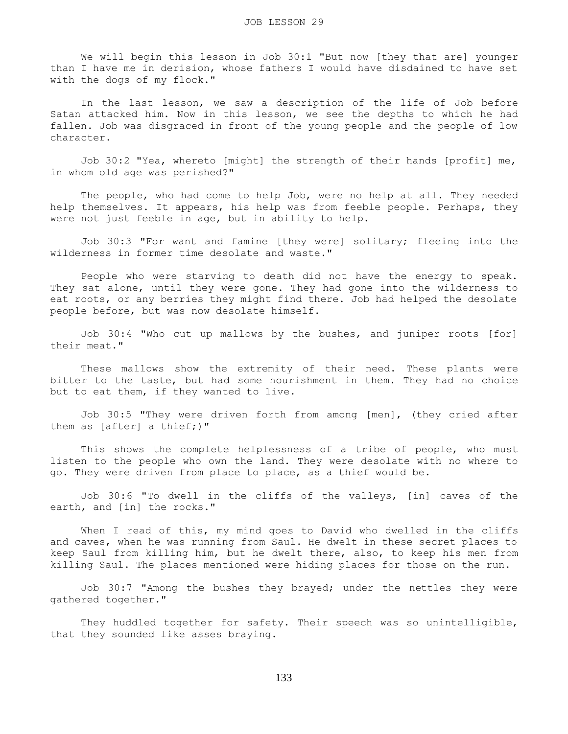We will begin this lesson in Job 30:1 "But now [they that are] younger than I have me in derision, whose fathers I would have disdained to have set with the dogs of my flock."

 In the last lesson, we saw a description of the life of Job before Satan attacked him. Now in this lesson, we see the depths to which he had fallen. Job was disgraced in front of the young people and the people of low character.

 Job 30:2 "Yea, whereto [might] the strength of their hands [profit] me, in whom old age was perished?"

The people, who had come to help Job, were no help at all. They needed help themselves. It appears, his help was from feeble people. Perhaps, they were not just feeble in age, but in ability to help.

 Job 30:3 "For want and famine [they were] solitary; fleeing into the wilderness in former time desolate and waste."

 People who were starving to death did not have the energy to speak. They sat alone, until they were gone. They had gone into the wilderness to eat roots, or any berries they might find there. Job had helped the desolate people before, but was now desolate himself.

 Job 30:4 "Who cut up mallows by the bushes, and juniper roots [for] their meat."

 These mallows show the extremity of their need. These plants were bitter to the taste, but had some nourishment in them. They had no choice but to eat them, if they wanted to live.

 Job 30:5 "They were driven forth from among [men], (they cried after them as [after] a thief;)"

 This shows the complete helplessness of a tribe of people, who must listen to the people who own the land. They were desolate with no where to go. They were driven from place to place, as a thief would be.

 Job 30:6 "To dwell in the cliffs of the valleys, [in] caves of the earth, and [in] the rocks."

When I read of this, my mind goes to David who dwelled in the cliffs and caves, when he was running from Saul. He dwelt in these secret places to keep Saul from killing him, but he dwelt there, also, to keep his men from killing Saul. The places mentioned were hiding places for those on the run.

 Job 30:7 "Among the bushes they brayed; under the nettles they were gathered together."

 They huddled together for safety. Their speech was so unintelligible, that they sounded like asses braying.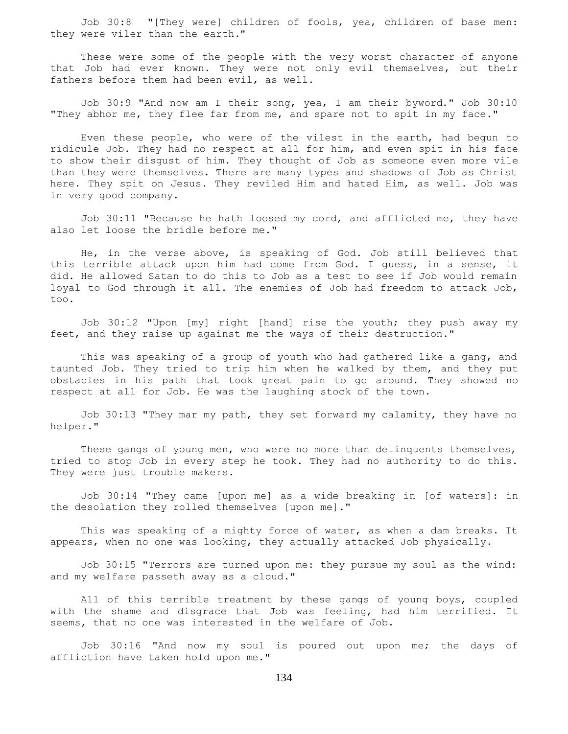Job 30:8 "[They were] children of fools, yea, children of base men: they were viler than the earth."

 These were some of the people with the very worst character of anyone that Job had ever known. They were not only evil themselves, but their fathers before them had been evil, as well.

 Job 30:9 "And now am I their song, yea, I am their byword." Job 30:10 "They abhor me, they flee far from me, and spare not to spit in my face."

 Even these people, who were of the vilest in the earth, had begun to ridicule Job. They had no respect at all for him, and even spit in his face to show their disgust of him. They thought of Job as someone even more vile than they were themselves. There are many types and shadows of Job as Christ here. They spit on Jesus. They reviled Him and hated Him, as well. Job was in very good company.

 Job 30:11 "Because he hath loosed my cord, and afflicted me, they have also let loose the bridle before me."

 He, in the verse above, is speaking of God. Job still believed that this terrible attack upon him had come from God. I guess, in a sense, it did. He allowed Satan to do this to Job as a test to see if Job would remain loyal to God through it all. The enemies of Job had freedom to attack Job, too.

 Job 30:12 "Upon [my] right [hand] rise the youth; they push away my feet, and they raise up against me the ways of their destruction."

 This was speaking of a group of youth who had gathered like a gang, and taunted Job. They tried to trip him when he walked by them, and they put obstacles in his path that took great pain to go around. They showed no respect at all for Job. He was the laughing stock of the town.

 Job 30:13 "They mar my path, they set forward my calamity, they have no helper."

These gangs of young men, who were no more than delinguents themselves, tried to stop Job in every step he took. They had no authority to do this. They were just trouble makers.

 Job 30:14 "They came [upon me] as a wide breaking in [of waters]: in the desolation they rolled themselves [upon me]."

 This was speaking of a mighty force of water, as when a dam breaks. It appears, when no one was looking, they actually attacked Job physically.

 Job 30:15 "Terrors are turned upon me: they pursue my soul as the wind: and my welfare passeth away as a cloud."

All of this terrible treatment by these gangs of young boys, coupled with the shame and disgrace that Job was feeling, had him terrified. It seems, that no one was interested in the welfare of Job.

 Job 30:16 "And now my soul is poured out upon me; the days of affliction have taken hold upon me."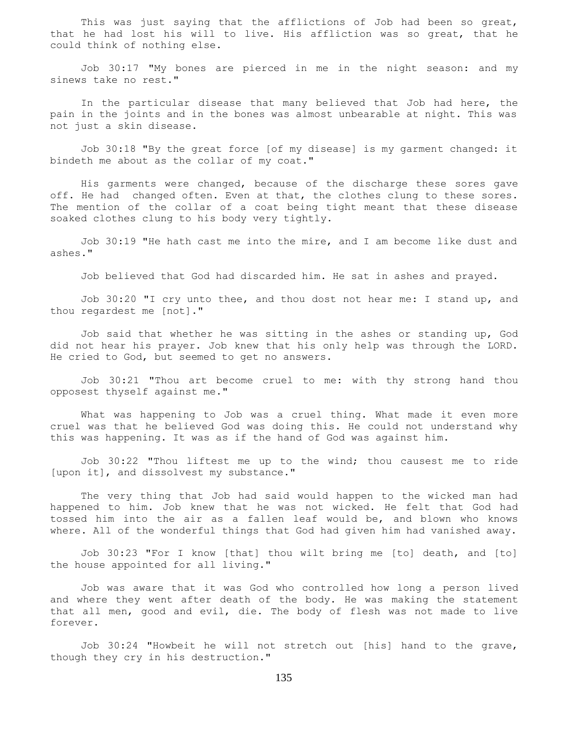This was just saying that the afflictions of Job had been so great, that he had lost his will to live. His affliction was so great, that he could think of nothing else.

 Job 30:17 "My bones are pierced in me in the night season: and my sinews take no rest."

 In the particular disease that many believed that Job had here, the pain in the joints and in the bones was almost unbearable at night. This was not just a skin disease.

 Job 30:18 "By the great force [of my disease] is my garment changed: it bindeth me about as the collar of my coat."

 His garments were changed, because of the discharge these sores gave off. He had changed often. Even at that, the clothes clung to these sores. The mention of the collar of a coat being tight meant that these disease soaked clothes clung to his body very tightly.

 Job 30:19 "He hath cast me into the mire, and I am become like dust and ashes."

Job believed that God had discarded him. He sat in ashes and prayed.

 Job 30:20 "I cry unto thee, and thou dost not hear me: I stand up, and thou regardest me [not]."

 Job said that whether he was sitting in the ashes or standing up, God did not hear his prayer. Job knew that his only help was through the LORD. He cried to God, but seemed to get no answers.

 Job 30:21 "Thou art become cruel to me: with thy strong hand thou opposest thyself against me."

 What was happening to Job was a cruel thing. What made it even more cruel was that he believed God was doing this. He could not understand why this was happening. It was as if the hand of God was against him.

 Job 30:22 "Thou liftest me up to the wind; thou causest me to ride [upon it], and dissolvest my substance."

 The very thing that Job had said would happen to the wicked man had happened to him. Job knew that he was not wicked. He felt that God had tossed him into the air as a fallen leaf would be, and blown who knows where. All of the wonderful things that God had given him had vanished away.

 Job 30:23 "For I know [that] thou wilt bring me [to] death, and [to] the house appointed for all living."

 Job was aware that it was God who controlled how long a person lived and where they went after death of the body. He was making the statement that all men, good and evil, die. The body of flesh was not made to live forever.

 Job 30:24 "Howbeit he will not stretch out [his] hand to the grave, though they cry in his destruction."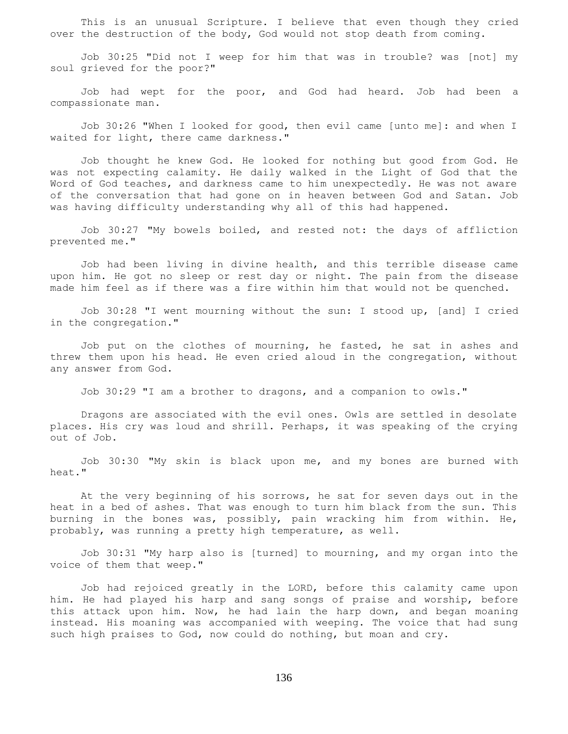This is an unusual Scripture. I believe that even though they cried over the destruction of the body, God would not stop death from coming.

 Job 30:25 "Did not I weep for him that was in trouble? was [not] my soul grieved for the poor?"

 Job had wept for the poor, and God had heard. Job had been a compassionate man.

 Job 30:26 "When I looked for good, then evil came [unto me]: and when I waited for light, there came darkness."

 Job thought he knew God. He looked for nothing but good from God. He was not expecting calamity. He daily walked in the Light of God that the Word of God teaches, and darkness came to him unexpectedly. He was not aware of the conversation that had gone on in heaven between God and Satan. Job was having difficulty understanding why all of this had happened.

 Job 30:27 "My bowels boiled, and rested not: the days of affliction prevented me."

 Job had been living in divine health, and this terrible disease came upon him. He got no sleep or rest day or night. The pain from the disease made him feel as if there was a fire within him that would not be quenched.

 Job 30:28 "I went mourning without the sun: I stood up, [and] I cried in the congregation."

 Job put on the clothes of mourning, he fasted, he sat in ashes and threw them upon his head. He even cried aloud in the congregation, without any answer from God.

Job 30:29 "I am a brother to dragons, and a companion to owls."

 Dragons are associated with the evil ones. Owls are settled in desolate places. His cry was loud and shrill. Perhaps, it was speaking of the crying out of Job.

 Job 30:30 "My skin is black upon me, and my bones are burned with heat."

 At the very beginning of his sorrows, he sat for seven days out in the heat in a bed of ashes. That was enough to turn him black from the sun. This burning in the bones was, possibly, pain wracking him from within. He, probably, was running a pretty high temperature, as well.

 Job 30:31 "My harp also is [turned] to mourning, and my organ into the voice of them that weep."

 Job had rejoiced greatly in the LORD, before this calamity came upon him. He had played his harp and sang songs of praise and worship, before this attack upon him. Now, he had lain the harp down, and began moaning instead. His moaning was accompanied with weeping. The voice that had sung such high praises to God, now could do nothing, but moan and cry.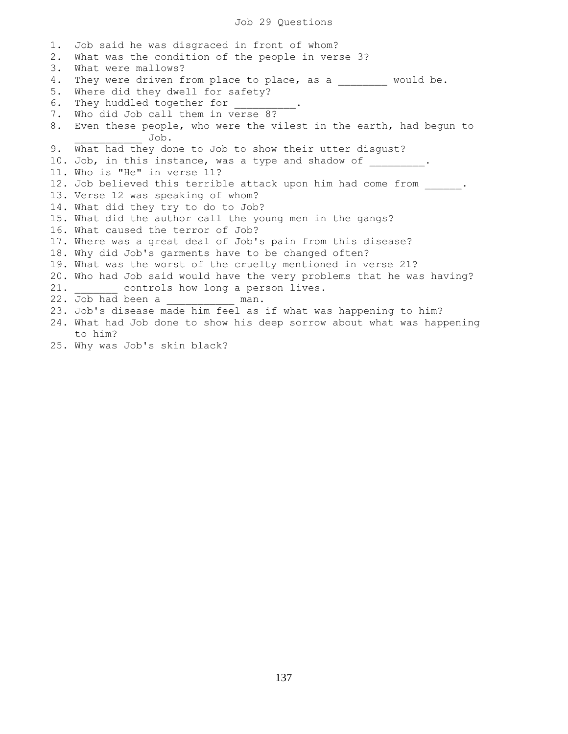## Job 29 Questions

1. Job said he was disgraced in front of whom? 2. What was the condition of the people in verse 3? 3. What were mallows? 4. They were driven from place to place, as a \_\_\_\_\_\_\_\_ would be. 5. Where did they dwell for safety? 6. They huddled together for 7. Who did Job call them in verse 8? 8. Even these people, who were the vilest in the earth, had begun to \_\_\_\_\_\_\_\_\_\_\_ Job. 9. What had they done to Job to show their utter disgust? 10. Job, in this instance, was a type and shadow of \_\_\_\_\_\_\_\_\_. 11. Who is "He" in verse 11? 12. Job believed this terrible attack upon him had come from . 13. Verse 12 was speaking of whom? 14. What did they try to do to Job? 15. What did the author call the young men in the gangs? 16. What caused the terror of Job? 17. Where was a great deal of Job's pain from this disease? 18. Why did Job's garments have to be changed often? 19. What was the worst of the cruelty mentioned in verse 21? 20. Who had Job said would have the very problems that he was having? 21. \_\_\_\_\_\_\_ controls how long a person lives.<br>22. Job had been a \_\_\_\_\_\_\_\_\_ man. 22. Job had been a 23. Job's disease made him feel as if what was happening to him? 24. What had Job done to show his deep sorrow about what was happening to him? 25. Why was Job's skin black?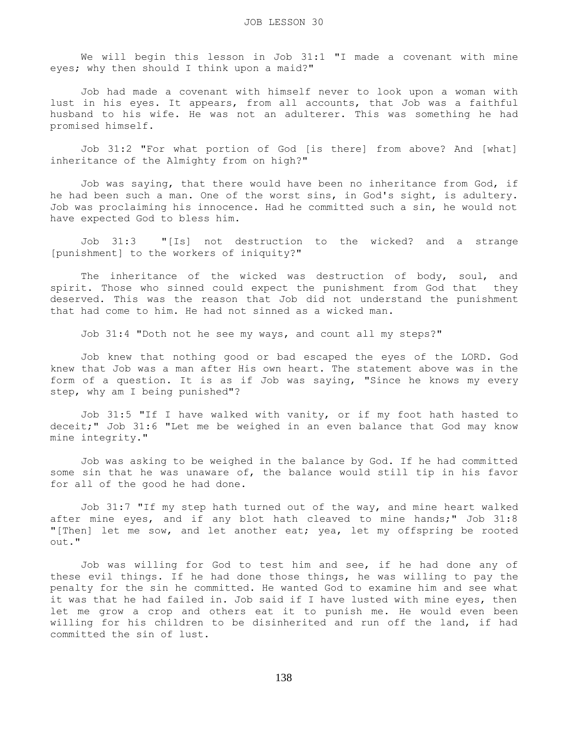We will begin this lesson in Job 31:1 "I made a covenant with mine eyes; why then should I think upon a maid?"

 Job had made a covenant with himself never to look upon a woman with lust in his eyes. It appears, from all accounts, that Job was a faithful husband to his wife. He was not an adulterer. This was something he had promised himself.

 Job 31:2 "For what portion of God [is there] from above? And [what] inheritance of the Almighty from on high?"

 Job was saying, that there would have been no inheritance from God, if he had been such a man. One of the worst sins, in God's sight, is adultery. Job was proclaiming his innocence. Had he committed such a sin, he would not have expected God to bless him.

 Job 31:3 "[Is] not destruction to the wicked? and a strange [punishment] to the workers of iniquity?"

 The inheritance of the wicked was destruction of body, soul, and spirit. Those who sinned could expect the punishment from God that they deserved. This was the reason that Job did not understand the punishment that had come to him. He had not sinned as a wicked man.

Job 31:4 "Doth not he see my ways, and count all my steps?"

 Job knew that nothing good or bad escaped the eyes of the LORD. God knew that Job was a man after His own heart. The statement above was in the form of a question. It is as if Job was saying, "Since he knows my every step, why am I being punished"?

 Job 31:5 "If I have walked with vanity, or if my foot hath hasted to deceit;" Job 31:6 "Let me be weighed in an even balance that God may know mine integrity."

 Job was asking to be weighed in the balance by God. If he had committed some sin that he was unaware of, the balance would still tip in his favor for all of the good he had done.

 Job 31:7 "If my step hath turned out of the way, and mine heart walked after mine eyes, and if any blot hath cleaved to mine hands;" Job 31:8 "[Then] let me sow, and let another eat; yea, let my offspring be rooted out."

 Job was willing for God to test him and see, if he had done any of these evil things. If he had done those things, he was willing to pay the penalty for the sin he committed. He wanted God to examine him and see what it was that he had failed in. Job said if I have lusted with mine eyes, then let me grow a crop and others eat it to punish me. He would even been willing for his children to be disinherited and run off the land, if had committed the sin of lust.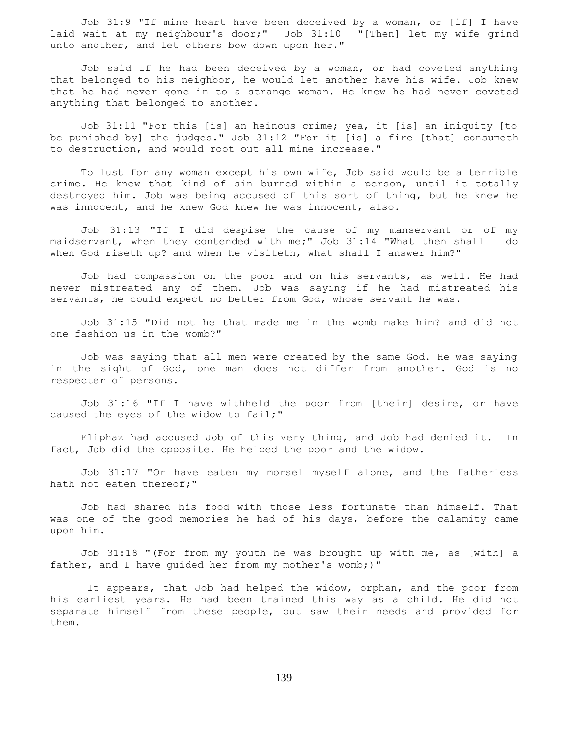Job 31:9 "If mine heart have been deceived by a woman, or [if] I have wait at my neighbour's door;" Job 31:10 "[Then] let my wife grind laid wait at my neighbour's door;" Job  $31:10$ unto another, and let others bow down upon her."

 Job said if he had been deceived by a woman, or had coveted anything that belonged to his neighbor, he would let another have his wife. Job knew that he had never gone in to a strange woman. He knew he had never coveted anything that belonged to another.

 Job 31:11 "For this [is] an heinous crime; yea, it [is] an iniquity [to be punished by] the judges." Job 31:12 "For it [is] a fire [that] consumeth to destruction, and would root out all mine increase."

 To lust for any woman except his own wife, Job said would be a terrible crime. He knew that kind of sin burned within a person, until it totally destroyed him. Job was being accused of this sort of thing, but he knew he was innocent, and he knew God knew he was innocent, also.

 Job 31:13 "If I did despise the cause of my manservant or of my maidservant, when they contended with me;" Job 31:14 "What then shall do when God riseth up? and when he visiteth, what shall I answer him?"

 Job had compassion on the poor and on his servants, as well. He had never mistreated any of them. Job was saying if he had mistreated his servants, he could expect no better from God, whose servant he was.

 Job 31:15 "Did not he that made me in the womb make him? and did not one fashion us in the womb?"

 Job was saying that all men were created by the same God. He was saying in the sight of God, one man does not differ from another. God is no respecter of persons.

 Job 31:16 "If I have withheld the poor from [their] desire, or have caused the eyes of the widow to fail;"

 Eliphaz had accused Job of this very thing, and Job had denied it. In fact, Job did the opposite. He helped the poor and the widow.

 Job 31:17 "Or have eaten my morsel myself alone, and the fatherless hath not eaten thereof;"

 Job had shared his food with those less fortunate than himself. That was one of the good memories he had of his days, before the calamity came upon him.

 Job 31:18 "(For from my youth he was brought up with me, as [with] a father, and I have guided her from my mother's womb;)"

 It appears, that Job had helped the widow, orphan, and the poor from his earliest years. He had been trained this way as a child. He did not separate himself from these people, but saw their needs and provided for them.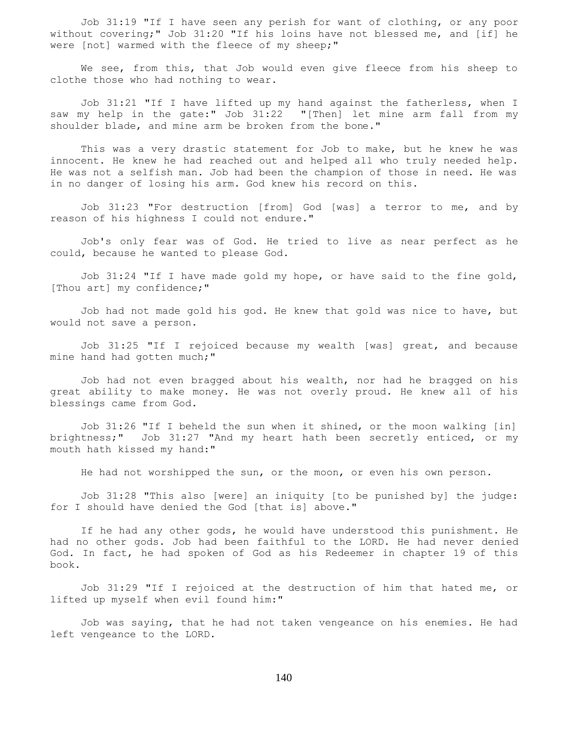Job 31:19 "If I have seen any perish for want of clothing, or any poor without covering;" Job 31:20 "If his loins have not blessed me, and [if] he were [not] warmed with the fleece of my sheep;"

We see, from this, that Job would even give fleece from his sheep to clothe those who had nothing to wear.

 Job 31:21 "If I have lifted up my hand against the fatherless, when I saw my help in the gate:" Job 31:22 "[Then] let mine arm fall from my shoulder blade, and mine arm be broken from the bone."

 This was a very drastic statement for Job to make, but he knew he was innocent. He knew he had reached out and helped all who truly needed help. He was not a selfish man. Job had been the champion of those in need. He was in no danger of losing his arm. God knew his record on this.

 Job 31:23 "For destruction [from] God [was] a terror to me, and by reason of his highness I could not endure."

 Job's only fear was of God. He tried to live as near perfect as he could, because he wanted to please God.

 Job 31:24 "If I have made gold my hope, or have said to the fine gold, [Thou art] my confidence;"

 Job had not made gold his god. He knew that gold was nice to have, but would not save a person.

 Job 31:25 "If I rejoiced because my wealth [was] great, and because mine hand had gotten much;"

 Job had not even bragged about his wealth, nor had he bragged on his great ability to make money. He was not overly proud. He knew all of his blessings came from God.

 Job 31:26 "If I beheld the sun when it shined, or the moon walking [in] brightness;" Job 31:27 "And my heart hath been secretly enticed, or my mouth hath kissed my hand:"

He had not worshipped the sun, or the moon, or even his own person.

 Job 31:28 "This also [were] an iniquity [to be punished by] the judge: for I should have denied the God [that is] above."

 If he had any other gods, he would have understood this punishment. He had no other gods. Job had been faithful to the LORD. He had never denied God. In fact, he had spoken of God as his Redeemer in chapter 19 of this book.

 Job 31:29 "If I rejoiced at the destruction of him that hated me, or lifted up myself when evil found him:"

 Job was saying, that he had not taken vengeance on his enemies. He had left vengeance to the LORD.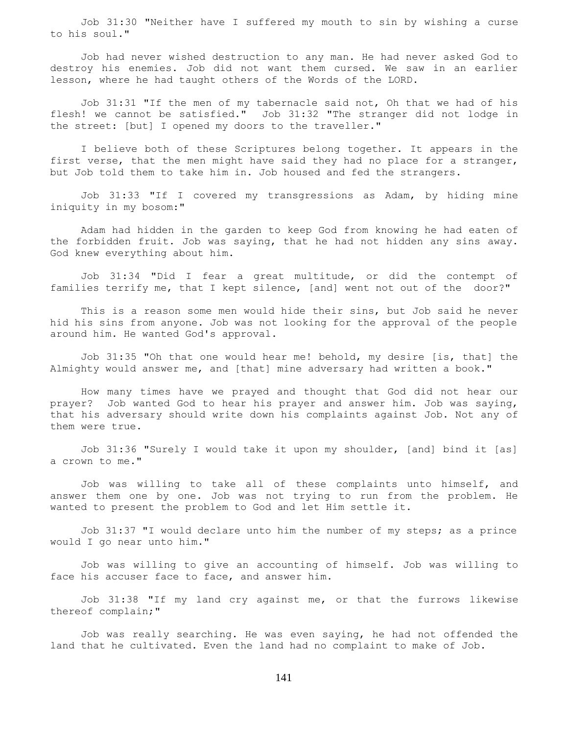Job 31:30 "Neither have I suffered my mouth to sin by wishing a curse to his soul."

 Job had never wished destruction to any man. He had never asked God to destroy his enemies. Job did not want them cursed. We saw in an earlier lesson, where he had taught others of the Words of the LORD.

 Job 31:31 "If the men of my tabernacle said not, Oh that we had of his flesh! we cannot be satisfied." Job 31:32 "The stranger did not lodge in the street: [but] I opened my doors to the traveller."

 I believe both of these Scriptures belong together. It appears in the first verse, that the men might have said they had no place for a stranger, but Job told them to take him in. Job housed and fed the strangers.

 Job 31:33 "If I covered my transgressions as Adam, by hiding mine iniquity in my bosom:"

 Adam had hidden in the garden to keep God from knowing he had eaten of the forbidden fruit. Job was saying, that he had not hidden any sins away. God knew everything about him.

 Job 31:34 "Did I fear a great multitude, or did the contempt of families terrify me, that I kept silence, [and] went not out of the door?"

 This is a reason some men would hide their sins, but Job said he never hid his sins from anyone. Job was not looking for the approval of the people around him. He wanted God's approval.

 Job 31:35 "Oh that one would hear me! behold, my desire [is, that] the Almighty would answer me, and [that] mine adversary had written a book."

 How many times have we prayed and thought that God did not hear our prayer? Job wanted God to hear his prayer and answer him. Job was saying, that his adversary should write down his complaints against Job. Not any of them were true.

 Job 31:36 "Surely I would take it upon my shoulder, [and] bind it [as] a crown to me."

 Job was willing to take all of these complaints unto himself, and answer them one by one. Job was not trying to run from the problem. He wanted to present the problem to God and let Him settle it.

 Job 31:37 "I would declare unto him the number of my steps; as a prince would I go near unto him."

 Job was willing to give an accounting of himself. Job was willing to face his accuser face to face, and answer him.

 Job 31:38 "If my land cry against me, or that the furrows likewise thereof complain;"

 Job was really searching. He was even saying, he had not offended the land that he cultivated. Even the land had no complaint to make of Job.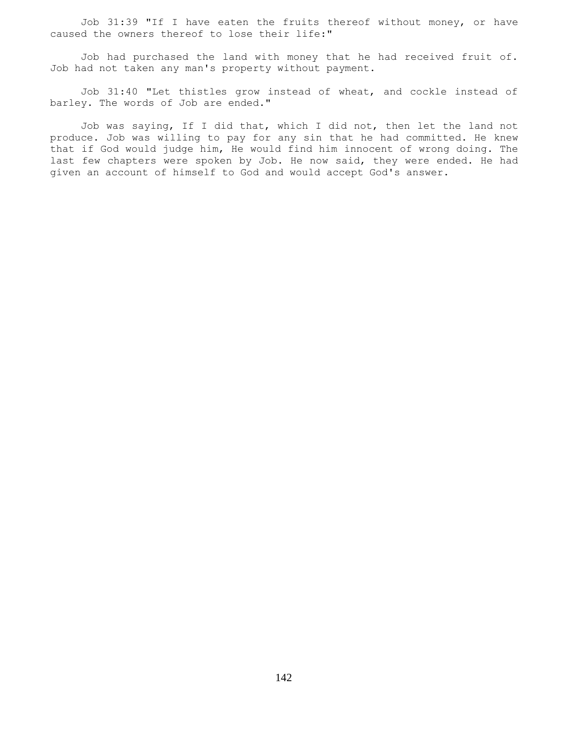Job 31:39 "If I have eaten the fruits thereof without money, or have caused the owners thereof to lose their life:"

 Job had purchased the land with money that he had received fruit of. Job had not taken any man's property without payment.

 Job 31:40 "Let thistles grow instead of wheat, and cockle instead of barley. The words of Job are ended."

 Job was saying, If I did that, which I did not, then let the land not produce. Job was willing to pay for any sin that he had committed. He knew that if God would judge him, He would find him innocent of wrong doing. The last few chapters were spoken by Job. He now said, they were ended. He had given an account of himself to God and would accept God's answer.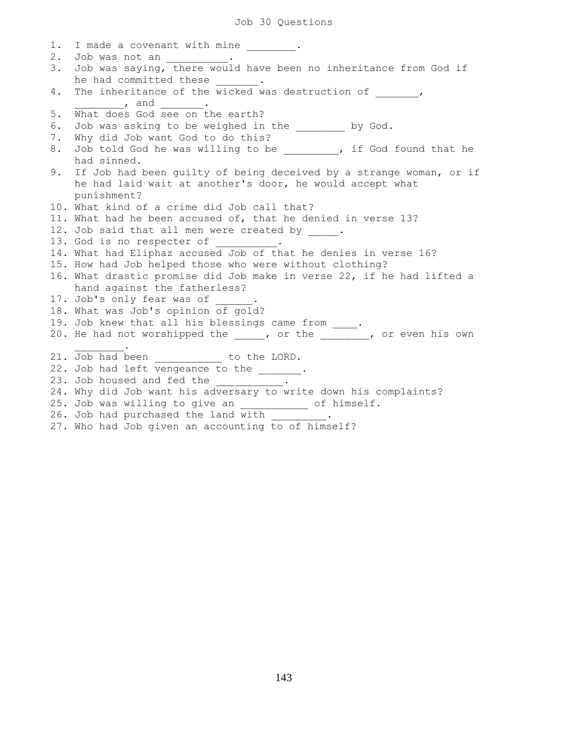## Job 30 Questions

| 1.    | I made a covenant with mine .                                                                        |
|-------|------------------------------------------------------------------------------------------------------|
| $2$ . | Job was not an ___________.                                                                          |
| 3.    | Job was saying, there would have been no inheritance from God if<br>he had committed these ________. |
| 4.    | The inheritance of the $\overline{\text{wicked}}$ was destruction of ,                               |
|       |                                                                                                      |
| $5.$  | What does God see on the earth?                                                                      |
| 6.    | Job was asking to be weighed in the _______ by God.                                                  |
| 7.    | Why did Job want God to do this?                                                                     |
| 8.    | Job told God he was willing to be ________, if God found that he                                     |
|       | had sinned.                                                                                          |
| 9.    | If Job had been quilty of being deceived by a strange woman, or if                                   |
|       | he had laid wait at another's door, he would accept what                                             |
|       | punishment?                                                                                          |
|       | 10. What kind of a crime did Job call that?                                                          |
|       | 11. What had he been accused of, that he denied in verse 13?                                         |
|       | 12. Job said that all men were created by .                                                          |
|       | 13. God is no respecter of __________.                                                               |
|       | 14. What had Eliphaz accused Job of that he denies in verse 16?                                      |
|       | 15. How had Job helped those who were without clothing?                                              |
|       | 16. What drastic promise did Job make in verse 22, if he had lifted a                                |
|       | hand against the fatherless?                                                                         |
|       | 17. Job's only fear was of _____.                                                                    |
|       | 18. What was Job's opinion of gold?                                                                  |
|       | 19. Job knew that all his blessings came from ____.                                                  |
|       | 20. He had not worshipped the _____, or the ________, or even his own                                |
|       |                                                                                                      |
|       | 21. Job had been __________ to the LORD.                                                             |
|       | 22. Job had left vengeance to the ______.                                                            |
|       | 23. Job housed and fed the __________                                                                |
|       | 24. Why did Job want his adversary to write down his complaints?                                     |
|       | 25. Job was willing to give an ___________ of himself.                                               |
|       | 26. Job had purchased the land with _________.                                                       |
|       | 27. Who had Job given an accounting to of himself?                                                   |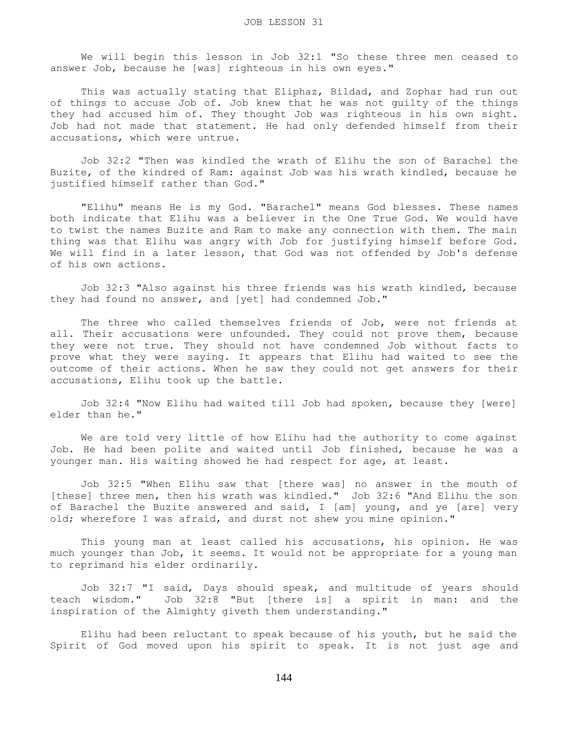We will begin this lesson in Job 32:1 "So these three men ceased to answer Job, because he [was] righteous in his own eyes."

This was actually stating that Eliphaz, Bildad, and Zophar had run out of things to accuse Job of. Job knew that he was not guilty of the things they had accused him of. They thought Job was righteous in his own sight. Job had not made that statement. He had only defended himself from their accusations, which were untrue.

 Job 32:2 "Then was kindled the wrath of Elihu the son of Barachel the Buzite, of the kindred of Ram: against Job was his wrath kindled, because he justified himself rather than God."

 "Elihu" means He is my God. "Barachel" means God blesses. These names both indicate that Elihu was a believer in the One True God. We would have to twist the names Buzite and Ram to make any connection with them. The main thing was that Elihu was angry with Job for justifying himself before God. We will find in a later lesson, that God was not offended by Job's defense of his own actions.

 Job 32:3 "Also against his three friends was his wrath kindled, because they had found no answer, and [yet] had condemned Job."

 The three who called themselves friends of Job, were not friends at all. Their accusations were unfounded. They could not prove them, because they were not true. They should not have condemned Job without facts to prove what they were saying. It appears that Elihu had waited to see the outcome of their actions. When he saw they could not get answers for their accusations, Elihu took up the battle.

 Job 32:4 "Now Elihu had waited till Job had spoken, because they [were] elder than he."

 We are told very little of how Elihu had the authority to come against Job. He had been polite and waited until Job finished, because he was a younger man. His waiting showed he had respect for age, at least.

 Job 32:5 "When Elihu saw that [there was] no answer in the mouth of [these] three men, then his wrath was kindled." Job 32:6 "And Elihu the son of Barachel the Buzite answered and said, I [am] young, and ye [are] very old; wherefore I was afraid, and durst not shew you mine opinion."

 This young man at least called his accusations, his opinion. He was much younger than Job, it seems. It would not be appropriate for a young man to reprimand his elder ordinarily.

 Job 32:7 "I said, Days should speak, and multitude of years should teach wisdom." Job 32:8 "But [there is] a spirit in man: and the inspiration of the Almighty giveth them understanding."

 Elihu had been reluctant to speak because of his youth, but he said the Spirit of God moved upon his spirit to speak. It is not just age and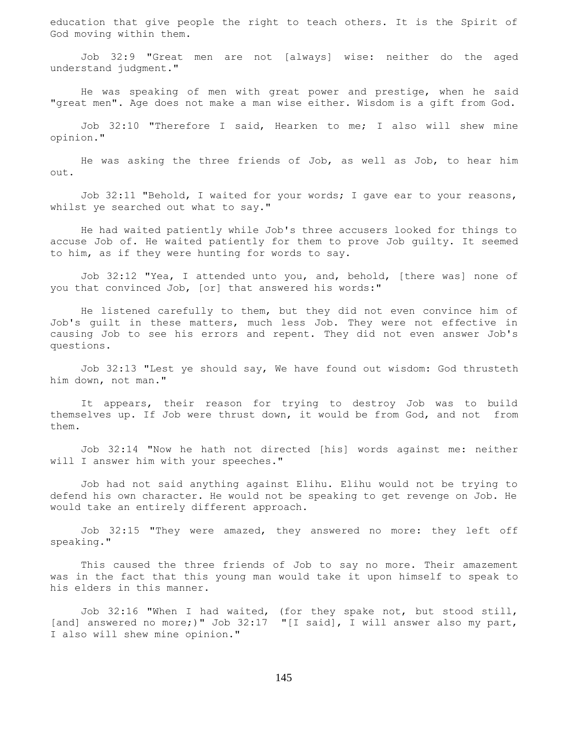education that give people the right to teach others. It is the Spirit of God moving within them.

 Job 32:9 "Great men are not [always] wise: neither do the aged understand judgment."

 He was speaking of men with great power and prestige, when he said "great men". Age does not make a man wise either. Wisdom is a gift from God.

 Job 32:10 "Therefore I said, Hearken to me; I also will shew mine opinion."

 He was asking the three friends of Job, as well as Job, to hear him out.

 Job 32:11 "Behold, I waited for your words; I gave ear to your reasons, whilst ye searched out what to say."

 He had waited patiently while Job's three accusers looked for things to accuse Job of. He waited patiently for them to prove Job guilty. It seemed to him, as if they were hunting for words to say.

 Job 32:12 "Yea, I attended unto you, and, behold, [there was] none of you that convinced Job, [or] that answered his words:"

 He listened carefully to them, but they did not even convince him of Job's guilt in these matters, much less Job. They were not effective in causing Job to see his errors and repent. They did not even answer Job's questions.

 Job 32:13 "Lest ye should say, We have found out wisdom: God thrusteth him down, not man."

 It appears, their reason for trying to destroy Job was to build themselves up. If Job were thrust down, it would be from God, and not from them.

 Job 32:14 "Now he hath not directed [his] words against me: neither will I answer him with your speeches."

 Job had not said anything against Elihu. Elihu would not be trying to defend his own character. He would not be speaking to get revenge on Job. He would take an entirely different approach.

 Job 32:15 "They were amazed, they answered no more: they left off speaking."

 This caused the three friends of Job to say no more. Their amazement was in the fact that this young man would take it upon himself to speak to his elders in this manner.

 Job 32:16 "When I had waited, (for they spake not, but stood still, [and] answered no more;)" Job 32:17 "[I said], I will answer also my part, I also will shew mine opinion."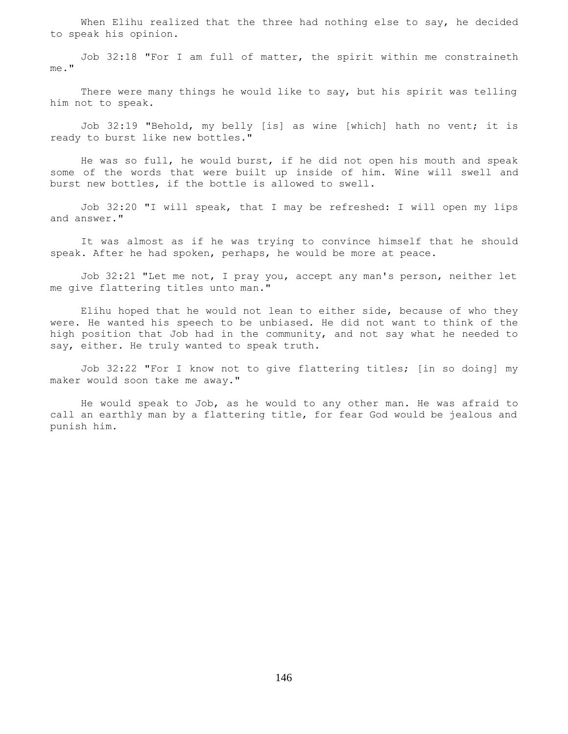When Elihu realized that the three had nothing else to say, he decided to speak his opinion.

 Job 32:18 "For I am full of matter, the spirit within me constraineth me."

 There were many things he would like to say, but his spirit was telling him not to speak.

 Job 32:19 "Behold, my belly [is] as wine [which] hath no vent; it is ready to burst like new bottles."

 He was so full, he would burst, if he did not open his mouth and speak some of the words that were built up inside of him. Wine will swell and burst new bottles, if the bottle is allowed to swell.

 Job 32:20 "I will speak, that I may be refreshed: I will open my lips and answer."

 It was almost as if he was trying to convince himself that he should speak. After he had spoken, perhaps, he would be more at peace.

 Job 32:21 "Let me not, I pray you, accept any man's person, neither let me give flattering titles unto man."

 Elihu hoped that he would not lean to either side, because of who they were. He wanted his speech to be unbiased. He did not want to think of the high position that Job had in the community, and not say what he needed to say, either. He truly wanted to speak truth.

 Job 32:22 "For I know not to give flattering titles; [in so doing] my maker would soon take me away."

 He would speak to Job, as he would to any other man. He was afraid to call an earthly man by a flattering title, for fear God would be jealous and punish him.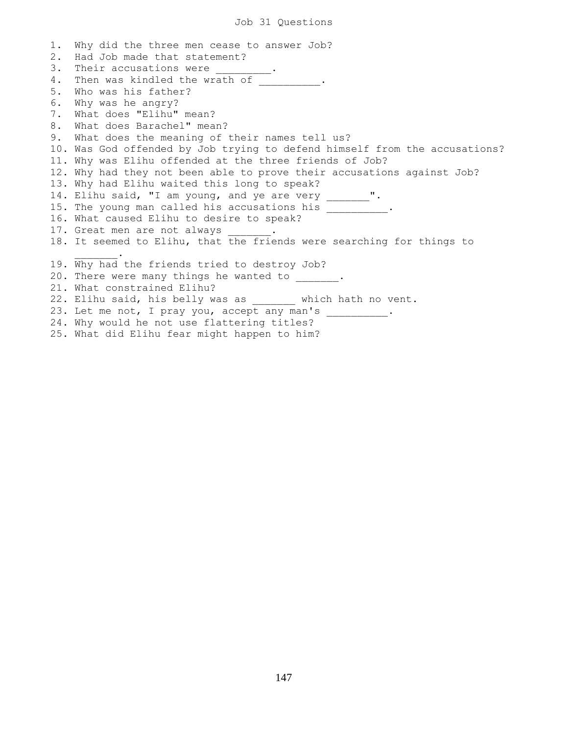## Job 31 Questions

1. Why did the three men cease to answer Job? 2. Had Job made that statement? 3. Their accusations were 4. Then was kindled the wrath of  $\qquad \qquad$ 5. Who was his father? 6. Why was he angry? 7. What does "Elihu" mean? 8. What does Barachel" mean? 9. What does the meaning of their names tell us? 10. Was God offended by Job trying to defend himself from the accusations? 11. Why was Elihu offended at the three friends of Job? 12. Why had they not been able to prove their accusations against Job? 13. Why had Elihu waited this long to speak? 14. Elihu said, "I am young, and ye are very \_\_\_\_\_\_\_". 15. The young man called his accusations his \_\_\_\_\_\_\_\_\_\_\_. 16. What caused Elihu to desire to speak? 17. Great men are not always 18. It seemed to Elihu, that the friends were searching for things to  $\mathcal{L}=\mathcal{L}^{\mathcal{L}}$ 19. Why had the friends tried to destroy Job? 20. There were many things he wanted to \_\_\_\_\_\_\_. 21. What constrained Elihu? 22. Elihu said, his belly was as which hath no vent. 23. Let me not, I pray you, accept any man's \_\_\_\_\_\_\_\_\_\_. 24. Why would he not use flattering titles? 25. What did Elihu fear might happen to him?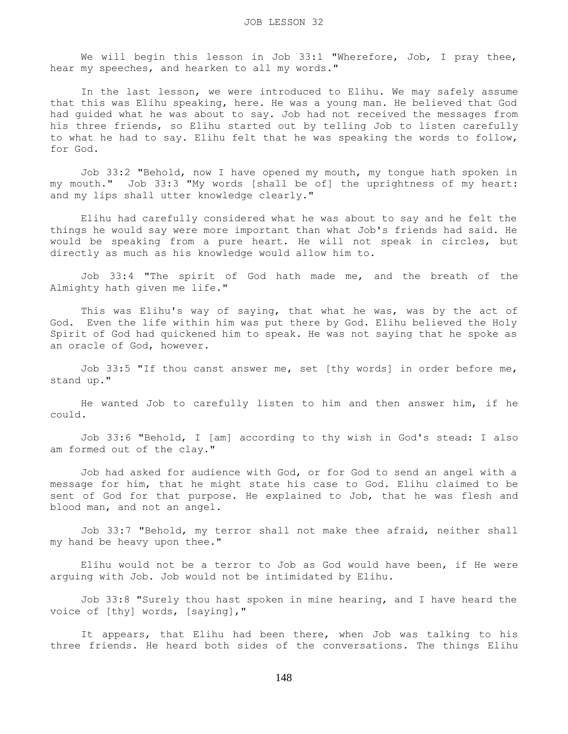We will begin this lesson in Job 33:1 "Wherefore, Job, I pray thee, hear my speeches, and hearken to all my words."

 In the last lesson, we were introduced to Elihu. We may safely assume that this was Elihu speaking, here. He was a young man. He believed that God had guided what he was about to say. Job had not received the messages from his three friends, so Elihu started out by telling Job to listen carefully to what he had to say. Elihu felt that he was speaking the words to follow, for God.

 Job 33:2 "Behold, now I have opened my mouth, my tongue hath spoken in my mouth." Job 33:3 "My words [shall be of] the uprightness of my heart: and my lips shall utter knowledge clearly."

 Elihu had carefully considered what he was about to say and he felt the things he would say were more important than what Job's friends had said. He would be speaking from a pure heart. He will not speak in circles, but directly as much as his knowledge would allow him to.

 Job 33:4 "The spirit of God hath made me, and the breath of the Almighty hath given me life."

 This was Elihu's way of saying, that what he was, was by the act of God. Even the life within him was put there by God. Elihu believed the Holy Spirit of God had quickened him to speak. He was not saying that he spoke as an oracle of God, however.

 Job 33:5 "If thou canst answer me, set [thy words] in order before me, stand up."

 He wanted Job to carefully listen to him and then answer him, if he could.

 Job 33:6 "Behold, I [am] according to thy wish in God's stead: I also am formed out of the clay."

 Job had asked for audience with God, or for God to send an angel with a message for him, that he might state his case to God. Elihu claimed to be sent of God for that purpose. He explained to Job, that he was flesh and blood man, and not an angel.

 Job 33:7 "Behold, my terror shall not make thee afraid, neither shall my hand be heavy upon thee."

 Elihu would not be a terror to Job as God would have been, if He were arguing with Job. Job would not be intimidated by Elihu.

 Job 33:8 "Surely thou hast spoken in mine hearing, and I have heard the voice of [thy] words, [saying],"

 It appears, that Elihu had been there, when Job was talking to his three friends. He heard both sides of the conversations. The things Elihu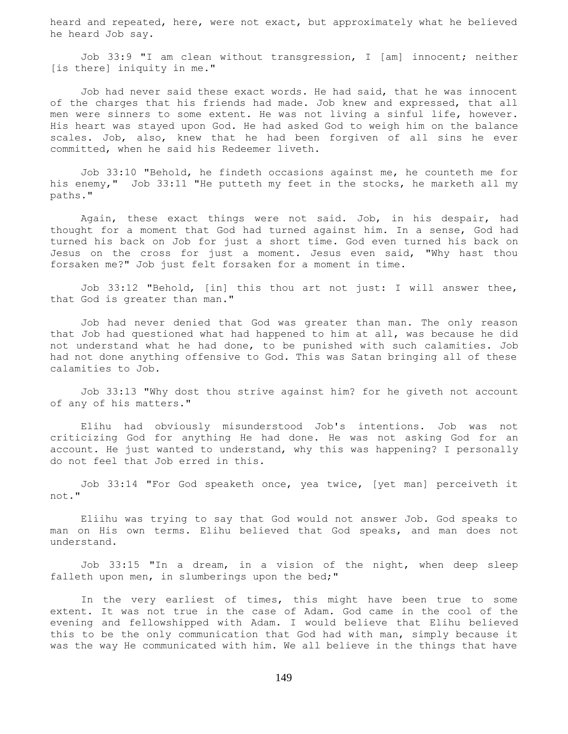heard and repeated, here, were not exact, but approximately what he believed he heard Job say.

 Job 33:9 "I am clean without transgression, I [am] innocent; neither [is there] iniquity in me."

 Job had never said these exact words. He had said, that he was innocent of the charges that his friends had made. Job knew and expressed, that all men were sinners to some extent. He was not living a sinful life, however. His heart was stayed upon God. He had asked God to weigh him on the balance scales. Job, also, knew that he had been forgiven of all sins he ever committed, when he said his Redeemer liveth.

 Job 33:10 "Behold, he findeth occasions against me, he counteth me for his enemy," Job 33:11 "He putteth my feet in the stocks, he marketh all my paths."

 Again, these exact things were not said. Job, in his despair, had thought for a moment that God had turned against him. In a sense, God had turned his back on Job for just a short time. God even turned his back on Jesus on the cross for just a moment. Jesus even said, "Why hast thou forsaken me?" Job just felt forsaken for a moment in time.

 Job 33:12 "Behold, [in] this thou art not just: I will answer thee, that God is greater than man."

 Job had never denied that God was greater than man. The only reason that Job had questioned what had happened to him at all, was because he did not understand what he had done, to be punished with such calamities. Job had not done anything offensive to God. This was Satan bringing all of these calamities to Job.

 Job 33:13 "Why dost thou strive against him? for he giveth not account of any of his matters."

 Elihu had obviously misunderstood Job's intentions. Job was not criticizing God for anything He had done. He was not asking God for an account. He just wanted to understand, why this was happening? I personally do not feel that Job erred in this.

 Job 33:14 "For God speaketh once, yea twice, [yet man] perceiveth it not."

 Eliihu was trying to say that God would not answer Job. God speaks to man on His own terms. Elihu believed that God speaks, and man does not understand.

 Job 33:15 "In a dream, in a vision of the night, when deep sleep falleth upon men, in slumberings upon the bed;"

 In the very earliest of times, this might have been true to some extent. It was not true in the case of Adam. God came in the cool of the evening and fellowshipped with Adam. I would believe that Elihu believed this to be the only communication that God had with man, simply because it was the way He communicated with him. We all believe in the things that have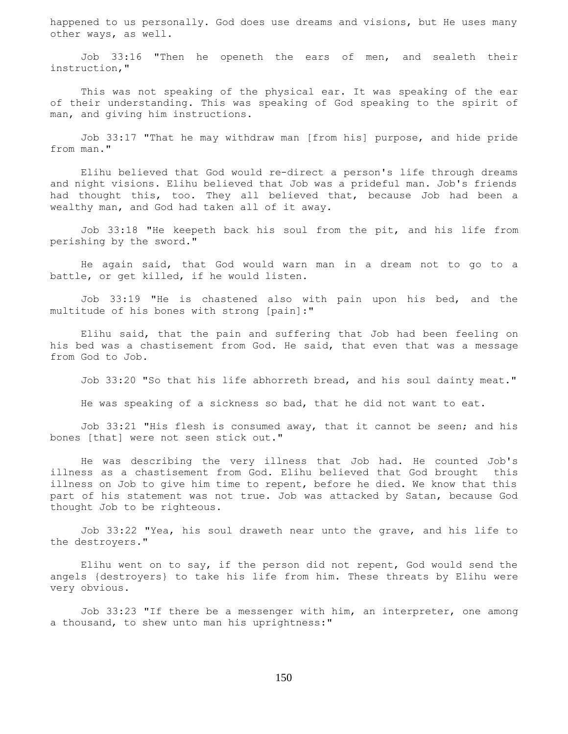happened to us personally. God does use dreams and visions, but He uses many other ways, as well.

 Job 33:16 "Then he openeth the ears of men, and sealeth their instruction,"

 This was not speaking of the physical ear. It was speaking of the ear of their understanding. This was speaking of God speaking to the spirit of man, and giving him instructions.

 Job 33:17 "That he may withdraw man [from his] purpose, and hide pride from man."

 Elihu believed that God would re-direct a person's life through dreams and night visions. Elihu believed that Job was a prideful man. Job's friends had thought this, too. They all believed that, because Job had been a wealthy man, and God had taken all of it away.

 Job 33:18 "He keepeth back his soul from the pit, and his life from perishing by the sword."

 He again said, that God would warn man in a dream not to go to a battle, or get killed, if he would listen.

 Job 33:19 "He is chastened also with pain upon his bed, and the multitude of his bones with strong [pain]:"

 Elihu said, that the pain and suffering that Job had been feeling on his bed was a chastisement from God. He said, that even that was a message from God to Job.

Job 33:20 "So that his life abhorreth bread, and his soul dainty meat."

He was speaking of a sickness so bad, that he did not want to eat.

 Job 33:21 "His flesh is consumed away, that it cannot be seen; and his bones [that] were not seen stick out."

 He was describing the very illness that Job had. He counted Job's illness as a chastisement from God. Elihu believed that God brought this illness on Job to give him time to repent, before he died. We know that this part of his statement was not true. Job was attacked by Satan, because God thought Job to be righteous.

 Job 33:22 "Yea, his soul draweth near unto the grave, and his life to the destroyers."

 Elihu went on to say, if the person did not repent, God would send the angels {destroyers} to take his life from him. These threats by Elihu were very obvious.

 Job 33:23 "If there be a messenger with him, an interpreter, one among a thousand, to shew unto man his uprightness:"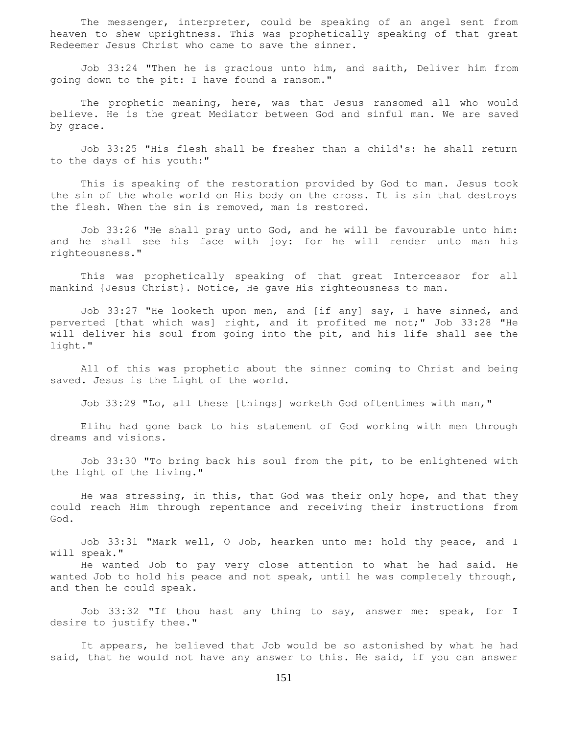The messenger, interpreter, could be speaking of an angel sent from heaven to shew uprightness. This was prophetically speaking of that great Redeemer Jesus Christ who came to save the sinner.

 Job 33:24 "Then he is gracious unto him, and saith, Deliver him from going down to the pit: I have found a ransom."

The prophetic meaning, here, was that Jesus ransomed all who would believe. He is the great Mediator between God and sinful man. We are saved by grace.

 Job 33:25 "His flesh shall be fresher than a child's: he shall return to the days of his youth:"

 This is speaking of the restoration provided by God to man. Jesus took the sin of the whole world on His body on the cross. It is sin that destroys the flesh. When the sin is removed, man is restored.

 Job 33:26 "He shall pray unto God, and he will be favourable unto him: and he shall see his face with joy: for he will render unto man his righteousness."

 This was prophetically speaking of that great Intercessor for all mankind {Jesus Christ}. Notice, He gave His righteousness to man.

 Job 33:27 "He looketh upon men, and [if any] say, I have sinned, and perverted [that which was] right, and it profited me not;" Job 33:28 "He will deliver his soul from going into the pit, and his life shall see the light."

 All of this was prophetic about the sinner coming to Christ and being saved. Jesus is the Light of the world.

Job 33:29 "Lo, all these [things] worketh God oftentimes with man,"

 Elihu had gone back to his statement of God working with men through dreams and visions.

 Job 33:30 "To bring back his soul from the pit, to be enlightened with the light of the living."

 He was stressing, in this, that God was their only hope, and that they could reach Him through repentance and receiving their instructions from God.

 Job 33:31 "Mark well, O Job, hearken unto me: hold thy peace, and I will speak."

 He wanted Job to pay very close attention to what he had said. He wanted Job to hold his peace and not speak, until he was completely through, and then he could speak.

 Job 33:32 "If thou hast any thing to say, answer me: speak, for I desire to justify thee."

 It appears, he believed that Job would be so astonished by what he had said, that he would not have any answer to this. He said, if you can answer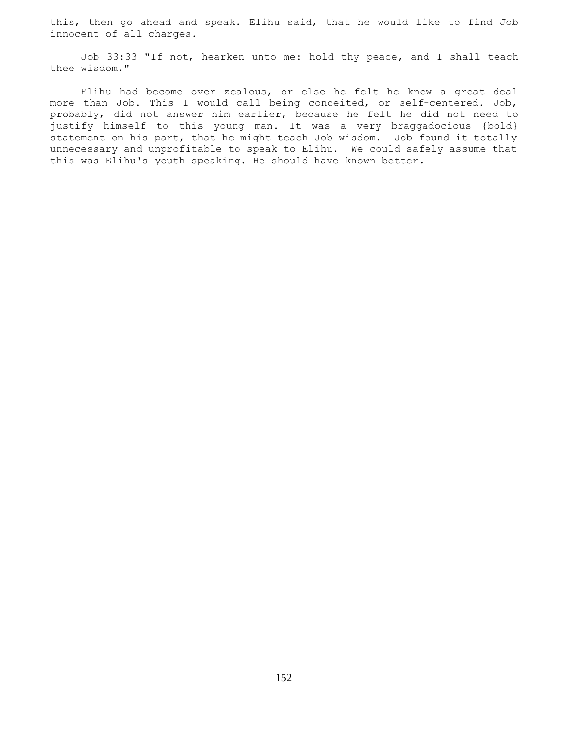this, then go ahead and speak. Elihu said, that he would like to find Job innocent of all charges.

 Job 33:33 "If not, hearken unto me: hold thy peace, and I shall teach thee wisdom."

 Elihu had become over zealous, or else he felt he knew a great deal more than Job. This I would call being conceited, or self-centered. Job, probably, did not answer him earlier, because he felt he did not need to justify himself to this young man. It was a very braggadocious {bold} statement on his part, that he might teach Job wisdom. Job found it totally unnecessary and unprofitable to speak to Elihu. We could safely assume that this was Elihu's youth speaking. He should have known better.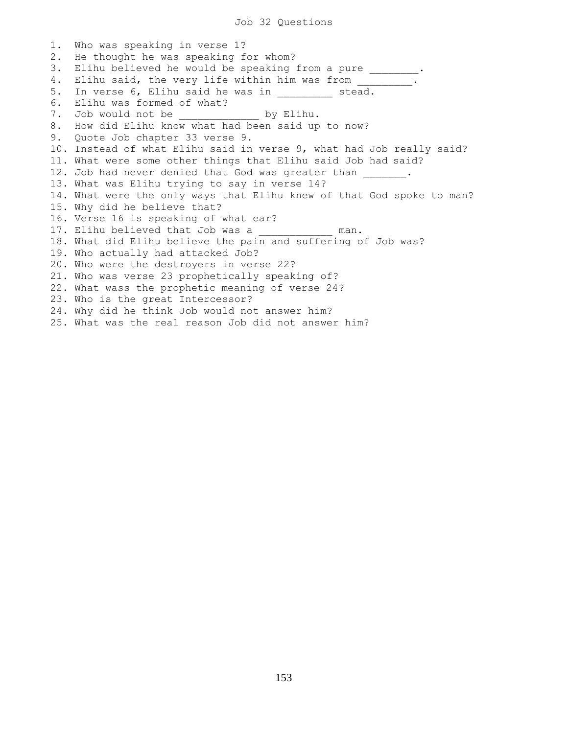Job 32 Questions

1. Who was speaking in verse 1? 2. He thought he was speaking for whom? 3. Elihu believed he would be speaking from a pure \_\_\_\_\_\_\_\_. 4. Elihu said, the very life within him was from \_\_\_\_\_\_\_\_. 5. In verse 6, Elihu said he was in \_\_\_\_\_\_\_\_\_ stead. 6. Elihu was formed of what? 7. Job would not be  $\qquad \qquad$  by Elihu. 8. How did Elihu know what had been said up to now? 9. Quote Job chapter 33 verse 9. 10. Instead of what Elihu said in verse 9, what had Job really said? 11. What were some other things that Elihu said Job had said? 12. Job had never denied that God was greater than  $\qquad \qquad$ 13. What was Elihu trying to say in verse 14? 14. What were the only ways that Elihu knew of that God spoke to man? 15. Why did he believe that? 16. Verse 16 is speaking of what ear? 17. Elihu believed that Job was a \_\_\_\_\_\_\_\_\_\_\_\_ man. 18. What did Elihu believe the pain and suffering of Job was? 19. Who actually had attacked Job? 20. Who were the destroyers in verse 22? 21. Who was verse 23 prophetically speaking of? 22. What wass the prophetic meaning of verse 24? 23. Who is the great Intercessor? 24. Why did he think Job would not answer him? 25. What was the real reason Job did not answer him?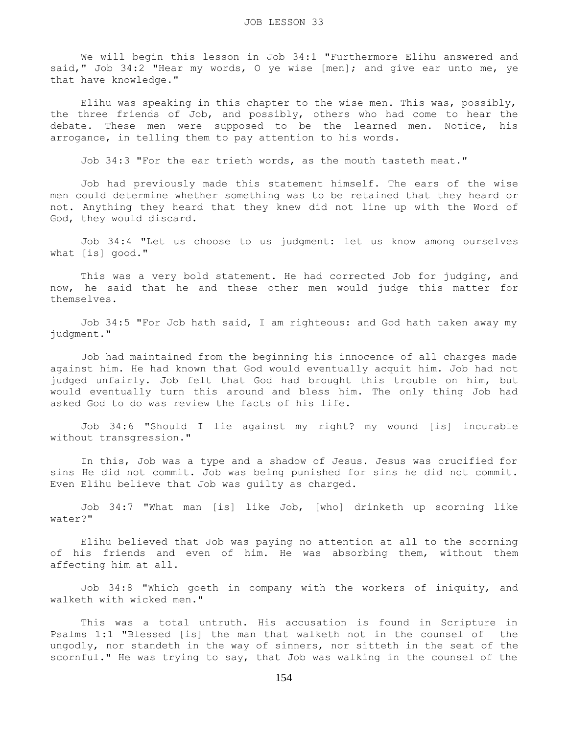We will begin this lesson in Job 34:1 "Furthermore Elihu answered and said," Job 34:2 "Hear my words, O ye wise [men]; and give ear unto me, ye that have knowledge."

Elihu was speaking in this chapter to the wise men. This was, possibly, the three friends of Job, and possibly, others who had come to hear the debate. These men were supposed to be the learned men. Notice, his arrogance, in telling them to pay attention to his words.

Job 34:3 "For the ear trieth words, as the mouth tasteth meat."

 Job had previously made this statement himself. The ears of the wise men could determine whether something was to be retained that they heard or not. Anything they heard that they knew did not line up with the Word of God, they would discard.

 Job 34:4 "Let us choose to us judgment: let us know among ourselves what [is] good."

 This was a very bold statement. He had corrected Job for judging, and now, he said that he and these other men would judge this matter for themselves.

 Job 34:5 "For Job hath said, I am righteous: and God hath taken away my judgment."

 Job had maintained from the beginning his innocence of all charges made against him. He had known that God would eventually acquit him. Job had not judged unfairly. Job felt that God had brought this trouble on him, but would eventually turn this around and bless him. The only thing Job had asked God to do was review the facts of his life.

 Job 34:6 "Should I lie against my right? my wound [is] incurable without transgression."

 In this, Job was a type and a shadow of Jesus. Jesus was crucified for sins He did not commit. Job was being punished for sins he did not commit. Even Elihu believe that Job was guilty as charged.

 Job 34:7 "What man [is] like Job, [who] drinketh up scorning like water?"

 Elihu believed that Job was paying no attention at all to the scorning of his friends and even of him. He was absorbing them, without them affecting him at all.

 Job 34:8 "Which goeth in company with the workers of iniquity, and walketh with wicked men."

 This was a total untruth. His accusation is found in Scripture in Psalms 1:1 "Blessed [is] the man that walketh not in the counsel of the ungodly, nor standeth in the way of sinners, nor sitteth in the seat of the scornful." He was trying to say, that Job was walking in the counsel of the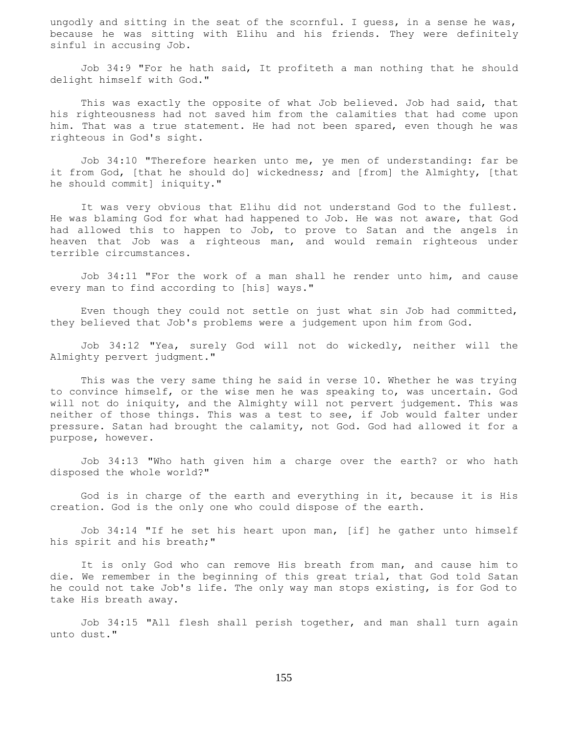ungodly and sitting in the seat of the scornful. I guess, in a sense he was, because he was sitting with Elihu and his friends. They were definitely sinful in accusing Job.

 Job 34:9 "For he hath said, It profiteth a man nothing that he should delight himself with God."

 This was exactly the opposite of what Job believed. Job had said, that his righteousness had not saved him from the calamities that had come upon him. That was a true statement. He had not been spared, even though he was righteous in God's sight.

 Job 34:10 "Therefore hearken unto me, ye men of understanding: far be it from God, [that he should do] wickedness; and [from] the Almighty, [that he should commit] iniquity."

 It was very obvious that Elihu did not understand God to the fullest. He was blaming God for what had happened to Job. He was not aware, that God had allowed this to happen to Job, to prove to Satan and the angels in heaven that Job was a righteous man, and would remain righteous under terrible circumstances.

 Job 34:11 "For the work of a man shall he render unto him, and cause every man to find according to [his] ways."

 Even though they could not settle on just what sin Job had committed, they believed that Job's problems were a judgement upon him from God.

 Job 34:12 "Yea, surely God will not do wickedly, neither will the Almighty pervert judgment."

 This was the very same thing he said in verse 10. Whether he was trying to convince himself, or the wise men he was speaking to, was uncertain. God will not do iniquity, and the Almighty will not pervert judgement. This was neither of those things. This was a test to see, if Job would falter under pressure. Satan had brought the calamity, not God. God had allowed it for a purpose, however.

 Job 34:13 "Who hath given him a charge over the earth? or who hath disposed the whole world?"

 God is in charge of the earth and everything in it, because it is His creation. God is the only one who could dispose of the earth.

 Job 34:14 "If he set his heart upon man, [if] he gather unto himself his spirit and his breath;"

 It is only God who can remove His breath from man, and cause him to die. We remember in the beginning of this great trial, that God told Satan he could not take Job's life. The only way man stops existing, is for God to take His breath away.

 Job 34:15 "All flesh shall perish together, and man shall turn again unto dust."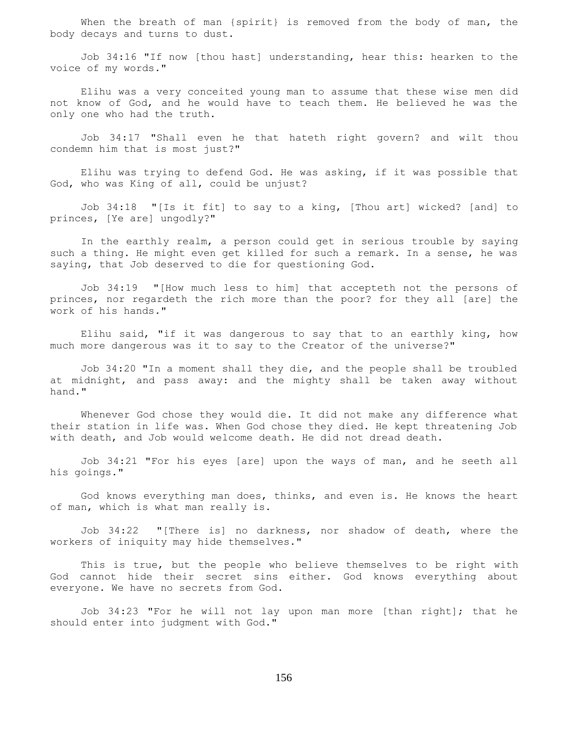When the breath of man {spirit} is removed from the body of man, the body decays and turns to dust.

 Job 34:16 "If now [thou hast] understanding, hear this: hearken to the voice of my words."

 Elihu was a very conceited young man to assume that these wise men did not know of God, and he would have to teach them. He believed he was the only one who had the truth.

 Job 34:17 "Shall even he that hateth right govern? and wilt thou condemn him that is most just?"

 Elihu was trying to defend God. He was asking, if it was possible that God, who was King of all, could be unjust?

 Job 34:18 "[Is it fit] to say to a king, [Thou art] wicked? [and] to princes, [Ye are] ungodly?"

 In the earthly realm, a person could get in serious trouble by saying such a thing. He might even get killed for such a remark. In a sense, he was saying, that Job deserved to die for questioning God.

 Job 34:19 "[How much less to him] that accepteth not the persons of princes, nor regardeth the rich more than the poor? for they all [are] the work of his hands."

 Elihu said, "if it was dangerous to say that to an earthly king, how much more dangerous was it to say to the Creator of the universe?"

 Job 34:20 "In a moment shall they die, and the people shall be troubled at midnight, and pass away: and the mighty shall be taken away without hand."

 Whenever God chose they would die. It did not make any difference what their station in life was. When God chose they died. He kept threatening Job with death, and Job would welcome death. He did not dread death.

 Job 34:21 "For his eyes [are] upon the ways of man, and he seeth all his goings."

 God knows everything man does, thinks, and even is. He knows the heart of man, which is what man really is.

 Job 34:22 "[There is] no darkness, nor shadow of death, where the workers of iniquity may hide themselves."

 This is true, but the people who believe themselves to be right with God cannot hide their secret sins either. God knows everything about everyone. We have no secrets from God.

 Job 34:23 "For he will not lay upon man more [than right]; that he should enter into judgment with God."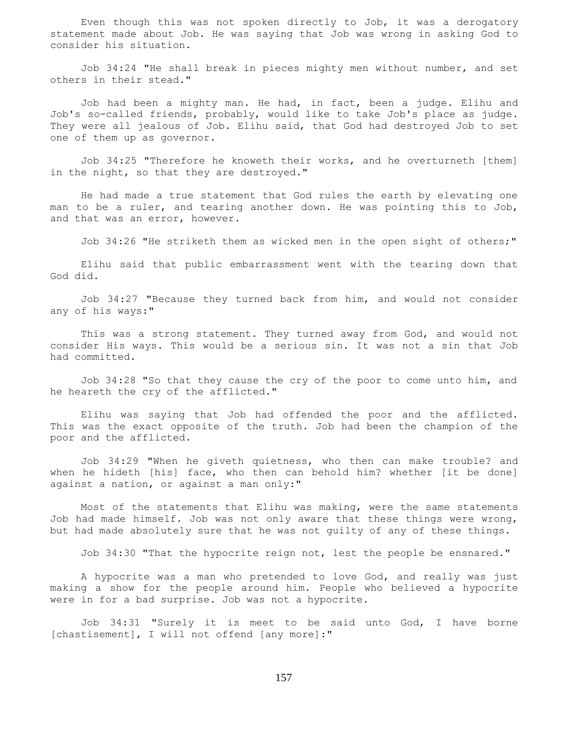Even though this was not spoken directly to Job, it was a derogatory statement made about Job. He was saying that Job was wrong in asking God to consider his situation.

 Job 34:24 "He shall break in pieces mighty men without number, and set others in their stead."

 Job had been a mighty man. He had, in fact, been a judge. Elihu and Job's so-called friends, probably, would like to take Job's place as judge. They were all jealous of Job. Elihu said, that God had destroyed Job to set one of them up as governor.

 Job 34:25 "Therefore he knoweth their works, and he overturneth [them] in the night, so that they are destroyed."

 He had made a true statement that God rules the earth by elevating one man to be a ruler, and tearing another down. He was pointing this to Job, and that was an error, however.

Job 34:26 "He striketh them as wicked men in the open sight of others;"

 Elihu said that public embarrassment went with the tearing down that God did.

 Job 34:27 "Because they turned back from him, and would not consider any of his ways:"

 This was a strong statement. They turned away from God, and would not consider His ways. This would be a serious sin. It was not a sin that Job had committed.

 Job 34:28 "So that they cause the cry of the poor to come unto him, and he heareth the cry of the afflicted."

 Elihu was saying that Job had offended the poor and the afflicted. This was the exact opposite of the truth. Job had been the champion of the poor and the afflicted.

 Job 34:29 "When he giveth quietness, who then can make trouble? and when he hideth [his] face, who then can behold him? whether [it be done] against a nation, or against a man only:"

 Most of the statements that Elihu was making, were the same statements Job had made himself. Job was not only aware that these things were wrong, but had made absolutely sure that he was not guilty of any of these things.

Job 34:30 "That the hypocrite reign not, lest the people be ensnared."

 A hypocrite was a man who pretended to love God, and really was just making a show for the people around him. People who believed a hypocrite were in for a bad surprise. Job was not a hypocrite.

 Job 34:31 "Surely it is meet to be said unto God, I have borne [chastisement], I will not offend [any more]:"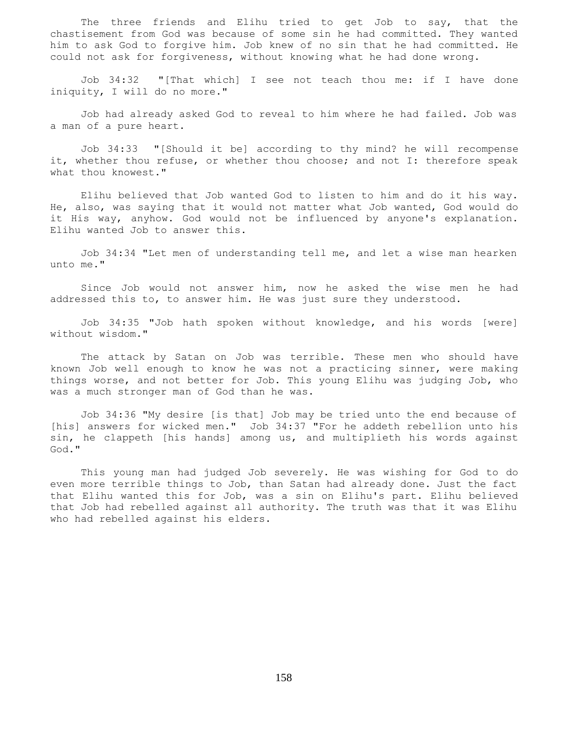The three friends and Elihu tried to get Job to say, that the chastisement from God was because of some sin he had committed. They wanted him to ask God to forgive him. Job knew of no sin that he had committed. He could not ask for forgiveness, without knowing what he had done wrong.

 Job 34:32 "[That which] I see not teach thou me: if I have done iniquity, I will do no more."

 Job had already asked God to reveal to him where he had failed. Job was a man of a pure heart.

 Job 34:33 "[Should it be] according to thy mind? he will recompense it, whether thou refuse, or whether thou choose; and not I: therefore speak what thou knowest."

 Elihu believed that Job wanted God to listen to him and do it his way. He, also, was saying that it would not matter what Job wanted, God would do it His way, anyhow. God would not be influenced by anyone's explanation. Elihu wanted Job to answer this.

 Job 34:34 "Let men of understanding tell me, and let a wise man hearken unto me."

 Since Job would not answer him, now he asked the wise men he had addressed this to, to answer him. He was just sure they understood.

 Job 34:35 "Job hath spoken without knowledge, and his words [were] without wisdom."

 The attack by Satan on Job was terrible. These men who should have known Job well enough to know he was not a practicing sinner, were making things worse, and not better for Job. This young Elihu was judging Job, who was a much stronger man of God than he was.

 Job 34:36 "My desire [is that] Job may be tried unto the end because of [his] answers for wicked men." Job 34:37 "For he addeth rebellion unto his sin, he clappeth [his hands] among us, and multiplieth his words against God."

 This young man had judged Job severely. He was wishing for God to do even more terrible things to Job, than Satan had already done. Just the fact that Elihu wanted this for Job, was a sin on Elihu's part. Elihu believed that Job had rebelled against all authority. The truth was that it was Elihu who had rebelled against his elders.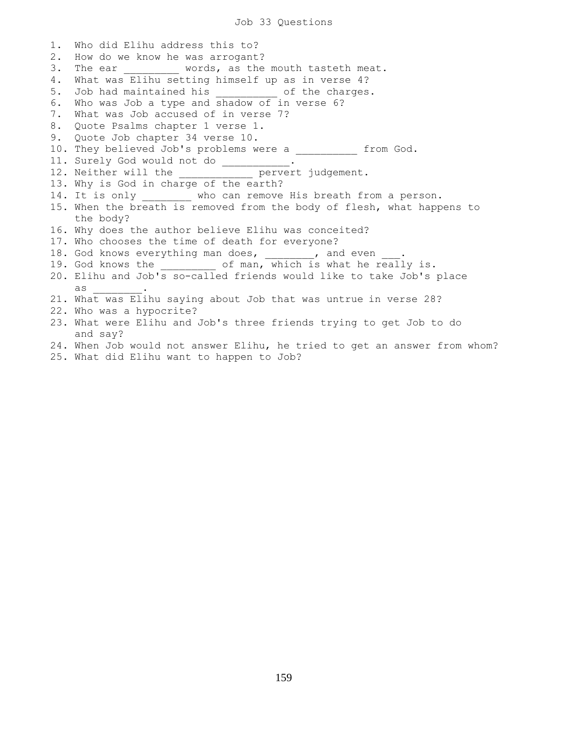Job 33 Questions

1. Who did Elihu address this to? 2. How do we know he was arrogant? 3. The ear words, as the mouth tasteth meat. 4. What was Elihu setting himself up as in verse 4? 5. Job had maintained his end of the charges. 6. Who was Job a type and shadow of in verse 6? 7. What was Job accused of in verse 7? 8. Quote Psalms chapter 1 verse 1. 9. Quote Job chapter 34 verse 10. 10. They believed Job's problems were a  $\qquad \qquad$  from God. 11. Surely God would not do \_\_\_\_\_\_\_\_\_\_\_. 12. Neither will the \_\_\_\_\_\_\_\_\_\_\_\_ pervert judgement. 13. Why is God in charge of the earth? 14. It is only \_\_\_\_\_\_\_\_ who can remove His breath from a person. 15. When the breath is removed from the body of flesh, what happens to the body? 16. Why does the author believe Elihu was conceited? 17. Who chooses the time of death for everyone? 18. God knows everything man does, \_\_\_\_\_\_\_, and even 19. God knows the  $\qquad \qquad$  of man, which is what he really is. 20. Elihu and Job's so-called friends would like to take Job's place as \_\_\_\_\_\_\_\_. 21. What was Elihu saying about Job that was untrue in verse 28? 22. Who was a hypocrite? 23. What were Elihu and Job's three friends trying to get Job to do and say? 24. When Job would not answer Elihu, he tried to get an answer from whom?

25. What did Elihu want to happen to Job?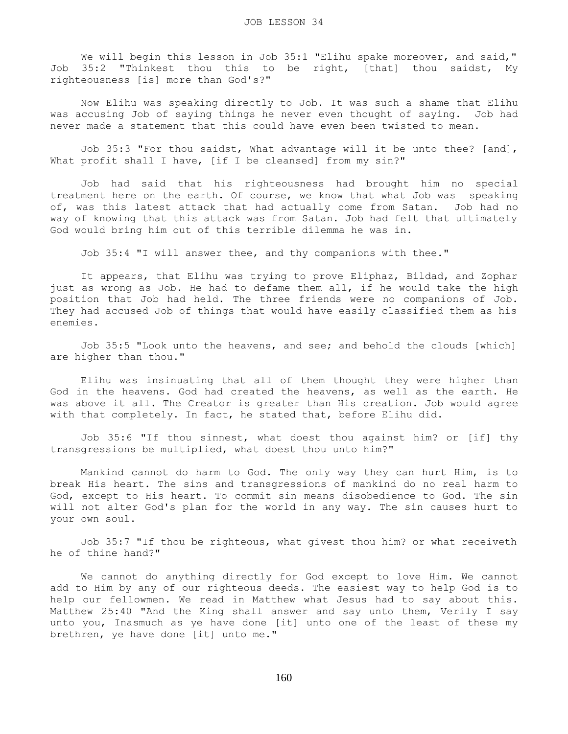We will begin this lesson in Job 35:1 "Elihu spake moreover, and said," Job 35:2 "Thinkest thou this to be right, [that] thou saidst, My righteousness [is] more than God's?"

 Now Elihu was speaking directly to Job. It was such a shame that Elihu was accusing Job of saying things he never even thought of saying. Job had never made a statement that this could have even been twisted to mean.

 Job 35:3 "For thou saidst, What advantage will it be unto thee? [and], What profit shall I have, [if I be cleansed] from my sin?"

 Job had said that his righteousness had brought him no special treatment here on the earth. Of course, we know that what Job was speaking of, was this latest attack that had actually come from Satan. Job had no way of knowing that this attack was from Satan. Job had felt that ultimately God would bring him out of this terrible dilemma he was in.

Job 35:4 "I will answer thee, and thy companions with thee."

 It appears, that Elihu was trying to prove Eliphaz, Bildad, and Zophar just as wrong as Job. He had to defame them all, if he would take the high position that Job had held. The three friends were no companions of Job. They had accused Job of things that would have easily classified them as his enemies.

 Job 35:5 "Look unto the heavens, and see; and behold the clouds [which] are higher than thou."

 Elihu was insinuating that all of them thought they were higher than God in the heavens. God had created the heavens, as well as the earth. He was above it all. The Creator is greater than His creation. Job would agree with that completely. In fact, he stated that, before Elihu did.

 Job 35:6 "If thou sinnest, what doest thou against him? or [if] thy transgressions be multiplied, what doest thou unto him?"

 Mankind cannot do harm to God. The only way they can hurt Him, is to break His heart. The sins and transgressions of mankind do no real harm to God, except to His heart. To commit sin means disobedience to God. The sin will not alter God's plan for the world in any way. The sin causes hurt to your own soul.

 Job 35:7 "If thou be righteous, what givest thou him? or what receiveth he of thine hand?"

 We cannot do anything directly for God except to love Him. We cannot add to Him by any of our righteous deeds. The easiest way to help God is to help our fellowmen. We read in Matthew what Jesus had to say about this. Matthew 25:40 "And the King shall answer and say unto them, Verily I say unto you, Inasmuch as ye have done [it] unto one of the least of these my brethren, ye have done [it] unto me."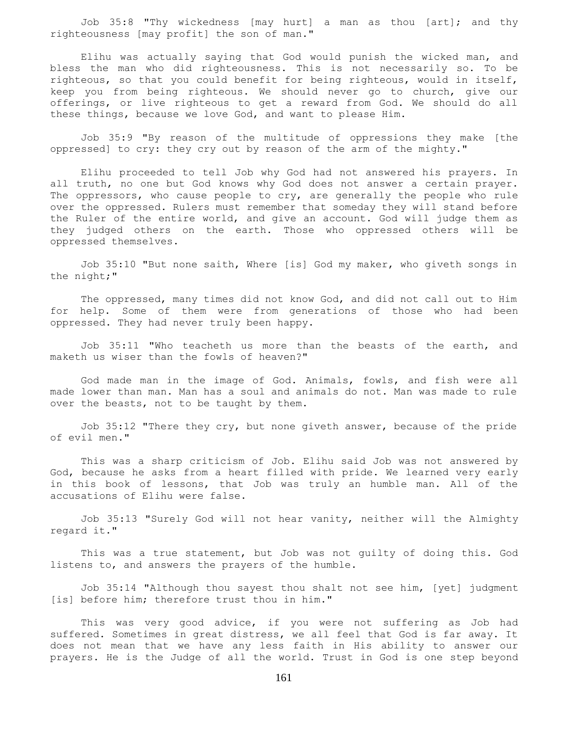Job 35:8 "Thy wickedness [may hurt] a man as thou [art]; and thy righteousness [may profit] the son of man."

 Elihu was actually saying that God would punish the wicked man, and bless the man who did righteousness. This is not necessarily so. To be righteous, so that you could benefit for being righteous, would in itself, keep you from being righteous. We should never go to church, give our offerings, or live righteous to get a reward from God. We should do all these things, because we love God, and want to please Him.

 Job 35:9 "By reason of the multitude of oppressions they make [the oppressed] to cry: they cry out by reason of the arm of the mighty."

 Elihu proceeded to tell Job why God had not answered his prayers. In all truth, no one but God knows why God does not answer a certain prayer. The oppressors, who cause people to cry, are generally the people who rule over the oppressed. Rulers must remember that someday they will stand before the Ruler of the entire world, and give an account. God will judge them as they judged others on the earth. Those who oppressed others will be oppressed themselves.

 Job 35:10 "But none saith, Where [is] God my maker, who giveth songs in the night;"

 The oppressed, many times did not know God, and did not call out to Him for help. Some of them were from generations of those who had been oppressed. They had never truly been happy.

 Job 35:11 "Who teacheth us more than the beasts of the earth, and maketh us wiser than the fowls of heaven?"

 God made man in the image of God. Animals, fowls, and fish were all made lower than man. Man has a soul and animals do not. Man was made to rule over the beasts, not to be taught by them.

 Job 35:12 "There they cry, but none giveth answer, because of the pride of evil men."

 This was a sharp criticism of Job. Elihu said Job was not answered by God, because he asks from a heart filled with pride. We learned very early in this book of lessons, that Job was truly an humble man. All of the accusations of Elihu were false.

 Job 35:13 "Surely God will not hear vanity, neither will the Almighty regard it."

 This was a true statement, but Job was not guilty of doing this. God listens to, and answers the prayers of the humble.

 Job 35:14 "Although thou sayest thou shalt not see him, [yet] judgment [is] before him; therefore trust thou in him."

 This was very good advice, if you were not suffering as Job had suffered. Sometimes in great distress, we all feel that God is far away. It does not mean that we have any less faith in His ability to answer our prayers. He is the Judge of all the world. Trust in God is one step beyond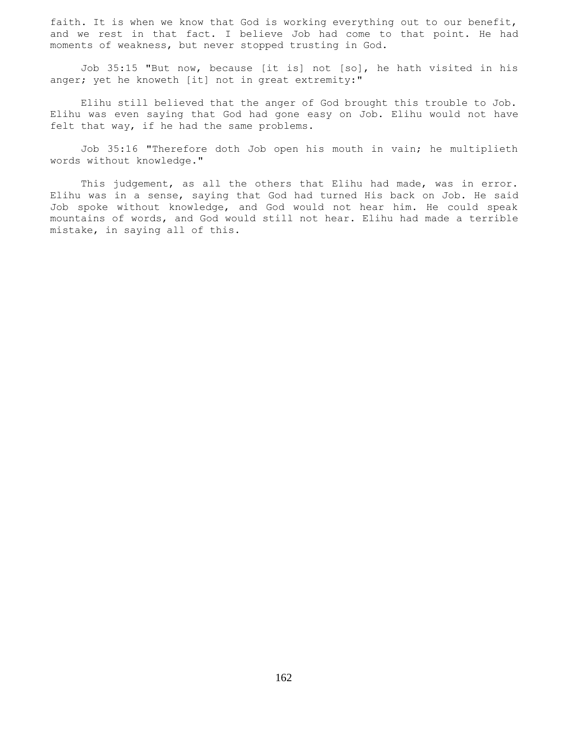faith. It is when we know that God is working everything out to our benefit, and we rest in that fact. I believe Job had come to that point. He had moments of weakness, but never stopped trusting in God.

 Job 35:15 "But now, because [it is] not [so], he hath visited in his anger; yet he knoweth [it] not in great extremity:"

 Elihu still believed that the anger of God brought this trouble to Job. Elihu was even saying that God had gone easy on Job. Elihu would not have felt that way, if he had the same problems.

 Job 35:16 "Therefore doth Job open his mouth in vain; he multiplieth words without knowledge."

This judgement, as all the others that Elihu had made, was in error. Elihu was in a sense, saying that God had turned His back on Job. He said Job spoke without knowledge, and God would not hear him. He could speak mountains of words, and God would still not hear. Elihu had made a terrible mistake, in saying all of this.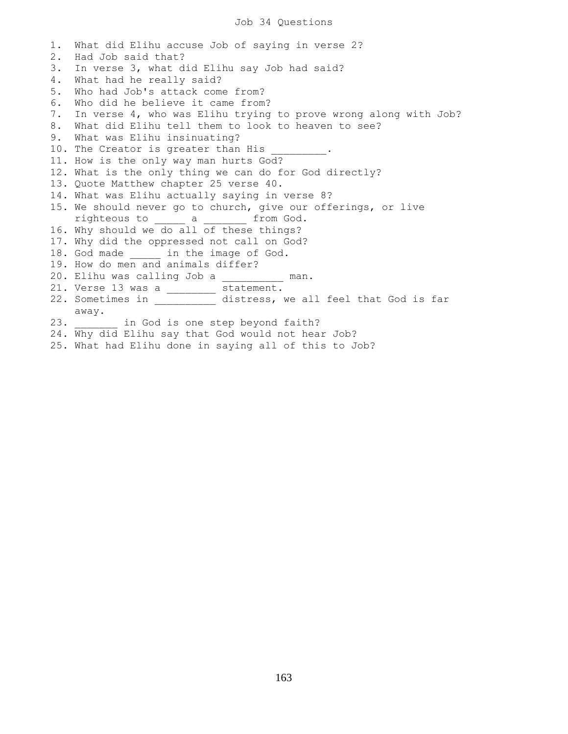1. What did Elihu accuse Job of saying in verse 2? 2. Had Job said that? 3. In verse 3, what did Elihu say Job had said? 4. What had he really said? 5. Who had Job's attack come from? 6. Who did he believe it came from? 7. In verse 4, who was Elihu trying to prove wrong along with Job? 8. What did Elihu tell them to look to heaven to see? 9. What was Elihu insinuating? 10. The Creator is greater than His 11. How is the only way man hurts God? 12. What is the only thing we can do for God directly? 13. Quote Matthew chapter 25 verse 40. 14. What was Elihu actually saying in verse 8? 15. We should never go to church, give our offerings, or live righteous to \_\_\_\_\_ a \_\_\_\_\_\_\_ from God. 16. Why should we do all of these things? 17. Why did the oppressed not call on God? 18. God made \_\_\_\_\_\_ in the image of God. 19. How do men and animals differ? 20. Elihu was calling Job a \_\_\_\_\_\_\_\_\_\_ man. 21. Verse 13 was a \_\_\_\_\_\_\_\_ statement. 22. Sometimes in  $\qquad$  distress, we all feel that God is far away. 23. **in God is one step beyond faith?** 24. Why did Elihu say that God would not hear Job?

25. What had Elihu done in saying all of this to Job?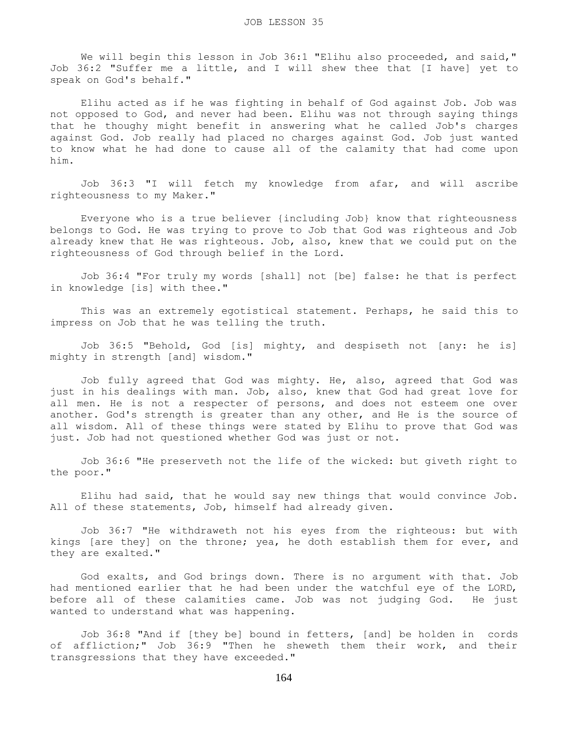We will begin this lesson in Job 36:1 "Elihu also proceeded, and said," Job 36:2 "Suffer me a little, and I will shew thee that [I have] yet to speak on God's behalf."

 Elihu acted as if he was fighting in behalf of God against Job. Job was not opposed to God, and never had been. Elihu was not through saying things that he thoughy might benefit in answering what he called Job's charges against God. Job really had placed no charges against God. Job just wanted to know what he had done to cause all of the calamity that had come upon him.

 Job 36:3 "I will fetch my knowledge from afar, and will ascribe righteousness to my Maker."

 Everyone who is a true believer {including Job} know that righteousness belongs to God. He was trying to prove to Job that God was righteous and Job already knew that He was righteous. Job, also, knew that we could put on the righteousness of God through belief in the Lord.

 Job 36:4 "For truly my words [shall] not [be] false: he that is perfect in knowledge [is] with thee."

 This was an extremely egotistical statement. Perhaps, he said this to impress on Job that he was telling the truth.

 Job 36:5 "Behold, God [is] mighty, and despiseth not [any: he is] mighty in strength [and] wisdom."

 Job fully agreed that God was mighty. He, also, agreed that God was just in his dealings with man. Job, also, knew that God had great love for all men. He is not a respecter of persons, and does not esteem one over another. God's strength is greater than any other, and He is the source of all wisdom. All of these things were stated by Elihu to prove that God was just. Job had not questioned whether God was just or not.

 Job 36:6 "He preserveth not the life of the wicked: but giveth right to the poor."

 Elihu had said, that he would say new things that would convince Job. All of these statements, Job, himself had already given.

 Job 36:7 "He withdraweth not his eyes from the righteous: but with kings [are they] on the throne; yea, he doth establish them for ever, and they are exalted."

 God exalts, and God brings down. There is no argument with that. Job had mentioned earlier that he had been under the watchful eye of the LORD, before all of these calamities came. Job was not judging God. He just wanted to understand what was happening.

 Job 36:8 "And if [they be] bound in fetters, [and] be holden in cords of affliction;" Job 36:9 "Then he sheweth them their work, and their transgressions that they have exceeded."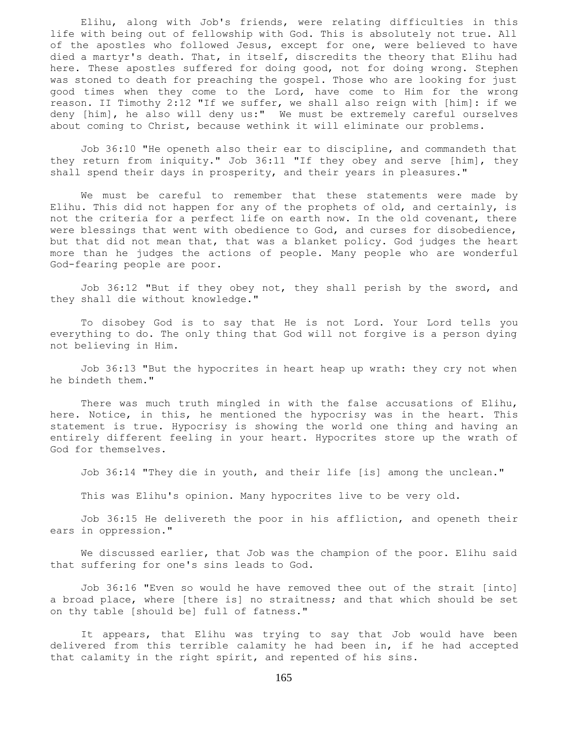Elihu, along with Job's friends, were relating difficulties in this life with being out of fellowship with God. This is absolutely not true. All of the apostles who followed Jesus, except for one, were believed to have died a martyr's death. That, in itself, discredits the theory that Elihu had here. These apostles suffered for doing good, not for doing wrong. Stephen was stoned to death for preaching the gospel. Those who are looking for just good times when they come to the Lord, have come to Him for the wrong reason. II Timothy 2:12 "If we suffer, we shall also reign with [him]: if we deny [him], he also will deny us:" We must be extremely careful ourselves about coming to Christ, because wethink it will eliminate our problems.

 Job 36:10 "He openeth also their ear to discipline, and commandeth that they return from iniquity." Job 36:11 "If they obey and serve [him], they shall spend their days in prosperity, and their years in pleasures."

 We must be careful to remember that these statements were made by Elihu. This did not happen for any of the prophets of old, and certainly, is not the criteria for a perfect life on earth now. In the old covenant, there were blessings that went with obedience to God, and curses for disobedience, but that did not mean that, that was a blanket policy. God judges the heart more than he judges the actions of people. Many people who are wonderful God-fearing people are poor.

 Job 36:12 "But if they obey not, they shall perish by the sword, and they shall die without knowledge."

 To disobey God is to say that He is not Lord. Your Lord tells you everything to do. The only thing that God will not forgive is a person dying not believing in Him.

 Job 36:13 "But the hypocrites in heart heap up wrath: they cry not when he bindeth them."

 There was much truth mingled in with the false accusations of Elihu, here. Notice, in this, he mentioned the hypocrisy was in the heart. This statement is true. Hypocrisy is showing the world one thing and having an entirely different feeling in your heart. Hypocrites store up the wrath of God for themselves.

Job 36:14 "They die in youth, and their life [is] among the unclean."

This was Elihu's opinion. Many hypocrites live to be very old.

 Job 36:15 He delivereth the poor in his affliction, and openeth their ears in oppression."

 We discussed earlier, that Job was the champion of the poor. Elihu said that suffering for one's sins leads to God.

 Job 36:16 "Even so would he have removed thee out of the strait [into] a broad place, where [there is] no straitness; and that which should be set on thy table [should be] full of fatness."

 It appears, that Elihu was trying to say that Job would have been delivered from this terrible calamity he had been in, if he had accepted that calamity in the right spirit, and repented of his sins.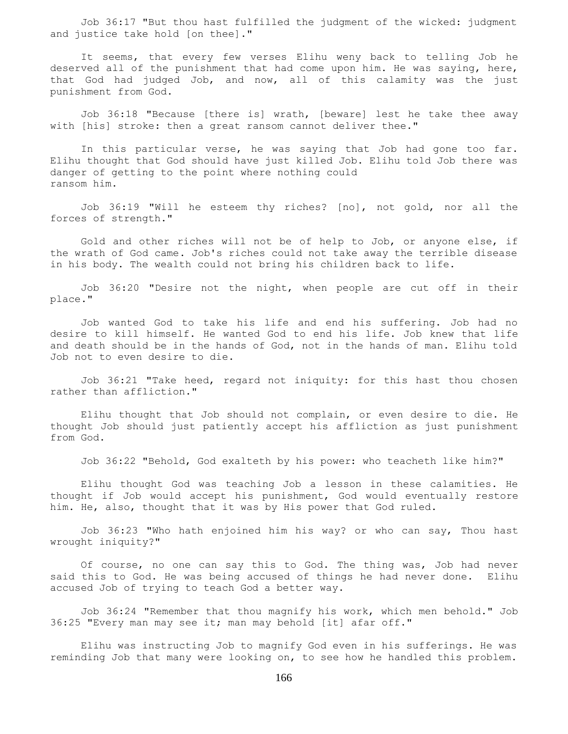Job 36:17 "But thou hast fulfilled the judgment of the wicked: judgment and justice take hold [on thee]."

 It seems, that every few verses Elihu weny back to telling Job he deserved all of the punishment that had come upon him. He was saying, here, that God had judged Job, and now, all of this calamity was the just punishment from God.

 Job 36:18 "Because [there is] wrath, [beware] lest he take thee away with [his] stroke: then a great ransom cannot deliver thee."

 In this particular verse, he was saying that Job had gone too far. Elihu thought that God should have just killed Job. Elihu told Job there was danger of getting to the point where nothing could ransom him.

 Job 36:19 "Will he esteem thy riches? [no], not gold, nor all the forces of strength."

 Gold and other riches will not be of help to Job, or anyone else, if the wrath of God came. Job's riches could not take away the terrible disease in his body. The wealth could not bring his children back to life.

 Job 36:20 "Desire not the night, when people are cut off in their place."

 Job wanted God to take his life and end his suffering. Job had no desire to kill himself. He wanted God to end his life. Job knew that life and death should be in the hands of God, not in the hands of man. Elihu told Job not to even desire to die.

 Job 36:21 "Take heed, regard not iniquity: for this hast thou chosen rather than affliction."

 Elihu thought that Job should not complain, or even desire to die. He thought Job should just patiently accept his affliction as just punishment from God.

Job 36:22 "Behold, God exalteth by his power: who teacheth like him?"

 Elihu thought God was teaching Job a lesson in these calamities. He thought if Job would accept his punishment, God would eventually restore him. He, also, thought that it was by His power that God ruled.

 Job 36:23 "Who hath enjoined him his way? or who can say, Thou hast wrought iniquity?"

 Of course, no one can say this to God. The thing was, Job had never said this to God. He was being accused of things he had never done. Elihu accused Job of trying to teach God a better way.

 Job 36:24 "Remember that thou magnify his work, which men behold." Job 36:25 "Every man may see it; man may behold [it] afar off."

 Elihu was instructing Job to magnify God even in his sufferings. He was reminding Job that many were looking on, to see how he handled this problem.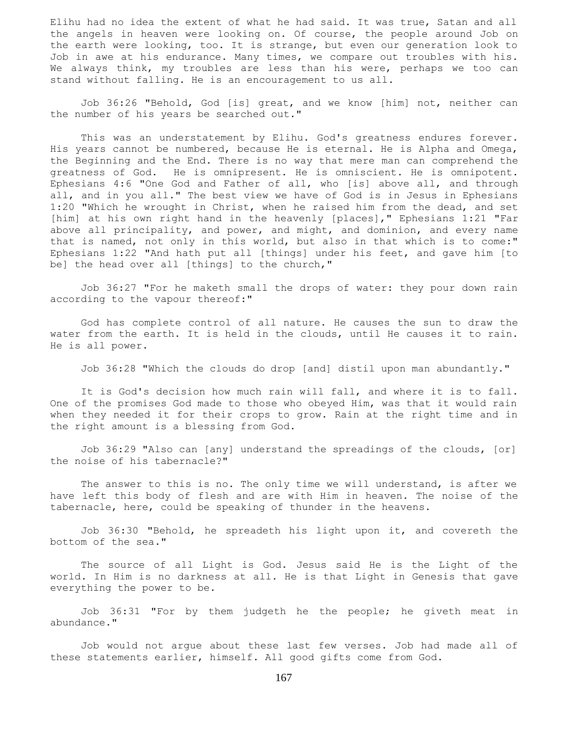Elihu had no idea the extent of what he had said. It was true, Satan and all the angels in heaven were looking on. Of course, the people around Job on the earth were looking, too. It is strange, but even our generation look to Job in awe at his endurance. Many times, we compare out troubles with his. We always think, my troubles are less than his were, perhaps we too can stand without falling. He is an encouragement to us all.

 Job 36:26 "Behold, God [is] great, and we know [him] not, neither can the number of his years be searched out."

 This was an understatement by Elihu. God's greatness endures forever. His years cannot be numbered, because He is eternal. He is Alpha and Omega, the Beginning and the End. There is no way that mere man can comprehend the greatness of God. He is omnipresent. He is omniscient. He is omnipotent. Ephesians 4:6 "One God and Father of all, who [is] above all, and through all, and in you all." The best view we have of God is in Jesus in Ephesians 1:20 "Which he wrought in Christ, when he raised him from the dead, and set [him] at his own right hand in the heavenly [places]," Ephesians 1:21 "Far above all principality, and power, and might, and dominion, and every name that is named, not only in this world, but also in that which is to come:" Ephesians 1:22 "And hath put all [things] under his feet, and gave him [to be] the head over all [things] to the church,"

 Job 36:27 "For he maketh small the drops of water: they pour down rain according to the vapour thereof:"

 God has complete control of all nature. He causes the sun to draw the water from the earth. It is held in the clouds, until He causes it to rain. He is all power.

Job 36:28 "Which the clouds do drop [and] distil upon man abundantly."

 It is God's decision how much rain will fall, and where it is to fall. One of the promises God made to those who obeyed Him, was that it would rain when they needed it for their crops to grow. Rain at the right time and in the right amount is a blessing from God.

 Job 36:29 "Also can [any] understand the spreadings of the clouds, [or] the noise of his tabernacle?"

 The answer to this is no. The only time we will understand, is after we have left this body of flesh and are with Him in heaven. The noise of the tabernacle, here, could be speaking of thunder in the heavens.

 Job 36:30 "Behold, he spreadeth his light upon it, and covereth the bottom of the sea."

 The source of all Light is God. Jesus said He is the Light of the world. In Him is no darkness at all. He is that Light in Genesis that gave everything the power to be.

 Job 36:31 "For by them judgeth he the people; he giveth meat in abundance."

 Job would not argue about these last few verses. Job had made all of these statements earlier, himself. All good gifts come from God.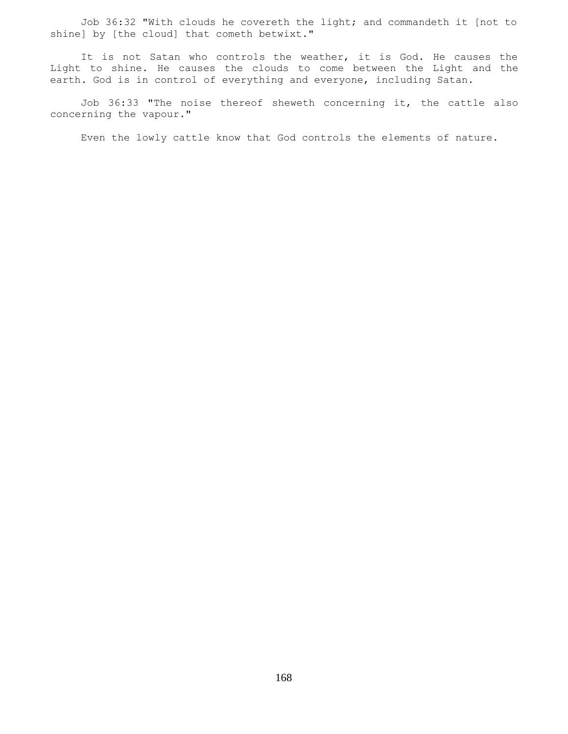Job 36:32 "With clouds he covereth the light; and commandeth it [not to shine] by [the cloud] that cometh betwixt."

 It is not Satan who controls the weather, it is God. He causes the Light to shine. He causes the clouds to come between the Light and the earth. God is in control of everything and everyone, including Satan.

 Job 36:33 "The noise thereof sheweth concerning it, the cattle also concerning the vapour."

Even the lowly cattle know that God controls the elements of nature.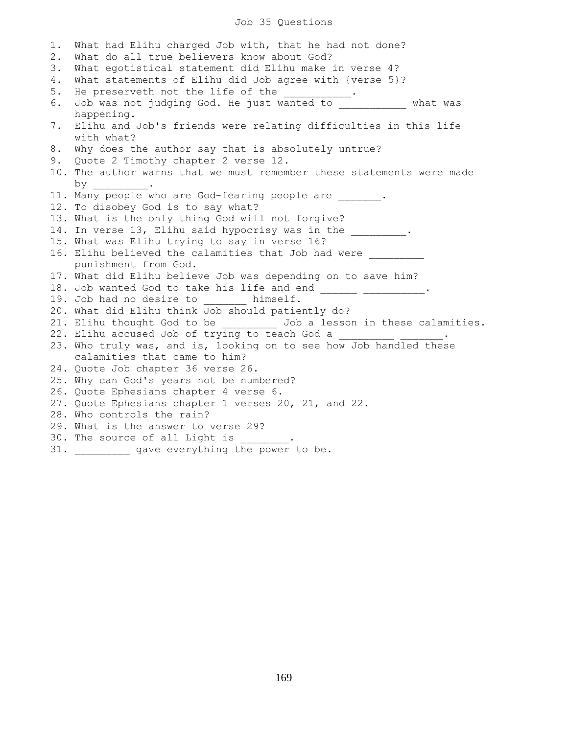## Job 35 Questions

1. What had Elihu charged Job with, that he had not done? 2. What do all true believers know about God? 3. What egotistical statement did Elihu make in verse 4? 4. What statements of Elihu did Job agree with {verse 5}? 5. He preserveth not the life of the  $\cdots$ . 6. Job was not judging God. He just wanted to \_\_\_\_\_\_\_\_\_\_\_ what was happening. 7. Elihu and Job's friends were relating difficulties in this life with what? 8. Why does the author say that is absolutely untrue? 9. Quote 2 Timothy chapter 2 verse 12. 10. The author warns that we must remember these statements were made by \_\_\_\_\_\_\_\_\_. 11. Many people who are God-fearing people are . 12. To disobey God is to say what? 13. What is the only thing God will not forgive? 14. In verse 13, Elihu said hypocrisy was in the \_\_\_\_\_\_\_\_\_. 15. What was Elihu trying to say in verse 16? 16. Elihu believed the calamities that Job had were punishment from God. 17. What did Elihu believe Job was depending on to save him? 18. Job wanted God to take his life and end \_\_\_\_\_\_\_ \_\_\_\_\_\_\_\_\_\_. 19. Job had no desire to himself. 20. What did Elihu think Job should patiently do? 21. Elihu thought God to be \_\_\_\_\_\_\_\_\_\_ Job a lesson in these calamities. 22. Elihu accused Job of trying to teach God a 23. Who truly was, and is, looking on to see how Job handled these calamities that came to him? 24. Quote Job chapter 36 verse 26. 25. Why can God's years not be numbered? 26. Quote Ephesians chapter 4 verse 6. 27. Quote Ephesians chapter 1 verses 20, 21, and 22. 28. Who controls the rain? 29. What is the answer to verse 29? 30. The source of all Light is 31. gave everything the power to be.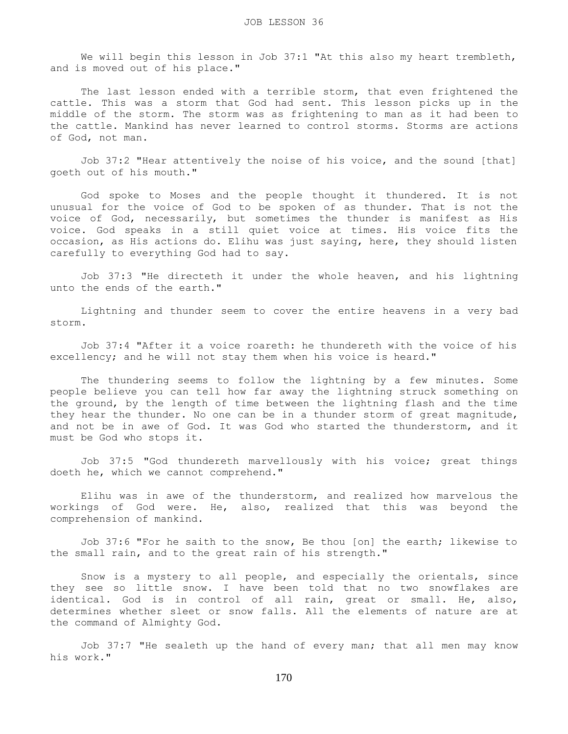We will begin this lesson in Job 37:1 "At this also my heart trembleth, and is moved out of his place."

 The last lesson ended with a terrible storm, that even frightened the cattle. This was a storm that God had sent. This lesson picks up in the middle of the storm. The storm was as frightening to man as it had been to the cattle. Mankind has never learned to control storms. Storms are actions of God, not man.

 Job 37:2 "Hear attentively the noise of his voice, and the sound [that] goeth out of his mouth."

 God spoke to Moses and the people thought it thundered. It is not unusual for the voice of God to be spoken of as thunder. That is not the voice of God, necessarily, but sometimes the thunder is manifest as His voice. God speaks in a still quiet voice at times. His voice fits the occasion, as His actions do. Elihu was just saying, here, they should listen carefully to everything God had to say.

 Job 37:3 "He directeth it under the whole heaven, and his lightning unto the ends of the earth."

 Lightning and thunder seem to cover the entire heavens in a very bad storm.

 Job 37:4 "After it a voice roareth: he thundereth with the voice of his excellency; and he will not stay them when his voice is heard."

 The thundering seems to follow the lightning by a few minutes. Some people believe you can tell how far away the lightning struck something on the ground, by the length of time between the lightning flash and the time they hear the thunder. No one can be in a thunder storm of great magnitude, and not be in awe of God. It was God who started the thunderstorm, and it must be God who stops it.

 Job 37:5 "God thundereth marvellously with his voice; great things doeth he, which we cannot comprehend."

 Elihu was in awe of the thunderstorm, and realized how marvelous the workings of God were. He, also, realized that this was beyond the comprehension of mankind.

 Job 37:6 "For he saith to the snow, Be thou [on] the earth; likewise to the small rain, and to the great rain of his strength."

 Snow is a mystery to all people, and especially the orientals, since they see so little snow. I have been told that no two snowflakes are identical. God is in control of all rain, great or small. He, also, determines whether sleet or snow falls. All the elements of nature are at the command of Almighty God.

 Job 37:7 "He sealeth up the hand of every man; that all men may know his work."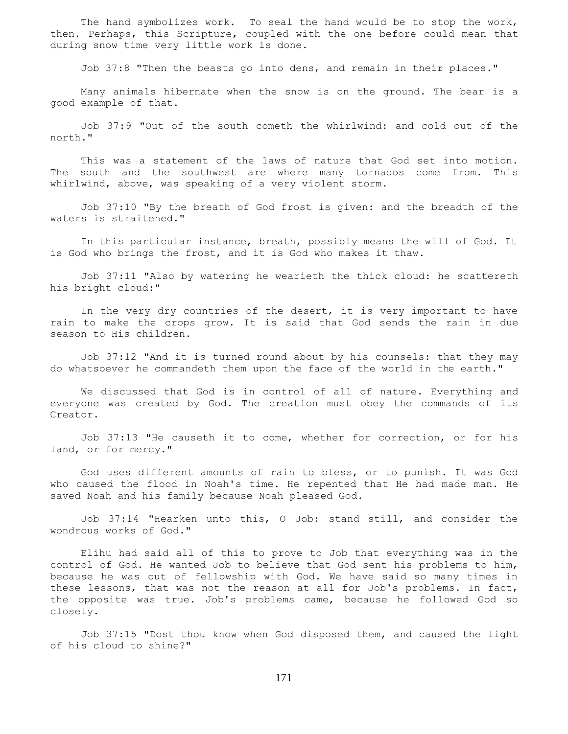The hand symbolizes work. To seal the hand would be to stop the work, then. Perhaps, this Scripture, coupled with the one before could mean that during snow time very little work is done.

Job 37:8 "Then the beasts go into dens, and remain in their places."

 Many animals hibernate when the snow is on the ground. The bear is a good example of that.

 Job 37:9 "Out of the south cometh the whirlwind: and cold out of the north."

 This was a statement of the laws of nature that God set into motion. The south and the southwest are where many tornados come from. This whirlwind, above, was speaking of a very violent storm.

 Job 37:10 "By the breath of God frost is given: and the breadth of the waters is straitened."

 In this particular instance, breath, possibly means the will of God. It is God who brings the frost, and it is God who makes it thaw.

 Job 37:11 "Also by watering he wearieth the thick cloud: he scattereth his bright cloud:"

 In the very dry countries of the desert, it is very important to have rain to make the crops grow. It is said that God sends the rain in due season to His children.

 Job 37:12 "And it is turned round about by his counsels: that they may do whatsoever he commandeth them upon the face of the world in the earth."

 We discussed that God is in control of all of nature. Everything and everyone was created by God. The creation must obey the commands of its Creator.

 Job 37:13 "He causeth it to come, whether for correction, or for his land, or for mercy."

 God uses different amounts of rain to bless, or to punish. It was God who caused the flood in Noah's time. He repented that He had made man. He saved Noah and his family because Noah pleased God.

 Job 37:14 "Hearken unto this, O Job: stand still, and consider the wondrous works of God."

 Elihu had said all of this to prove to Job that everything was in the control of God. He wanted Job to believe that God sent his problems to him, because he was out of fellowship with God. We have said so many times in these lessons, that was not the reason at all for Job's problems. In fact, the opposite was true. Job's problems came, because he followed God so closely.

 Job 37:15 "Dost thou know when God disposed them, and caused the light of his cloud to shine?"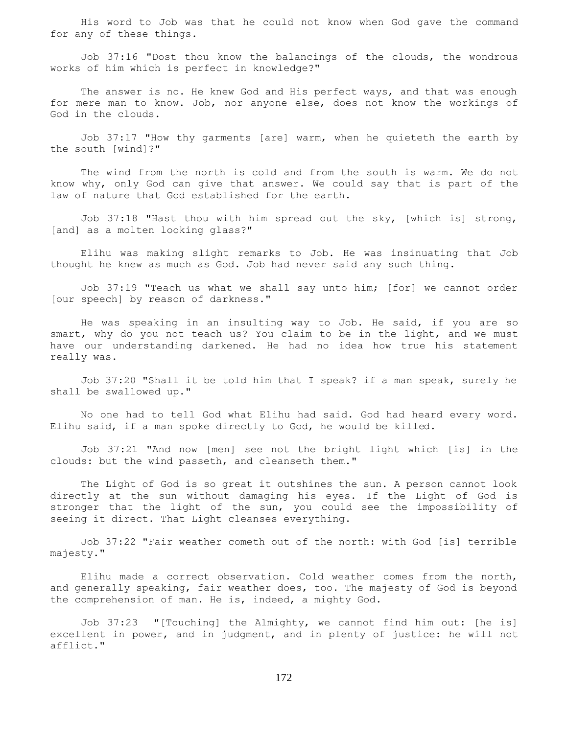His word to Job was that he could not know when God gave the command for any of these things.

 Job 37:16 "Dost thou know the balancings of the clouds, the wondrous works of him which is perfect in knowledge?"

The answer is no. He knew God and His perfect ways, and that was enough for mere man to know. Job, nor anyone else, does not know the workings of God in the clouds.

 Job 37:17 "How thy garments [are] warm, when he quieteth the earth by the south [wind]?"

 The wind from the north is cold and from the south is warm. We do not know why, only God can give that answer. We could say that is part of the law of nature that God established for the earth.

 Job 37:18 "Hast thou with him spread out the sky, [which is] strong, [and] as a molten looking glass?"

 Elihu was making slight remarks to Job. He was insinuating that Job thought he knew as much as God. Job had never said any such thing.

 Job 37:19 "Teach us what we shall say unto him; [for] we cannot order [our speech] by reason of darkness."

 He was speaking in an insulting way to Job. He said, if you are so smart, why do you not teach us? You claim to be in the light, and we must have our understanding darkened. He had no idea how true his statement really was.

 Job 37:20 "Shall it be told him that I speak? if a man speak, surely he shall be swallowed up."

 No one had to tell God what Elihu had said. God had heard every word. Elihu said, if a man spoke directly to God, he would be killed.

 Job 37:21 "And now [men] see not the bright light which [is] in the clouds: but the wind passeth, and cleanseth them."

 The Light of God is so great it outshines the sun. A person cannot look directly at the sun without damaging his eyes. If the Light of God is stronger that the light of the sun, you could see the impossibility of seeing it direct. That Light cleanses everything.

 Job 37:22 "Fair weather cometh out of the north: with God [is] terrible majesty."

 Elihu made a correct observation. Cold weather comes from the north, and generally speaking, fair weather does, too. The majesty of God is beyond the comprehension of man. He is, indeed, a mighty God.

 Job 37:23 "[Touching] the Almighty, we cannot find him out: [he is] excellent in power, and in judgment, and in plenty of justice: he will not afflict."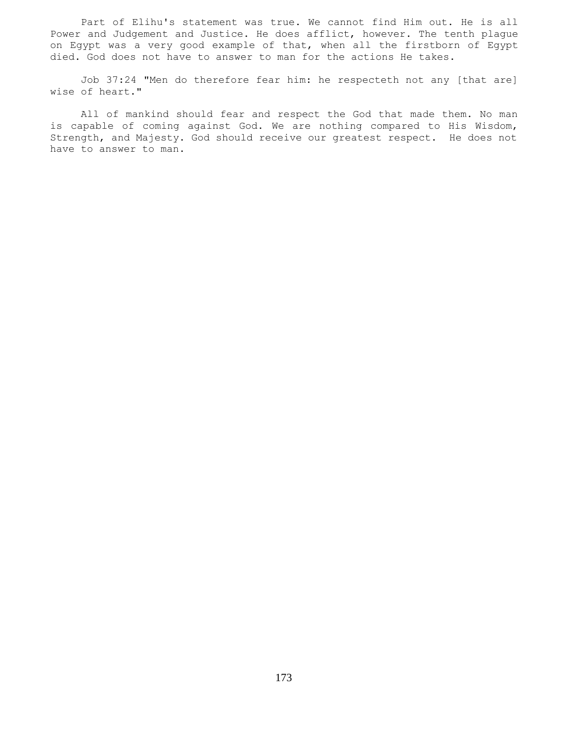Part of Elihu's statement was true. We cannot find Him out. He is all Power and Judgement and Justice. He does afflict, however. The tenth plague on Egypt was a very good example of that, when all the firstborn of Egypt died. God does not have to answer to man for the actions He takes.

 Job 37:24 "Men do therefore fear him: he respecteth not any [that are] wise of heart."

 All of mankind should fear and respect the God that made them. No man is capable of coming against God. We are nothing compared to His Wisdom, Strength, and Majesty. God should receive our greatest respect. He does not have to answer to man.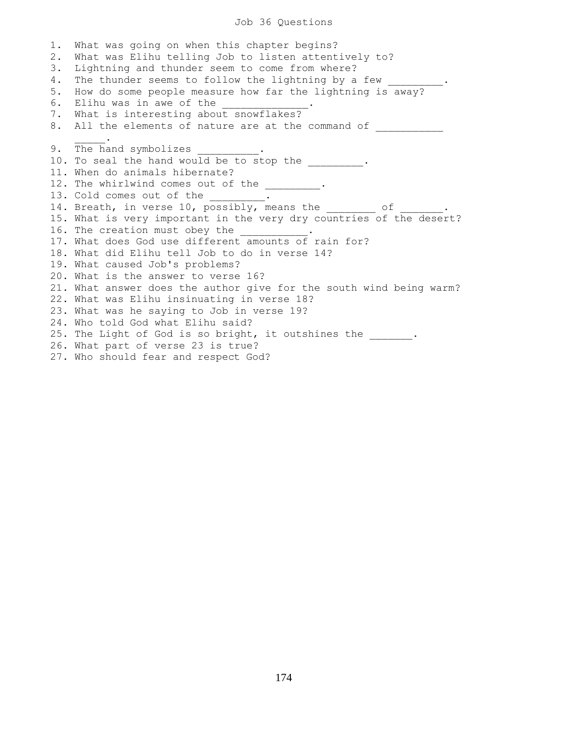## Job 36 Questions

1. What was going on when this chapter begins? 2. What was Elihu telling Job to listen attentively to? 3. Lightning and thunder seem to come from where? 4. The thunder seems to follow the lightning by a few 5. How do some people measure how far the lightning is away? 6. Elihu was in awe of the 7. What is interesting about snowflakes? 8. All the elements of nature are at the command of  $\sim$   $\sim$   $\sim$   $\sim$   $\sim$ 9. The hand symbolizes 10. To seal the hand would be to stop the  $\cdots$ . 11. When do animals hibernate? 12. The whirlwind comes out of the \_\_\_\_\_\_\_\_. 13. Cold comes out of the \_\_\_\_\_\_\_\_. 14. Breath, in verse 10, possibly, means the \_\_\_\_\_\_\_\_ of \_\_\_\_\_\_\_. 15. What is very important in the very dry countries of the desert? 16. The creation must obey the 17. What does God use different amounts of rain for? 18. What did Elihu tell Job to do in verse 14? 19. What caused Job's problems? 20. What is the answer to verse 16? 21. What answer does the author give for the south wind being warm? 22. What was Elihu insinuating in verse 18? 23. What was he saying to Job in verse 19? 24. Who told God what Elihu said? 25. The Light of God is so bright, it outshines the \_\_\_\_\_\_. 26. What part of verse 23 is true? 27. Who should fear and respect God?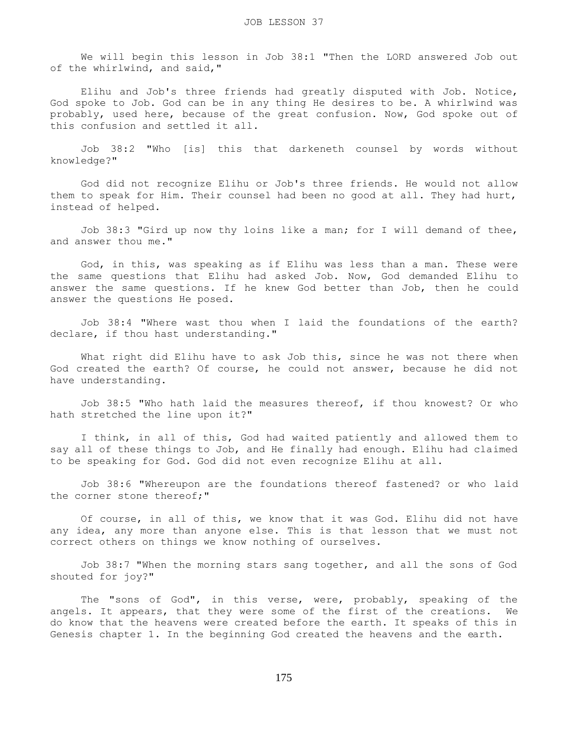We will begin this lesson in Job 38:1 "Then the LORD answered Job out of the whirlwind, and said,"

 Elihu and Job's three friends had greatly disputed with Job. Notice, God spoke to Job. God can be in any thing He desires to be. A whirlwind was probably, used here, because of the great confusion. Now, God spoke out of this confusion and settled it all.

 Job 38:2 "Who [is] this that darkeneth counsel by words without knowledge?"

 God did not recognize Elihu or Job's three friends. He would not allow them to speak for Him. Their counsel had been no good at all. They had hurt, instead of helped.

 Job 38:3 "Gird up now thy loins like a man; for I will demand of thee, and answer thou me."

 God, in this, was speaking as if Elihu was less than a man. These were the same questions that Elihu had asked Job. Now, God demanded Elihu to answer the same questions. If he knew God better than Job, then he could answer the questions He posed.

 Job 38:4 "Where wast thou when I laid the foundations of the earth? declare, if thou hast understanding."

What right did Elihu have to ask Job this, since he was not there when God created the earth? Of course, he could not answer, because he did not have understanding.

 Job 38:5 "Who hath laid the measures thereof, if thou knowest? Or who hath stretched the line upon it?"

 I think, in all of this, God had waited patiently and allowed them to say all of these things to Job, and He finally had enough. Elihu had claimed to be speaking for God. God did not even recognize Elihu at all.

 Job 38:6 "Whereupon are the foundations thereof fastened? or who laid the corner stone thereof;"

 Of course, in all of this, we know that it was God. Elihu did not have any idea, any more than anyone else. This is that lesson that we must not correct others on things we know nothing of ourselves.

 Job 38:7 "When the morning stars sang together, and all the sons of God shouted for joy?"

 The "sons of God", in this verse, were, probably, speaking of the angels. It appears, that they were some of the first of the creations. We do know that the heavens were created before the earth. It speaks of this in Genesis chapter 1. In the beginning God created the heavens and the earth.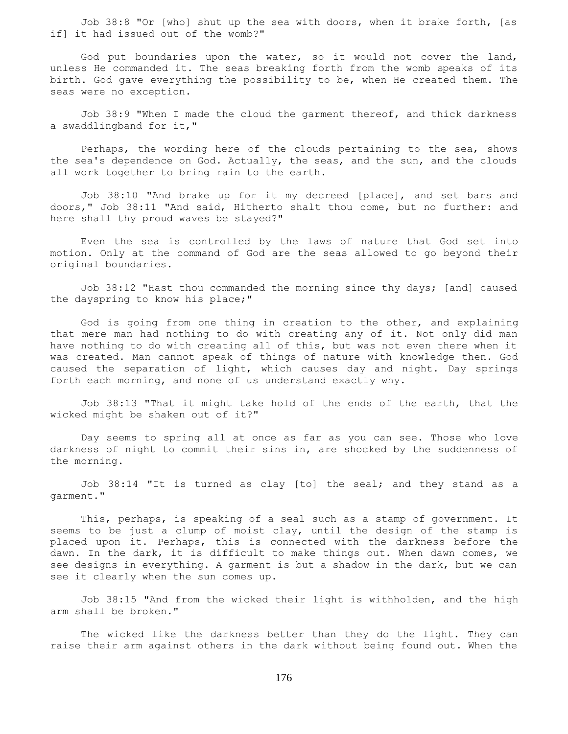Job 38:8 "Or [who] shut up the sea with doors, when it brake forth, [as if] it had issued out of the womb?"

 God put boundaries upon the water, so it would not cover the land, unless He commanded it. The seas breaking forth from the womb speaks of its birth. God gave everything the possibility to be, when He created them. The seas were no exception.

 Job 38:9 "When I made the cloud the garment thereof, and thick darkness a swaddlingband for it,"

 Perhaps, the wording here of the clouds pertaining to the sea, shows the sea's dependence on God. Actually, the seas, and the sun, and the clouds all work together to bring rain to the earth.

 Job 38:10 "And brake up for it my decreed [place], and set bars and doors," Job 38:11 "And said, Hitherto shalt thou come, but no further: and here shall thy proud waves be stayed?"

 Even the sea is controlled by the laws of nature that God set into motion. Only at the command of God are the seas allowed to go beyond their original boundaries.

 Job 38:12 "Hast thou commanded the morning since thy days; [and] caused the dayspring to know his place;"

 God is going from one thing in creation to the other, and explaining that mere man had nothing to do with creating any of it. Not only did man have nothing to do with creating all of this, but was not even there when it was created. Man cannot speak of things of nature with knowledge then. God caused the separation of light, which causes day and night. Day springs forth each morning, and none of us understand exactly why.

 Job 38:13 "That it might take hold of the ends of the earth, that the wicked might be shaken out of it?"

 Day seems to spring all at once as far as you can see. Those who love darkness of night to commit their sins in, are shocked by the suddenness of the morning.

 Job 38:14 "It is turned as clay [to] the seal; and they stand as a garment."

 This, perhaps, is speaking of a seal such as a stamp of government. It seems to be just a clump of moist clay, until the design of the stamp is placed upon it. Perhaps, this is connected with the darkness before the dawn. In the dark, it is difficult to make things out. When dawn comes, we see designs in everything. A garment is but a shadow in the dark, but we can see it clearly when the sun comes up.

 Job 38:15 "And from the wicked their light is withholden, and the high arm shall be broken."

 The wicked like the darkness better than they do the light. They can raise their arm against others in the dark without being found out. When the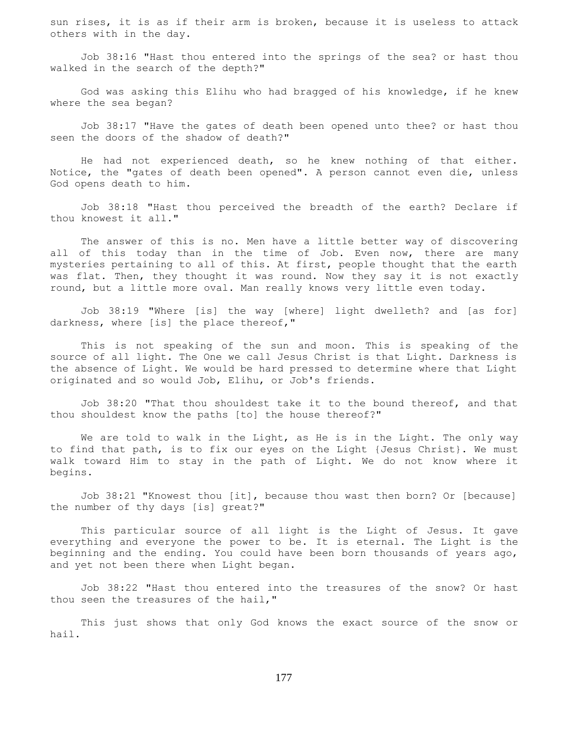sun rises, it is as if their arm is broken, because it is useless to attack others with in the day.

 Job 38:16 "Hast thou entered into the springs of the sea? or hast thou walked in the search of the depth?"

 God was asking this Elihu who had bragged of his knowledge, if he knew where the sea began?

 Job 38:17 "Have the gates of death been opened unto thee? or hast thou seen the doors of the shadow of death?"

 He had not experienced death, so he knew nothing of that either. Notice, the "gates of death been opened". A person cannot even die, unless God opens death to him.

 Job 38:18 "Hast thou perceived the breadth of the earth? Declare if thou knowest it all."

 The answer of this is no. Men have a little better way of discovering all of this today than in the time of Job. Even now, there are many mysteries pertaining to all of this. At first, people thought that the earth was flat. Then, they thought it was round. Now they say it is not exactly round, but a little more oval. Man really knows very little even today.

 Job 38:19 "Where [is] the way [where] light dwelleth? and [as for] darkness, where [is] the place thereof,"

 This is not speaking of the sun and moon. This is speaking of the source of all light. The One we call Jesus Christ is that Light. Darkness is the absence of Light. We would be hard pressed to determine where that Light originated and so would Job, Elihu, or Job's friends.

 Job 38:20 "That thou shouldest take it to the bound thereof, and that thou shouldest know the paths [to] the house thereof?"

 We are told to walk in the Light, as He is in the Light. The only way to find that path, is to fix our eyes on the Light {Jesus Christ}. We must walk toward Him to stay in the path of Light. We do not know where it begins.

 Job 38:21 "Knowest thou [it], because thou wast then born? Or [because] the number of thy days [is] great?"

 This particular source of all light is the Light of Jesus. It gave everything and everyone the power to be. It is eternal. The Light is the beginning and the ending. You could have been born thousands of years ago, and yet not been there when Light began.

 Job 38:22 "Hast thou entered into the treasures of the snow? Or hast thou seen the treasures of the hail,"

 This just shows that only God knows the exact source of the snow or hail.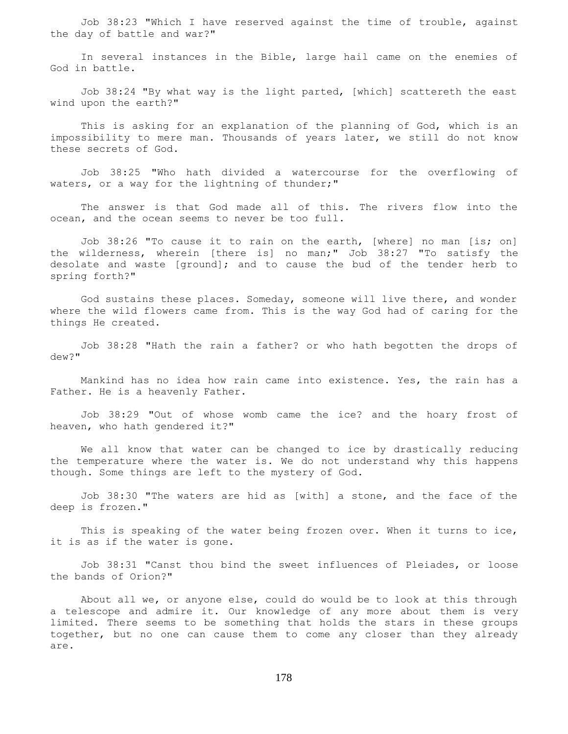Job 38:23 "Which I have reserved against the time of trouble, against the day of battle and war?"

 In several instances in the Bible, large hail came on the enemies of God in battle.

 Job 38:24 "By what way is the light parted, [which] scattereth the east wind upon the earth?"

 This is asking for an explanation of the planning of God, which is an impossibility to mere man. Thousands of years later, we still do not know these secrets of God.

 Job 38:25 "Who hath divided a watercourse for the overflowing of waters, or a way for the lightning of thunder;"

 The answer is that God made all of this. The rivers flow into the ocean, and the ocean seems to never be too full.

 Job 38:26 "To cause it to rain on the earth, [where] no man [is; on] the wilderness, wherein [there is] no man;" Job 38:27 "To satisfy the desolate and waste [ground]; and to cause the bud of the tender herb to spring forth?"

 God sustains these places. Someday, someone will live there, and wonder where the wild flowers came from. This is the way God had of caring for the things He created.

 Job 38:28 "Hath the rain a father? or who hath begotten the drops of dew?"

 Mankind has no idea how rain came into existence. Yes, the rain has a Father. He is a heavenly Father.

 Job 38:29 "Out of whose womb came the ice? and the hoary frost of heaven, who hath gendered it?"

 We all know that water can be changed to ice by drastically reducing the temperature where the water is. We do not understand why this happens though. Some things are left to the mystery of God.

 Job 38:30 "The waters are hid as [with] a stone, and the face of the deep is frozen."

This is speaking of the water being frozen over. When it turns to ice, it is as if the water is gone.

 Job 38:31 "Canst thou bind the sweet influences of Pleiades, or loose the bands of Orion?"

 About all we, or anyone else, could do would be to look at this through a telescope and admire it. Our knowledge of any more about them is very limited. There seems to be something that holds the stars in these groups together, but no one can cause them to come any closer than they already are.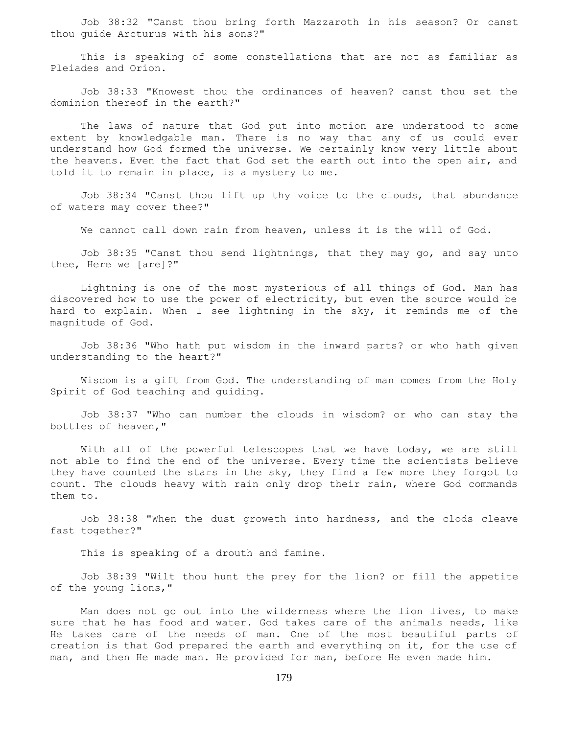Job 38:32 "Canst thou bring forth Mazzaroth in his season? Or canst thou guide Arcturus with his sons?"

 This is speaking of some constellations that are not as familiar as Pleiades and Orion.

 Job 38:33 "Knowest thou the ordinances of heaven? canst thou set the dominion thereof in the earth?"

 The laws of nature that God put into motion are understood to some extent by knowledgable man. There is no way that any of us could ever understand how God formed the universe. We certainly know very little about the heavens. Even the fact that God set the earth out into the open air, and told it to remain in place, is a mystery to me.

 Job 38:34 "Canst thou lift up thy voice to the clouds, that abundance of waters may cover thee?"

We cannot call down rain from heaven, unless it is the will of God.

 Job 38:35 "Canst thou send lightnings, that they may go, and say unto thee, Here we [are]?"

 Lightning is one of the most mysterious of all things of God. Man has discovered how to use the power of electricity, but even the source would be hard to explain. When I see lightning in the sky, it reminds me of the magnitude of God.

 Job 38:36 "Who hath put wisdom in the inward parts? or who hath given understanding to the heart?"

 Wisdom is a gift from God. The understanding of man comes from the Holy Spirit of God teaching and guiding.

 Job 38:37 "Who can number the clouds in wisdom? or who can stay the bottles of heaven,"

With all of the powerful telescopes that we have today, we are still not able to find the end of the universe. Every time the scientists believe they have counted the stars in the sky, they find a few more they forgot to count. The clouds heavy with rain only drop their rain, where God commands them to.

 Job 38:38 "When the dust groweth into hardness, and the clods cleave fast together?"

This is speaking of a drouth and famine.

 Job 38:39 "Wilt thou hunt the prey for the lion? or fill the appetite of the young lions,"

 Man does not go out into the wilderness where the lion lives, to make sure that he has food and water. God takes care of the animals needs, like He takes care of the needs of man. One of the most beautiful parts of creation is that God prepared the earth and everything on it, for the use of man, and then He made man. He provided for man, before He even made him.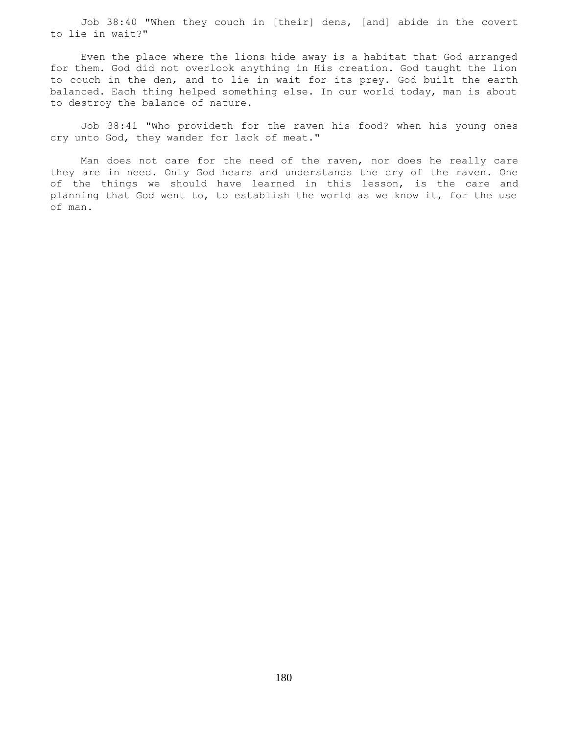Job 38:40 "When they couch in [their] dens, [and] abide in the covert to lie in wait?"

 Even the place where the lions hide away is a habitat that God arranged for them. God did not overlook anything in His creation. God taught the lion to couch in the den, and to lie in wait for its prey. God built the earth balanced. Each thing helped something else. In our world today, man is about to destroy the balance of nature.

 Job 38:41 "Who provideth for the raven his food? when his young ones cry unto God, they wander for lack of meat."

 Man does not care for the need of the raven, nor does he really care they are in need. Only God hears and understands the cry of the raven. One of the things we should have learned in this lesson, is the care and planning that God went to, to establish the world as we know it, for the use of man.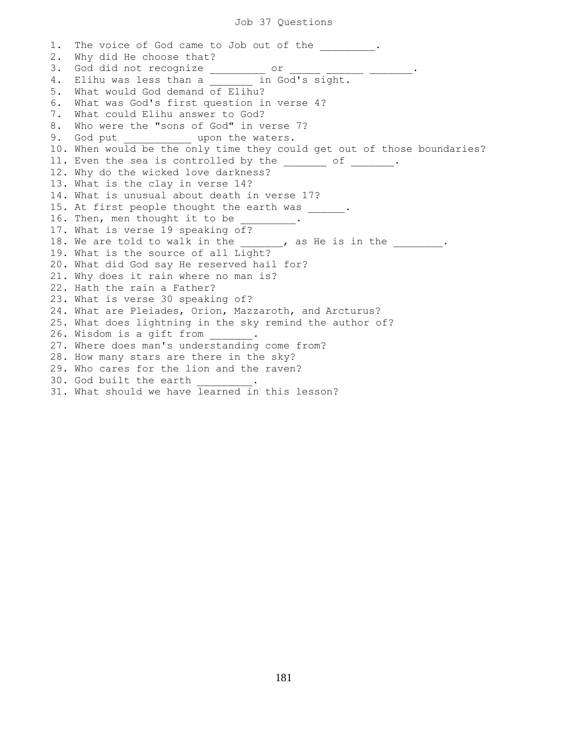1. The voice of God came to Job out of the  $\cdots$ 2. Why did He choose that? 3. God did not recognize \_\_\_\_\_\_\_\_\_ or \_\_\_\_\_\_ \_\_\_\_\_\_\_\_\_\_\_\_. 4. Elihu was less than a \_\_\_\_\_\_ in God's sight. 5. What would God demand of Elihu? 6. What was God's first question in verse 4? 7. What could Elihu answer to God? 8. Who were the "sons of God" in verse 7? 9. God put  $\qquad \qquad \text{upon the waters.}$ 10. When would be the only time they could get out of those boundaries? 11. Even the sea is controlled by the \_\_\_\_\_\_\_ of \_\_\_\_\_\_. 12. Why do the wicked love darkness? 13. What is the clay in verse 14? 14. What is unusual about death in verse 17? 15. At first people thought the earth was \_\_\_\_\_\_. 16. Then, men thought it to be 17. What is verse 19 speaking of? 18. We are told to walk in the \_\_\_\_\_\_, as He is in the \_\_\_\_\_\_\_. 19. What is the source of all Light? 20. What did God say He reserved hail for? 21. Why does it rain where no man is? 22. Hath the rain a Father? 23. What is verse 30 speaking of? 24. What are Pleiades, Orion, Mazzaroth, and Arcturus? 25. What does lightning in the sky remind the author of? 26. Wisdom is a gift from 27. Where does man's understanding come from? 28. How many stars are there in the sky? 29. Who cares for the lion and the raven? 30. God built the earth 31. What should we have learned in this lesson?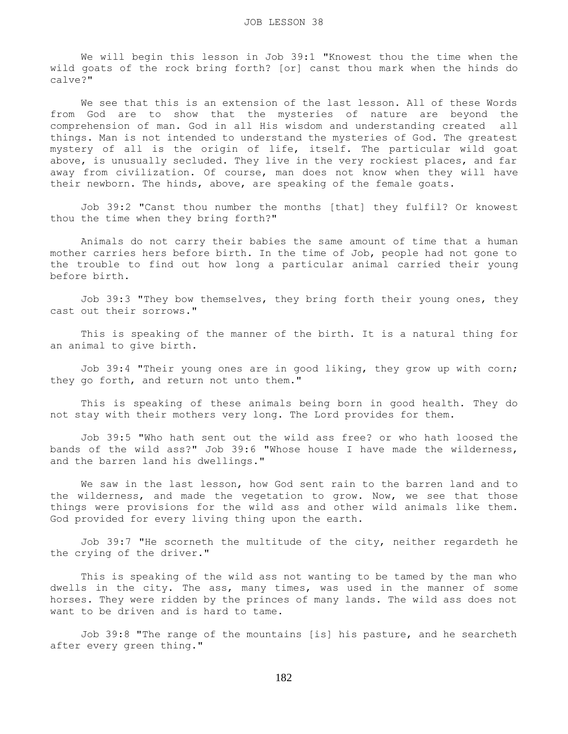We will begin this lesson in Job 39:1 "Knowest thou the time when the wild goats of the rock bring forth? [or] canst thou mark when the hinds do calve?"

 We see that this is an extension of the last lesson. All of these Words from God are to show that the mysteries of nature are beyond the comprehension of man. God in all His wisdom and understanding created all things. Man is not intended to understand the mysteries of God. The greatest mystery of all is the origin of life, itself. The particular wild goat above, is unusually secluded. They live in the very rockiest places, and far away from civilization. Of course, man does not know when they will have their newborn. The hinds, above, are speaking of the female goats.

 Job 39:2 "Canst thou number the months [that] they fulfil? Or knowest thou the time when they bring forth?"

 Animals do not carry their babies the same amount of time that a human mother carries hers before birth. In the time of Job, people had not gone to the trouble to find out how long a particular animal carried their young before birth.

 Job 39:3 "They bow themselves, they bring forth their young ones, they cast out their sorrows."

 This is speaking of the manner of the birth. It is a natural thing for an animal to give birth.

 Job 39:4 "Their young ones are in good liking, they grow up with corn; they go forth, and return not unto them."

 This is speaking of these animals being born in good health. They do not stay with their mothers very long. The Lord provides for them.

 Job 39:5 "Who hath sent out the wild ass free? or who hath loosed the bands of the wild ass?" Job 39:6 "Whose house I have made the wilderness, and the barren land his dwellings."

 We saw in the last lesson, how God sent rain to the barren land and to the wilderness, and made the vegetation to grow. Now, we see that those things were provisions for the wild ass and other wild animals like them. God provided for every living thing upon the earth.

 Job 39:7 "He scorneth the multitude of the city, neither regardeth he the crying of the driver."

 This is speaking of the wild ass not wanting to be tamed by the man who dwells in the city. The ass, many times, was used in the manner of some horses. They were ridden by the princes of many lands. The wild ass does not want to be driven and is hard to tame.

 Job 39:8 "The range of the mountains [is] his pasture, and he searcheth after every green thing."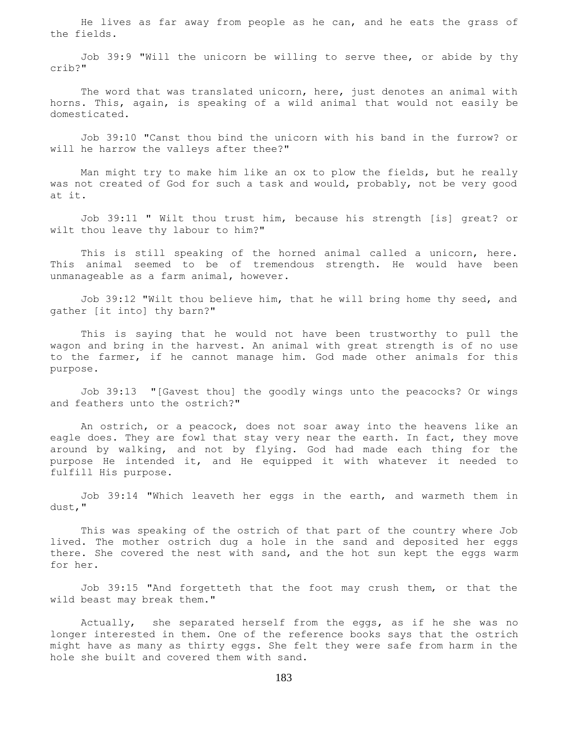He lives as far away from people as he can, and he eats the grass of the fields.

 Job 39:9 "Will the unicorn be willing to serve thee, or abide by thy crib?"

 The word that was translated unicorn, here, just denotes an animal with horns. This, again, is speaking of a wild animal that would not easily be domesticated.

 Job 39:10 "Canst thou bind the unicorn with his band in the furrow? or will he harrow the valleys after thee?"

 Man might try to make him like an ox to plow the fields, but he really was not created of God for such a task and would, probably, not be very good at it.

 Job 39:11 " Wilt thou trust him, because his strength [is] great? or wilt thou leave thy labour to him?"

 This is still speaking of the horned animal called a unicorn, here. This animal seemed to be of tremendous strength. He would have been unmanageable as a farm animal, however.

 Job 39:12 "Wilt thou believe him, that he will bring home thy seed, and gather [it into] thy barn?"

 This is saying that he would not have been trustworthy to pull the wagon and bring in the harvest. An animal with great strength is of no use to the farmer, if he cannot manage him. God made other animals for this purpose.

 Job 39:13 "[Gavest thou] the goodly wings unto the peacocks? Or wings and feathers unto the ostrich?"

 An ostrich, or a peacock, does not soar away into the heavens like an eagle does. They are fowl that stay very near the earth. In fact, they move around by walking, and not by flying. God had made each thing for the purpose He intended it, and He equipped it with whatever it needed to fulfill His purpose.

 Job 39:14 "Which leaveth her eggs in the earth, and warmeth them in dust,"

 This was speaking of the ostrich of that part of the country where Job lived. The mother ostrich dug a hole in the sand and deposited her eggs there. She covered the nest with sand, and the hot sun kept the eggs warm for her.

 Job 39:15 "And forgetteth that the foot may crush them, or that the wild beast may break them."

 Actually, she separated herself from the eggs, as if he she was no longer interested in them. One of the reference books says that the ostrich might have as many as thirty eggs. She felt they were safe from harm in the hole she built and covered them with sand.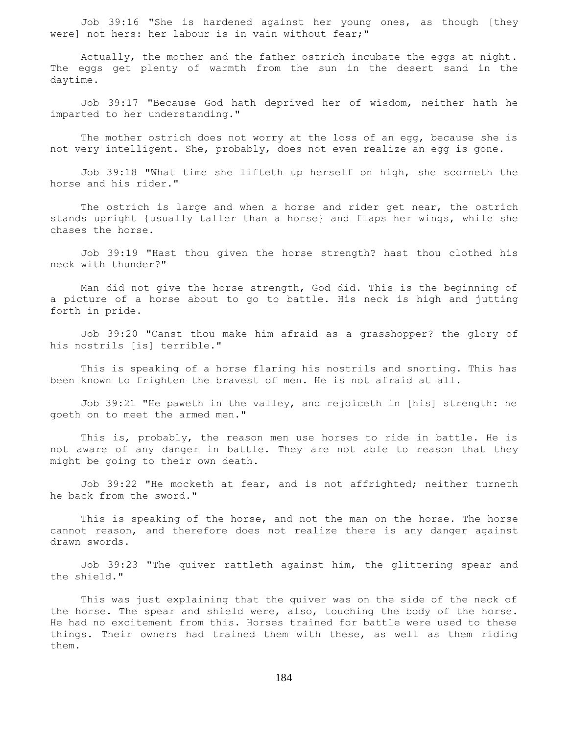Job 39:16 "She is hardened against her young ones, as though [they were] not hers: her labour is in vain without fear;"

 Actually, the mother and the father ostrich incubate the eggs at night. The eggs get plenty of warmth from the sun in the desert sand in the daytime.

 Job 39:17 "Because God hath deprived her of wisdom, neither hath he imparted to her understanding."

The mother ostrich does not worry at the loss of an egg, because she is not very intelligent. She, probably, does not even realize an egg is gone.

 Job 39:18 "What time she lifteth up herself on high, she scorneth the horse and his rider."

 The ostrich is large and when a horse and rider get near, the ostrich stands upright {usually taller than a horse} and flaps her wings, while she chases the horse.

 Job 39:19 "Hast thou given the horse strength? hast thou clothed his neck with thunder?"

 Man did not give the horse strength, God did. This is the beginning of a picture of a horse about to go to battle. His neck is high and jutting forth in pride.

 Job 39:20 "Canst thou make him afraid as a grasshopper? the glory of his nostrils [is] terrible."

 This is speaking of a horse flaring his nostrils and snorting. This has been known to frighten the bravest of men. He is not afraid at all.

 Job 39:21 "He paweth in the valley, and rejoiceth in [his] strength: he goeth on to meet the armed men."

 This is, probably, the reason men use horses to ride in battle. He is not aware of any danger in battle. They are not able to reason that they might be going to their own death.

 Job 39:22 "He mocketh at fear, and is not affrighted; neither turneth he back from the sword."

 This is speaking of the horse, and not the man on the horse. The horse cannot reason, and therefore does not realize there is any danger against drawn swords.

 Job 39:23 "The quiver rattleth against him, the glittering spear and the shield."

 This was just explaining that the quiver was on the side of the neck of the horse. The spear and shield were, also, touching the body of the horse. He had no excitement from this. Horses trained for battle were used to these things. Their owners had trained them with these, as well as them riding them.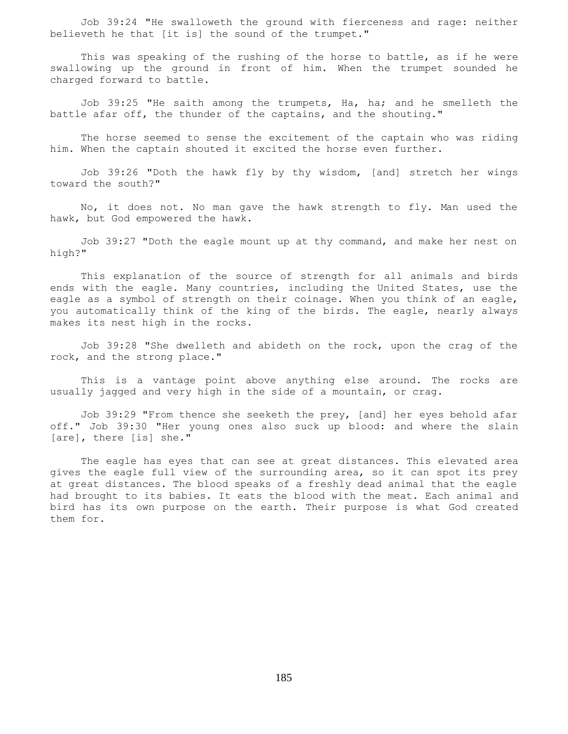Job 39:24 "He swalloweth the ground with fierceness and rage: neither believeth he that [it is] the sound of the trumpet."

 This was speaking of the rushing of the horse to battle, as if he were swallowing up the ground in front of him. When the trumpet sounded he charged forward to battle.

Job 39:25 "He saith among the trumpets, Ha, ha; and he smelleth the battle afar off, the thunder of the captains, and the shouting."

 The horse seemed to sense the excitement of the captain who was riding him. When the captain shouted it excited the horse even further.

 Job 39:26 "Doth the hawk fly by thy wisdom, [and] stretch her wings toward the south?"

 No, it does not. No man gave the hawk strength to fly. Man used the hawk, but God empowered the hawk.

 Job 39:27 "Doth the eagle mount up at thy command, and make her nest on high?"

 This explanation of the source of strength for all animals and birds ends with the eagle. Many countries, including the United States, use the eagle as a symbol of strength on their coinage. When you think of an eagle, you automatically think of the king of the birds. The eagle, nearly always makes its nest high in the rocks.

 Job 39:28 "She dwelleth and abideth on the rock, upon the crag of the rock, and the strong place."

 This is a vantage point above anything else around. The rocks are usually jagged and very high in the side of a mountain, or crag.

 Job 39:29 "From thence she seeketh the prey, [and] her eyes behold afar off." Job 39:30 "Her young ones also suck up blood: and where the slain [are], there [is] she."

 The eagle has eyes that can see at great distances. This elevated area gives the eagle full view of the surrounding area, so it can spot its prey at great distances. The blood speaks of a freshly dead animal that the eagle had brought to its babies. It eats the blood with the meat. Each animal and bird has its own purpose on the earth. Their purpose is what God created them for.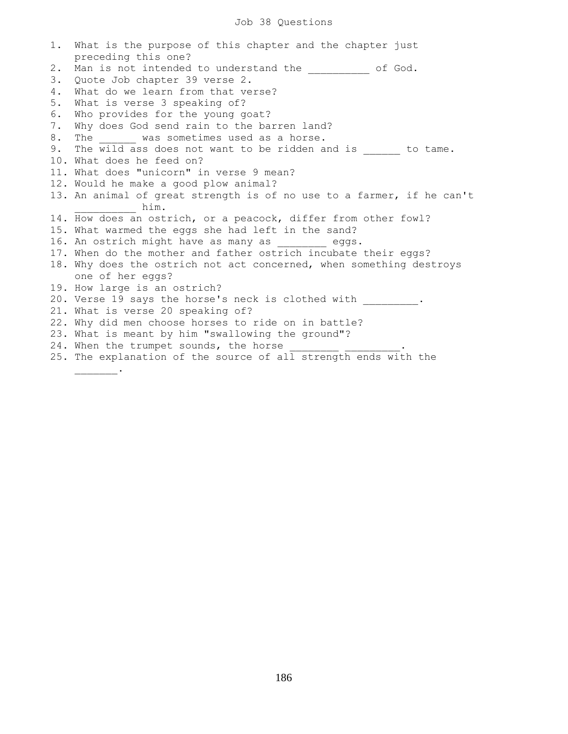## Job 38 Questions

1. What is the purpose of this chapter and the chapter just preceding this one? 2. Man is not intended to understand the entirely of God. 3. Quote Job chapter 39 verse 2. 4. What do we learn from that verse? 5. What is verse 3 speaking of? 6. Who provides for the young goat? 7. Why does God send rain to the barren land? 8. The was sometimes used as a horse. 9. The wild ass does not want to be ridden and is to tame. 10. What does he feed on? 11. What does "unicorn" in verse 9 mean? 12. Would he make a good plow animal? 13. An animal of great strength is of no use to a farmer, if he can't him. 14. How does an ostrich, or a peacock, differ from other fowl? 15. What warmed the eggs she had left in the sand? 16. An ostrich might have as many as  $eggs.$ 17. When do the mother and father ostrich incubate their eggs? 18. Why does the ostrich not act concerned, when something destroys one of her eggs? 19. How large is an ostrich? 20. Verse 19 says the horse's neck is clothed with \_\_\_\_\_\_\_\_\_. 21. What is verse 20 speaking of? 22. Why did men choose horses to ride on in battle? 23. What is meant by him "swallowing the ground"? 24. When the trumpet sounds, the horse 25. The explanation of the source of all strength ends with the \_\_\_\_\_\_\_.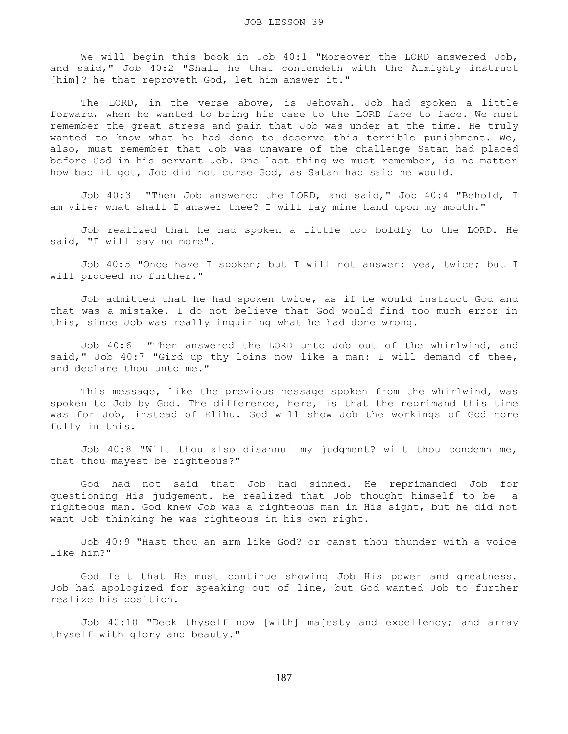We will begin this book in Job 40:1 "Moreover the LORD answered Job, and said," Job 40:2 "Shall he that contendeth with the Almighty instruct [him]? he that reproveth God, let him answer it."

 The LORD, in the verse above, is Jehovah. Job had spoken a little forward, when he wanted to bring his case to the LORD face to face. We must remember the great stress and pain that Job was under at the time. He truly wanted to know what he had done to deserve this terrible punishment. We, also, must remember that Job was unaware of the challenge Satan had placed before God in his servant Job. One last thing we must remember, is no matter how bad it got, Job did not curse God, as Satan had said he would.

 Job 40:3 "Then Job answered the LORD, and said," Job 40:4 "Behold, I am vile; what shall I answer thee? I will lay mine hand upon my mouth."

 Job realized that he had spoken a little too boldly to the LORD. He said, "I will say no more".

 Job 40:5 "Once have I spoken; but I will not answer: yea, twice; but I will proceed no further."

 Job admitted that he had spoken twice, as if he would instruct God and that was a mistake. I do not believe that God would find too much error in this, since Job was really inquiring what he had done wrong.

 Job 40:6 "Then answered the LORD unto Job out of the whirlwind, and said," Job 40:7 "Gird up thy loins now like a man: I will demand of thee, and declare thou unto me."

 This message, like the previous message spoken from the whirlwind, was spoken to Job by God. The difference, here, is that the reprimand this time was for Job, instead of Elihu. God will show Job the workings of God more fully in this.

 Job 40:8 "Wilt thou also disannul my judgment? wilt thou condemn me, that thou mayest be righteous?"

 God had not said that Job had sinned. He reprimanded Job for questioning His judgement. He realized that Job thought himself to be a righteous man. God knew Job was a righteous man in His sight, but he did not want Job thinking he was righteous in his own right.

 Job 40:9 "Hast thou an arm like God? or canst thou thunder with a voice like him?"

 God felt that He must continue showing Job His power and greatness. Job had apologized for speaking out of line, but God wanted Job to further realize his position.

 Job 40:10 "Deck thyself now [with] majesty and excellency; and array thyself with glory and beauty."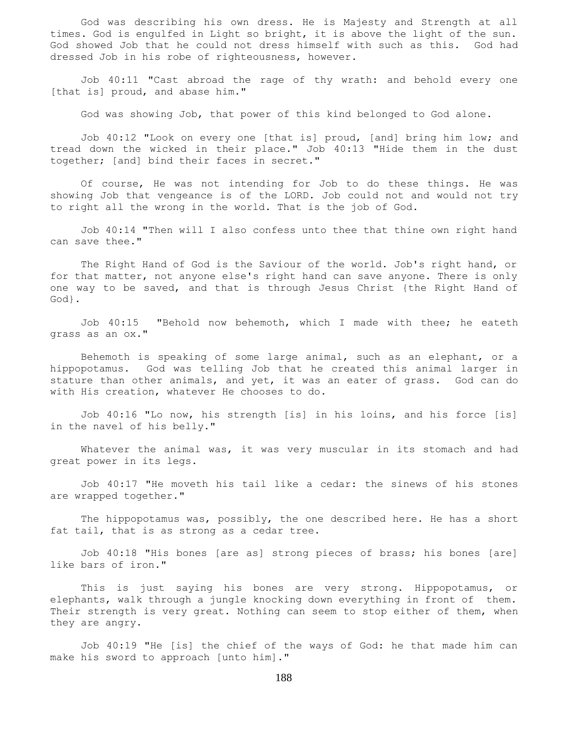God was describing his own dress. He is Majesty and Strength at all times. God is engulfed in Light so bright, it is above the light of the sun. God showed Job that he could not dress himself with such as this. God had dressed Job in his robe of righteousness, however.

 Job 40:11 "Cast abroad the rage of thy wrath: and behold every one [that is] proud, and abase him."

God was showing Job, that power of this kind belonged to God alone.

 Job 40:12 "Look on every one [that is] proud, [and] bring him low; and tread down the wicked in their place." Job 40:13 "Hide them in the dust together; [and] bind their faces in secret."

 Of course, He was not intending for Job to do these things. He was showing Job that vengeance is of the LORD. Job could not and would not try to right all the wrong in the world. That is the job of God.

 Job 40:14 "Then will I also confess unto thee that thine own right hand can save thee."

 The Right Hand of God is the Saviour of the world. Job's right hand, or for that matter, not anyone else's right hand can save anyone. There is only one way to be saved, and that is through Jesus Christ {the Right Hand of God}.

 Job 40:15 "Behold now behemoth, which I made with thee; he eateth grass as an ox."

 Behemoth is speaking of some large animal, such as an elephant, or a hippopotamus. God was telling Job that he created this animal larger in stature than other animals, and yet, it was an eater of grass. God can do with His creation, whatever He chooses to do.

 Job 40:16 "Lo now, his strength [is] in his loins, and his force [is] in the navel of his belly."

Whatever the animal was, it was very muscular in its stomach and had great power in its legs.

 Job 40:17 "He moveth his tail like a cedar: the sinews of his stones are wrapped together."

The hippopotamus was, possibly, the one described here. He has a short fat tail, that is as strong as a cedar tree.

 Job 40:18 "His bones [are as] strong pieces of brass; his bones [are] like bars of iron."

 This is just saying his bones are very strong. Hippopotamus, or elephants, walk through a jungle knocking down everything in front of them. Their strength is very great. Nothing can seem to stop either of them, when they are angry.

 Job 40:19 "He [is] the chief of the ways of God: he that made him can make his sword to approach [unto him]."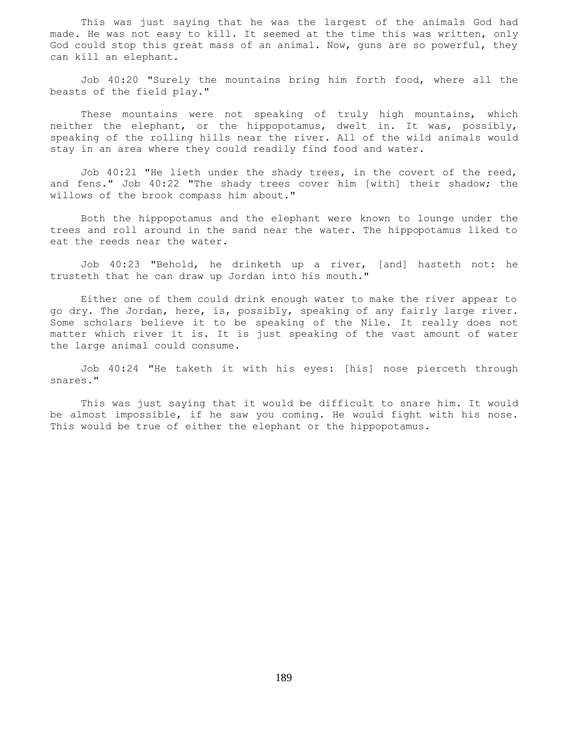This was just saying that he was the largest of the animals God had made. He was not easy to kill. It seemed at the time this was written, only God could stop this great mass of an animal. Now, guns are so powerful, they can kill an elephant.

 Job 40:20 "Surely the mountains bring him forth food, where all the beasts of the field play."

 These mountains were not speaking of truly high mountains, which neither the elephant, or the hippopotamus, dwelt in. It was, possibly, speaking of the rolling hills near the river. All of the wild animals would stay in an area where they could readily find food and water.

 Job 40:21 "He lieth under the shady trees, in the covert of the reed, and fens." Job 40:22 "The shady trees cover him [with] their shadow; the willows of the brook compass him about."

 Both the hippopotamus and the elephant were known to lounge under the trees and roll around in the sand near the water. The hippopotamus liked to eat the reeds near the water.

 Job 40:23 "Behold, he drinketh up a river, [and] hasteth not: he trusteth that he can draw up Jordan into his mouth."

 Either one of them could drink enough water to make the river appear to go dry. The Jordan, here, is, possibly, speaking of any fairly large river. Some scholars believe it to be speaking of the Nile. It really does not matter which river it is. It is just speaking of the vast amount of water the large animal could consume.

 Job 40:24 "He taketh it with his eyes: [his] nose pierceth through snares."

 This was just saying that it would be difficult to snare him. It would be almost impossible, if he saw you coming. He would fight with his nose. This would be true of either the elephant or the hippopotamus.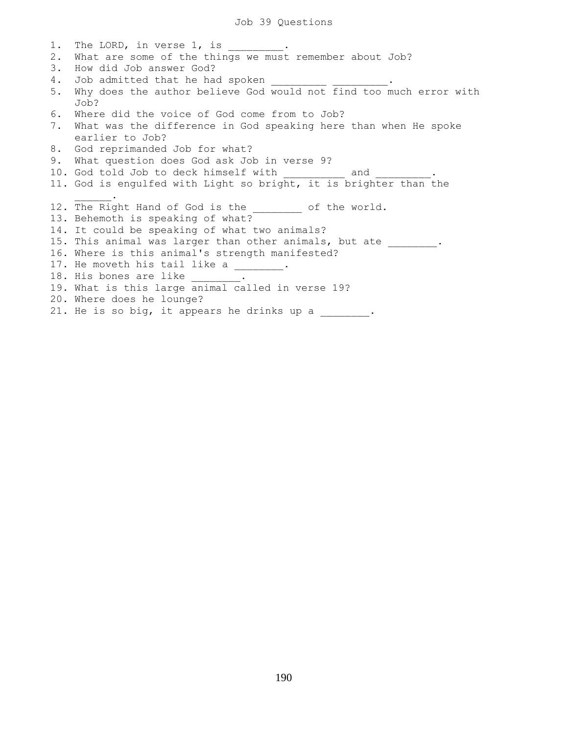1. The LORD, in verse 1, is 2. What are some of the things we must remember about Job? 3. How did Job answer God? 4. Job admitted that he had spoken 5. Why does the author believe God would not find too much error with Job? 6. Where did the voice of God come from to Job? 7. What was the difference in God speaking here than when He spoke earlier to Job? 8. God reprimanded Job for what? 9. What question does God ask Job in verse 9? 10. God told Job to deck himself with and 11. God is engulfed with Light so bright, it is brighter than the  $\mathcal{L}=\mathcal{L}^{\mathcal{L}}$ 12. The Right Hand of God is the \_\_\_\_\_\_\_\_ of the world. 13. Behemoth is speaking of what? 14. It could be speaking of what two animals? 15. This animal was larger than other animals, but ate \_\_\_\_\_\_\_\_. 16. Where is this animal's strength manifested? 17. He moveth his tail like a 18. His bones are like 19. What is this large animal called in verse 19? 20. Where does he lounge? 21. He is so big, it appears he drinks up a \_\_\_\_\_\_\_\_.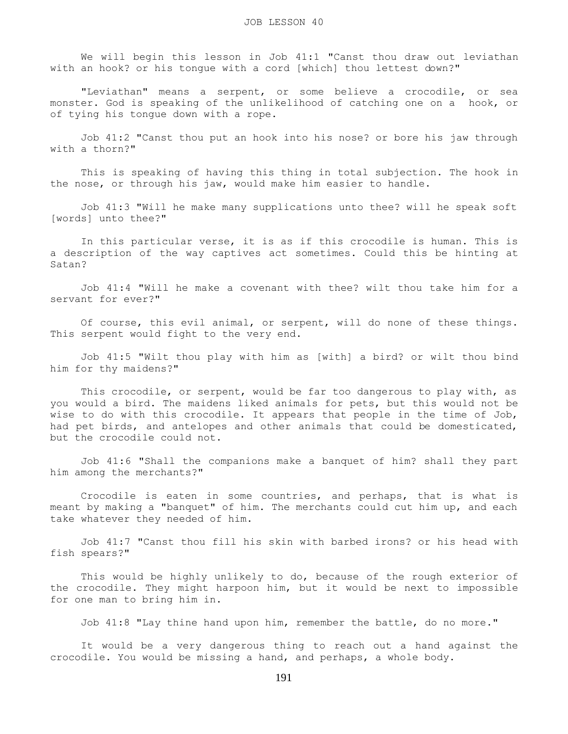We will begin this lesson in Job 41:1 "Canst thou draw out leviathan with an hook? or his tongue with a cord [which] thou lettest down?"

 "Leviathan" means a serpent, or some believe a crocodile, or sea monster. God is speaking of the unlikelihood of catching one on a hook, or of tying his tongue down with a rope.

 Job 41:2 "Canst thou put an hook into his nose? or bore his jaw through with a thorn?"

 This is speaking of having this thing in total subjection. The hook in the nose, or through his jaw, would make him easier to handle.

 Job 41:3 "Will he make many supplications unto thee? will he speak soft [words] unto thee?"

 In this particular verse, it is as if this crocodile is human. This is a description of the way captives act sometimes. Could this be hinting at Satan?

 Job 41:4 "Will he make a covenant with thee? wilt thou take him for a servant for ever?"

 Of course, this evil animal, or serpent, will do none of these things. This serpent would fight to the very end.

 Job 41:5 "Wilt thou play with him as [with] a bird? or wilt thou bind him for thy maidens?"

 This crocodile, or serpent, would be far too dangerous to play with, as you would a bird. The maidens liked animals for pets, but this would not be wise to do with this crocodile. It appears that people in the time of Job, had pet birds, and antelopes and other animals that could be domesticated, but the crocodile could not.

 Job 41:6 "Shall the companions make a banquet of him? shall they part him among the merchants?"

 Crocodile is eaten in some countries, and perhaps, that is what is meant by making a "banquet" of him. The merchants could cut him up, and each take whatever they needed of him.

 Job 41:7 "Canst thou fill his skin with barbed irons? or his head with fish spears?"

 This would be highly unlikely to do, because of the rough exterior of the crocodile. They might harpoon him, but it would be next to impossible for one man to bring him in.

Job 41:8 "Lay thine hand upon him, remember the battle, do no more."

 It would be a very dangerous thing to reach out a hand against the crocodile. You would be missing a hand, and perhaps, a whole body.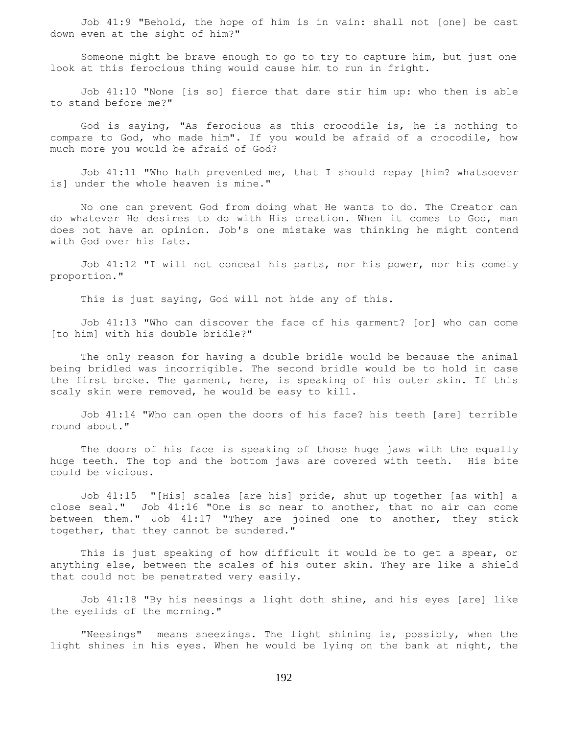Job 41:9 "Behold, the hope of him is in vain: shall not [one] be cast down even at the sight of him?"

 Someone might be brave enough to go to try to capture him, but just one look at this ferocious thing would cause him to run in fright.

 Job 41:10 "None [is so] fierce that dare stir him up: who then is able to stand before me?"

 God is saying, "As ferocious as this crocodile is, he is nothing to compare to God, who made him". If you would be afraid of a crocodile, how much more you would be afraid of God?

 Job 41:11 "Who hath prevented me, that I should repay [him? whatsoever is] under the whole heaven is mine."

 No one can prevent God from doing what He wants to do. The Creator can do whatever He desires to do with His creation. When it comes to God, man does not have an opinion. Job's one mistake was thinking he might contend with God over his fate.

 Job 41:12 "I will not conceal his parts, nor his power, nor his comely proportion."

This is just saying, God will not hide any of this.

 Job 41:13 "Who can discover the face of his garment? [or] who can come [to him] with his double bridle?"

 The only reason for having a double bridle would be because the animal being bridled was incorrigible. The second bridle would be to hold in case the first broke. The garment, here, is speaking of his outer skin. If this scaly skin were removed, he would be easy to kill.

 Job 41:14 "Who can open the doors of his face? his teeth [are] terrible round about."

 The doors of his face is speaking of those huge jaws with the equally huge teeth. The top and the bottom jaws are covered with teeth. His bite could be vicious.

 Job 41:15 "[His] scales [are his] pride, shut up together [as with] a close seal." Job 41:16 "One is so near to another, that no air can come between them." Job 41:17 "They are joined one to another, they stick together, that they cannot be sundered."

 This is just speaking of how difficult it would be to get a spear, or anything else, between the scales of his outer skin. They are like a shield that could not be penetrated very easily.

 Job 41:18 "By his neesings a light doth shine, and his eyes [are] like the eyelids of the morning."

 "Neesings" means sneezings. The light shining is, possibly, when the light shines in his eyes. When he would be lying on the bank at night, the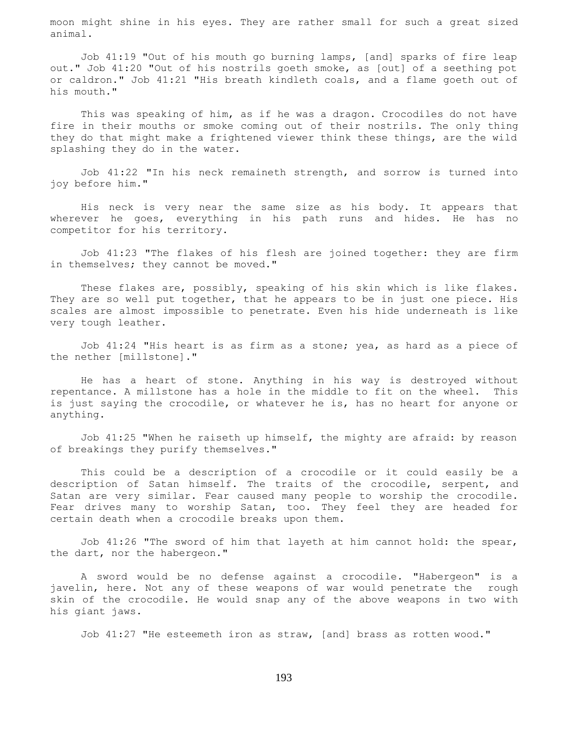moon might shine in his eyes. They are rather small for such a great sized animal.

 Job 41:19 "Out of his mouth go burning lamps, [and] sparks of fire leap out." Job 41:20 "Out of his nostrils goeth smoke, as [out] of a seething pot or caldron." Job 41:21 "His breath kindleth coals, and a flame goeth out of his mouth."

 This was speaking of him, as if he was a dragon. Crocodiles do not have fire in their mouths or smoke coming out of their nostrils. The only thing they do that might make a frightened viewer think these things, are the wild splashing they do in the water.

 Job 41:22 "In his neck remaineth strength, and sorrow is turned into joy before him."

 His neck is very near the same size as his body. It appears that wherever he goes, everything in his path runs and hides. He has no competitor for his territory.

 Job 41:23 "The flakes of his flesh are joined together: they are firm in themselves; they cannot be moved."

 These flakes are, possibly, speaking of his skin which is like flakes. They are so well put together, that he appears to be in just one piece. His scales are almost impossible to penetrate. Even his hide underneath is like very tough leather.

 Job 41:24 "His heart is as firm as a stone; yea, as hard as a piece of the nether [millstone]."

 He has a heart of stone. Anything in his way is destroyed without repentance. A millstone has a hole in the middle to fit on the wheel. This is just saying the crocodile, or whatever he is, has no heart for anyone or anything.

 Job 41:25 "When he raiseth up himself, the mighty are afraid: by reason of breakings they purify themselves."

 This could be a description of a crocodile or it could easily be a description of Satan himself. The traits of the crocodile, serpent, and Satan are very similar. Fear caused many people to worship the crocodile. Fear drives many to worship Satan, too. They feel they are headed for certain death when a crocodile breaks upon them.

 Job 41:26 "The sword of him that layeth at him cannot hold: the spear, the dart, nor the habergeon."

 A sword would be no defense against a crocodile. "Habergeon" is a javelin, here. Not any of these weapons of war would penetrate the rough skin of the crocodile. He would snap any of the above weapons in two with his giant jaws.

Job 41:27 "He esteemeth iron as straw, [and] brass as rotten wood."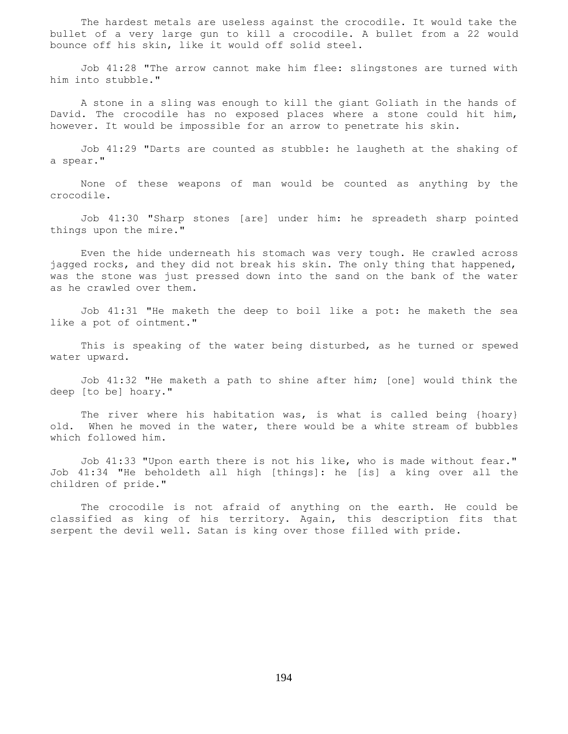The hardest metals are useless against the crocodile. It would take the bullet of a very large gun to kill a crocodile. A bullet from a 22 would bounce off his skin, like it would off solid steel.

 Job 41:28 "The arrow cannot make him flee: slingstones are turned with him into stubble."

 A stone in a sling was enough to kill the giant Goliath in the hands of David. The crocodile has no exposed places where a stone could hit him, however. It would be impossible for an arrow to penetrate his skin.

 Job 41:29 "Darts are counted as stubble: he laugheth at the shaking of a spear."

 None of these weapons of man would be counted as anything by the crocodile.

 Job 41:30 "Sharp stones [are] under him: he spreadeth sharp pointed things upon the mire."

 Even the hide underneath his stomach was very tough. He crawled across jagged rocks, and they did not break his skin. The only thing that happened, was the stone was just pressed down into the sand on the bank of the water as he crawled over them.

 Job 41:31 "He maketh the deep to boil like a pot: he maketh the sea like a pot of ointment."

 This is speaking of the water being disturbed, as he turned or spewed water upward.

 Job 41:32 "He maketh a path to shine after him; [one] would think the deep [to be] hoary."

The river where his habitation was, is what is called being {hoary} old. When he moved in the water, there would be a white stream of bubbles which followed him.

 Job 41:33 "Upon earth there is not his like, who is made without fear." Job 41:34 "He beholdeth all high [things]: he [is] a king over all the children of pride."

 The crocodile is not afraid of anything on the earth. He could be classified as king of his territory. Again, this description fits that serpent the devil well. Satan is king over those filled with pride.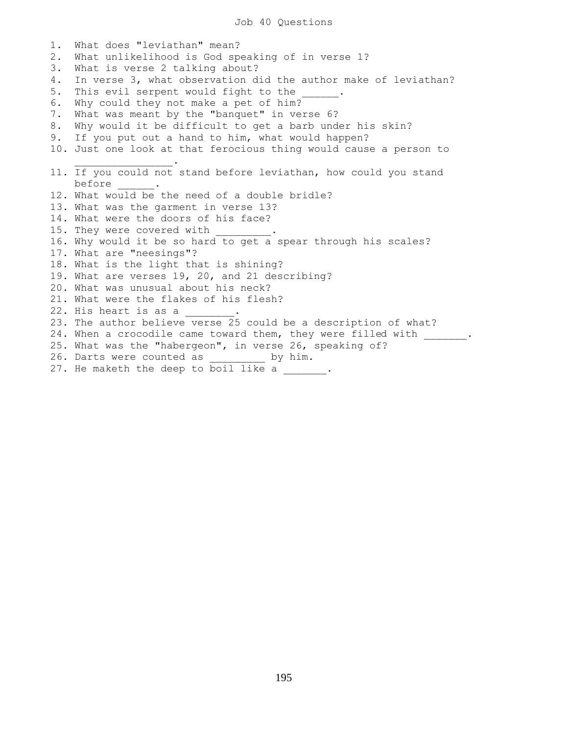1. What does "leviathan" mean? 2. What unlikelihood is God speaking of in verse 1? 3. What is verse 2 talking about? 4. In verse 3, what observation did the author make of leviathan? 5. This evil serpent would fight to the 6. Why could they not make a pet of him? 7. What was meant by the "banquet" in verse 6? 8. Why would it be difficult to get a barb under his skin? 9. If you put out a hand to him, what would happen? 10. Just one look at that ferocious thing would cause a person to  $\mathcal{L}=\mathcal{L}^{\mathcal{L}}$  , we have the set of the set of the set of the set of the set of the set of the set of the set of the set of the set of the set of the set of the set of the set of the set of the set of the set of th 11. If you could not stand before leviathan, how could you stand before \_\_\_\_\_\_. 12. What would be the need of a double bridle? 13. What was the garment in verse 13? 14. What were the doors of his face? 15. They were covered with 16. Why would it be so hard to get a spear through his scales? 17. What are "neesings"? 18. What is the light that is shining? 19. What are verses 19, 20, and 21 describing? 20. What was unusual about his neck? 21. What were the flakes of his flesh? 22. His heart is as a 23. The author believe verse 25 could be a description of what? 24. When a crocodile came toward them, they were filled with \_\_\_\_\_\_. 25. What was the "habergeon", in verse 26, speaking of? 26. Darts were counted as  $by him.$ 27. He maketh the deep to boil like a \_\_\_\_\_\_.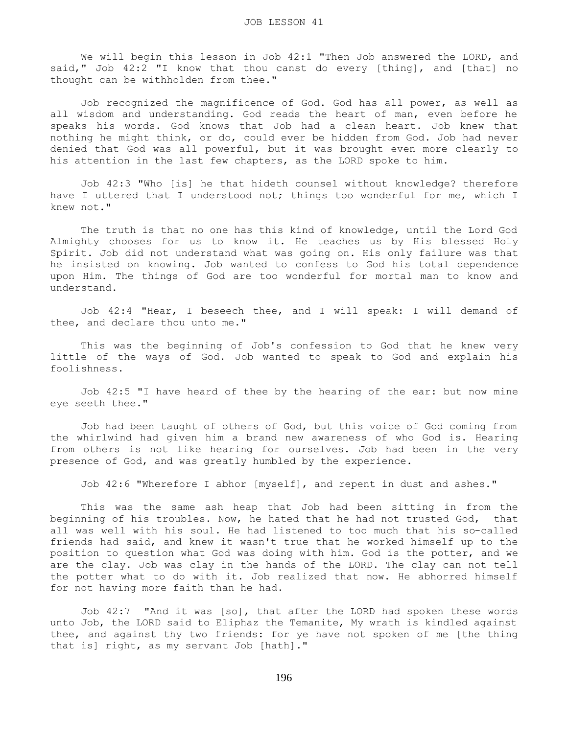We will begin this lesson in Job 42:1 "Then Job answered the LORD, and said," Job 42:2 "I know that thou canst do every [thing], and [that] no thought can be withholden from thee."

 Job recognized the magnificence of God. God has all power, as well as all wisdom and understanding. God reads the heart of man, even before he speaks his words. God knows that Job had a clean heart. Job knew that nothing he might think, or do, could ever be hidden from God. Job had never denied that God was all powerful, but it was brought even more clearly to his attention in the last few chapters, as the LORD spoke to him.

 Job 42:3 "Who [is] he that hideth counsel without knowledge? therefore have I uttered that I understood not; things too wonderful for me, which I knew not."

 The truth is that no one has this kind of knowledge, until the Lord God Almighty chooses for us to know it. He teaches us by His blessed Holy Spirit. Job did not understand what was going on. His only failure was that he insisted on knowing. Job wanted to confess to God his total dependence upon Him. The things of God are too wonderful for mortal man to know and understand.

 Job 42:4 "Hear, I beseech thee, and I will speak: I will demand of thee, and declare thou unto me."

 This was the beginning of Job's confession to God that he knew very little of the ways of God. Job wanted to speak to God and explain his foolishness.

 Job 42:5 "I have heard of thee by the hearing of the ear: but now mine eye seeth thee."

 Job had been taught of others of God, but this voice of God coming from the whirlwind had given him a brand new awareness of who God is. Hearing from others is not like hearing for ourselves. Job had been in the very presence of God, and was greatly humbled by the experience.

Job 42:6 "Wherefore I abhor [myself], and repent in dust and ashes."

 This was the same ash heap that Job had been sitting in from the beginning of his troubles. Now, he hated that he had not trusted God, that all was well with his soul. He had listened to too much that his so-called friends had said, and knew it wasn't true that he worked himself up to the position to question what God was doing with him. God is the potter, and we are the clay. Job was clay in the hands of the LORD. The clay can not tell the potter what to do with it. Job realized that now. He abhorred himself for not having more faith than he had.

 Job 42:7 "And it was [so], that after the LORD had spoken these words unto Job, the LORD said to Eliphaz the Temanite, My wrath is kindled against thee, and against thy two friends: for ye have not spoken of me [the thing that is] right, as my servant Job [hath]."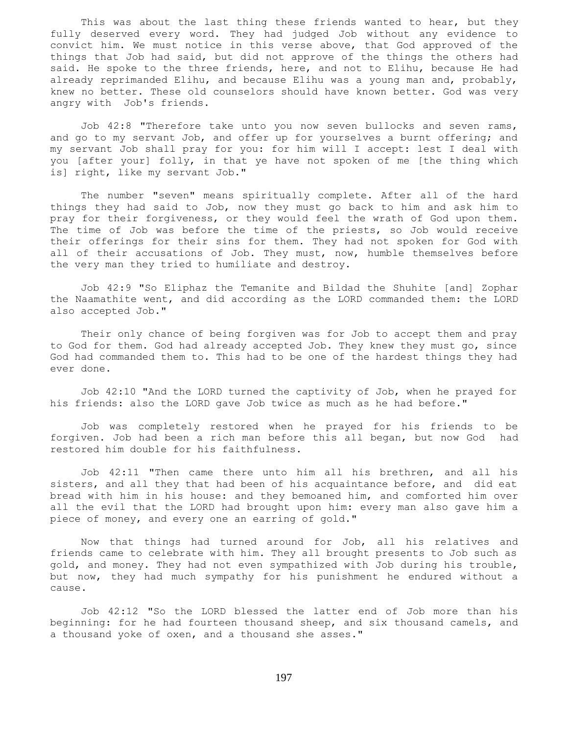This was about the last thing these friends wanted to hear, but they fully deserved every word. They had judged Job without any evidence to convict him. We must notice in this verse above, that God approved of the things that Job had said, but did not approve of the things the others had said. He spoke to the three friends, here, and not to Elihu, because He had already reprimanded Elihu, and because Elihu was a young man and, probably, knew no better. These old counselors should have known better. God was very angry with Job's friends.

 Job 42:8 "Therefore take unto you now seven bullocks and seven rams, and go to my servant Job, and offer up for yourselves a burnt offering; and my servant Job shall pray for you: for him will I accept: lest I deal with you [after your] folly, in that ye have not spoken of me [the thing which is] right, like my servant Job."

 The number "seven" means spiritually complete. After all of the hard things they had said to Job, now they must go back to him and ask him to pray for their forgiveness, or they would feel the wrath of God upon them. The time of Job was before the time of the priests, so Job would receive their offerings for their sins for them. They had not spoken for God with all of their accusations of Job. They must, now, humble themselves before the very man they tried to humiliate and destroy.

 Job 42:9 "So Eliphaz the Temanite and Bildad the Shuhite [and] Zophar the Naamathite went, and did according as the LORD commanded them: the LORD also accepted Job."

 Their only chance of being forgiven was for Job to accept them and pray to God for them. God had already accepted Job. They knew they must go, since God had commanded them to. This had to be one of the hardest things they had ever done.

 Job 42:10 "And the LORD turned the captivity of Job, when he prayed for his friends: also the LORD gave Job twice as much as he had before."

 Job was completely restored when he prayed for his friends to be forgiven. Job had been a rich man before this all began, but now God had restored him double for his faithfulness.

 Job 42:11 "Then came there unto him all his brethren, and all his sisters, and all they that had been of his acquaintance before, and did eat bread with him in his house: and they bemoaned him, and comforted him over all the evil that the LORD had brought upon him: every man also gave him a piece of money, and every one an earring of gold."

 Now that things had turned around for Job, all his relatives and friends came to celebrate with him. They all brought presents to Job such as gold, and money. They had not even sympathized with Job during his trouble, but now, they had much sympathy for his punishment he endured without a cause.

 Job 42:12 "So the LORD blessed the latter end of Job more than his beginning: for he had fourteen thousand sheep, and six thousand camels, and a thousand yoke of oxen, and a thousand she asses."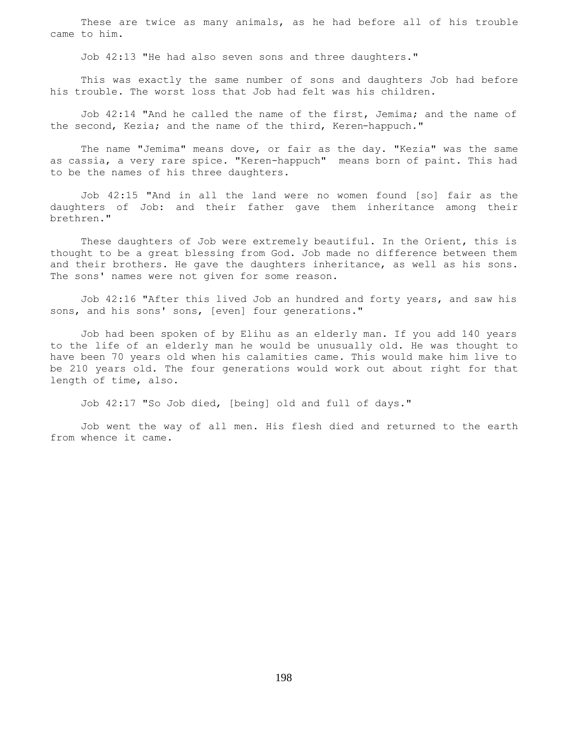These are twice as many animals, as he had before all of his trouble came to him.

Job 42:13 "He had also seven sons and three daughters."

 This was exactly the same number of sons and daughters Job had before his trouble. The worst loss that Job had felt was his children.

 Job 42:14 "And he called the name of the first, Jemima; and the name of the second, Kezia; and the name of the third, Keren-happuch."

 The name "Jemima" means dove, or fair as the day. "Kezia" was the same as cassia, a very rare spice. "Keren-happuch" means born of paint. This had to be the names of his three daughters.

 Job 42:15 "And in all the land were no women found [so] fair as the daughters of Job: and their father gave them inheritance among their brethren."

 These daughters of Job were extremely beautiful. In the Orient, this is thought to be a great blessing from God. Job made no difference between them and their brothers. He gave the daughters inheritance, as well as his sons. The sons' names were not given for some reason.

 Job 42:16 "After this lived Job an hundred and forty years, and saw his sons, and his sons' sons, [even] four generations."

 Job had been spoken of by Elihu as an elderly man. If you add 140 years to the life of an elderly man he would be unusually old. He was thought to have been 70 years old when his calamities came. This would make him live to be 210 years old. The four generations would work out about right for that length of time, also.

Job 42:17 "So Job died, [being] old and full of days."

 Job went the way of all men. His flesh died and returned to the earth from whence it came.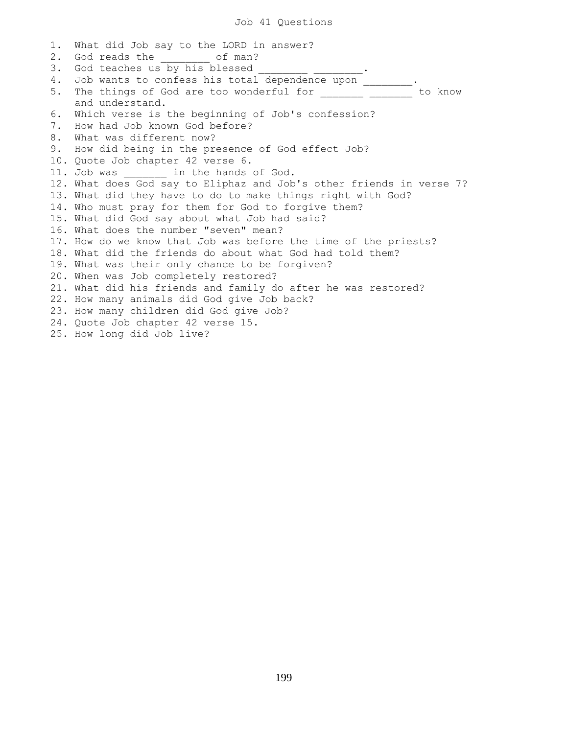1. What did Job say to the LORD in answer? 2. God reads the of man? 3. God teaches us by his blessed \_\_\_\_\_\_\_\_\_ \_\_\_\_\_\_\_\_\_. 4. Job wants to confess his total dependence upon \_\_\_\_\_\_\_. 5. The things of God are too wonderful for \_\_\_\_\_\_\_\_\_\_\_\_\_\_\_\_\_ to know and understand. 6. Which verse is the beginning of Job's confession? 7. How had Job known God before? 8. What was different now? 9. How did being in the presence of God effect Job? 10. Quote Job chapter 42 verse 6. 11. Job was \_\_\_\_\_\_\_ in the hands of God. 12. What does God say to Eliphaz and Job's other friends in verse 7? 13. What did they have to do to make things right with God? 14. Who must pray for them for God to forgive them? 15. What did God say about what Job had said? 16. What does the number "seven" mean? 17. How do we know that Job was before the time of the priests? 18. What did the friends do about what God had told them? 19. What was their only chance to be forgiven? 20. When was Job completely restored? 21. What did his friends and family do after he was restored? 22. How many animals did God give Job back? 23. How many children did God give Job? 24. Quote Job chapter 42 verse 15. 25. How long did Job live?